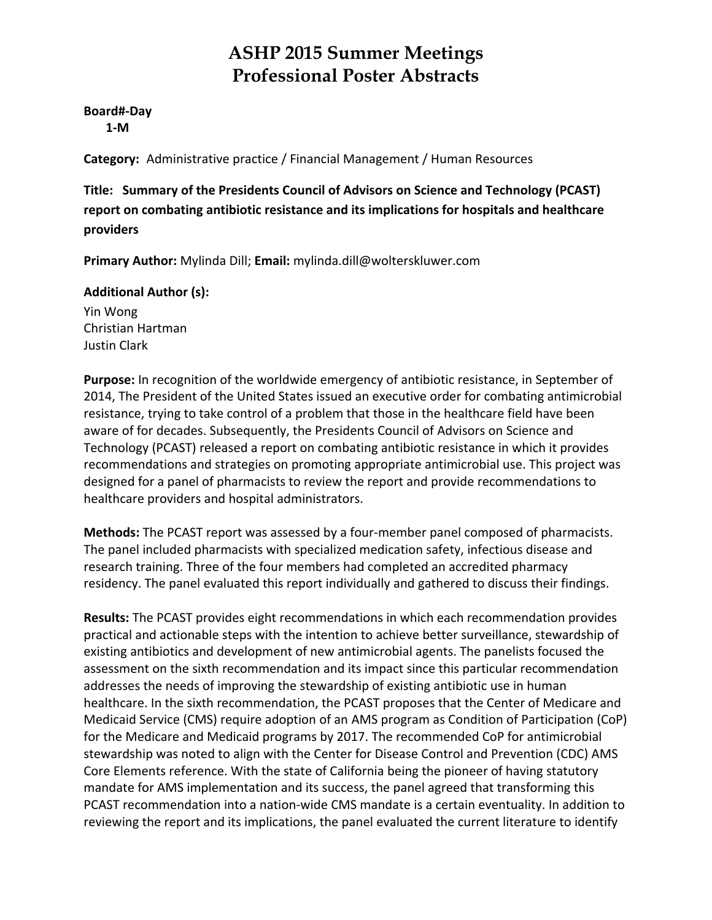**Board#‐Day 1‐M**

**Category:** Administrative practice / Financial Management / Human Resources

**Title: Summary of the Presidents Council of Advisors on Science and Technology (PCAST) report on combating antibiotic resistance and its implications for hospitals and healthcare providers**

**Primary Author:** Mylinda Dill; **Email:** mylinda.dill@wolterskluwer.com

**Additional Author (s):**

Yin Wong Christian Hartman Justin Clark

**Purpose:** In recognition of the worldwide emergency of antibiotic resistance, in September of 2014, The President of the United States issued an executive order for combating antimicrobial resistance, trying to take control of a problem that those in the healthcare field have been aware of for decades. Subsequently, the Presidents Council of Advisors on Science and Technology (PCAST) released a report on combating antibiotic resistance in which it provides recommendations and strategies on promoting appropriate antimicrobial use. This project was designed for a panel of pharmacists to review the report and provide recommendations to healthcare providers and hospital administrators.

**Methods:** The PCAST report was assessed by a four‐member panel composed of pharmacists. The panel included pharmacists with specialized medication safety, infectious disease and research training. Three of the four members had completed an accredited pharmacy residency. The panel evaluated this report individually and gathered to discuss their findings.

**Results:** The PCAST provides eight recommendations in which each recommendation provides practical and actionable steps with the intention to achieve better surveillance, stewardship of existing antibiotics and development of new antimicrobial agents. The panelists focused the assessment on the sixth recommendation and its impact since this particular recommendation addresses the needs of improving the stewardship of existing antibiotic use in human healthcare. In the sixth recommendation, the PCAST proposes that the Center of Medicare and Medicaid Service (CMS) require adoption of an AMS program as Condition of Participation (CoP) for the Medicare and Medicaid programs by 2017. The recommended CoP for antimicrobial stewardship was noted to align with the Center for Disease Control and Prevention (CDC) AMS Core Elements reference. With the state of California being the pioneer of having statutory mandate for AMS implementation and its success, the panel agreed that transforming this PCAST recommendation into a nation‐wide CMS mandate is a certain eventuality. In addition to reviewing the report and its implications, the panel evaluated the current literature to identify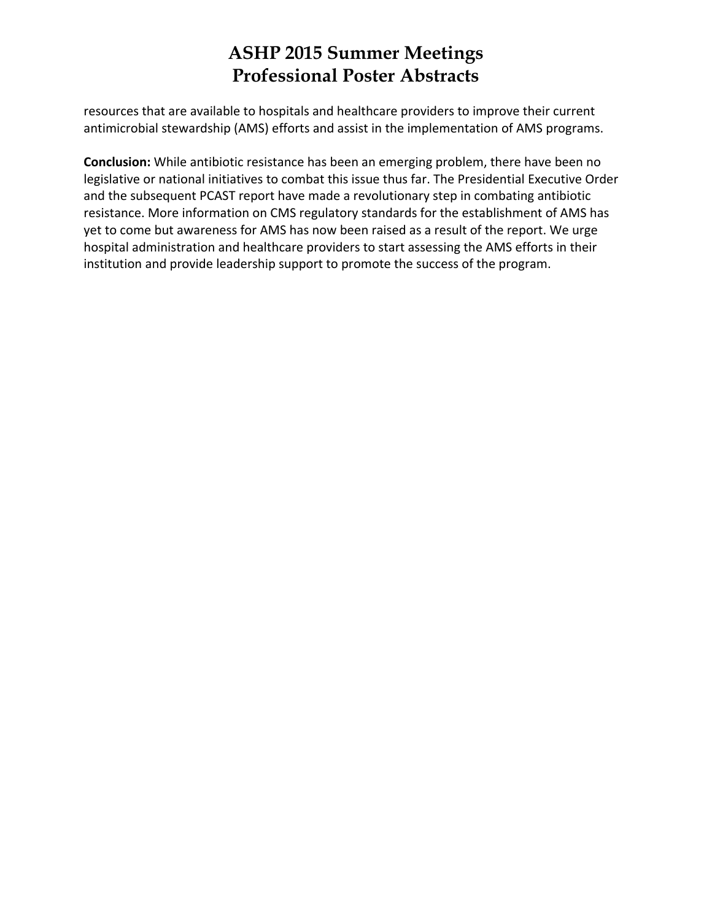resources that are available to hospitals and healthcare providers to improve their current antimicrobial stewardship (AMS) efforts and assist in the implementation of AMS programs.

**Conclusion:** While antibiotic resistance has been an emerging problem, there have been no legislative or national initiatives to combat this issue thus far. The Presidential Executive Order and the subsequent PCAST report have made a revolutionary step in combating antibiotic resistance. More information on CMS regulatory standards for the establishment of AMS has yet to come but awareness for AMS has now been raised as a result of the report. We urge hospital administration and healthcare providers to start assessing the AMS efforts in their institution and provide leadership support to promote the success of the program.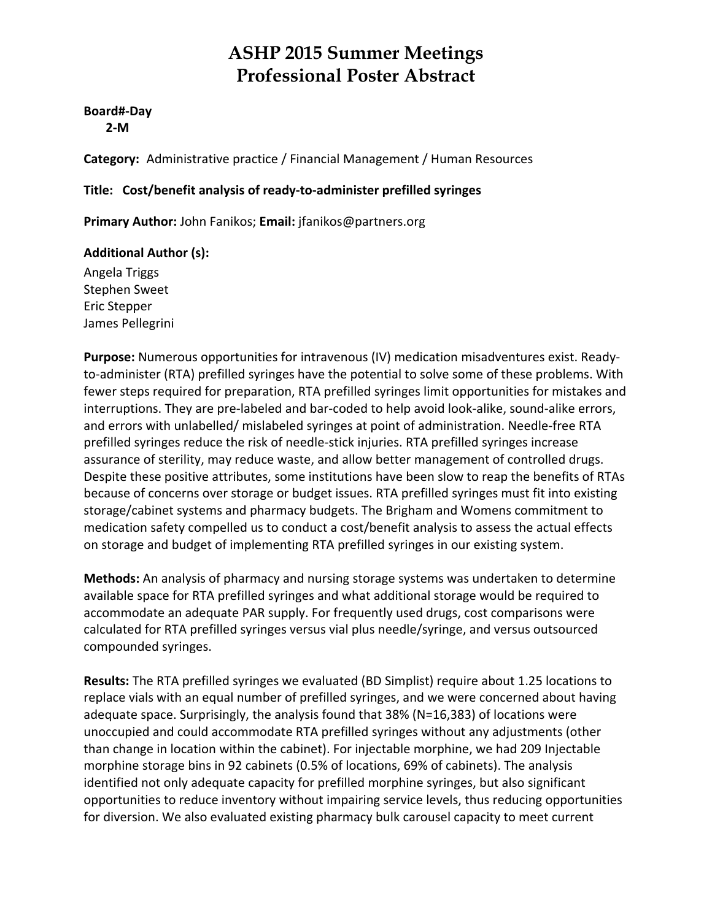#### **Board#‐Day 2‐M**

**Category:** Administrative practice / Financial Management / Human Resources

### **Title: Cost/benefit analysis of ready‐to‐administer prefilled syringes**

**Primary Author:** John Fanikos; **Email:** jfanikos@partners.org

### **Additional Author (s):**

Angela Triggs Stephen Sweet Eric Stepper James Pellegrini

**Purpose:** Numerous opportunities for intravenous (IV) medication misadventures exist. Ready‐ to-administer (RTA) prefilled syringes have the potential to solve some of these problems. With fewer steps required for preparation, RTA prefilled syringes limit opportunities for mistakes and interruptions. They are pre‐labeled and bar‐coded to help avoid look‐alike, sound‐alike errors, and errors with unlabelled/ mislabeled syringes at point of administration. Needle‐free RTA prefilled syringes reduce the risk of needle‐stick injuries. RTA prefilled syringes increase assurance of sterility, may reduce waste, and allow better management of controlled drugs. Despite these positive attributes, some institutions have been slow to reap the benefits of RTAs because of concerns over storage or budget issues. RTA prefilled syringes must fit into existing storage/cabinet systems and pharmacy budgets. The Brigham and Womens commitment to medication safety compelled us to conduct a cost/benefit analysis to assess the actual effects on storage and budget of implementing RTA prefilled syringes in our existing system.

**Methods:** An analysis of pharmacy and nursing storage systems was undertaken to determine available space for RTA prefilled syringes and what additional storage would be required to accommodate an adequate PAR supply. For frequently used drugs, cost comparisons were calculated for RTA prefilled syringes versus vial plus needle/syringe, and versus outsourced compounded syringes.

**Results:** The RTA prefilled syringes we evaluated (BD Simplist) require about 1.25 locations to replace vials with an equal number of prefilled syringes, and we were concerned about having adequate space. Surprisingly, the analysis found that 38% (N=16,383) of locations were unoccupied and could accommodate RTA prefilled syringes without any adjustments (other than change in location within the cabinet). For injectable morphine, we had 209 Injectable morphine storage bins in 92 cabinets (0.5% of locations, 69% of cabinets). The analysis identified not only adequate capacity for prefilled morphine syringes, but also significant opportunities to reduce inventory without impairing service levels, thus reducing opportunities for diversion. We also evaluated existing pharmacy bulk carousel capacity to meet current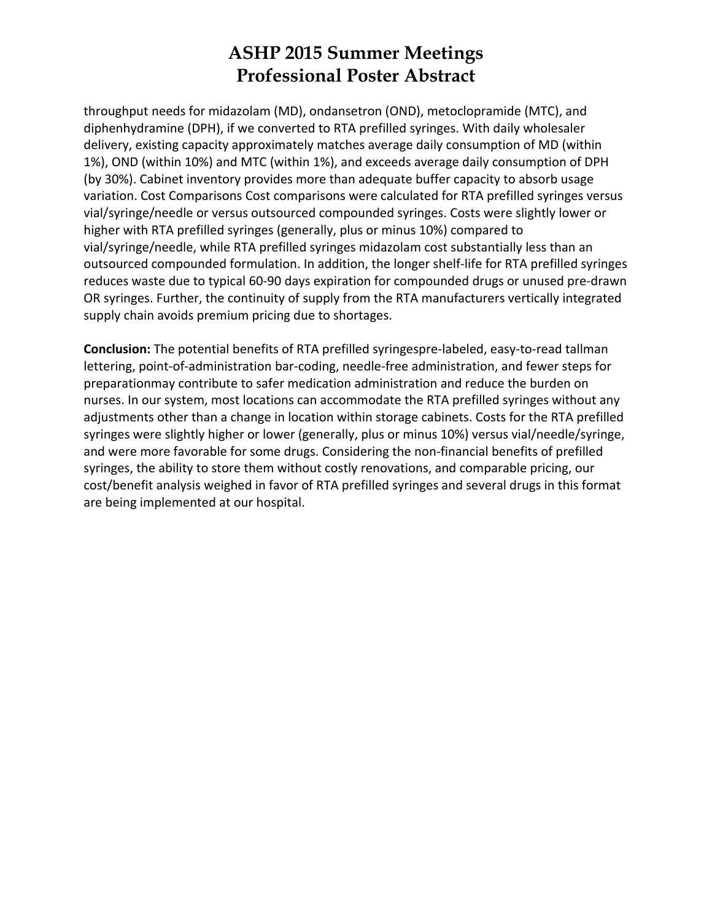throughput needs for midazolam (MD), ondansetron (OND), metoclopramide (MTC), and diphenhydramine (DPH), if we converted to RTA prefilled syringes. With daily wholesaler delivery, existing capacity approximately matches average daily consumption of MD (within 1%), OND (within 10%) and MTC (within 1%), and exceeds average daily consumption of DPH (by 30%). Cabinet inventory provides more than adequate buffer capacity to absorb usage variation. Cost Comparisons Cost comparisons were calculated for RTA prefilled syringes versus vial/syringe/needle or versus outsourced compounded syringes. Costs were slightly lower or higher with RTA prefilled syringes (generally, plus or minus 10%) compared to vial/syringe/needle, while RTA prefilled syringes midazolam cost substantially less than an outsourced compounded formulation. In addition, the longer shelf‐life for RTA prefilled syringes reduces waste due to typical 60‐90 days expiration for compounded drugs or unused pre‐drawn OR syringes. Further, the continuity of supply from the RTA manufacturers vertically integrated supply chain avoids premium pricing due to shortages.

**Conclusion:** The potential benefits of RTA prefilled syringespre‐labeled, easy‐to‐read tallman lettering, point‐of‐administration bar‐coding, needle‐free administration, and fewer steps for preparationmay contribute to safer medication administration and reduce the burden on nurses. In our system, most locations can accommodate the RTA prefilled syringes without any adjustments other than a change in location within storage cabinets. Costs for the RTA prefilled syringes were slightly higher or lower (generally, plus or minus 10%) versus vial/needle/syringe, and were more favorable for some drugs. Considering the non-financial benefits of prefilled syringes, the ability to store them without costly renovations, and comparable pricing, our cost/benefit analysis weighed in favor of RTA prefilled syringes and several drugs in this format are being implemented at our hospital.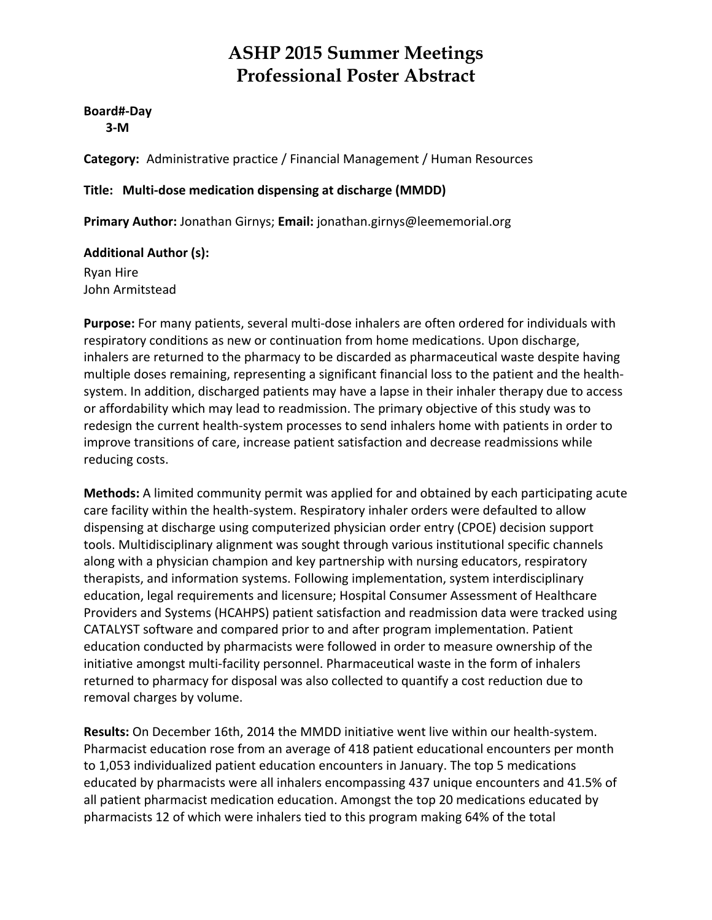**Board#‐Day 3‐M**

**Category:** Administrative practice / Financial Management / Human Resources

### **Title: Multi‐dose medication dispensing at discharge (MMDD)**

**Primary Author:** Jonathan Girnys; **Email:** jonathan.girnys@leememorial.org

### **Additional Author (s):**

Ryan Hire John Armitstead

**Purpose:** For many patients, several multi‐dose inhalers are often ordered for individuals with respiratory conditions as new or continuation from home medications. Upon discharge, inhalers are returned to the pharmacy to be discarded as pharmaceutical waste despite having multiple doses remaining, representing a significant financial loss to the patient and the health‐ system. In addition, discharged patients may have a lapse in their inhaler therapy due to access or affordability which may lead to readmission. The primary objective of this study was to redesign the current health‐system processes to send inhalers home with patients in order to improve transitions of care, increase patient satisfaction and decrease readmissions while reducing costs.

**Methods:** A limited community permit was applied for and obtained by each participating acute care facility within the health‐system. Respiratory inhaler orders were defaulted to allow dispensing at discharge using computerized physician order entry (CPOE) decision support tools. Multidisciplinary alignment was sought through various institutional specific channels along with a physician champion and key partnership with nursing educators, respiratory therapists, and information systems. Following implementation, system interdisciplinary education, legal requirements and licensure; Hospital Consumer Assessment of Healthcare Providers and Systems (HCAHPS) patient satisfaction and readmission data were tracked using CATALYST software and compared prior to and after program implementation. Patient education conducted by pharmacists were followed in order to measure ownership of the initiative amongst multi‐facility personnel. Pharmaceutical waste in the form of inhalers returned to pharmacy for disposal was also collected to quantify a cost reduction due to removal charges by volume.

**Results:** On December 16th, 2014 the MMDD initiative went live within our health‐system. Pharmacist education rose from an average of 418 patient educational encounters per month to 1,053 individualized patient education encounters in January. The top 5 medications educated by pharmacists were all inhalers encompassing 437 unique encounters and 41.5% of all patient pharmacist medication education. Amongst the top 20 medications educated by pharmacists 12 of which were inhalers tied to this program making 64% of the total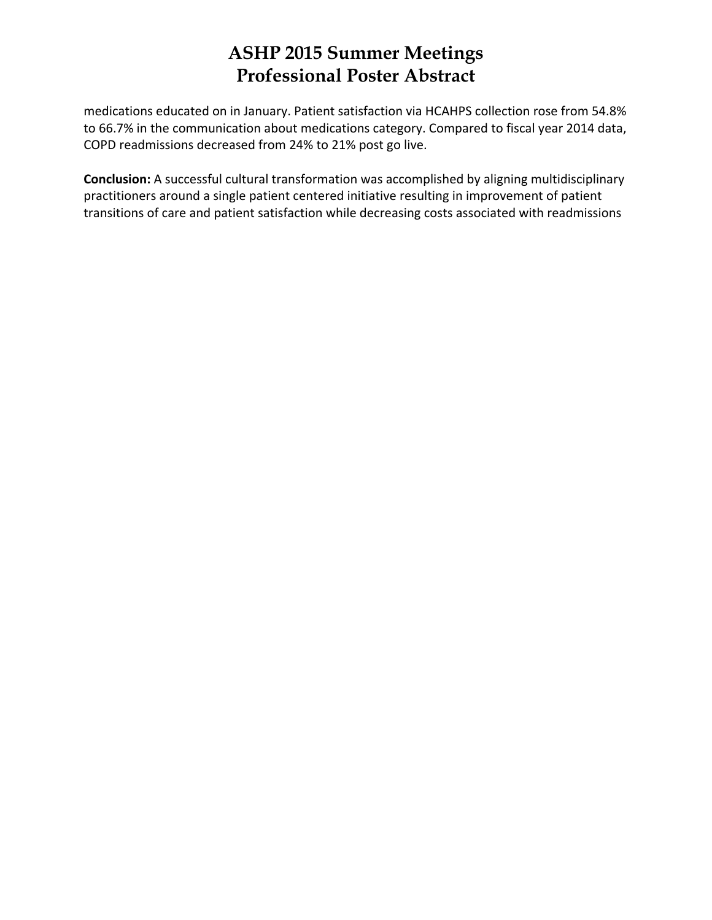medications educated on in January. Patient satisfaction via HCAHPS collection rose from 54.8% to 66.7% in the communication about medications category. Compared to fiscal year 2014 data, COPD readmissions decreased from 24% to 21% post go live.

**Conclusion:** A successful cultural transformation was accomplished by aligning multidisciplinary practitioners around a single patient centered initiative resulting in improvement of patient transitions of care and patient satisfaction while decreasing costs associated with readmissions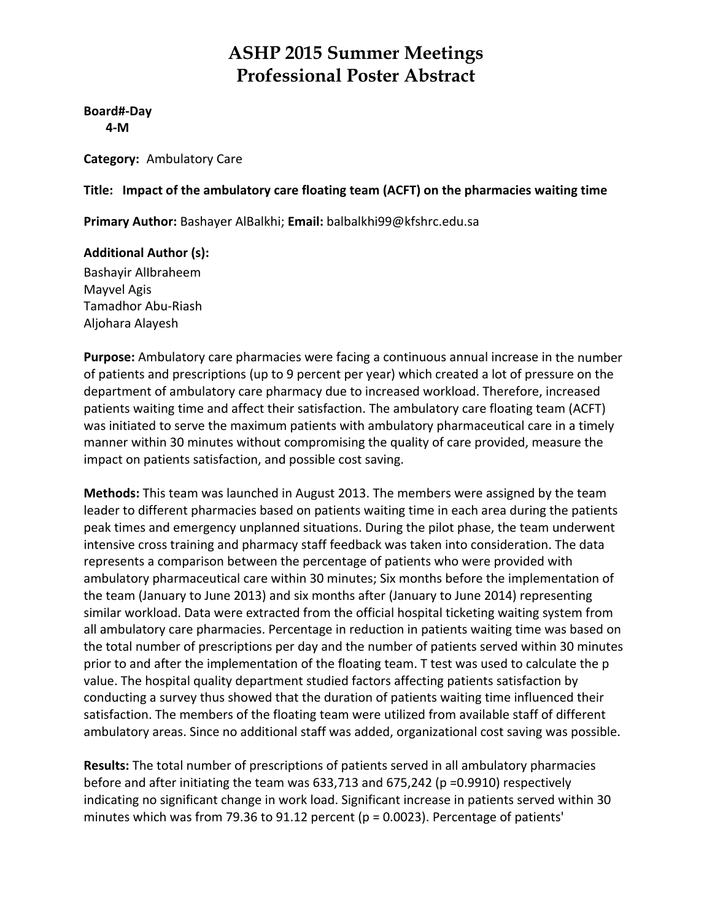**Board#‐Day 4‐M**

**Category:** Ambulatory Care

### **Title: Impact of the ambulatory care floating team (ACFT) on the pharmacies waiting time**

**Primary Author:** Bashayer AlBalkhi; **Email:** balbalkhi99@kfshrc.edu.sa

### **Additional Author (s):**

Bashayir AlIbraheem Mayvel Agis Tamadhor Abu‐Riash Aljohara Alayesh

**Purpose:** Ambulatory care pharmacies were facing a continuous annual increase in the number of patients and prescriptions (up to 9 percent per year) which created a lot of pressure on the department of ambulatory care pharmacy due to increased workload. Therefore, increased patients waiting time and affect their satisfaction. The ambulatory care floating team (ACFT) was initiated to serve the maximum patients with ambulatory pharmaceutical care in a timely manner within 30 minutes without compromising the quality of care provided, measure the impact on patients satisfaction, and possible cost saving.

**Methods:** This team was launched in August 2013. The members were assigned by the team leader to different pharmacies based on patients waiting time in each area during the patients peak times and emergency unplanned situations. During the pilot phase, the team underwent intensive cross training and pharmacy staff feedback was taken into consideration. The data represents a comparison between the percentage of patients who were provided with ambulatory pharmaceutical care within 30 minutes; Six months before the implementation of the team (January to June 2013) and six months after (January to June 2014) representing similar workload. Data were extracted from the official hospital ticketing waiting system from all ambulatory care pharmacies. Percentage in reduction in patients waiting time was based on the total number of prescriptions per day and the number of patients served within 30 minutes prior to and after the implementation of the floating team. T test was used to calculate the p value. The hospital quality department studied factors affecting patients satisfaction by conducting a survey thus showed that the duration of patients waiting time influenced their satisfaction. The members of the floating team were utilized from available staff of different ambulatory areas. Since no additional staff was added, organizational cost saving was possible.

**Results:** The total number of prescriptions of patients served in all ambulatory pharmacies before and after initiating the team was 633,713 and 675,242 (p =0.9910) respectively indicating no significant change in work load. Significant increase in patients served within 30 minutes which was from 79.36 to 91.12 percent (p = 0.0023). Percentage of patients'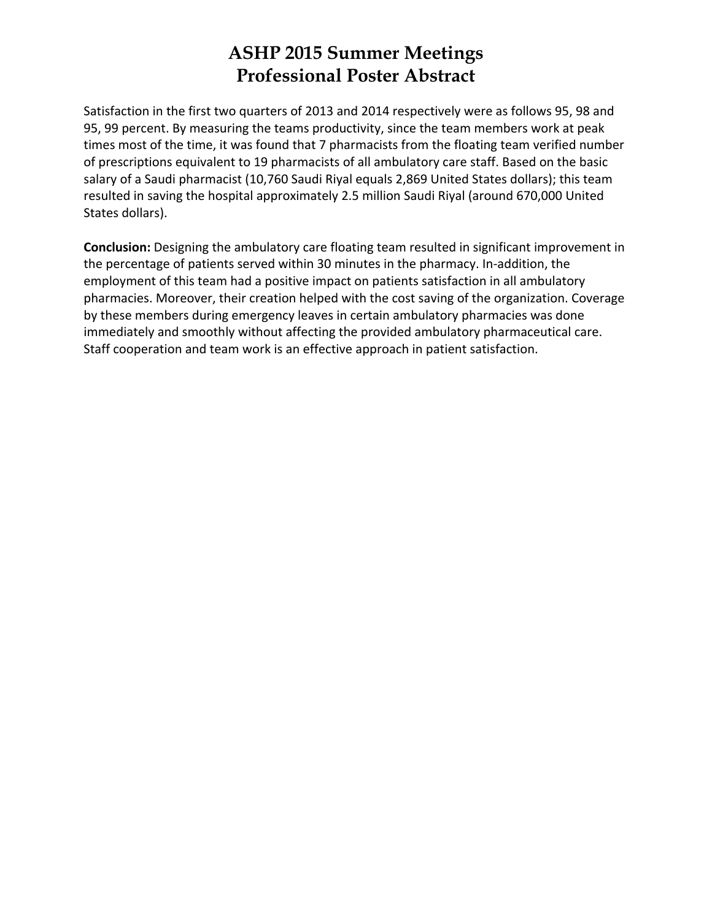Satisfaction in the first two quarters of 2013 and 2014 respectively were as follows 95, 98 and 95, 99 percent. By measuring the teams productivity, since the team members work at peak times most of the time, it was found that 7 pharmacists from the floating team verified number of prescriptions equivalent to 19 pharmacists of all ambulatory care staff. Based on the basic salary of a Saudi pharmacist (10,760 Saudi Riyal equals 2,869 United States dollars); this team resulted in saving the hospital approximately 2.5 million Saudi Riyal (around 670,000 United States dollars).

**Conclusion:** Designing the ambulatory care floating team resulted in significant improvement in the percentage of patients served within 30 minutes in the pharmacy. In‐addition, the employment of this team had a positive impact on patients satisfaction in all ambulatory pharmacies. Moreover, their creation helped with the cost saving of the organization. Coverage by these members during emergency leaves in certain ambulatory pharmacies was done immediately and smoothly without affecting the provided ambulatory pharmaceutical care. Staff cooperation and team work is an effective approach in patient satisfaction.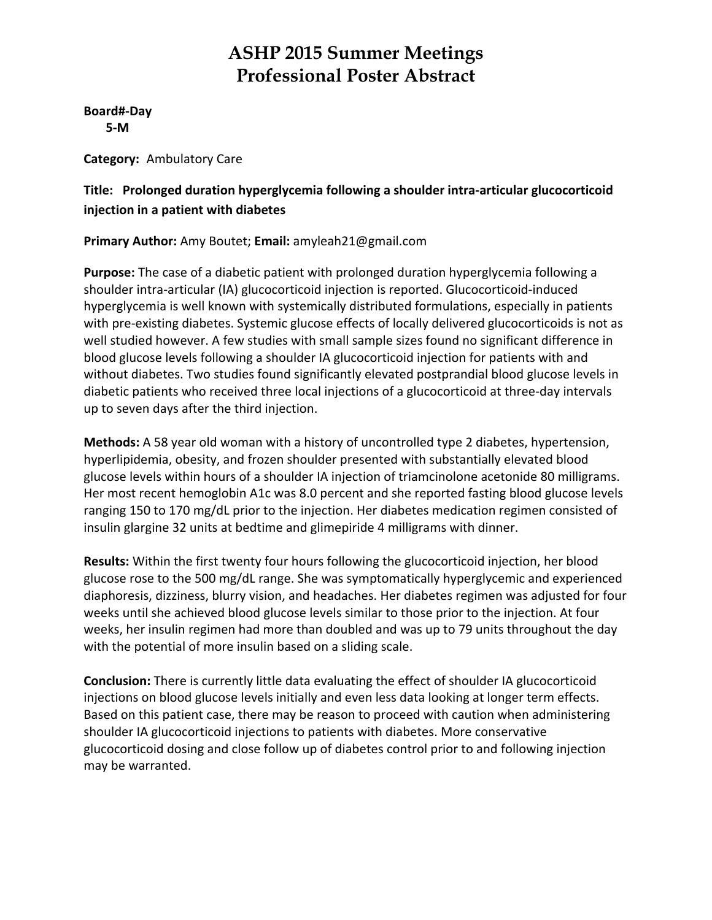**Board#‐Day 5‐M**

**Category:** Ambulatory Care

### **Title: Prolonged duration hyperglycemia following a shoulder intra‐articular glucocorticoid injection in a patient with diabetes**

**Primary Author:** Amy Boutet; **Email:** amyleah21@gmail.com

**Purpose:** The case of a diabetic patient with prolonged duration hyperglycemia following a shoulder intra‐articular (IA) glucocorticoid injection is reported. Glucocorticoid‐induced hyperglycemia is well known with systemically distributed formulations, especially in patients with pre-existing diabetes. Systemic glucose effects of locally delivered glucocorticoids is not as well studied however. A few studies with small sample sizes found no significant difference in blood glucose levels following a shoulder IA glucocorticoid injection for patients with and without diabetes. Two studies found significantly elevated postprandial blood glucose levels in diabetic patients who received three local injections of a glucocorticoid at three‐day intervals up to seven days after the third injection.

**Methods:** A 58 year old woman with a history of uncontrolled type 2 diabetes, hypertension, hyperlipidemia, obesity, and frozen shoulder presented with substantially elevated blood glucose levels within hours of a shoulder IA injection of triamcinolone acetonide 80 milligrams. Her most recent hemoglobin A1c was 8.0 percent and she reported fasting blood glucose levels ranging 150 to 170 mg/dL prior to the injection. Her diabetes medication regimen consisted of insulin glargine 32 units at bedtime and glimepiride 4 milligrams with dinner.

**Results:** Within the first twenty four hours following the glucocorticoid injection, her blood glucose rose to the 500 mg/dL range. She was symptomatically hyperglycemic and experienced diaphoresis, dizziness, blurry vision, and headaches. Her diabetes regimen was adjusted for four weeks until she achieved blood glucose levels similar to those prior to the injection. At four weeks, her insulin regimen had more than doubled and was up to 79 units throughout the day with the potential of more insulin based on a sliding scale.

**Conclusion:** There is currently little data evaluating the effect of shoulder IA glucocorticoid injections on blood glucose levels initially and even less data looking at longer term effects. Based on this patient case, there may be reason to proceed with caution when administering shoulder IA glucocorticoid injections to patients with diabetes. More conservative glucocorticoid dosing and close follow up of diabetes control prior to and following injection may be warranted.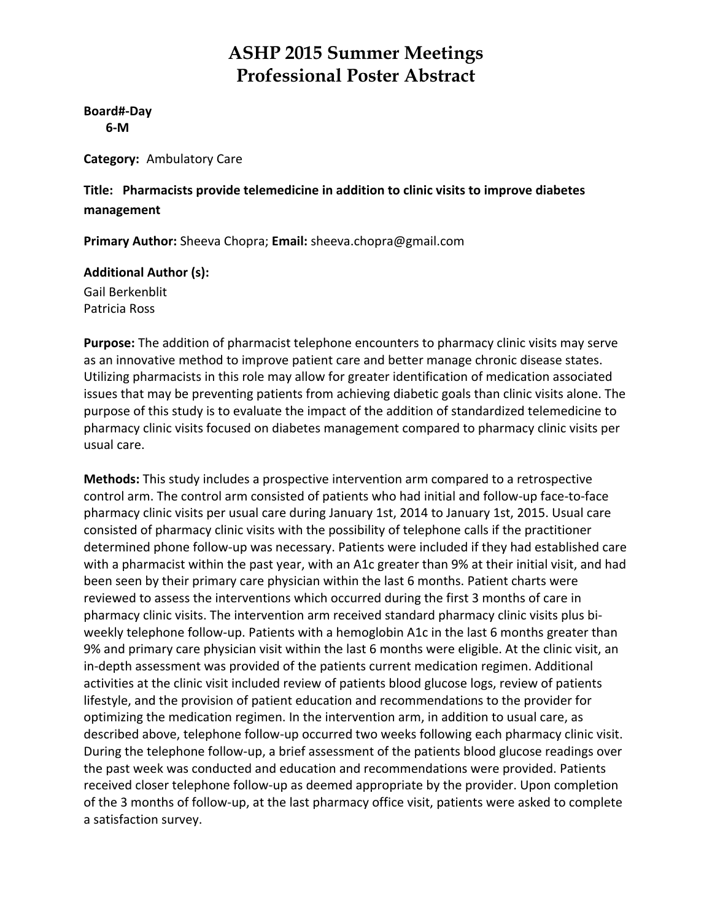**Board#‐Day 6‐M**

**Category:** Ambulatory Care

**Title: Pharmacists provide telemedicine in addition to clinic visits to improve diabetes management**

**Primary Author:** Sheeva Chopra; **Email:** sheeva.chopra@gmail.com

#### **Additional Author (s):**

Gail Berkenblit Patricia Ross

**Purpose:** The addition of pharmacist telephone encounters to pharmacy clinic visits may serve as an innovative method to improve patient care and better manage chronic disease states. Utilizing pharmacists in this role may allow for greater identification of medication associated issues that may be preventing patients from achieving diabetic goals than clinic visits alone. The purpose of this study is to evaluate the impact of the addition of standardized telemedicine to pharmacy clinic visits focused on diabetes management compared to pharmacy clinic visits per usual care.

**Methods:** This study includes a prospective intervention arm compared to a retrospective control arm. The control arm consisted of patients who had initial and follow‐up face‐to‐face pharmacy clinic visits per usual care during January 1st, 2014 to January 1st, 2015. Usual care consisted of pharmacy clinic visits with the possibility of telephone calls if the practitioner determined phone follow‐up was necessary. Patients were included if they had established care with a pharmacist within the past year, with an A1c greater than 9% at their initial visit, and had been seen by their primary care physician within the last 6 months. Patient charts were reviewed to assess the interventions which occurred during the first 3 months of care in pharmacy clinic visits. The intervention arm received standard pharmacy clinic visits plus bi‐ weekly telephone follow-up. Patients with a hemoglobin A1c in the last 6 months greater than 9% and primary care physician visit within the last 6 months were eligible. At the clinic visit, an in-depth assessment was provided of the patients current medication regimen. Additional activities at the clinic visit included review of patients blood glucose logs, review of patients lifestyle, and the provision of patient education and recommendations to the provider for optimizing the medication regimen. In the intervention arm, in addition to usual care, as described above, telephone follow‐up occurred two weeks following each pharmacy clinic visit. During the telephone follow‐up, a brief assessment of the patients blood glucose readings over the past week was conducted and education and recommendations were provided. Patients received closer telephone follow‐up as deemed appropriate by the provider. Upon completion of the 3 months of follow‐up, at the last pharmacy office visit, patients were asked to complete a satisfaction survey.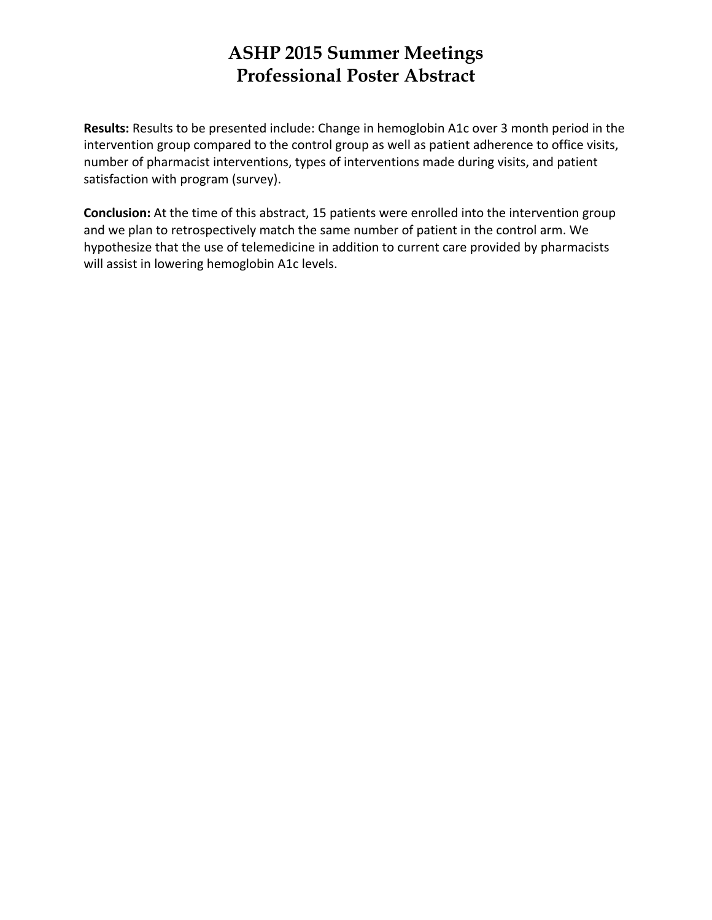**Results:** Results to be presented include: Change in hemoglobin A1c over 3 month period in the intervention group compared to the control group as well as patient adherence to office visits, number of pharmacist interventions, types of interventions made during visits, and patient satisfaction with program (survey).

**Conclusion:** At the time of this abstract, 15 patients were enrolled into the intervention group and we plan to retrospectively match the same number of patient in the control arm. We hypothesize that the use of telemedicine in addition to current care provided by pharmacists will assist in lowering hemoglobin A1c levels.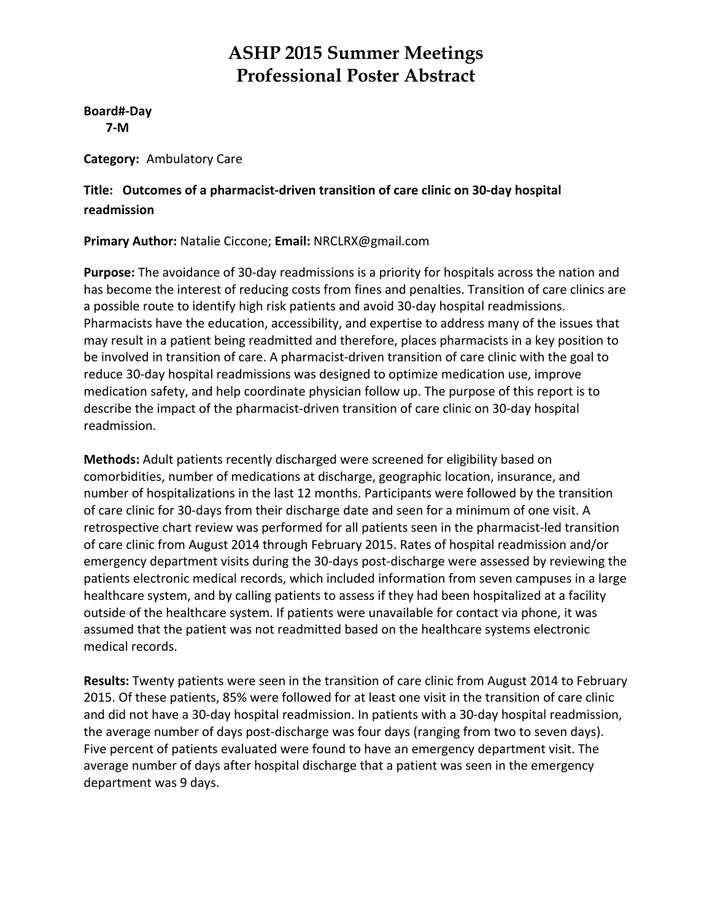**Board#‐Day 7‐M**

**Category:** Ambulatory Care

**Title: Outcomes of a pharmacist‐driven transition of care clinic on 30‐day hospital readmission**

**Primary Author:** Natalie Ciccone; **Email:** NRCLRX@gmail.com

**Purpose:** The avoidance of 30‐day readmissions is a priority for hospitals across the nation and has become the interest of reducing costs from fines and penalties. Transition of care clinics are a possible route to identify high risk patients and avoid 30‐day hospital readmissions. Pharmacists have the education, accessibility, and expertise to address many of the issues that may result in a patient being readmitted and therefore, places pharmacists in a key position to be involved in transition of care. A pharmacist-driven transition of care clinic with the goal to reduce 30‐day hospital readmissions was designed to optimize medication use, improve medication safety, and help coordinate physician follow up. The purpose of this report is to describe the impact of the pharmacist‐driven transition of care clinic on 30‐day hospital readmission.

**Methods:** Adult patients recently discharged were screened for eligibility based on comorbidities, number of medications at discharge, geographic location, insurance, and number of hospitalizations in the last 12 months. Participants were followed by the transition of care clinic for 30‐days from their discharge date and seen for a minimum of one visit. A retrospective chart review was performed for all patients seen in the pharmacist-led transition of care clinic from August 2014 through February 2015. Rates of hospital readmission and/or emergency department visits during the 30‐days post‐discharge were assessed by reviewing the patients electronic medical records, which included information from seven campuses in a large healthcare system, and by calling patients to assess if they had been hospitalized at a facility outside of the healthcare system. If patients were unavailable for contact via phone, it was assumed that the patient was not readmitted based on the healthcare systems electronic medical records.

**Results:** Twenty patients were seen in the transition of care clinic from August 2014 to February 2015. Of these patients, 85% were followed for at least one visit in the transition of care clinic and did not have a 30‐day hospital readmission. In patients with a 30‐day hospital readmission, the average number of days post‐discharge was four days (ranging from two to seven days). Five percent of patients evaluated were found to have an emergency department visit. The average number of days after hospital discharge that a patient was seen in the emergency department was 9 days.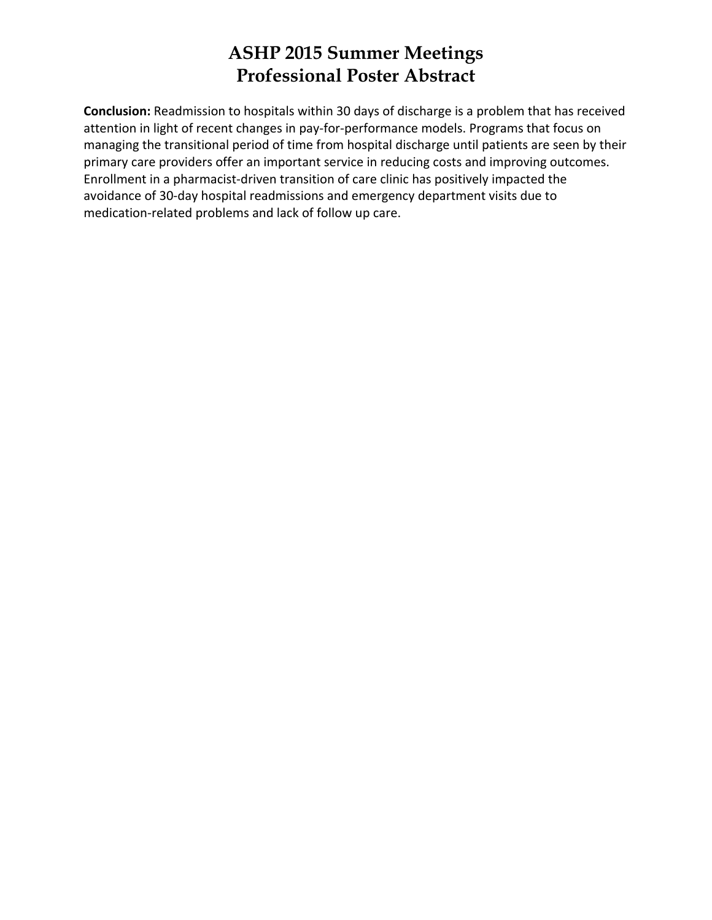**Conclusion:** Readmission to hospitals within 30 days of discharge is a problem that has received attention in light of recent changes in pay-for-performance models. Programs that focus on managing the transitional period of time from hospital discharge until patients are seen by their primary care providers offer an important service in reducing costs and improving outcomes. Enrollment in a pharmacist‐driven transition of care clinic has positively impacted the avoidance of 30‐day hospital readmissions and emergency department visits due to medication‐related problems and lack of follow up care.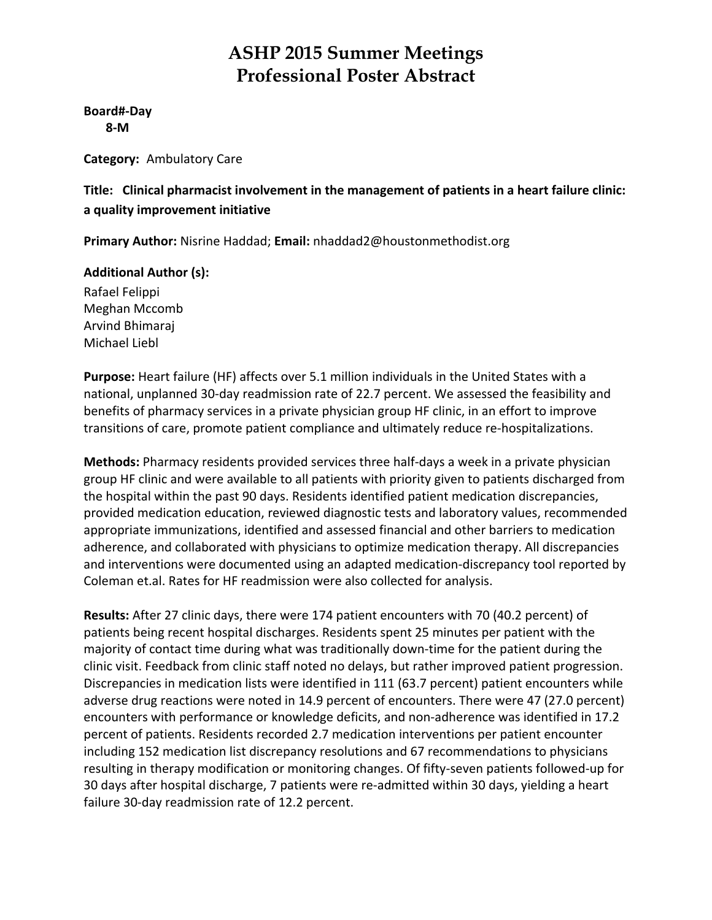**Board#‐Day 8‐M**

**Category:** Ambulatory Care

**Title: Clinical pharmacist involvement in the management of patients in a heart failure clinic: a quality improvement initiative**

**Primary Author:** Nisrine Haddad; **Email:** nhaddad2@houstonmethodist.org

### **Additional Author (s):**

Rafael Felippi Meghan Mccomb Arvind Bhimaraj Michael Liebl

**Purpose:** Heart failure (HF) affects over 5.1 million individuals in the United States with a national, unplanned 30‐day readmission rate of 22.7 percent. We assessed the feasibility and benefits of pharmacy services in a private physician group HF clinic, in an effort to improve transitions of care, promote patient compliance and ultimately reduce re‐hospitalizations.

**Methods:** Pharmacy residents provided services three half‐days a week in a private physician group HF clinic and were available to all patients with priority given to patients discharged from the hospital within the past 90 days. Residents identified patient medication discrepancies, provided medication education, reviewed diagnostic tests and laboratory values, recommended appropriate immunizations, identified and assessed financial and other barriers to medication adherence, and collaborated with physicians to optimize medication therapy. All discrepancies and interventions were documented using an adapted medication‐discrepancy tool reported by Coleman et.al. Rates for HF readmission were also collected for analysis.

**Results:** After 27 clinic days, there were 174 patient encounters with 70 (40.2 percent) of patients being recent hospital discharges. Residents spent 25 minutes per patient with the majority of contact time during what was traditionally down-time for the patient during the clinic visit. Feedback from clinic staff noted no delays, but rather improved patient progression. Discrepancies in medication lists were identified in 111 (63.7 percent) patient encounters while adverse drug reactions were noted in 14.9 percent of encounters. There were 47 (27.0 percent) encounters with performance or knowledge deficits, and non‐adherence was identified in 17.2 percent of patients. Residents recorded 2.7 medication interventions per patient encounter including 152 medication list discrepancy resolutions and 67 recommendations to physicians resulting in therapy modification or monitoring changes. Of fifty‐seven patients followed‐up for 30 days after hospital discharge, 7 patients were re‐admitted within 30 days, yielding a heart failure 30‐day readmission rate of 12.2 percent.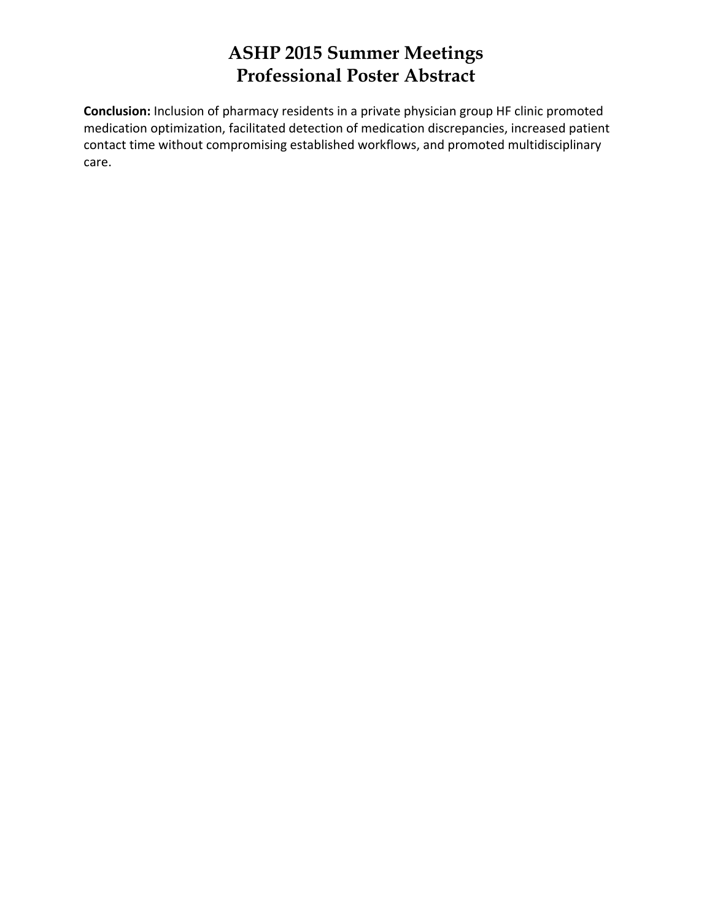**Conclusion:** Inclusion of pharmacy residents in a private physician group HF clinic promoted medication optimization, facilitated detection of medication discrepancies, increased patient contact time without compromising established workflows, and promoted multidisciplinary care.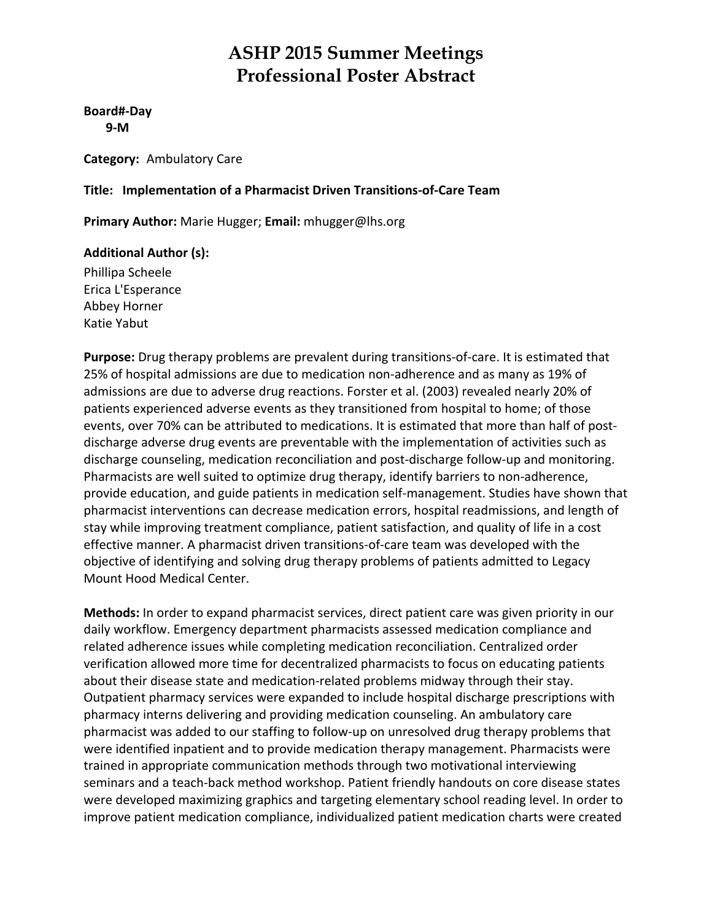**Board#‐Day 9‐M**

**Category:** Ambulatory Care

#### **Title: Implementation of a Pharmacist Driven Transitions‐of‐Care Team**

**Primary Author:** Marie Hugger; **Email:** mhugger@lhs.org

#### **Additional Author (s):**

Phillipa Scheele Erica L'Esperance Abbey Horner Katie Yabut

**Purpose:** Drug therapy problems are prevalent during transitions‐of‐care. It is estimated that 25% of hospital admissions are due to medication non‐adherence and as many as 19% of admissions are due to adverse drug reactions. Forster et al. (2003) revealed nearly 20% of patients experienced adverse events as they transitioned from hospital to home; of those events, over 70% can be attributed to medications. It is estimated that more than half of postdischarge adverse drug events are preventable with the implementation of activities such as discharge counseling, medication reconciliation and post‐discharge follow‐up and monitoring. Pharmacists are well suited to optimize drug therapy, identify barriers to non‐adherence, provide education, and guide patients in medication self‐management. Studies have shown that pharmacist interventions can decrease medication errors, hospital readmissions, and length of stay while improving treatment compliance, patient satisfaction, and quality of life in a cost effective manner. A pharmacist driven transitions‐of‐care team was developed with the objective of identifying and solving drug therapy problems of patients admitted to Legacy Mount Hood Medical Center.

**Methods:** In order to expand pharmacist services, direct patient care was given priority in our daily workflow. Emergency department pharmacists assessed medication compliance and related adherence issues while completing medication reconciliation. Centralized order verification allowed more time for decentralized pharmacists to focus on educating patients about their disease state and medication-related problems midway through their stay. Outpatient pharmacy services were expanded to include hospital discharge prescriptions with pharmacy interns delivering and providing medication counseling. An ambulatory care pharmacist was added to our staffing to follow‐up on unresolved drug therapy problems that were identified inpatient and to provide medication therapy management. Pharmacists were trained in appropriate communication methods through two motivational interviewing seminars and a teach‐back method workshop. Patient friendly handouts on core disease states were developed maximizing graphics and targeting elementary school reading level. In order to improve patient medication compliance, individualized patient medication charts were created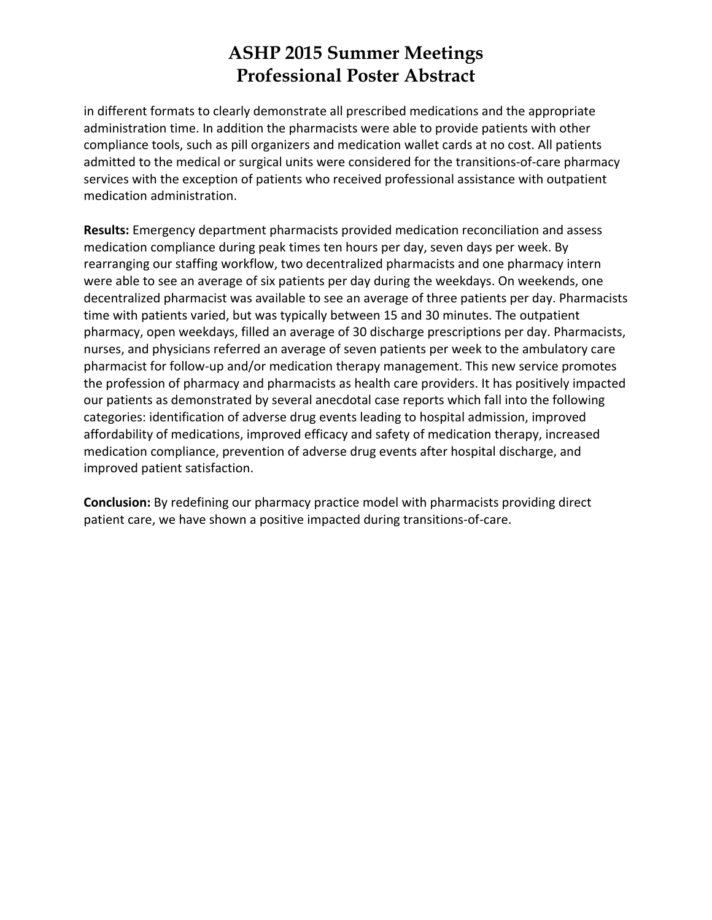in different formats to clearly demonstrate all prescribed medications and the appropriate administration time. In addition the pharmacists were able to provide patients with other compliance tools, such as pill organizers and medication wallet cards at no cost. All patients admitted to the medical or surgical units were considered for the transitions-of-care pharmacy services with the exception of patients who received professional assistance with outpatient medication administration.

**Results:** Emergency department pharmacists provided medication reconciliation and assess medication compliance during peak times ten hours per day, seven days per week. By rearranging our staffing workflow, two decentralized pharmacists and one pharmacy intern were able to see an average of six patients per day during the weekdays. On weekends, one decentralized pharmacist was available to see an average of three patients per day. Pharmacists time with patients varied, but was typically between 15 and 30 minutes. The outpatient pharmacy, open weekdays, filled an average of 30 discharge prescriptions per day. Pharmacists, nurses, and physicians referred an average of seven patients per week to the ambulatory care pharmacist for follow‐up and/or medication therapy management. This new service promotes the profession of pharmacy and pharmacists as health care providers. It has positively impacted our patients as demonstrated by several anecdotal case reports which fall into the following categories: identification of adverse drug events leading to hospital admission, improved affordability of medications, improved efficacy and safety of medication therapy, increased medication compliance, prevention of adverse drug events after hospital discharge, and improved patient satisfaction.

**Conclusion:** By redefining our pharmacy practice model with pharmacists providing direct patient care, we have shown a positive impacted during transitions‐of‐care.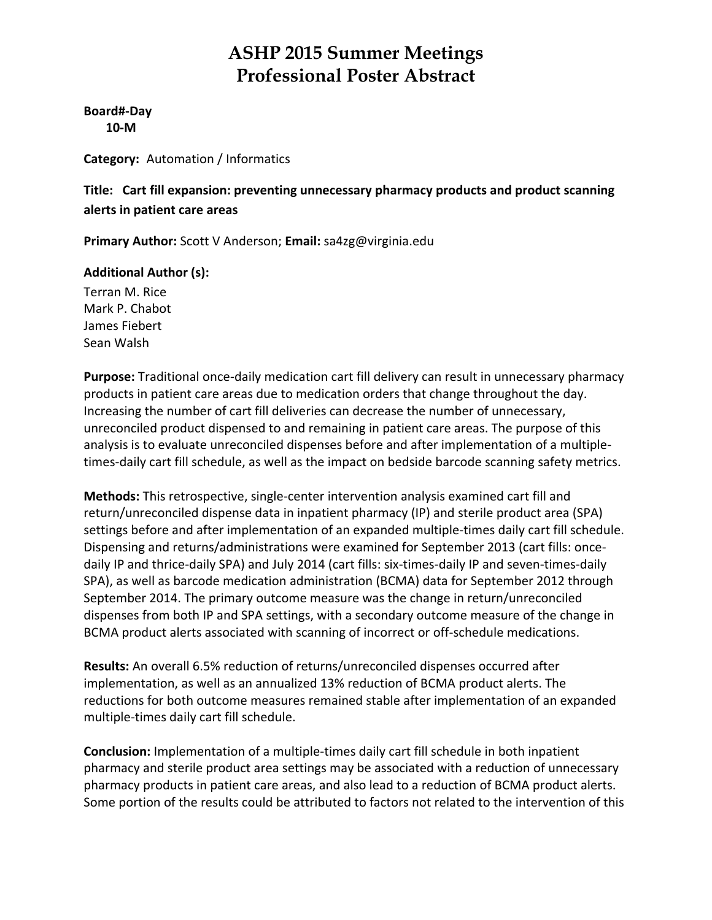**Board#‐Day 10‐M**

**Category:** Automation / Informatics

**Title: Cart fill expansion: preventing unnecessary pharmacy products and product scanning alerts in patient care areas**

**Primary Author:** Scott V Anderson; **Email:** sa4zg@virginia.edu

### **Additional Author (s):**

Terran M. Rice Mark P. Chabot James Fiebert Sean Walsh

Purpose: Traditional once-daily medication cart fill delivery can result in unnecessary pharmacy products in patient care areas due to medication orders that change throughout the day. Increasing the number of cart fill deliveries can decrease the number of unnecessary, unreconciled product dispensed to and remaining in patient care areas. The purpose of this analysis is to evaluate unreconciled dispenses before and after implementation of a multiple‐ times‐daily cart fill schedule, as well as the impact on bedside barcode scanning safety metrics.

**Methods:** This retrospective, single‐center intervention analysis examined cart fill and return/unreconciled dispense data in inpatient pharmacy (IP) and sterile product area (SPA) settings before and after implementation of an expanded multiple-times daily cart fill schedule. Dispensing and returns/administrations were examined for September 2013 (cart fills: once‐ daily IP and thrice‐daily SPA) and July 2014 (cart fills: six‐times‐daily IP and seven‐times‐daily SPA), as well as barcode medication administration (BCMA) data for September 2012 through September 2014. The primary outcome measure was the change in return/unreconciled dispenses from both IP and SPA settings, with a secondary outcome measure of the change in BCMA product alerts associated with scanning of incorrect or off‐schedule medications.

**Results:** An overall 6.5% reduction of returns/unreconciled dispenses occurred after implementation, as well as an annualized 13% reduction of BCMA product alerts. The reductions for both outcome measures remained stable after implementation of an expanded multiple‐times daily cart fill schedule.

**Conclusion:** Implementation of a multiple‐times daily cart fill schedule in both inpatient pharmacy and sterile product area settings may be associated with a reduction of unnecessary pharmacy products in patient care areas, and also lead to a reduction of BCMA product alerts. Some portion of the results could be attributed to factors not related to the intervention of this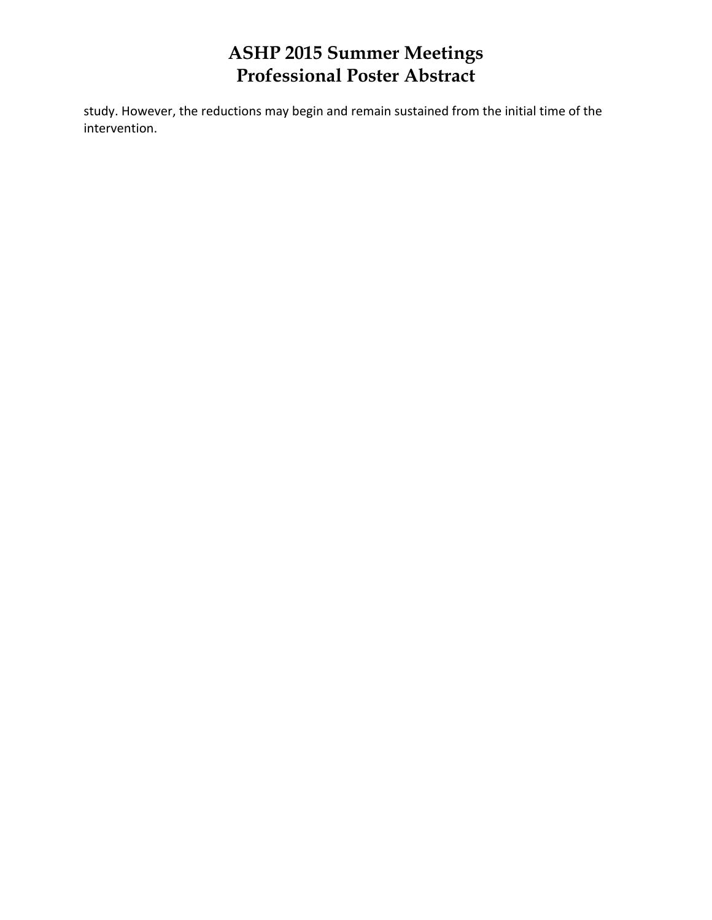study. However, the reductions may begin and remain sustained from the initial time of the intervention.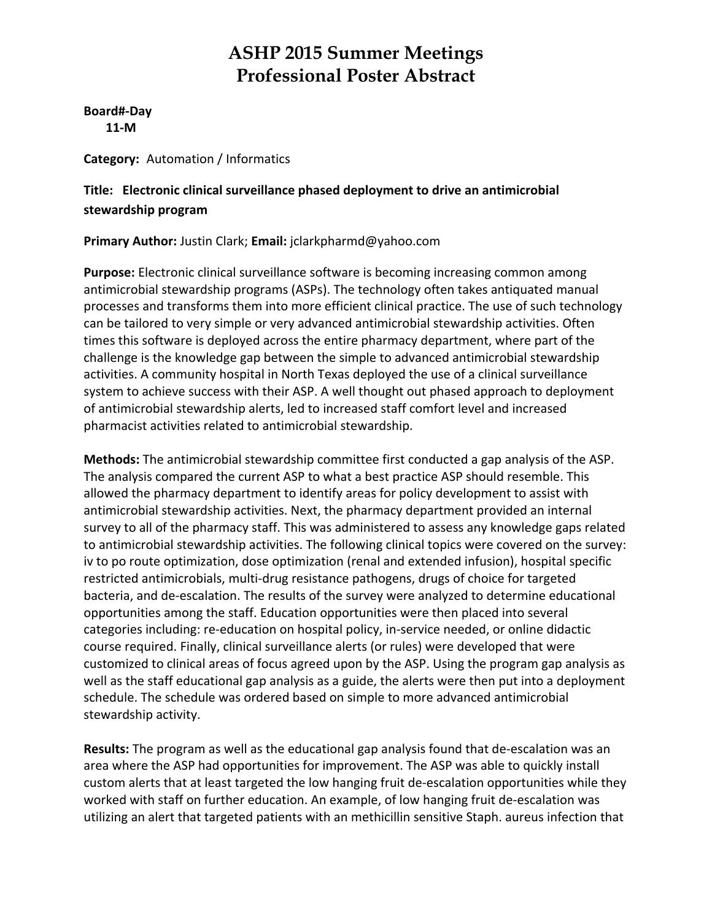**Board#‐Day 11‐M**

**Category:** Automation / Informatics

### **Title: Electronic clinical surveillance phased deployment to drive an antimicrobial stewardship program**

### **Primary Author:** Justin Clark; **Email:** jclarkpharmd@yahoo.com

**Purpose:** Electronic clinical surveillance software is becoming increasing common among antimicrobial stewardship programs (ASPs). The technology often takes antiquated manual processes and transforms them into more efficient clinical practice. The use of such technology can be tailored to very simple or very advanced antimicrobial stewardship activities. Often times this software is deployed across the entire pharmacy department, where part of the challenge is the knowledge gap between the simple to advanced antimicrobial stewardship activities. A community hospital in North Texas deployed the use of a clinical surveillance system to achieve success with their ASP. A well thought out phased approach to deployment of antimicrobial stewardship alerts, led to increased staff comfort level and increased pharmacist activities related to antimicrobial stewardship.

**Methods:** The antimicrobial stewardship committee first conducted a gap analysis of the ASP. The analysis compared the current ASP to what a best practice ASP should resemble. This allowed the pharmacy department to identify areas for policy development to assist with antimicrobial stewardship activities. Next, the pharmacy department provided an internal survey to all of the pharmacy staff. This was administered to assess any knowledge gaps related to antimicrobial stewardship activities. The following clinical topics were covered on the survey: iv to po route optimization, dose optimization (renal and extended infusion), hospital specific restricted antimicrobials, multi‐drug resistance pathogens, drugs of choice for targeted bacteria, and de‐escalation. The results of the survey were analyzed to determine educational opportunities among the staff. Education opportunities were then placed into several categories including: re‐education on hospital policy, in‐service needed, or online didactic course required. Finally, clinical surveillance alerts (or rules) were developed that were customized to clinical areas of focus agreed upon by the ASP. Using the program gap analysis as well as the staff educational gap analysis as a guide, the alerts were then put into a deployment schedule. The schedule was ordered based on simple to more advanced antimicrobial stewardship activity.

**Results:** The program as well as the educational gap analysis found that de‐escalation was an area where the ASP had opportunities for improvement. The ASP was able to quickly install custom alerts that at least targeted the low hanging fruit de‐escalation opportunities while they worked with staff on further education. An example, of low hanging fruit de‐escalation was utilizing an alert that targeted patients with an methicillin sensitive Staph. aureus infection that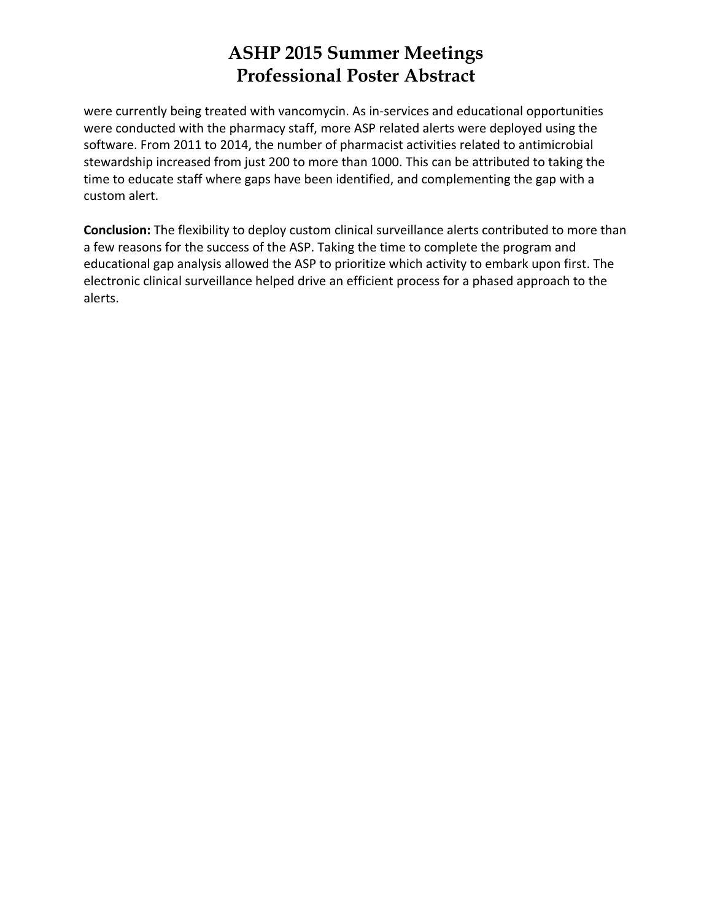were currently being treated with vancomycin. As in‐services and educational opportunities were conducted with the pharmacy staff, more ASP related alerts were deployed using the software. From 2011 to 2014, the number of pharmacist activities related to antimicrobial stewardship increased from just 200 to more than 1000. This can be attributed to taking the time to educate staff where gaps have been identified, and complementing the gap with a custom alert.

**Conclusion:** The flexibility to deploy custom clinical surveillance alerts contributed to more than a few reasons for the success of the ASP. Taking the time to complete the program and educational gap analysis allowed the ASP to prioritize which activity to embark upon first. The electronic clinical surveillance helped drive an efficient process for a phased approach to the alerts.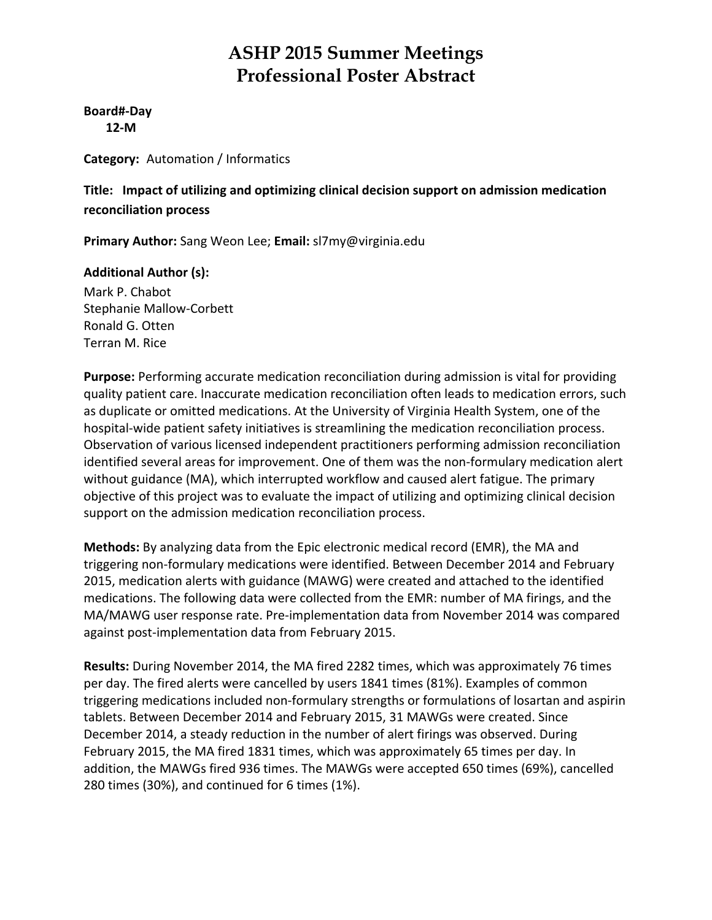**Board#‐Day 12‐M**

**Category:** Automation / Informatics

**Title: Impact of utilizing and optimizing clinical decision support on admission medication reconciliation process**

**Primary Author:** Sang Weon Lee; **Email:** sl7my@virginia.edu

### **Additional Author (s):**

Mark P. Chabot Stephanie Mallow‐Corbett Ronald G. Otten Terran M. Rice

**Purpose:** Performing accurate medication reconciliation during admission is vital for providing quality patient care. Inaccurate medication reconciliation often leads to medication errors, such as duplicate or omitted medications. At the University of Virginia Health System, one of the hospital-wide patient safety initiatives is streamlining the medication reconciliation process. Observation of various licensed independent practitioners performing admission reconciliation identified several areas for improvement. One of them was the non-formulary medication alert without guidance (MA), which interrupted workflow and caused alert fatigue. The primary objective of this project was to evaluate the impact of utilizing and optimizing clinical decision support on the admission medication reconciliation process.

**Methods:** By analyzing data from the Epic electronic medical record (EMR), the MA and triggering non‐formulary medications were identified. Between December 2014 and February 2015, medication alerts with guidance (MAWG) were created and attached to the identified medications. The following data were collected from the EMR: number of MA firings, and the MA/MAWG user response rate. Pre‐implementation data from November 2014 was compared against post‐implementation data from February 2015.

**Results:** During November 2014, the MA fired 2282 times, which was approximately 76 times per day. The fired alerts were cancelled by users 1841 times (81%). Examples of common triggering medications included non‐formulary strengths or formulations of losartan and aspirin tablets. Between December 2014 and February 2015, 31 MAWGs were created. Since December 2014, a steady reduction in the number of alert firings was observed. During February 2015, the MA fired 1831 times, which was approximately 65 times per day. In addition, the MAWGs fired 936 times. The MAWGs were accepted 650 times (69%), cancelled 280 times (30%), and continued for 6 times (1%).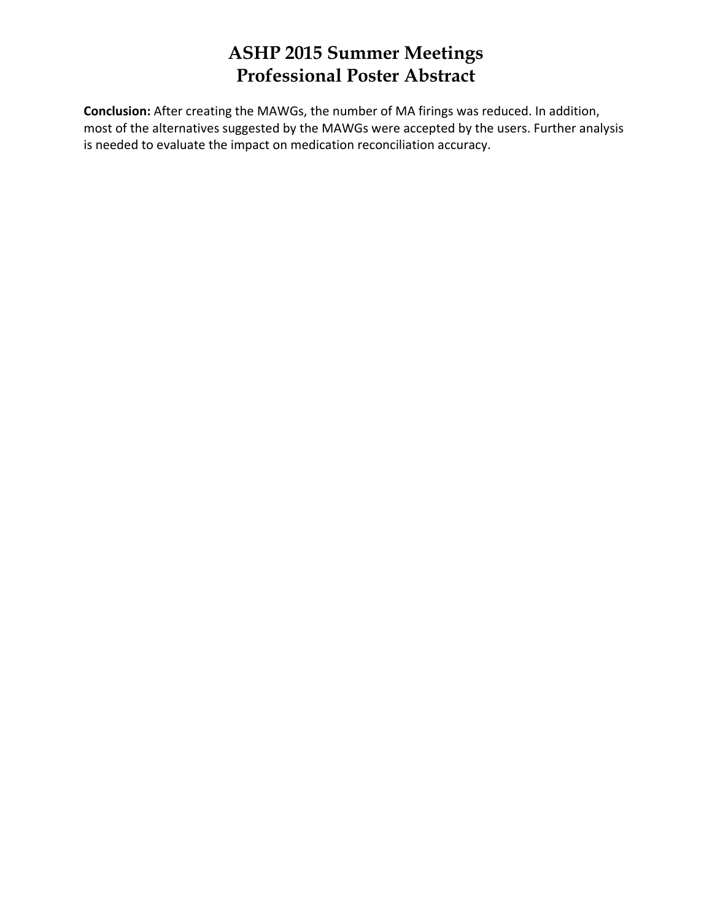**Conclusion:** After creating the MAWGs, the number of MA firings was reduced. In addition, most of the alternatives suggested by the MAWGs were accepted by the users. Further analysis is needed to evaluate the impact on medication reconciliation accuracy.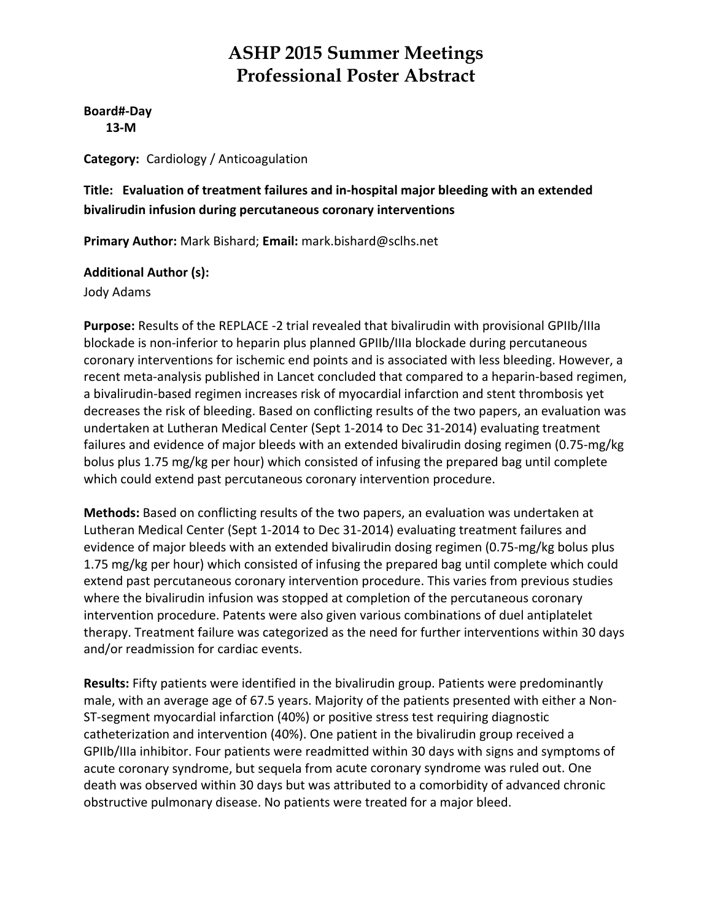**Board#‐Day 13‐M**

**Category:** Cardiology / Anticoagulation

### **Title: Evaluation of treatment failures and in‐hospital major bleeding with an extended bivalirudin infusion during percutaneous coronary interventions**

**Primary Author:** Mark Bishard; **Email:** mark.bishard@sclhs.net

### **Additional Author (s):**

Jody Adams

**Purpose:** Results of the REPLACE ‐2 trial revealed that bivalirudin with provisional GPIIb/IIIa blockade is non‐inferior to heparin plus planned GPIIb/IIIa blockade during percutaneous coronary interventions for ischemic end points and is associated with less bleeding. However, a recent meta-analysis published in Lancet concluded that compared to a heparin-based regimen, a bivalirudin‐based regimen increases risk of myocardial infarction and stent thrombosis yet decreases the risk of bleeding. Based on conflicting results of the two papers, an evaluation was undertaken at Lutheran Medical Center (Sept 1‐2014 to Dec 31‐2014) evaluating treatment failures and evidence of major bleeds with an extended bivalirudin dosing regimen (0.75‐mg/kg bolus plus 1.75 mg/kg per hour) which consisted of infusing the prepared bag until complete which could extend past percutaneous coronary intervention procedure.

**Methods:** Based on conflicting results of the two papers, an evaluation was undertaken at Lutheran Medical Center (Sept 1‐2014 to Dec 31‐2014) evaluating treatment failures and evidence of major bleeds with an extended bivalirudin dosing regimen (0.75‐mg/kg bolus plus 1.75 mg/kg per hour) which consisted of infusing the prepared bag until complete which could extend past percutaneous coronary intervention procedure. This varies from previous studies where the bivalirudin infusion was stopped at completion of the percutaneous coronary intervention procedure. Patents were also given various combinations of duel antiplatelet therapy. Treatment failure was categorized as the need for further interventions within 30 days and/or readmission for cardiac events.

**Results:** Fifty patients were identified in the bivalirudin group. Patients were predominantly male, with an average age of 67.5 years. Majority of the patients presented with either a Non‐ ST‐segment myocardial infarction (40%) or positive stress test requiring diagnostic catheterization and intervention (40%). One patient in the bivalirudin group received a GPIIb/IIIa inhibitor. Four patients were readmitted within 30 days with signs and symptoms of acute coronary syndrome, but sequela from acute coronary syndrome was ruled out. One death was observed within 30 days but was attributed to a comorbidity of advanced chronic obstructive pulmonary disease. No patients were treated for a major bleed.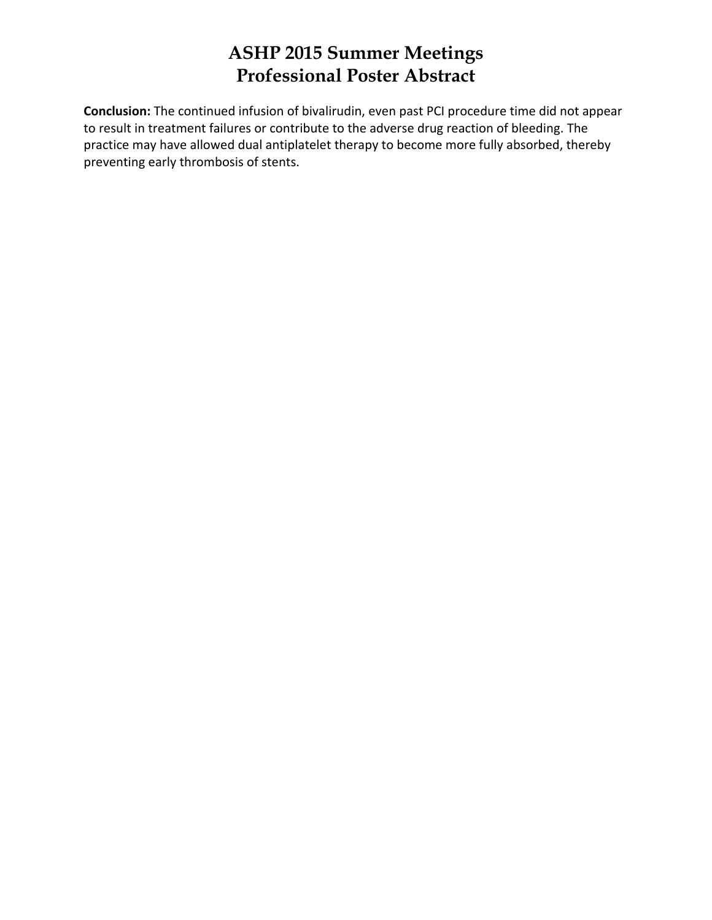**Conclusion:** The continued infusion of bivalirudin, even past PCI procedure time did not appear to result in treatment failures or contribute to the adverse drug reaction of bleeding. The practice may have allowed dual antiplatelet therapy to become more fully absorbed, thereby preventing early thrombosis of stents.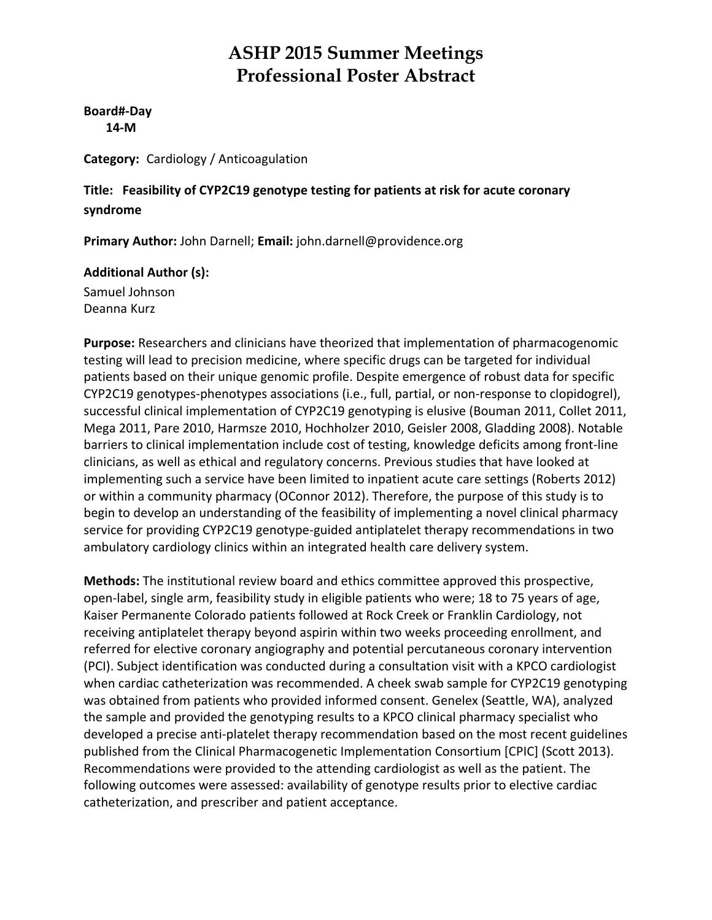**Board#‐Day 14‐M**

**Category:** Cardiology / Anticoagulation

### **Title: Feasibility of CYP2C19 genotype testing for patients at risk for acute coronary syndrome**

**Primary Author:** John Darnell; **Email:** john.darnell@providence.org

### **Additional Author (s):** Samuel Johnson

Deanna Kurz

**Purpose:** Researchers and clinicians have theorized that implementation of pharmacogenomic testing will lead to precision medicine, where specific drugs can be targeted for individual patients based on their unique genomic profile. Despite emergence of robust data for specific CYP2C19 genotypes‐phenotypes associations (i.e., full, partial, or non‐response to clopidogrel), successful clinical implementation of CYP2C19 genotyping is elusive (Bouman 2011, Collet 2011, Mega 2011, Pare 2010, Harmsze 2010, Hochholzer 2010, Geisler 2008, Gladding 2008). Notable barriers to clinical implementation include cost of testing, knowledge deficits among front‐line clinicians, as well as ethical and regulatory concerns. Previous studies that have looked at implementing such a service have been limited to inpatient acute care settings (Roberts 2012) or within a community pharmacy (OConnor 2012). Therefore, the purpose of this study is to begin to develop an understanding of the feasibility of implementing a novel clinical pharmacy service for providing CYP2C19 genotype-guided antiplatelet therapy recommendations in two ambulatory cardiology clinics within an integrated health care delivery system.

**Methods:** The institutional review board and ethics committee approved this prospective, open‐label, single arm, feasibility study in eligible patients who were; 18 to 75 years of age, Kaiser Permanente Colorado patients followed at Rock Creek or Franklin Cardiology, not receiving antiplatelet therapy beyond aspirin within two weeks proceeding enrollment, and referred for elective coronary angiography and potential percutaneous coronary intervention (PCI). Subject identification was conducted during a consultation visit with a KPCO cardiologist when cardiac catheterization was recommended. A cheek swab sample for CYP2C19 genotyping was obtained from patients who provided informed consent. Genelex (Seattle, WA), analyzed the sample and provided the genotyping results to a KPCO clinical pharmacy specialist who developed a precise anti‐platelet therapy recommendation based on the most recent guidelines published from the Clinical Pharmacogenetic Implementation Consortium [CPIC] (Scott 2013). Recommendations were provided to the attending cardiologist as well as the patient. The following outcomes were assessed: availability of genotype results prior to elective cardiac catheterization, and prescriber and patient acceptance.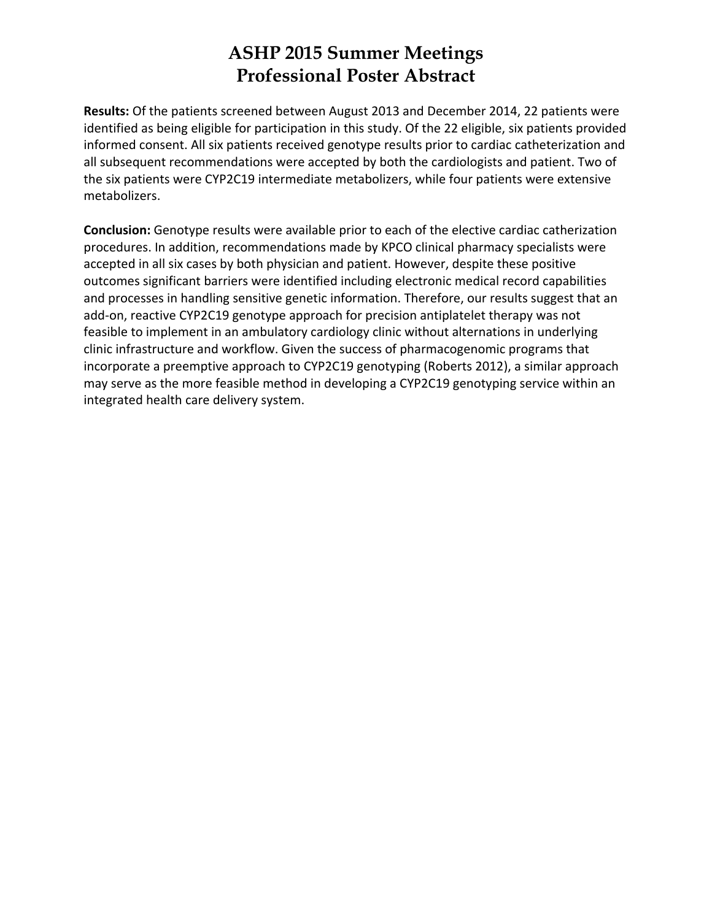**Results:** Of the patients screened between August 2013 and December 2014, 22 patients were identified as being eligible for participation in this study. Of the 22 eligible, six patients provided informed consent. All six patients received genotype results prior to cardiac catheterization and all subsequent recommendations were accepted by both the cardiologists and patient. Two of the six patients were CYP2C19 intermediate metabolizers, while four patients were extensive metabolizers.

**Conclusion:** Genotype results were available prior to each of the elective cardiac catherization procedures. In addition, recommendations made by KPCO clinical pharmacy specialists were accepted in all six cases by both physician and patient. However, despite these positive outcomes significant barriers were identified including electronic medical record capabilities and processes in handling sensitive genetic information. Therefore, our results suggest that an add‐on, reactive CYP2C19 genotype approach for precision antiplatelet therapy was not feasible to implement in an ambulatory cardiology clinic without alternations in underlying clinic infrastructure and workflow. Given the success of pharmacogenomic programs that incorporate a preemptive approach to CYP2C19 genotyping (Roberts 2012), a similar approach may serve as the more feasible method in developing a CYP2C19 genotyping service within an integrated health care delivery system.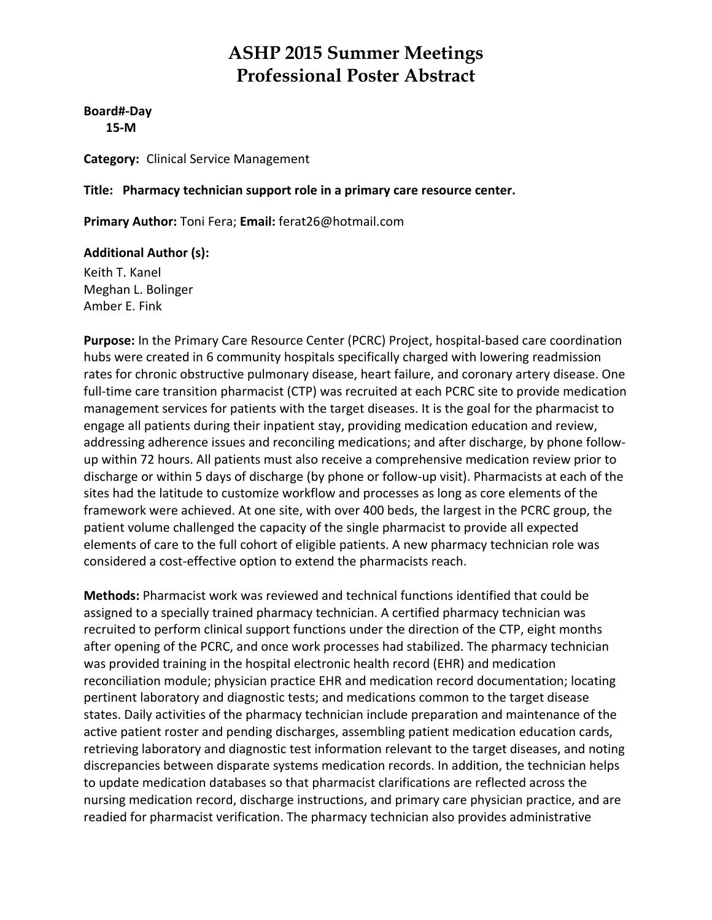**Board#‐Day 15‐M**

**Category:** Clinical Service Management

**Title: Pharmacy technician support role in a primary care resource center.**

**Primary Author:** Toni Fera; **Email:** ferat26@hotmail.com

#### **Additional Author (s):**

Keith T. Kanel Meghan L. Bolinger Amber E. Fink

**Purpose:** In the Primary Care Resource Center (PCRC) Project, hospital‐based care coordination hubs were created in 6 community hospitals specifically charged with lowering readmission rates for chronic obstructive pulmonary disease, heart failure, and coronary artery disease. One full-time care transition pharmacist (CTP) was recruited at each PCRC site to provide medication management services for patients with the target diseases. It is the goal for the pharmacist to engage all patients during their inpatient stay, providing medication education and review, addressing adherence issues and reconciling medications; and after discharge, by phone follow‐ up within 72 hours. All patients must also receive a comprehensive medication review prior to discharge or within 5 days of discharge (by phone or follow‐up visit). Pharmacists at each of the sites had the latitude to customize workflow and processes as long as core elements of the framework were achieved. At one site, with over 400 beds, the largest in the PCRC group, the patient volume challenged the capacity of the single pharmacist to provide all expected elements of care to the full cohort of eligible patients. A new pharmacy technician role was considered a cost‐effective option to extend the pharmacists reach.

**Methods:** Pharmacist work was reviewed and technical functions identified that could be assigned to a specially trained pharmacy technician. A certified pharmacy technician was recruited to perform clinical support functions under the direction of the CTP, eight months after opening of the PCRC, and once work processes had stabilized. The pharmacy technician was provided training in the hospital electronic health record (EHR) and medication reconciliation module; physician practice EHR and medication record documentation; locating pertinent laboratory and diagnostic tests; and medications common to the target disease states. Daily activities of the pharmacy technician include preparation and maintenance of the active patient roster and pending discharges, assembling patient medication education cards, retrieving laboratory and diagnostic test information relevant to the target diseases, and noting discrepancies between disparate systems medication records. In addition, the technician helps to update medication databases so that pharmacist clarifications are reflected across the nursing medication record, discharge instructions, and primary care physician practice, and are readied for pharmacist verification. The pharmacy technician also provides administrative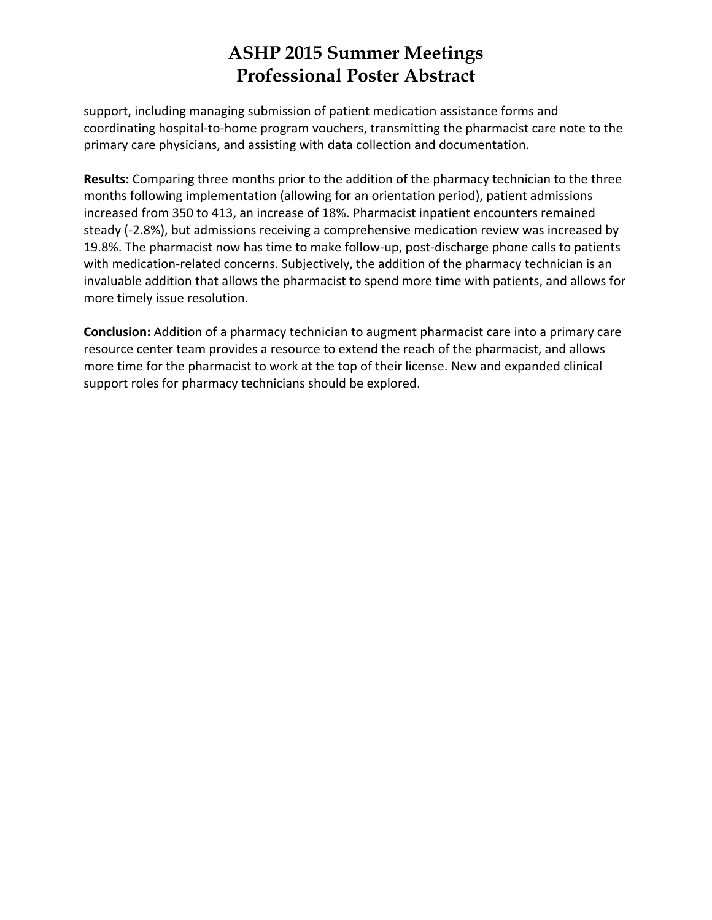support, including managing submission of patient medication assistance forms and coordinating hospital‐to‐home program vouchers, transmitting the pharmacist care note to the primary care physicians, and assisting with data collection and documentation.

**Results:** Comparing three months prior to the addition of the pharmacy technician to the three months following implementation (allowing for an orientation period), patient admissions increased from 350 to 413, an increase of 18%. Pharmacist inpatient encounters remained steady (‐2.8%), but admissions receiving a comprehensive medication review was increased by 19.8%. The pharmacist now has time to make follow‐up, post‐discharge phone calls to patients with medication-related concerns. Subjectively, the addition of the pharmacy technician is an invaluable addition that allows the pharmacist to spend more time with patients, and allows for more timely issue resolution.

**Conclusion:** Addition of a pharmacy technician to augment pharmacist care into a primary care resource center team provides a resource to extend the reach of the pharmacist, and allows more time for the pharmacist to work at the top of their license. New and expanded clinical support roles for pharmacy technicians should be explored.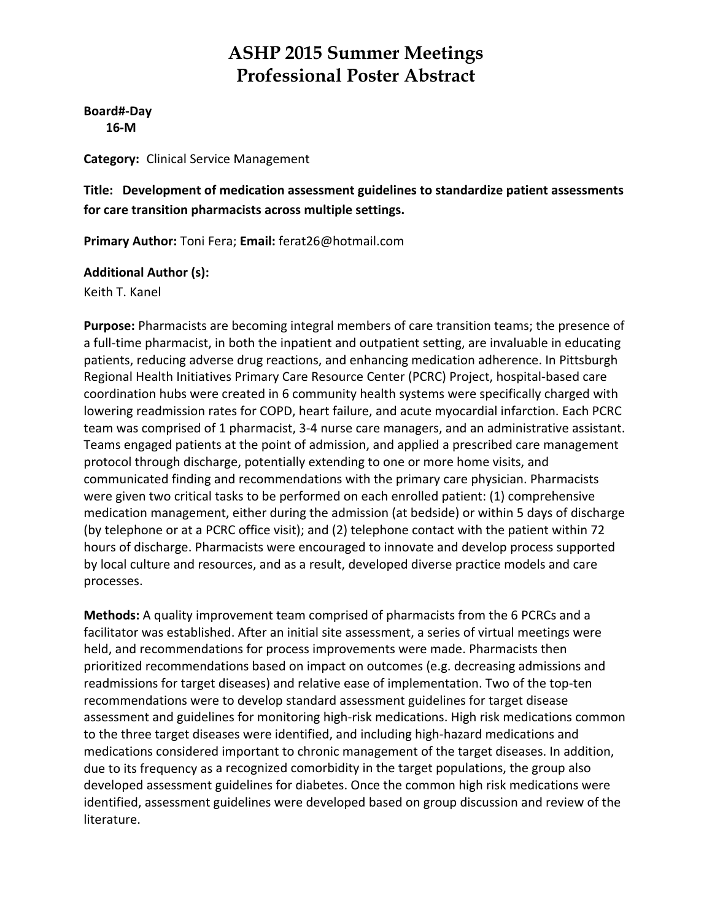**Board#‐Day 16‐M**

**Category:** Clinical Service Management

**Title: Development of medication assessment guidelines to standardize patient assessments for care transition pharmacists across multiple settings.**

**Primary Author:** Toni Fera; **Email:** ferat26@hotmail.com

### **Additional Author (s):**

Keith T. Kanel

**Purpose:** Pharmacists are becoming integral members of care transition teams; the presence of a full-time pharmacist, in both the inpatient and outpatient setting, are invaluable in educating patients, reducing adverse drug reactions, and enhancing medication adherence. In Pittsburgh Regional Health Initiatives Primary Care Resource Center (PCRC) Project, hospital‐based care coordination hubs were created in 6 community health systems were specifically charged with lowering readmission rates for COPD, heart failure, and acute myocardial infarction. Each PCRC team was comprised of 1 pharmacist, 3‐4 nurse care managers, and an administrative assistant. Teams engaged patients at the point of admission, and applied a prescribed care management protocol through discharge, potentially extending to one or more home visits, and communicated finding and recommendations with the primary care physician. Pharmacists were given two critical tasks to be performed on each enrolled patient: (1) comprehensive medication management, either during the admission (at bedside) or within 5 days of discharge (by telephone or at a PCRC office visit); and (2) telephone contact with the patient within 72 hours of discharge. Pharmacists were encouraged to innovate and develop process supported by local culture and resources, and as a result, developed diverse practice models and care processes.

**Methods:** A quality improvement team comprised of pharmacists from the 6 PCRCs and a facilitator was established. After an initial site assessment, a series of virtual meetings were held, and recommendations for process improvements were made. Pharmacists then prioritized recommendations based on impact on outcomes (e.g. decreasing admissions and readmissions for target diseases) and relative ease of implementation. Two of the top‐ten recommendations were to develop standard assessment guidelines for target disease assessment and guidelines for monitoring high‐risk medications. High risk medications common to the three target diseases were identified, and including high‐hazard medications and medications considered important to chronic management of the target diseases. In addition, due to its frequency as a recognized comorbidity in the target populations, the group also developed assessment guidelines for diabetes. Once the common high risk medications were identified, assessment guidelines were developed based on group discussion and review of the literature.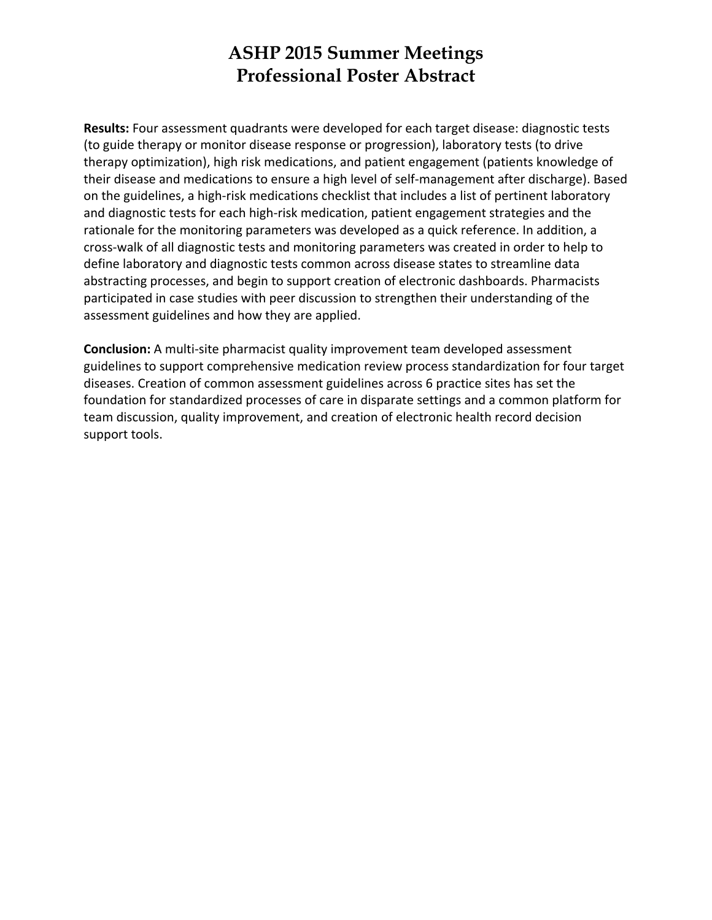**Results:** Four assessment quadrants were developed for each target disease: diagnostic tests (to guide therapy or monitor disease response or progression), laboratory tests (to drive therapy optimization), high risk medications, and patient engagement (patients knowledge of their disease and medications to ensure a high level of self‐management after discharge). Based on the guidelines, a high‐risk medications checklist that includes a list of pertinent laboratory and diagnostic tests for each high‐risk medication, patient engagement strategies and the rationale for the monitoring parameters was developed as a quick reference. In addition, a cross‐walk of all diagnostic tests and monitoring parameters was created in order to help to define laboratory and diagnostic tests common across disease states to streamline data abstracting processes, and begin to support creation of electronic dashboards. Pharmacists participated in case studies with peer discussion to strengthen their understanding of the assessment guidelines and how they are applied.

**Conclusion:** A multi‐site pharmacist quality improvement team developed assessment guidelines to support comprehensive medication review process standardization for four target diseases. Creation of common assessment guidelines across 6 practice sites has set the foundation for standardized processes of care in disparate settings and a common platform for team discussion, quality improvement, and creation of electronic health record decision support tools.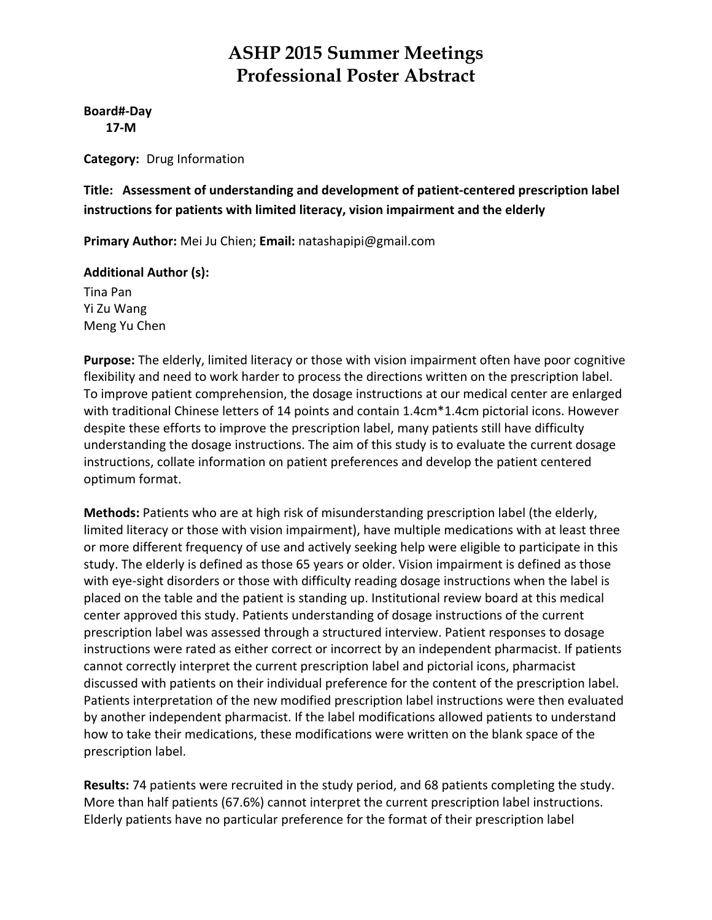**Board#‐Day 17‐M**

**Category:** Drug Information

**Title: Assessment of understanding and development of patient‐centered prescription label instructions for patients with limited literacy, vision impairment and the elderly**

**Primary Author:** Mei Ju Chien; **Email:** natashapipi@gmail.com

### **Additional Author (s):**

Tina Pan Yi Zu Wang Meng Yu Chen

**Purpose:** The elderly, limited literacy or those with vision impairment often have poor cognitive flexibility and need to work harder to process the directions written on the prescription label. To improve patient comprehension, the dosage instructions at our medical center are enlarged with traditional Chinese letters of 14 points and contain 1.4cm\*1.4cm pictorial icons. However despite these efforts to improve the prescription label, many patients still have difficulty understanding the dosage instructions. The aim of this study is to evaluate the current dosage instructions, collate information on patient preferences and develop the patient centered optimum format.

**Methods:** Patients who are at high risk of misunderstanding prescription label (the elderly, limited literacy or those with vision impairment), have multiple medications with at least three or more different frequency of use and actively seeking help were eligible to participate in this study. The elderly is defined as those 65 years or older. Vision impairment is defined as those with eye-sight disorders or those with difficulty reading dosage instructions when the label is placed on the table and the patient is standing up. Institutional review board at this medical center approved this study. Patients understanding of dosage instructions of the current prescription label was assessed through a structured interview. Patient responses to dosage instructions were rated as either correct or incorrect by an independent pharmacist. If patients cannot correctly interpret the current prescription label and pictorial icons, pharmacist discussed with patients on their individual preference for the content of the prescription label. Patients interpretation of the new modified prescription label instructions were then evaluated by another independent pharmacist. If the label modifications allowed patients to understand how to take their medications, these modifications were written on the blank space of the prescription label.

**Results:** 74 patients were recruited in the study period, and 68 patients completing the study. More than half patients (67.6%) cannot interpret the current prescription label instructions. Elderly patients have no particular preference for the format of their prescription label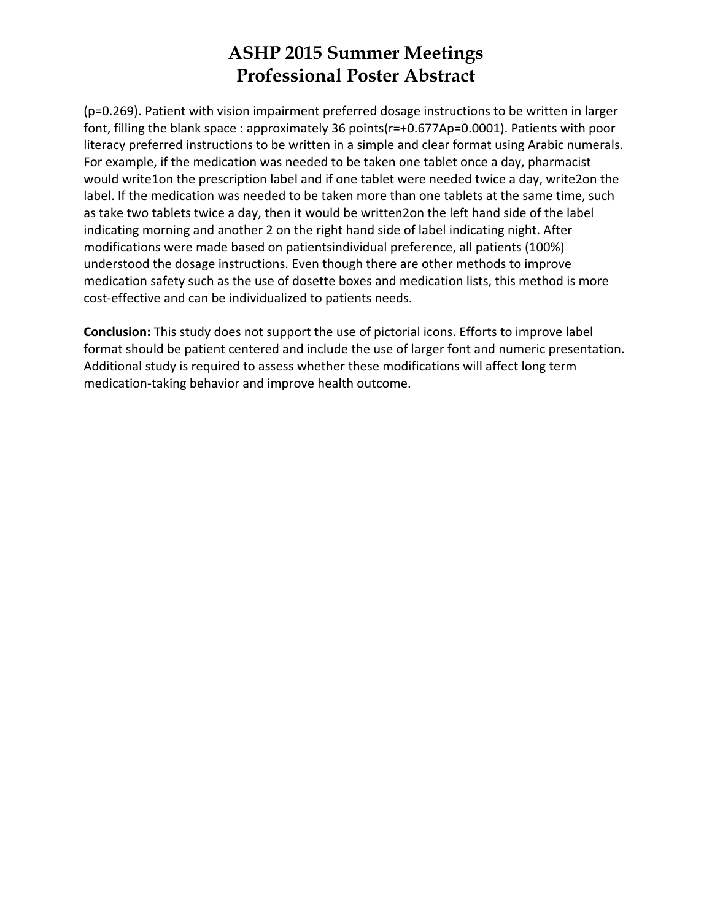(p=0.269). Patient with vision impairment preferred dosage instructions to be written in larger font, filling the blank space : approximately 36 points(r=+0.677Ap=0.0001). Patients with poor literacy preferred instructions to be written in a simple and clear format using Arabic numerals. For example, if the medication was needed to be taken one tablet once a day, pharmacist would write1on the prescription label and if one tablet were needed twice a day, write2on the label. If the medication was needed to be taken more than one tablets at the same time, such as take two tablets twice a day, then it would be written2on the left hand side of the label indicating morning and another 2 on the right hand side of label indicating night. After modifications were made based on patientsindividual preference, all patients (100%) understood the dosage instructions. Even though there are other methods to improve medication safety such as the use of dosette boxes and medication lists, this method is more cost‐effective and can be individualized to patients needs.

**Conclusion:** This study does not support the use of pictorial icons. Efforts to improve label format should be patient centered and include the use of larger font and numeric presentation. Additional study is required to assess whether these modifications will affect long term medication‐taking behavior and improve health outcome.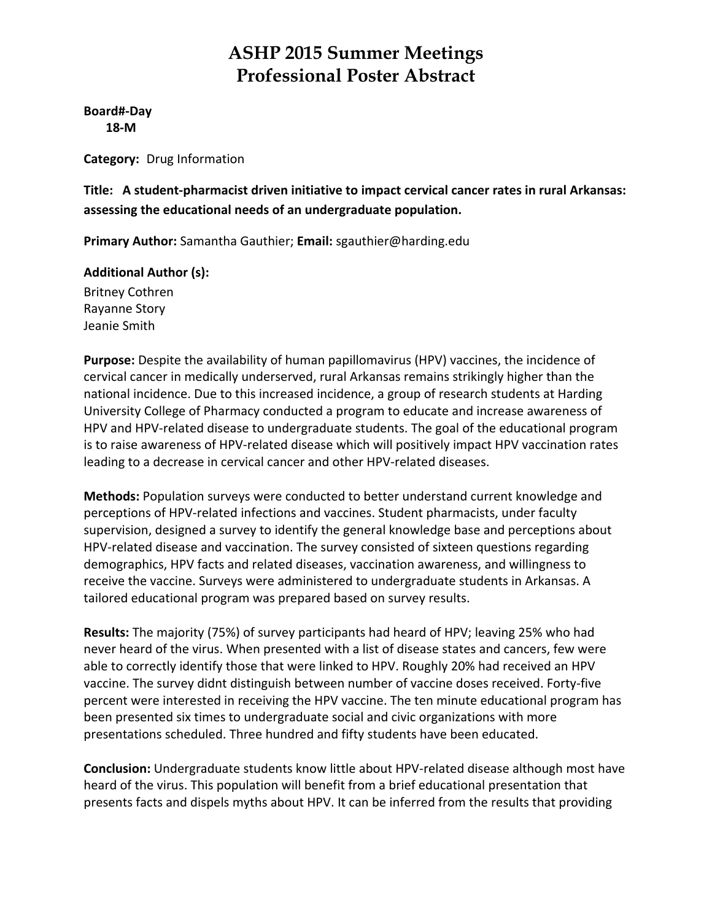**Board#‐Day 18‐M**

**Category:** Drug Information

**Title: A student‐pharmacist driven initiative to impact cervical cancer rates in rural Arkansas: assessing the educational needs of an undergraduate population.**

**Primary Author:** Samantha Gauthier; **Email:** sgauthier@harding.edu

### **Additional Author (s):**

Britney Cothren Rayanne Story Jeanie Smith

**Purpose:** Despite the availability of human papillomavirus (HPV) vaccines, the incidence of cervical cancer in medically underserved, rural Arkansas remains strikingly higher than the national incidence. Due to this increased incidence, a group of research students at Harding University College of Pharmacy conducted a program to educate and increase awareness of HPV and HPV-related disease to undergraduate students. The goal of the educational program is to raise awareness of HPV‐related disease which will positively impact HPV vaccination rates leading to a decrease in cervical cancer and other HPV‐related diseases.

**Methods:** Population surveys were conducted to better understand current knowledge and perceptions of HPV‐related infections and vaccines. Student pharmacists, under faculty supervision, designed a survey to identify the general knowledge base and perceptions about HPV-related disease and vaccination. The survey consisted of sixteen questions regarding demographics, HPV facts and related diseases, vaccination awareness, and willingness to receive the vaccine. Surveys were administered to undergraduate students in Arkansas. A tailored educational program was prepared based on survey results.

**Results:** The majority (75%) of survey participants had heard of HPV; leaving 25% who had never heard of the virus. When presented with a list of disease states and cancers, few were able to correctly identify those that were linked to HPV. Roughly 20% had received an HPV vaccine. The survey didnt distinguish between number of vaccine doses received. Forty‐five percent were interested in receiving the HPV vaccine. The ten minute educational program has been presented six times to undergraduate social and civic organizations with more presentations scheduled. Three hundred and fifty students have been educated.

**Conclusion:** Undergraduate students know little about HPV‐related disease although most have heard of the virus. This population will benefit from a brief educational presentation that presents facts and dispels myths about HPV. It can be inferred from the results that providing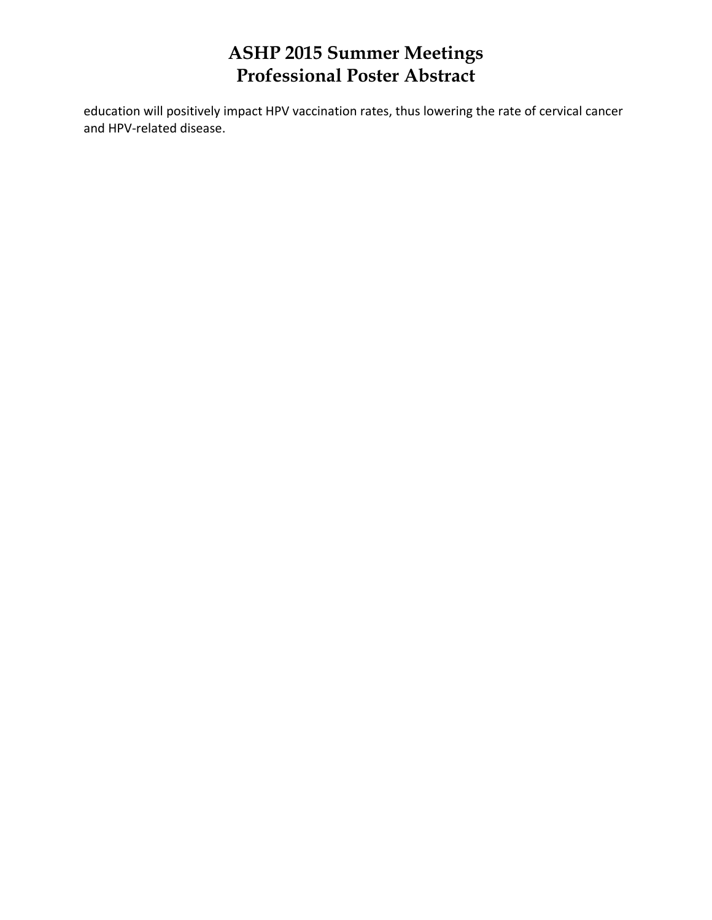education will positively impact HPV vaccination rates, thus lowering the rate of cervical cancer and HPV‐related disease.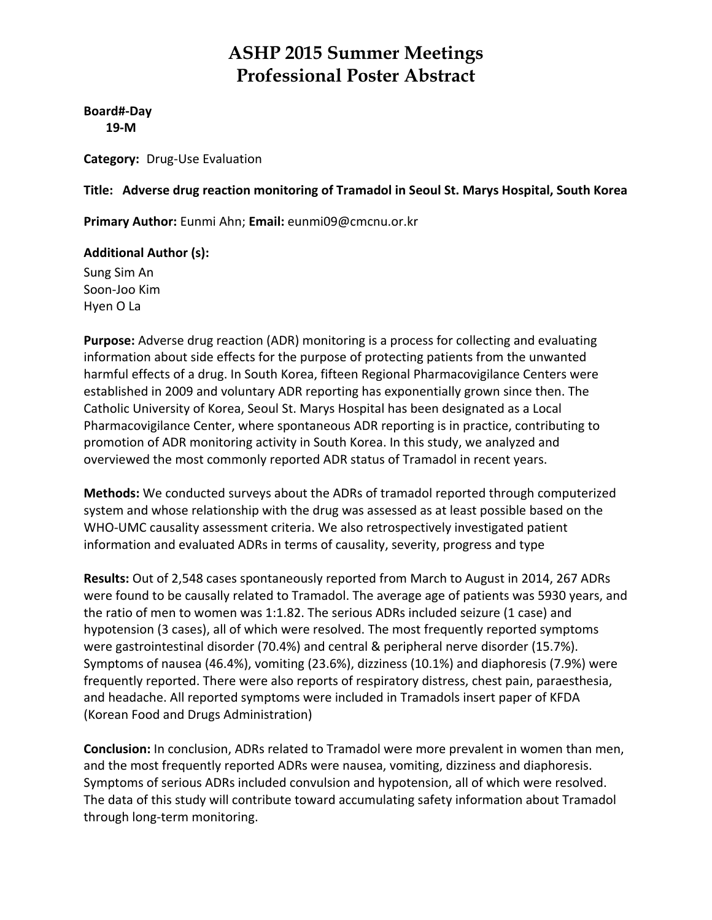**Board#‐Day 19‐M**

**Category:** Drug‐Use Evaluation

### **Title: Adverse drug reaction monitoring of Tramadol in Seoul St. Marys Hospital, South Korea**

**Primary Author:** Eunmi Ahn; **Email:** eunmi09@cmcnu.or.kr

### **Additional Author (s):**

Sung Sim An Soon‐Joo Kim Hyen O La

**Purpose:** Adverse drug reaction (ADR) monitoring is a process for collecting and evaluating information about side effects for the purpose of protecting patients from the unwanted harmful effects of a drug. In South Korea, fifteen Regional Pharmacovigilance Centers were established in 2009 and voluntary ADR reporting has exponentially grown since then. The Catholic University of Korea, Seoul St. Marys Hospital has been designated as a Local Pharmacovigilance Center, where spontaneous ADR reporting is in practice, contributing to promotion of ADR monitoring activity in South Korea. In this study, we analyzed and overviewed the most commonly reported ADR status of Tramadol in recent years.

**Methods:** We conducted surveys about the ADRs of tramadol reported through computerized system and whose relationship with the drug was assessed as at least possible based on the WHO-UMC causality assessment criteria. We also retrospectively investigated patient information and evaluated ADRs in terms of causality, severity, progress and type

**Results:** Out of 2,548 cases spontaneously reported from March to August in 2014, 267 ADRs were found to be causally related to Tramadol. The average age of patients was 5930 years, and the ratio of men to women was 1:1.82. The serious ADRs included seizure (1 case) and hypotension (3 cases), all of which were resolved. The most frequently reported symptoms were gastrointestinal disorder (70.4%) and central & peripheral nerve disorder (15.7%). Symptoms of nausea (46.4%), vomiting (23.6%), dizziness (10.1%) and diaphoresis (7.9%) were frequently reported. There were also reports of respiratory distress, chest pain, paraesthesia, and headache. All reported symptoms were included in Tramadols insert paper of KFDA (Korean Food and Drugs Administration)

**Conclusion:** In conclusion, ADRs related to Tramadol were more prevalent in women than men, and the most frequently reported ADRs were nausea, vomiting, dizziness and diaphoresis. Symptoms of serious ADRs included convulsion and hypotension, all of which were resolved. The data of this study will contribute toward accumulating safety information about Tramadol through long‐term monitoring.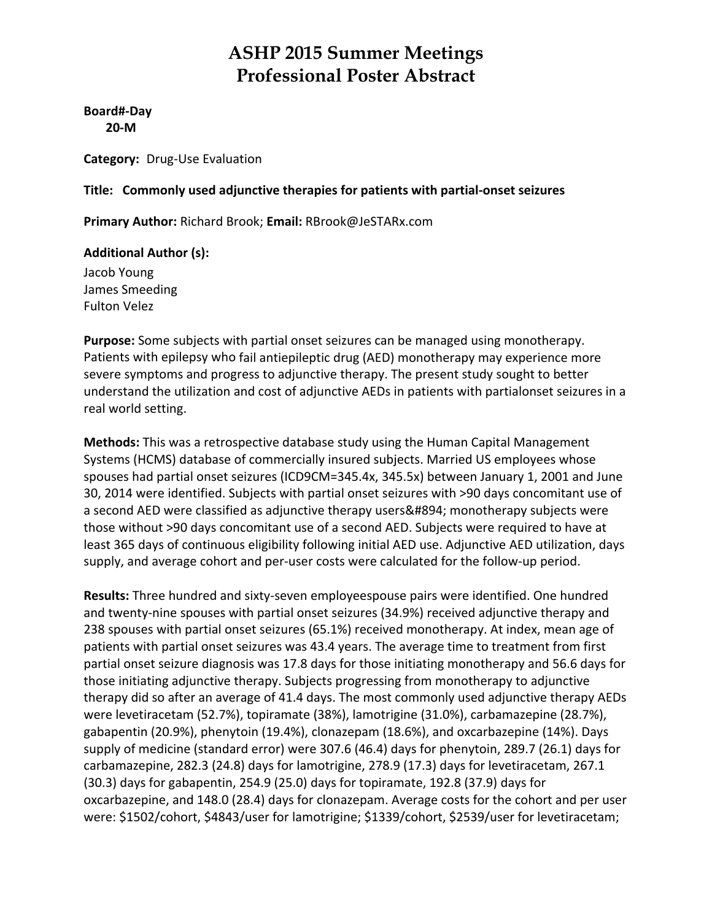**Board#‐Day 20‐M**

**Category:** Drug‐Use Evaluation

#### **Title: Commonly used adjunctive therapies for patients with partial‐onset seizures**

**Primary Author:** Richard Brook; **Email:** RBrook@JeSTARx.com

#### **Additional Author (s):**

Jacob Young James Smeeding Fulton Velez

**Purpose:** Some subjects with partial onset seizures can be managed using monotherapy. Patients with epilepsy who fail antiepileptic drug (AED) monotherapy may experience more severe symptoms and progress to adjunctive therapy. The present study sought to better understand the utilization and cost of adjunctive AEDs in patients with partialonset seizures in a real world setting.

**Methods:** This was a retrospective database study using the Human Capital Management Systems (HCMS) database of commercially insured subjects. Married US employees whose spouses had partial onset seizures (ICD9CM=345.4x, 345.5x) between January 1, 2001 and June 30, 2014 were identified. Subjects with partial onset seizures with >90 days concomitant use of a second AED were classified as adjunctive therapy users; monotherapy subjects were those without >90 days concomitant use of a second AED. Subjects were required to have at least 365 days of continuous eligibility following initial AED use. Adjunctive AED utilization, days supply, and average cohort and per-user costs were calculated for the follow-up period.

**Results:** Three hundred and sixty‐seven employeespouse pairs were identified. One hundred and twenty‐nine spouses with partial onset seizures (34.9%) received adjunctive therapy and 238 spouses with partial onset seizures (65.1%) received monotherapy. At index, mean age of patients with partial onset seizures was 43.4 years. The average time to treatment from first partial onset seizure diagnosis was 17.8 days for those initiating monotherapy and 56.6 days for those initiating adjunctive therapy. Subjects progressing from monotherapy to adjunctive therapy did so after an average of 41.4 days. The most commonly used adjunctive therapy AEDs were levetiracetam (52.7%), topiramate (38%), lamotrigine (31.0%), carbamazepine (28.7%), gabapentin (20.9%), phenytoin (19.4%), clonazepam (18.6%), and oxcarbazepine (14%). Days supply of medicine (standard error) were 307.6 (46.4) days for phenytoin, 289.7 (26.1) days for carbamazepine, 282.3 (24.8) days for lamotrigine, 278.9 (17.3) days for levetiracetam, 267.1 (30.3) days for gabapentin, 254.9 (25.0) days for topiramate, 192.8 (37.9) days for oxcarbazepine, and 148.0 (28.4) days for clonazepam. Average costs for the cohort and per user were: \$1502/cohort, \$4843/user for lamotrigine; \$1339/cohort, \$2539/user for levetiracetam;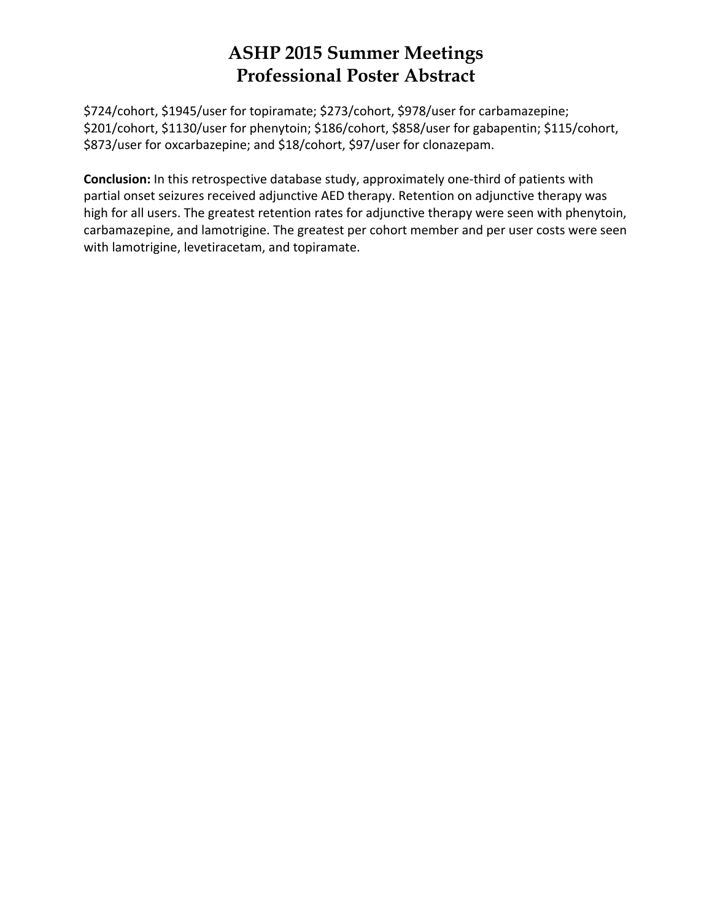\$724/cohort, \$1945/user for topiramate; \$273/cohort, \$978/user for carbamazepine; \$201/cohort, \$1130/user for phenytoin; \$186/cohort, \$858/user for gabapentin; \$115/cohort, \$873/user for oxcarbazepine; and \$18/cohort, \$97/user for clonazepam.

**Conclusion:** In this retrospective database study, approximately one-third of patients with partial onset seizures received adjunctive AED therapy. Retention on adjunctive therapy was high for all users. The greatest retention rates for adjunctive therapy were seen with phenytoin, carbamazepine, and lamotrigine. The greatest per cohort member and per user costs were seen with lamotrigine, levetiracetam, and topiramate.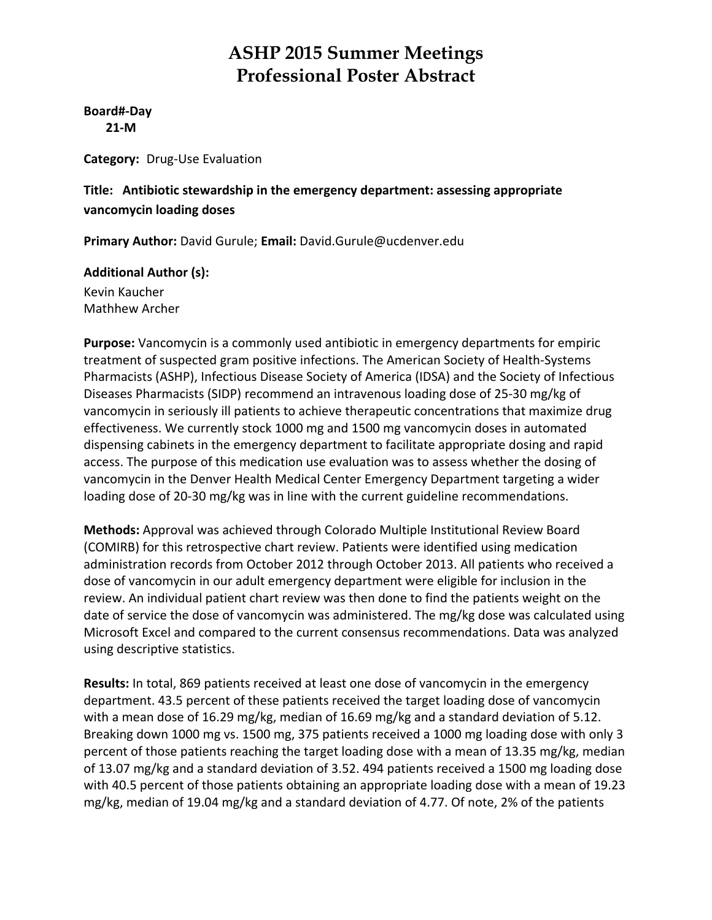**Board#‐Day 21‐M**

**Category:** Drug‐Use Evaluation

#### **Title: Antibiotic stewardship in the emergency department: assessing appropriate vancomycin loading doses**

**Primary Author:** David Gurule; **Email:** David.Gurule@ucdenver.edu

# **Additional Author (s):**

Kevin Kaucher Mathhew Archer

**Purpose:** Vancomycin is a commonly used antibiotic in emergency departments for empiric treatment of suspected gram positive infections. The American Society of Health‐Systems Pharmacists (ASHP), Infectious Disease Society of America (IDSA) and the Society of Infectious Diseases Pharmacists (SIDP) recommend an intravenous loading dose of 25‐30 mg/kg of vancomycin in seriously ill patients to achieve therapeutic concentrations that maximize drug effectiveness. We currently stock 1000 mg and 1500 mg vancomycin doses in automated dispensing cabinets in the emergency department to facilitate appropriate dosing and rapid access. The purpose of this medication use evaluation was to assess whether the dosing of vancomycin in the Denver Health Medical Center Emergency Department targeting a wider loading dose of 20‐30 mg/kg was in line with the current guideline recommendations.

**Methods:** Approval was achieved through Colorado Multiple Institutional Review Board (COMIRB) for this retrospective chart review. Patients were identified using medication administration records from October 2012 through October 2013. All patients who received a dose of vancomycin in our adult emergency department were eligible for inclusion in the review. An individual patient chart review was then done to find the patients weight on the date of service the dose of vancomycin was administered. The mg/kg dose was calculated using Microsoft Excel and compared to the current consensus recommendations. Data was analyzed using descriptive statistics.

**Results:** In total, 869 patients received at least one dose of vancomycin in the emergency department. 43.5 percent of these patients received the target loading dose of vancomycin with a mean dose of 16.29 mg/kg, median of 16.69 mg/kg and a standard deviation of 5.12. Breaking down 1000 mg vs. 1500 mg, 375 patients received a 1000 mg loading dose with only 3 percent of those patients reaching the target loading dose with a mean of 13.35 mg/kg, median of 13.07 mg/kg and a standard deviation of 3.52. 494 patients received a 1500 mg loading dose with 40.5 percent of those patients obtaining an appropriate loading dose with a mean of 19.23 mg/kg, median of 19.04 mg/kg and a standard deviation of 4.77. Of note, 2% of the patients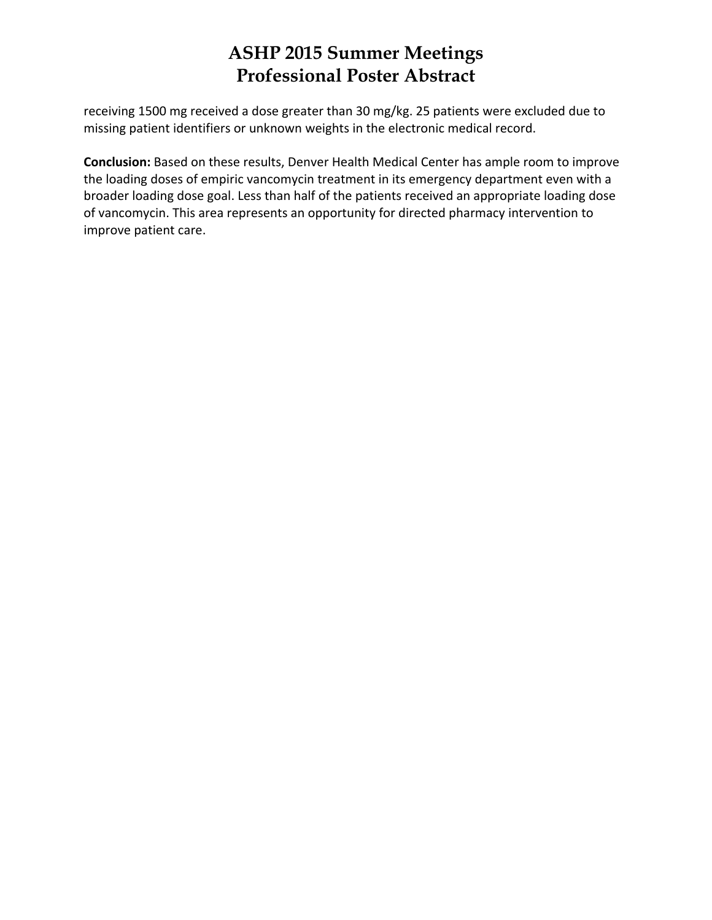receiving 1500 mg received a dose greater than 30 mg/kg. 25 patients were excluded due to missing patient identifiers or unknown weights in the electronic medical record.

**Conclusion:** Based on these results, Denver Health Medical Center has ample room to improve the loading doses of empiric vancomycin treatment in its emergency department even with a broader loading dose goal. Less than half of the patients received an appropriate loading dose of vancomycin. This area represents an opportunity for directed pharmacy intervention to improve patient care.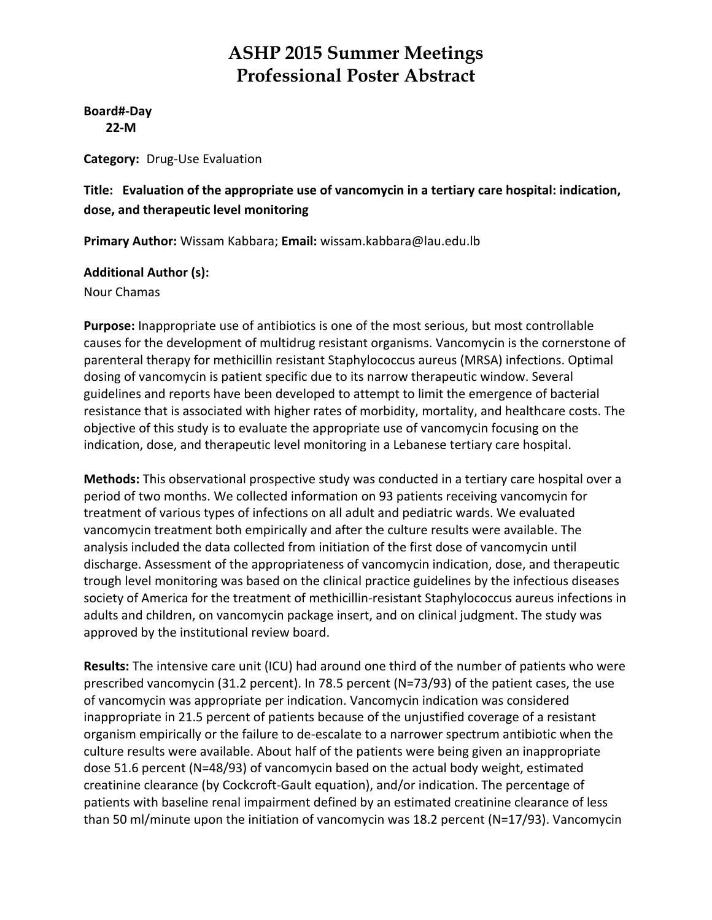**Board#‐Day 22‐M**

**Category:** Drug‐Use Evaluation

#### **Title: Evaluation of the appropriate use of vancomycin in a tertiary care hospital: indication, dose, and therapeutic level monitoring**

**Primary Author:** Wissam Kabbara; **Email:** wissam.kabbara@lau.edu.lb

#### **Additional Author (s):**

Nour Chamas

**Purpose:** Inappropriate use of antibiotics is one of the most serious, but most controllable causes for the development of multidrug resistant organisms. Vancomycin is the cornerstone of parenteral therapy for methicillin resistant Staphylococcus aureus (MRSA) infections. Optimal dosing of vancomycin is patient specific due to its narrow therapeutic window. Several guidelines and reports have been developed to attempt to limit the emergence of bacterial resistance that is associated with higher rates of morbidity, mortality, and healthcare costs. The objective of this study is to evaluate the appropriate use of vancomycin focusing on the indication, dose, and therapeutic level monitoring in a Lebanese tertiary care hospital.

**Methods:** This observational prospective study was conducted in a tertiary care hospital over a period of two months. We collected information on 93 patients receiving vancomycin for treatment of various types of infections on all adult and pediatric wards. We evaluated vancomycin treatment both empirically and after the culture results were available. The analysis included the data collected from initiation of the first dose of vancomycin until discharge. Assessment of the appropriateness of vancomycin indication, dose, and therapeutic trough level monitoring was based on the clinical practice guidelines by the infectious diseases society of America for the treatment of methicillin‐resistant Staphylococcus aureus infections in adults and children, on vancomycin package insert, and on clinical judgment. The study was approved by the institutional review board.

**Results:** The intensive care unit (ICU) had around one third of the number of patients who were prescribed vancomycin (31.2 percent). In 78.5 percent (N=73/93) of the patient cases, the use of vancomycin was appropriate per indication. Vancomycin indication was considered inappropriate in 21.5 percent of patients because of the unjustified coverage of a resistant organism empirically or the failure to de‐escalate to a narrower spectrum antibiotic when the culture results were available. About half of the patients were being given an inappropriate dose 51.6 percent (N=48/93) of vancomycin based on the actual body weight, estimated creatinine clearance (by Cockcroft‐Gault equation), and/or indication. The percentage of patients with baseline renal impairment defined by an estimated creatinine clearance of less than 50 ml/minute upon the initiation of vancomycin was 18.2 percent (N=17/93). Vancomycin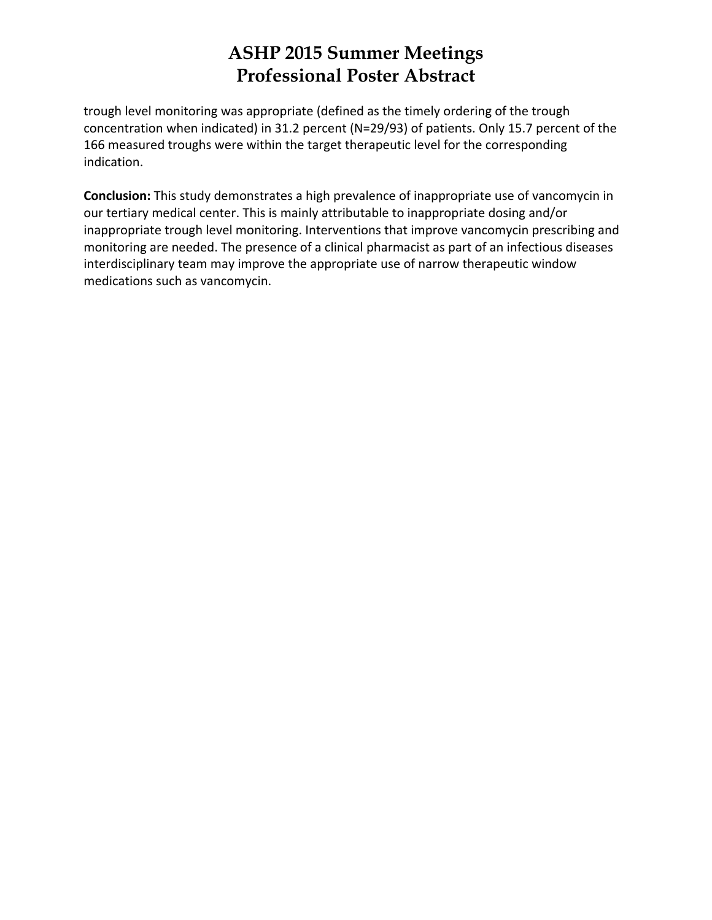trough level monitoring was appropriate (defined as the timely ordering of the trough concentration when indicated) in 31.2 percent (N=29/93) of patients. Only 15.7 percent of the 166 measured troughs were within the target therapeutic level for the corresponding indication.

**Conclusion:** This study demonstrates a high prevalence of inappropriate use of vancomycin in our tertiary medical center. This is mainly attributable to inappropriate dosing and/or inappropriate trough level monitoring. Interventions that improve vancomycin prescribing and monitoring are needed. The presence of a clinical pharmacist as part of an infectious diseases interdisciplinary team may improve the appropriate use of narrow therapeutic window medications such as vancomycin.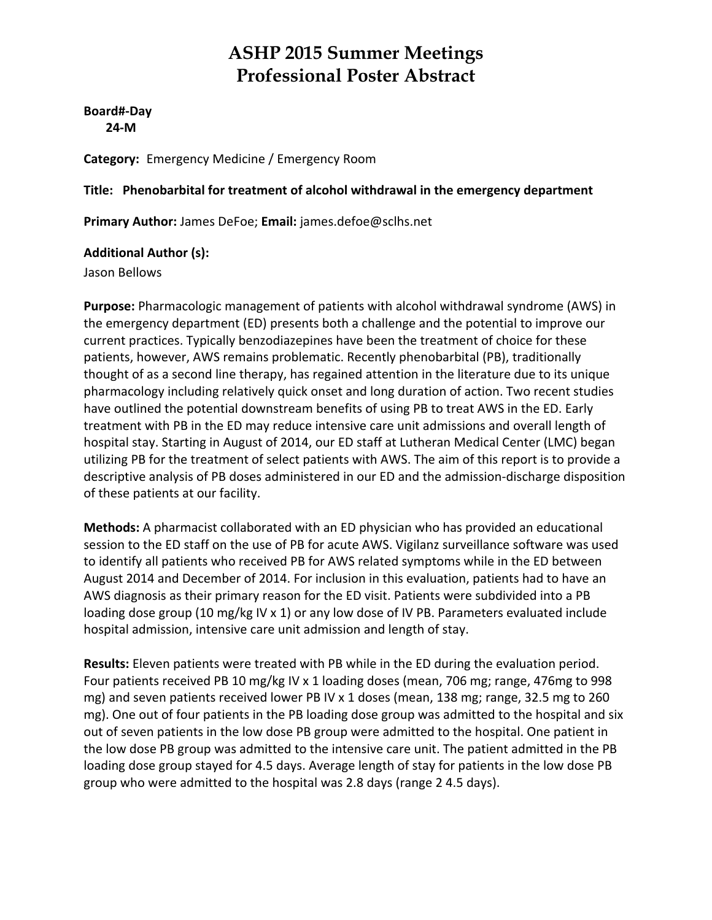**Board#‐Day 24‐M**

**Category:** Emergency Medicine / Emergency Room

#### **Title: Phenobarbital for treatment of alcohol withdrawal in the emergency department**

**Primary Author:** James DeFoe; **Email:** james.defoe@sclhs.net

#### **Additional Author (s):**

Jason Bellows

**Purpose:** Pharmacologic management of patients with alcohol withdrawal syndrome (AWS) in the emergency department (ED) presents both a challenge and the potential to improve our current practices. Typically benzodiazepines have been the treatment of choice for these patients, however, AWS remains problematic. Recently phenobarbital (PB), traditionally thought of as a second line therapy, has regained attention in the literature due to its unique pharmacology including relatively quick onset and long duration of action. Two recent studies have outlined the potential downstream benefits of using PB to treat AWS in the ED. Early treatment with PB in the ED may reduce intensive care unit admissions and overall length of hospital stay. Starting in August of 2014, our ED staff at Lutheran Medical Center (LMC) began utilizing PB for the treatment of select patients with AWS. The aim of this report is to provide a descriptive analysis of PB doses administered in our ED and the admission‐discharge disposition of these patients at our facility.

**Methods:** A pharmacist collaborated with an ED physician who has provided an educational session to the ED staff on the use of PB for acute AWS. Vigilanz surveillance software was used to identify all patients who received PB for AWS related symptoms while in the ED between August 2014 and December of 2014. For inclusion in this evaluation, patients had to have an AWS diagnosis as their primary reason for the ED visit. Patients were subdivided into a PB loading dose group (10 mg/kg IV x 1) or any low dose of IV PB. Parameters evaluated include hospital admission, intensive care unit admission and length of stay.

**Results:** Eleven patients were treated with PB while in the ED during the evaluation period. Four patients received PB 10 mg/kg IV x 1 loading doses (mean, 706 mg; range, 476mg to 998 mg) and seven patients received lower PB IV x 1 doses (mean, 138 mg; range, 32.5 mg to 260 mg). One out of four patients in the PB loading dose group was admitted to the hospital and six out of seven patients in the low dose PB group were admitted to the hospital. One patient in the low dose PB group was admitted to the intensive care unit. The patient admitted in the PB loading dose group stayed for 4.5 days. Average length of stay for patients in the low dose PB group who were admitted to the hospital was 2.8 days (range 2 4.5 days).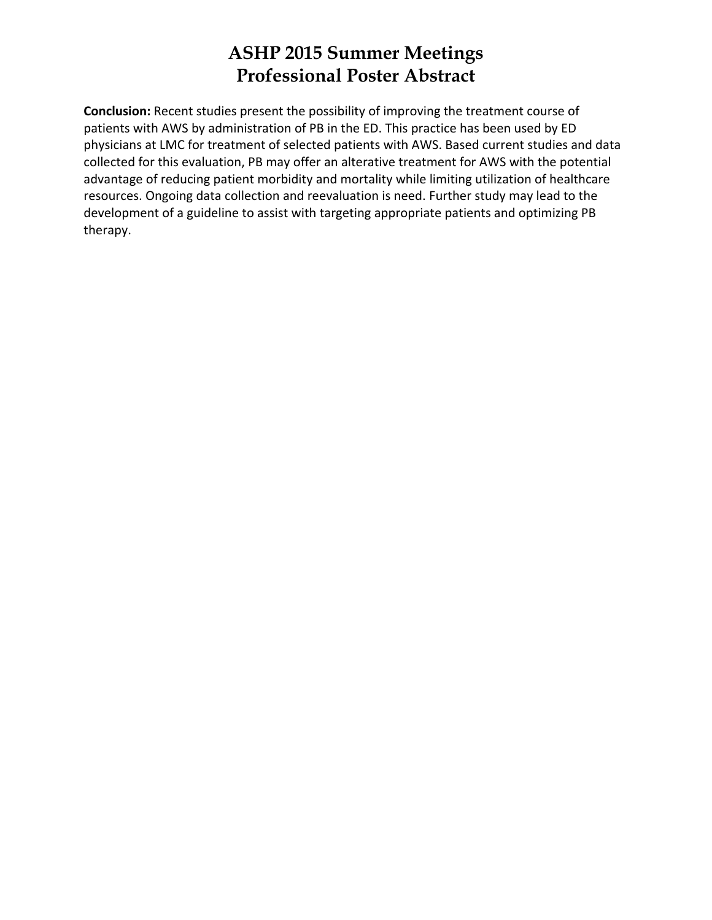**Conclusion:** Recent studies present the possibility of improving the treatment course of patients with AWS by administration of PB in the ED. This practice has been used by ED physicians at LMC for treatment of selected patients with AWS. Based current studies and data collected for this evaluation, PB may offer an alterative treatment for AWS with the potential advantage of reducing patient morbidity and mortality while limiting utilization of healthcare resources. Ongoing data collection and reevaluation is need. Further study may lead to the development of a guideline to assist with targeting appropriate patients and optimizing PB therapy.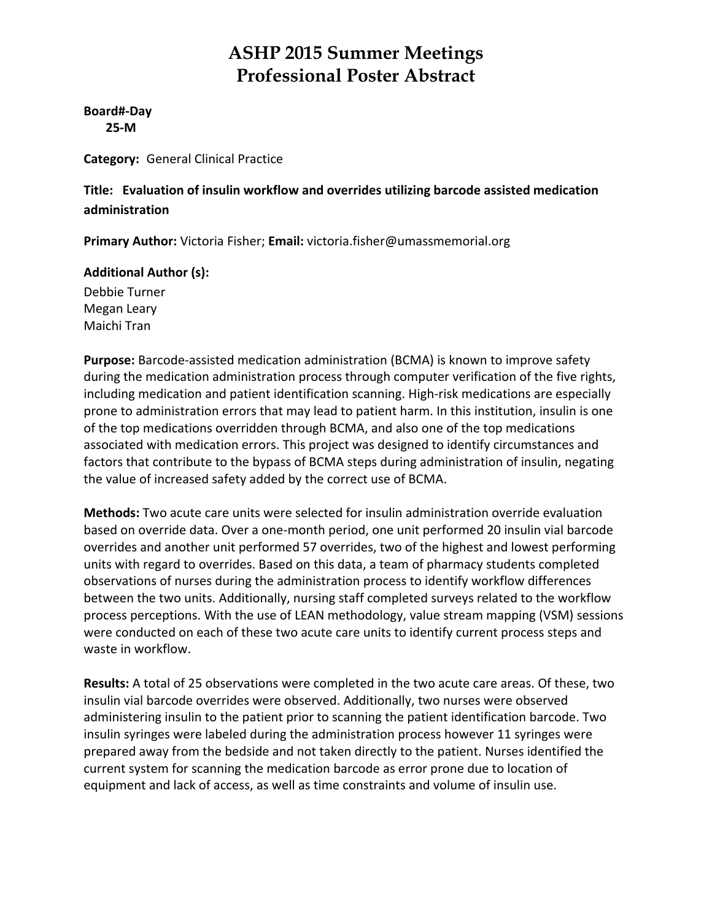**Board#‐Day 25‐M**

**Category:** General Clinical Practice

**Title: Evaluation of insulin workflow and overrides utilizing barcode assisted medication administration**

**Primary Author:** Victoria Fisher; **Email:** victoria.fisher@umassmemorial.org

#### **Additional Author (s):**

Debbie Turner Megan Leary Maichi Tran

**Purpose:** Barcode‐assisted medication administration (BCMA) is known to improve safety during the medication administration process through computer verification of the five rights, including medication and patient identification scanning. High-risk medications are especially prone to administration errors that may lead to patient harm. In this institution, insulin is one of the top medications overridden through BCMA, and also one of the top medications associated with medication errors. This project was designed to identify circumstances and factors that contribute to the bypass of BCMA steps during administration of insulin, negating the value of increased safety added by the correct use of BCMA.

**Methods:** Two acute care units were selected for insulin administration override evaluation based on override data. Over a one‐month period, one unit performed 20 insulin vial barcode overrides and another unit performed 57 overrides, two of the highest and lowest performing units with regard to overrides. Based on this data, a team of pharmacy students completed observations of nurses during the administration process to identify workflow differences between the two units. Additionally, nursing staff completed surveys related to the workflow process perceptions. With the use of LEAN methodology, value stream mapping (VSM) sessions were conducted on each of these two acute care units to identify current process steps and waste in workflow.

**Results:** A total of 25 observations were completed in the two acute care areas. Of these, two insulin vial barcode overrides were observed. Additionally, two nurses were observed administering insulin to the patient prior to scanning the patient identification barcode. Two insulin syringes were labeled during the administration process however 11 syringes were prepared away from the bedside and not taken directly to the patient. Nurses identified the current system for scanning the medication barcode as error prone due to location of equipment and lack of access, as well as time constraints and volume of insulin use.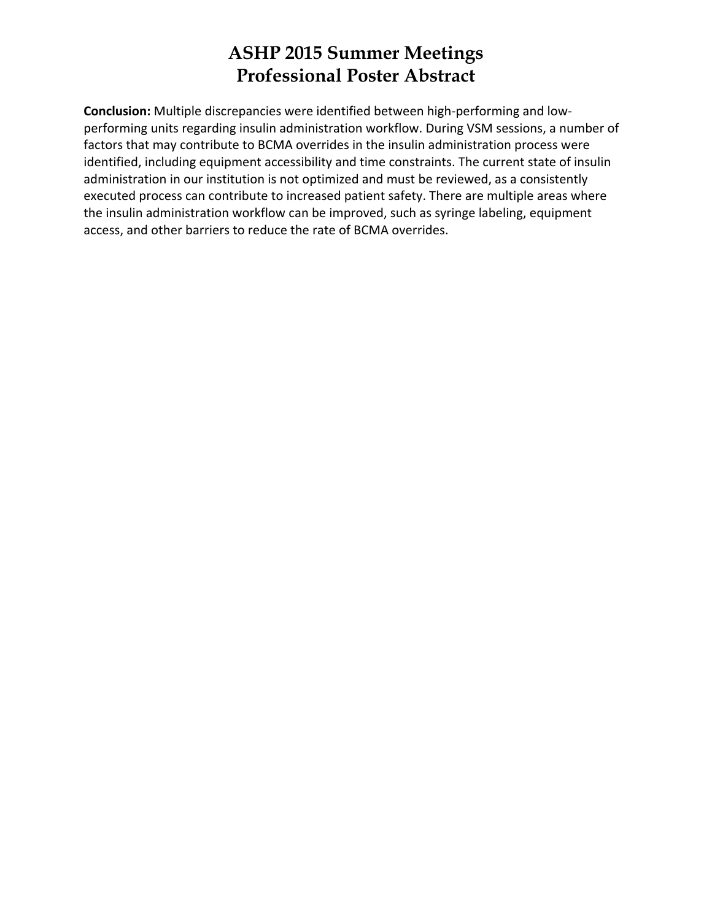**Conclusion:** Multiple discrepancies were identified between high‐performing and low‐ performing units regarding insulin administration workflow. During VSM sessions, a number of factors that may contribute to BCMA overrides in the insulin administration process were identified, including equipment accessibility and time constraints. The current state of insulin administration in our institution is not optimized and must be reviewed, as a consistently executed process can contribute to increased patient safety. There are multiple areas where the insulin administration workflow can be improved, such as syringe labeling, equipment access, and other barriers to reduce the rate of BCMA overrides.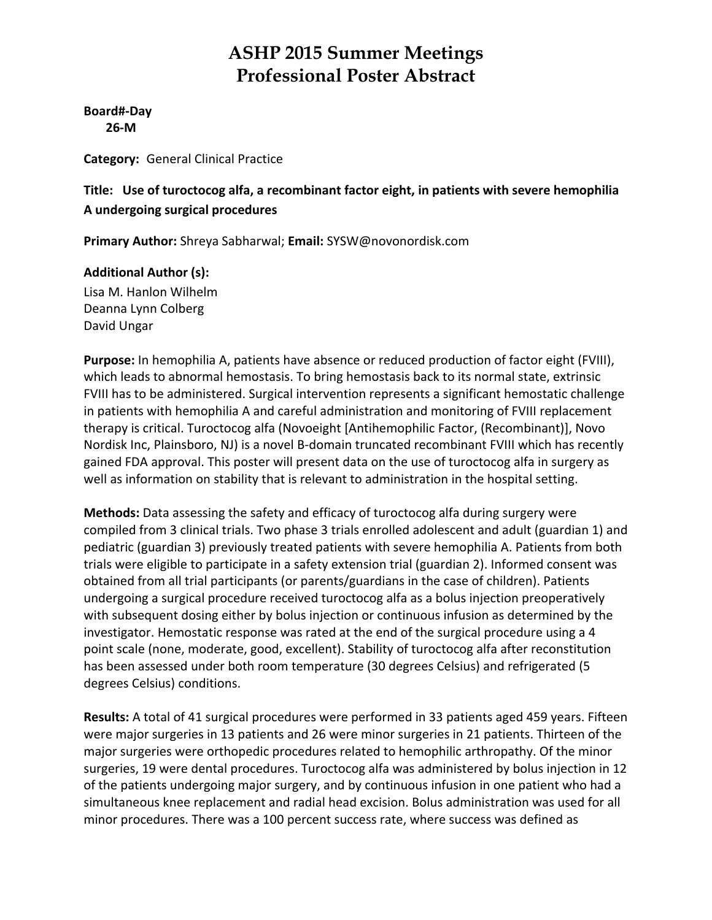**Board#‐Day 26‐M**

**Category:** General Clinical Practice

#### **Title: Use of turoctocog alfa, a recombinant factor eight, in patients with severe hemophilia A undergoing surgical procedures**

**Primary Author:** Shreya Sabharwal; **Email:** SYSW@novonordisk.com

#### **Additional Author (s):**

Lisa M. Hanlon Wilhelm Deanna Lynn Colberg David Ungar

**Purpose:** In hemophilia A, patients have absence or reduced production of factor eight (FVIII), which leads to abnormal hemostasis. To bring hemostasis back to its normal state, extrinsic FVIII has to be administered. Surgical intervention represents a significant hemostatic challenge in patients with hemophilia A and careful administration and monitoring of FVIII replacement therapy is critical. Turoctocog alfa (Novoeight [Antihemophilic Factor, (Recombinant)], Novo Nordisk Inc, Plainsboro, NJ) is a novel B‐domain truncated recombinant FVIII which has recently gained FDA approval. This poster will present data on the use of turoctocog alfa in surgery as well as information on stability that is relevant to administration in the hospital setting.

**Methods:** Data assessing the safety and efficacy of turoctocog alfa during surgery were compiled from 3 clinical trials. Two phase 3 trials enrolled adolescent and adult (guardian 1) and pediatric (guardian 3) previously treated patients with severe hemophilia A. Patients from both trials were eligible to participate in a safety extension trial (guardian 2). Informed consent was obtained from all trial participants (or parents/guardians in the case of children). Patients undergoing a surgical procedure received turoctocog alfa as a bolus injection preoperatively with subsequent dosing either by bolus injection or continuous infusion as determined by the investigator. Hemostatic response was rated at the end of the surgical procedure using a 4 point scale (none, moderate, good, excellent). Stability of turoctocog alfa after reconstitution has been assessed under both room temperature (30 degrees Celsius) and refrigerated (5 degrees Celsius) conditions.

**Results:** A total of 41 surgical procedures were performed in 33 patients aged 459 years. Fifteen were major surgeries in 13 patients and 26 were minor surgeries in 21 patients. Thirteen of the major surgeries were orthopedic procedures related to hemophilic arthropathy. Of the minor surgeries, 19 were dental procedures. Turoctocog alfa was administered by bolus injection in 12 of the patients undergoing major surgery, and by continuous infusion in one patient who had a simultaneous knee replacement and radial head excision. Bolus administration was used for all minor procedures. There was a 100 percent success rate, where success was defined as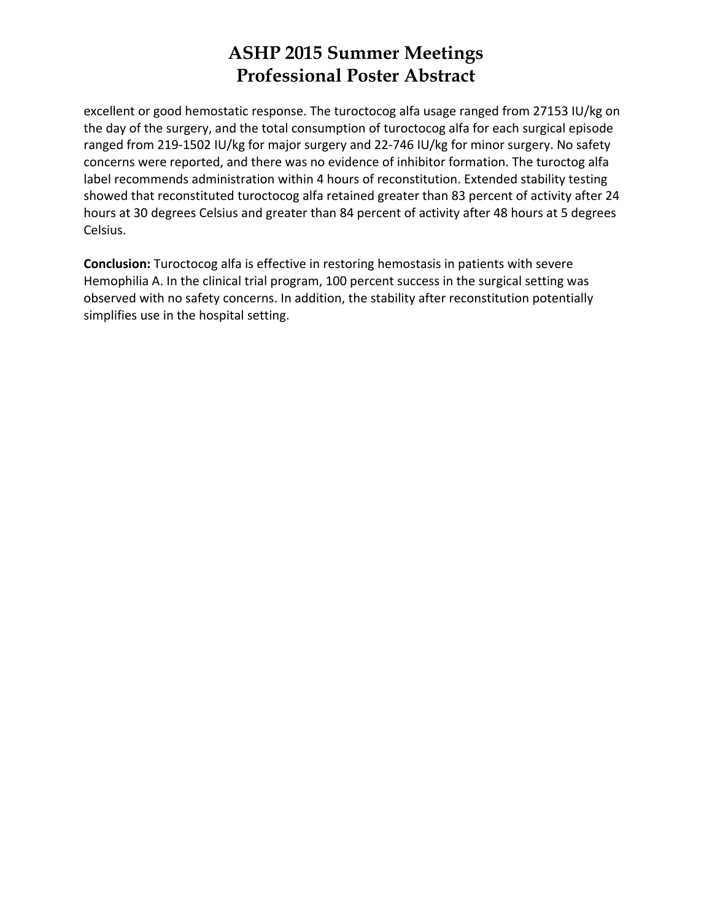excellent or good hemostatic response. The turoctocog alfa usage ranged from 27153 IU/kg on the day of the surgery, and the total consumption of turoctocog alfa for each surgical episode ranged from 219‐1502 IU/kg for major surgery and 22‐746 IU/kg for minor surgery. No safety concerns were reported, and there was no evidence of inhibitor formation. The turoctog alfa label recommends administration within 4 hours of reconstitution. Extended stability testing showed that reconstituted turoctocog alfa retained greater than 83 percent of activity after 24 hours at 30 degrees Celsius and greater than 84 percent of activity after 48 hours at 5 degrees Celsius.

**Conclusion:** Turoctocog alfa is effective in restoring hemostasis in patients with severe Hemophilia A. In the clinical trial program, 100 percent success in the surgical setting was observed with no safety concerns. In addition, the stability after reconstitution potentially simplifies use in the hospital setting.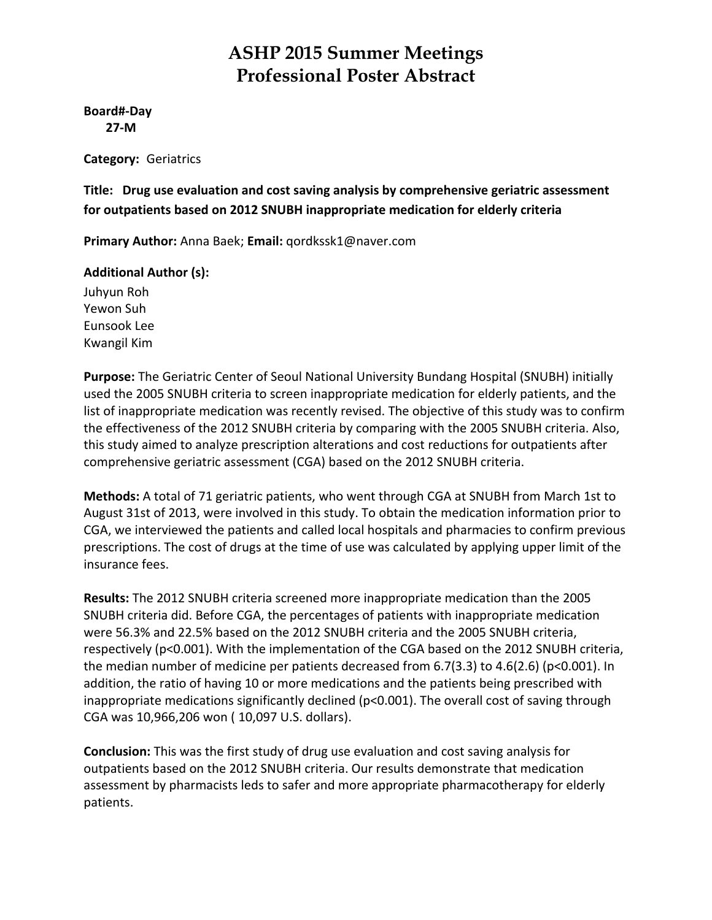#### **Board#‐Day 27‐M**

**Category:** Geriatrics

**Title: Drug use evaluation and cost saving analysis by comprehensive geriatric assessment for outpatients based on 2012 SNUBH inappropriate medication for elderly criteria**

**Primary Author:** Anna Baek; **Email:** qordkssk1@naver.com

#### **Additional Author (s):**

Juhyun Roh Yewon Suh Eunsook Lee Kwangil Kim

**Purpose:** The Geriatric Center of Seoul National University Bundang Hospital (SNUBH) initially used the 2005 SNUBH criteria to screen inappropriate medication for elderly patients, and the list of inappropriate medication was recently revised. The objective of this study was to confirm the effectiveness of the 2012 SNUBH criteria by comparing with the 2005 SNUBH criteria. Also, this study aimed to analyze prescription alterations and cost reductions for outpatients after comprehensive geriatric assessment (CGA) based on the 2012 SNUBH criteria.

**Methods:** A total of 71 geriatric patients, who went through CGA at SNUBH from March 1st to August 31st of 2013, were involved in this study. To obtain the medication information prior to CGA, we interviewed the patients and called local hospitals and pharmacies to confirm previous prescriptions. The cost of drugs at the time of use was calculated by applying upper limit of the insurance fees.

**Results:** The 2012 SNUBH criteria screened more inappropriate medication than the 2005 SNUBH criteria did. Before CGA, the percentages of patients with inappropriate medication were 56.3% and 22.5% based on the 2012 SNUBH criteria and the 2005 SNUBH criteria, respectively (p<0.001). With the implementation of the CGA based on the 2012 SNUBH criteria, the median number of medicine per patients decreased from 6.7(3.3) to 4.6(2.6) (p<0.001). In addition, the ratio of having 10 or more medications and the patients being prescribed with inappropriate medications significantly declined ( $p<0.001$ ). The overall cost of saving through CGA was 10,966,206 won ( 10,097 U.S. dollars).

**Conclusion:** This was the first study of drug use evaluation and cost saving analysis for outpatients based on the 2012 SNUBH criteria. Our results demonstrate that medication assessment by pharmacists leds to safer and more appropriate pharmacotherapy for elderly patients.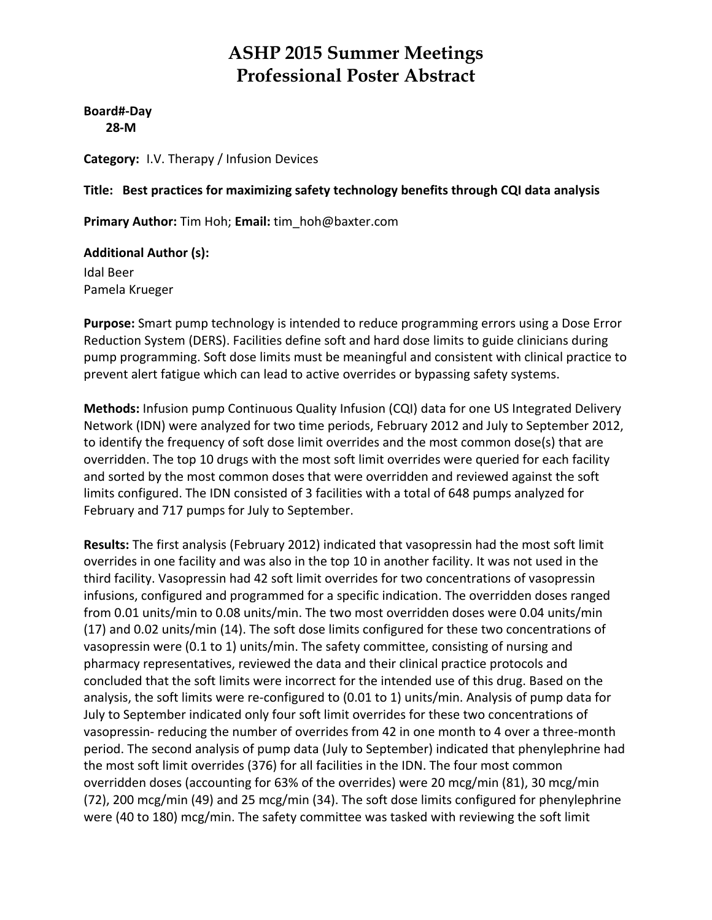**Board#‐Day 28‐M**

**Category:** I.V. Therapy / Infusion Devices

#### **Title: Best practices for maximizing safety technology benefits through CQI data analysis**

**Primary Author:** Tim Hoh; **Email:** tim\_hoh@baxter.com

#### **Additional Author (s):**

Idal Beer Pamela Krueger

**Purpose:** Smart pump technology is intended to reduce programming errors using a Dose Error Reduction System (DERS). Facilities define soft and hard dose limits to guide clinicians during pump programming. Soft dose limits must be meaningful and consistent with clinical practice to prevent alert fatigue which can lead to active overrides or bypassing safety systems.

**Methods:** Infusion pump Continuous Quality Infusion (CQI) data for one US Integrated Delivery Network (IDN) were analyzed for two time periods, February 2012 and July to September 2012, to identify the frequency of soft dose limit overrides and the most common dose(s) that are overridden. The top 10 drugs with the most soft limit overrides were queried for each facility and sorted by the most common doses that were overridden and reviewed against the soft limits configured. The IDN consisted of 3 facilities with a total of 648 pumps analyzed for February and 717 pumps for July to September.

**Results:** The first analysis (February 2012) indicated that vasopressin had the most soft limit overrides in one facility and was also in the top 10 in another facility. It was not used in the third facility. Vasopressin had 42 soft limit overrides for two concentrations of vasopressin infusions, configured and programmed for a specific indication. The overridden doses ranged from 0.01 units/min to 0.08 units/min. The two most overridden doses were 0.04 units/min (17) and 0.02 units/min (14). The soft dose limits configured for these two concentrations of vasopressin were (0.1 to 1) units/min. The safety committee, consisting of nursing and pharmacy representatives, reviewed the data and their clinical practice protocols and concluded that the soft limits were incorrect for the intended use of this drug. Based on the analysis, the soft limits were re-configured to (0.01 to 1) units/min. Analysis of pump data for July to September indicated only four soft limit overrides for these two concentrations of vasopressin‐ reducing the number of overrides from 42 in one month to 4 over a three‐month period. The second analysis of pump data (July to September) indicated that phenylephrine had the most soft limit overrides (376) for all facilities in the IDN. The four most common overridden doses (accounting for 63% of the overrides) were 20 mcg/min (81), 30 mcg/min (72), 200 mcg/min (49) and 25 mcg/min (34). The soft dose limits configured for phenylephrine were (40 to 180) mcg/min. The safety committee was tasked with reviewing the soft limit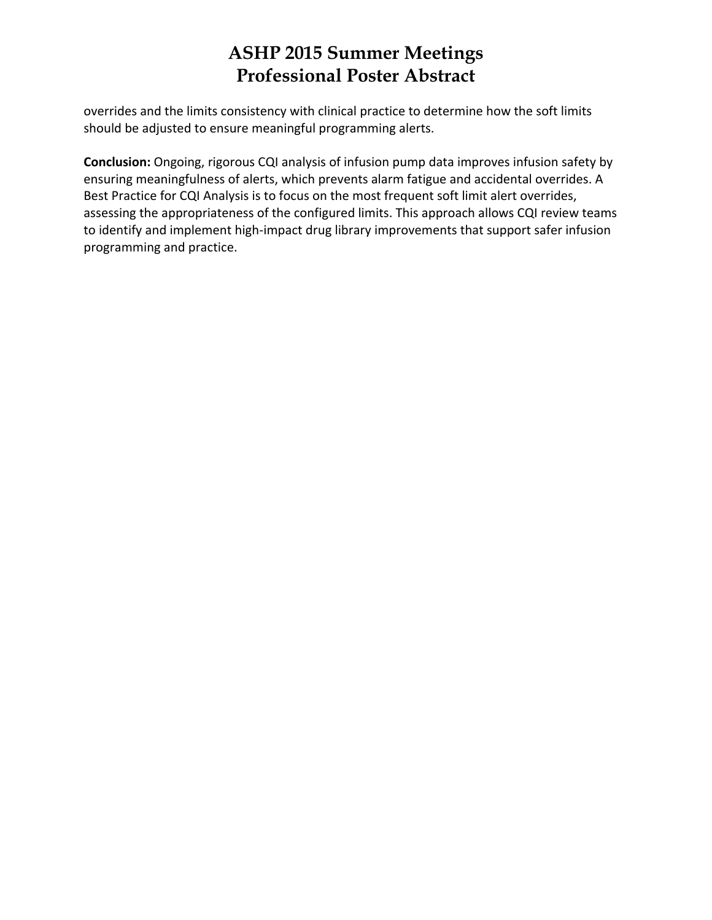overrides and the limits consistency with clinical practice to determine how the soft limits should be adjusted to ensure meaningful programming alerts.

**Conclusion:** Ongoing, rigorous CQI analysis of infusion pump data improves infusion safety by ensuring meaningfulness of alerts, which prevents alarm fatigue and accidental overrides. A Best Practice for CQI Analysis is to focus on the most frequent soft limit alert overrides, assessing the appropriateness of the configured limits. This approach allows CQI review teams to identify and implement high‐impact drug library improvements that support safer infusion programming and practice.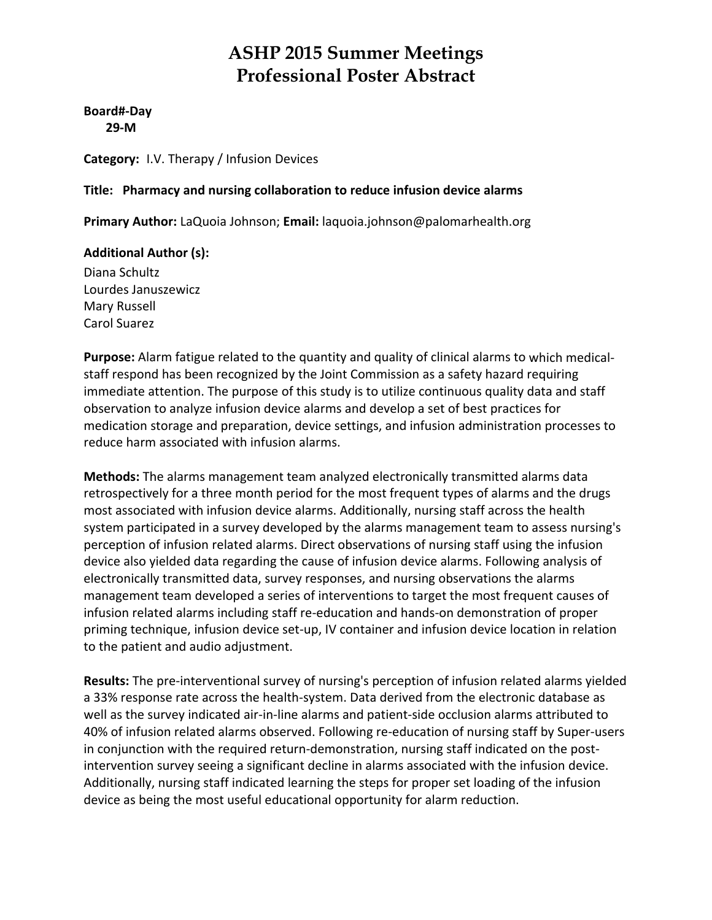**Board#‐Day 29‐M**

**Category:** I.V. Therapy / Infusion Devices

#### **Title: Pharmacy and nursing collaboration to reduce infusion device alarms**

**Primary Author:** LaQuoia Johnson; **Email:** laquoia.johnson@palomarhealth.org

#### **Additional Author (s):**

Diana Schultz Lourdes Januszewicz Mary Russell Carol Suarez

**Purpose:** Alarm fatigue related to the quantity and quality of clinical alarms to which medical‐ staff respond has been recognized by the Joint Commission as a safety hazard requiring immediate attention. The purpose of this study is to utilize continuous quality data and staff observation to analyze infusion device alarms and develop a set of best practices for medication storage and preparation, device settings, and infusion administration processes to reduce harm associated with infusion alarms.

**Methods:** The alarms management team analyzed electronically transmitted alarms data retrospectively for a three month period for the most frequent types of alarms and the drugs most associated with infusion device alarms. Additionally, nursing staff across the health system participated in a survey developed by the alarms management team to assess nursing's perception of infusion related alarms. Direct observations of nursing staff using the infusion device also yielded data regarding the cause of infusion device alarms. Following analysis of electronically transmitted data, survey responses, and nursing observations the alarms management team developed a series of interventions to target the most frequent causes of infusion related alarms including staff re‐education and hands‐on demonstration of proper priming technique, infusion device set‐up, IV container and infusion device location in relation to the patient and audio adjustment.

**Results:** The pre‐interventional survey of nursing's perception of infusion related alarms yielded a 33% response rate across the health‐system. Data derived from the electronic database as well as the survey indicated air‐in‐line alarms and patient‐side occlusion alarms attributed to 40% of infusion related alarms observed. Following re‐education of nursing staff by Super‐users in conjunction with the required return-demonstration, nursing staff indicated on the postintervention survey seeing a significant decline in alarms associated with the infusion device. Additionally, nursing staff indicated learning the steps for proper set loading of the infusion device as being the most useful educational opportunity for alarm reduction.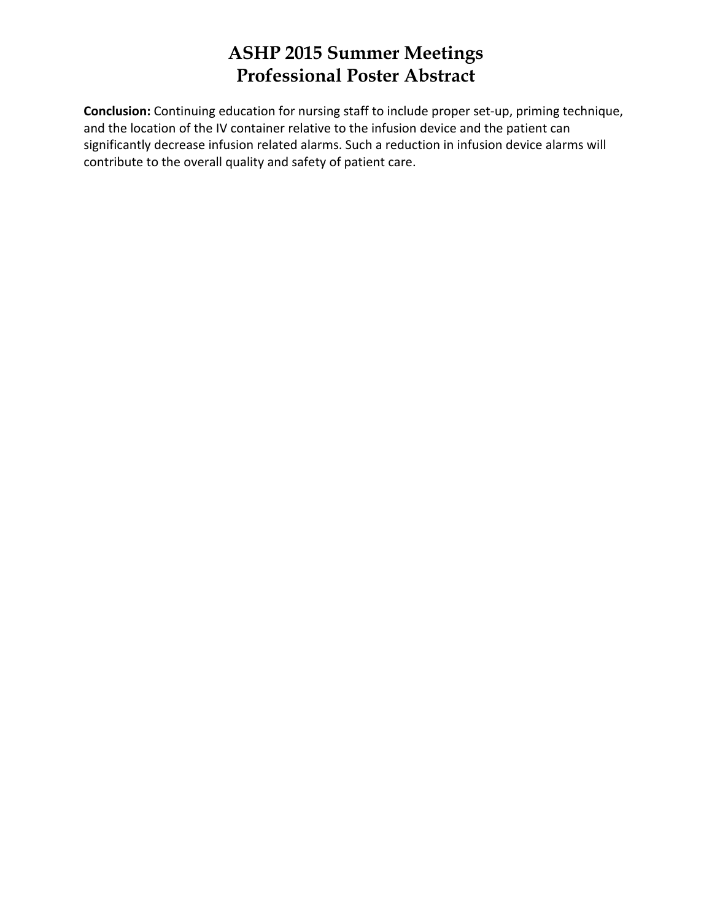**Conclusion:** Continuing education for nursing staff to include proper set‐up, priming technique, and the location of the IV container relative to the infusion device and the patient can significantly decrease infusion related alarms. Such a reduction in infusion device alarms will contribute to the overall quality and safety of patient care.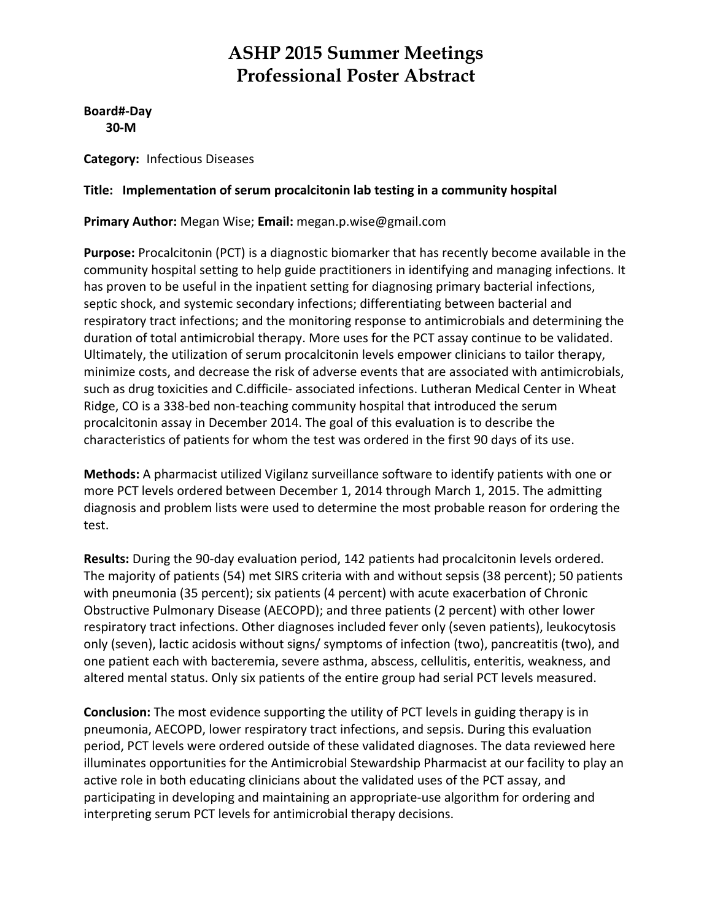**Board#‐Day 30‐M**

**Category:** Infectious Diseases

#### **Title: Implementation of serum procalcitonin lab testing in a community hospital**

**Primary Author:** Megan Wise; **Email:** megan.p.wise@gmail.com

**Purpose:** Procalcitonin (PCT) is a diagnostic biomarker that has recently become available in the community hospital setting to help guide practitioners in identifying and managing infections. It has proven to be useful in the inpatient setting for diagnosing primary bacterial infections, septic shock, and systemic secondary infections; differentiating between bacterial and respiratory tract infections; and the monitoring response to antimicrobials and determining the duration of total antimicrobial therapy. More uses for the PCT assay continue to be validated. Ultimately, the utilization of serum procalcitonin levels empower clinicians to tailor therapy, minimize costs, and decrease the risk of adverse events that are associated with antimicrobials, such as drug toxicities and C.difficile‐ associated infections. Lutheran Medical Center in Wheat Ridge, CO is a 338‐bed non‐teaching community hospital that introduced the serum procalcitonin assay in December 2014. The goal of this evaluation is to describe the characteristics of patients for whom the test was ordered in the first 90 days of its use.

**Methods:** A pharmacist utilized Vigilanz surveillance software to identify patients with one or more PCT levels ordered between December 1, 2014 through March 1, 2015. The admitting diagnosis and problem lists were used to determine the most probable reason for ordering the test.

**Results:** During the 90‐day evaluation period, 142 patients had procalcitonin levels ordered. The majority of patients (54) met SIRS criteria with and without sepsis (38 percent); 50 patients with pneumonia (35 percent); six patients (4 percent) with acute exacerbation of Chronic Obstructive Pulmonary Disease (AECOPD); and three patients (2 percent) with other lower respiratory tract infections. Other diagnoses included fever only (seven patients), leukocytosis only (seven), lactic acidosis without signs/ symptoms of infection (two), pancreatitis (two), and one patient each with bacteremia, severe asthma, abscess, cellulitis, enteritis, weakness, and altered mental status. Only six patients of the entire group had serial PCT levels measured.

**Conclusion:** The most evidence supporting the utility of PCT levels in guiding therapy is in pneumonia, AECOPD, lower respiratory tract infections, and sepsis. During this evaluation period, PCT levels were ordered outside of these validated diagnoses. The data reviewed here illuminates opportunities for the Antimicrobial Stewardship Pharmacist at our facility to play an active role in both educating clinicians about the validated uses of the PCT assay, and participating in developing and maintaining an appropriate‐use algorithm for ordering and interpreting serum PCT levels for antimicrobial therapy decisions.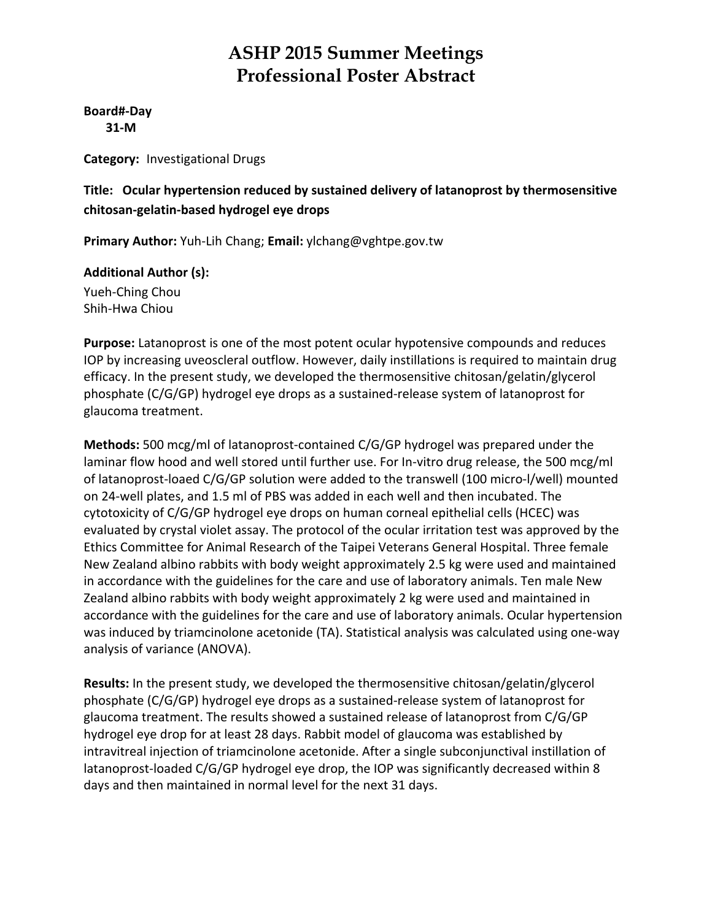**Board#‐Day 31‐M**

**Category:** Investigational Drugs

#### **Title: Ocular hypertension reduced by sustained delivery of latanoprost by thermosensitive chitosan‐gelatin‐based hydrogel eye drops**

**Primary Author:** Yuh‐Lih Chang; **Email:** ylchang@vghtpe.gov.tw

**Additional Author (s):** Yueh‐Ching Chou Shih‐Hwa Chiou

**Purpose:** Latanoprost is one of the most potent ocular hypotensive compounds and reduces IOP by increasing uveoscleral outflow. However, daily instillations is required to maintain drug efficacy. In the present study, we developed the thermosensitive chitosan/gelatin/glycerol phosphate (C/G/GP) hydrogel eye drops as a sustained‐release system of latanoprost for glaucoma treatment.

**Methods:** 500 mcg/ml of latanoprost‐contained C/G/GP hydrogel was prepared under the laminar flow hood and well stored until further use. For In-vitro drug release, the 500 mcg/ml of latanoprost‐loaed C/G/GP solution were added to the transwell (100 micro‐l/well) mounted on 24‐well plates, and 1.5 ml of PBS was added in each well and then incubated. The cytotoxicity of C/G/GP hydrogel eye drops on human corneal epithelial cells (HCEC) was evaluated by crystal violet assay. The protocol of the ocular irritation test was approved by the Ethics Committee for Animal Research of the Taipei Veterans General Hospital. Three female New Zealand albino rabbits with body weight approximately 2.5 kg were used and maintained in accordance with the guidelines for the care and use of laboratory animals. Ten male New Zealand albino rabbits with body weight approximately 2 kg were used and maintained in accordance with the guidelines for the care and use of laboratory animals. Ocular hypertension was induced by triamcinolone acetonide (TA). Statistical analysis was calculated using one‐way analysis of variance (ANOVA).

**Results:** In the present study, we developed the thermosensitive chitosan/gelatin/glycerol phosphate (C/G/GP) hydrogel eye drops as a sustained‐release system of latanoprost for glaucoma treatment. The results showed a sustained release of latanoprost from C/G/GP hydrogel eye drop for at least 28 days. Rabbit model of glaucoma was established by intravitreal injection of triamcinolone acetonide. After a single subconjunctival instillation of latanoprost-loaded C/G/GP hydrogel eye drop, the IOP was significantly decreased within 8 days and then maintained in normal level for the next 31 days.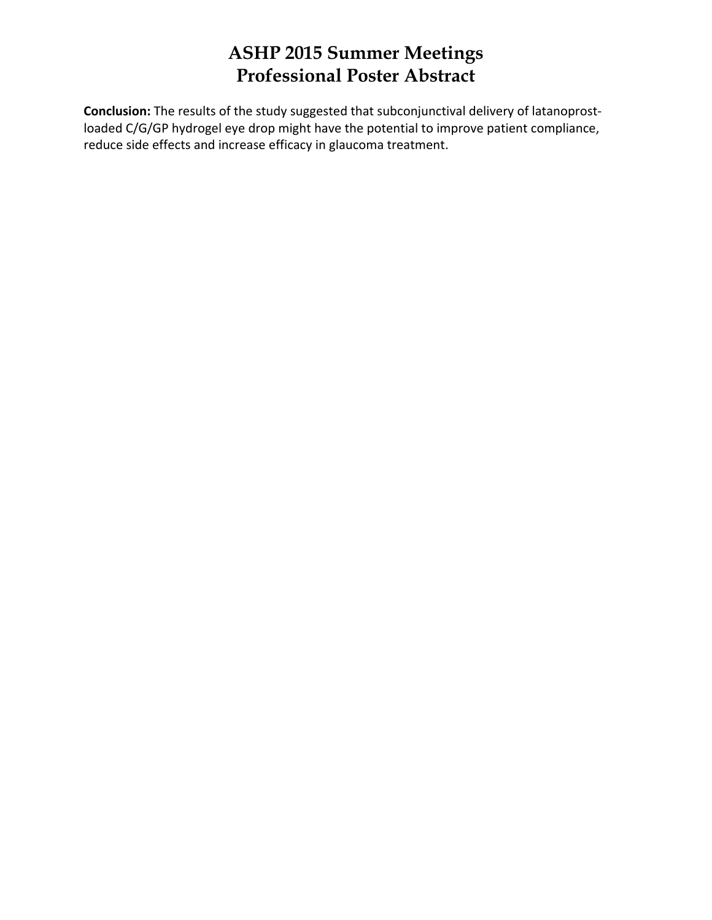**Conclusion:** The results of the study suggested that subconjunctival delivery of latanoprost‐ loaded C/G/GP hydrogel eye drop might have the potential to improve patient compliance, reduce side effects and increase efficacy in glaucoma treatment.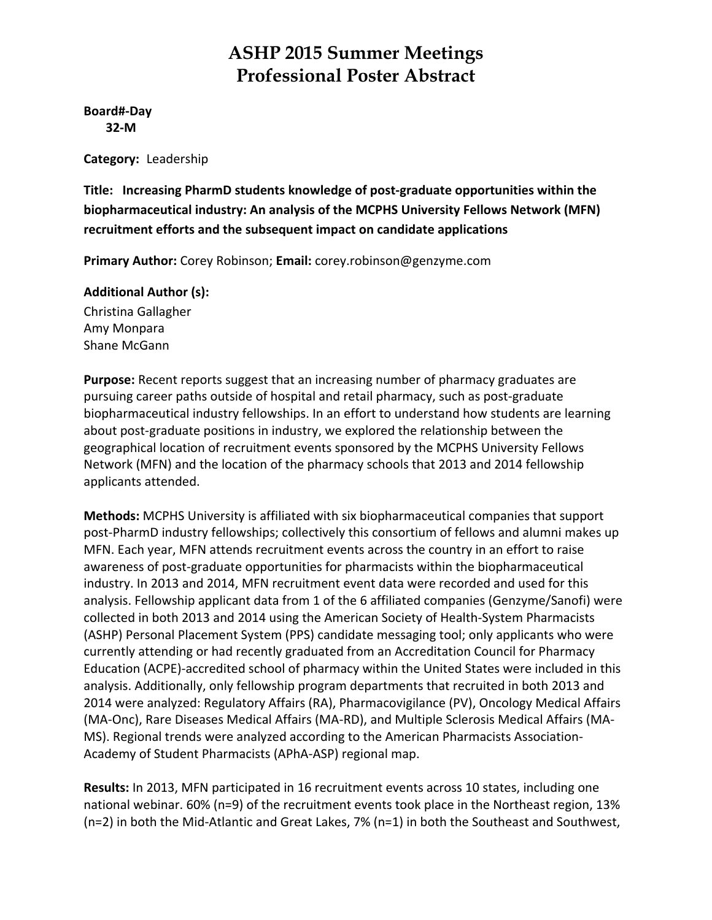**Board#‐Day 32‐M**

**Category:** Leadership

**Title: Increasing PharmD students knowledge of post‐graduate opportunities within the biopharmaceutical industry: An analysis of the MCPHS University Fellows Network (MFN) recruitment efforts and the subsequent impact on candidate applications**

**Primary Author:** Corey Robinson; **Email:** corey.robinson@genzyme.com

#### **Additional Author (s):**

Christina Gallagher Amy Monpara Shane McGann

**Purpose:** Recent reports suggest that an increasing number of pharmacy graduates are pursuing career paths outside of hospital and retail pharmacy, such as post‐graduate biopharmaceutical industry fellowships. In an effort to understand how students are learning about post-graduate positions in industry, we explored the relationship between the geographical location of recruitment events sponsored by the MCPHS University Fellows Network (MFN) and the location of the pharmacy schools that 2013 and 2014 fellowship applicants attended.

**Methods:** MCPHS University is affiliated with six biopharmaceutical companies that support post‐PharmD industry fellowships; collectively this consortium of fellows and alumni makes up MFN. Each year, MFN attends recruitment events across the country in an effort to raise awareness of post‐graduate opportunities for pharmacists within the biopharmaceutical industry. In 2013 and 2014, MFN recruitment event data were recorded and used for this analysis. Fellowship applicant data from 1 of the 6 affiliated companies (Genzyme/Sanofi) were collected in both 2013 and 2014 using the American Society of Health‐System Pharmacists (ASHP) Personal Placement System (PPS) candidate messaging tool; only applicants who were currently attending or had recently graduated from an Accreditation Council for Pharmacy Education (ACPE)‐accredited school of pharmacy within the United States were included in this analysis. Additionally, only fellowship program departments that recruited in both 2013 and 2014 were analyzed: Regulatory Affairs (RA), Pharmacovigilance (PV), Oncology Medical Affairs (MA‐Onc), Rare Diseases Medical Affairs (MA‐RD), and Multiple Sclerosis Medical Affairs (MA‐ MS). Regional trends were analyzed according to the American Pharmacists Association‐ Academy of Student Pharmacists (APhA‐ASP) regional map.

**Results:** In 2013, MFN participated in 16 recruitment events across 10 states, including one national webinar. 60% (n=9) of the recruitment events took place in the Northeast region, 13% (n=2) in both the Mid‐Atlantic and Great Lakes, 7% (n=1) in both the Southeast and Southwest,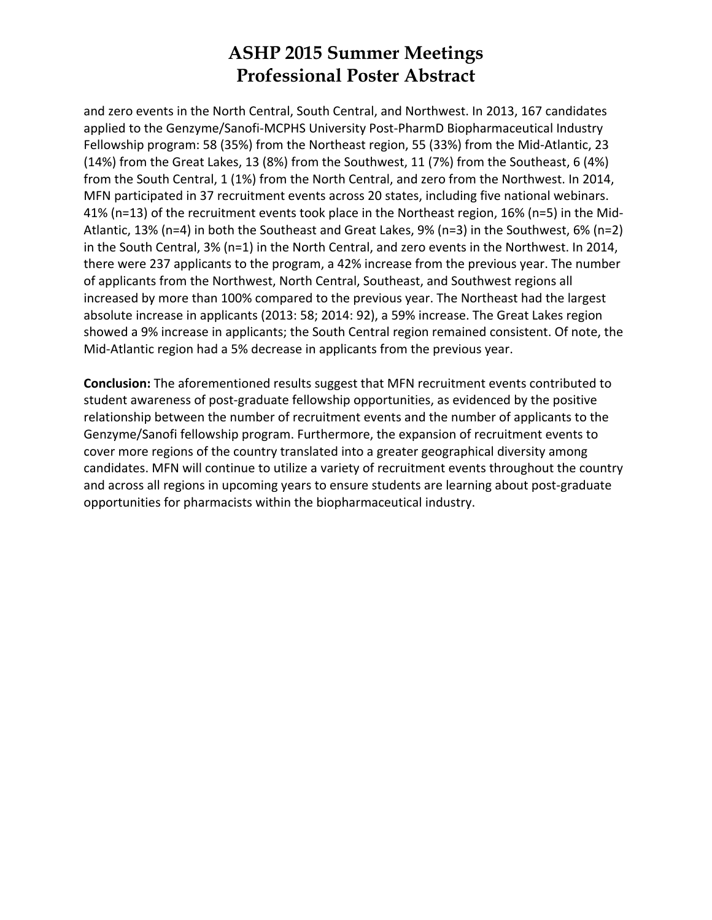and zero events in the North Central, South Central, and Northwest. In 2013, 167 candidates applied to the Genzyme/Sanofi‐MCPHS University Post‐PharmD Biopharmaceutical Industry Fellowship program: 58 (35%) from the Northeast region, 55 (33%) from the Mid‐Atlantic, 23 (14%) from the Great Lakes, 13 (8%) from the Southwest, 11 (7%) from the Southeast, 6 (4%) from the South Central, 1 (1%) from the North Central, and zero from the Northwest. In 2014, MFN participated in 37 recruitment events across 20 states, including five national webinars. 41% (n=13) of the recruitment events took place in the Northeast region, 16% (n=5) in the Mid‐ Atlantic, 13% (n=4) in both the Southeast and Great Lakes, 9% (n=3) in the Southwest, 6% (n=2) in the South Central, 3% (n=1) in the North Central, and zero events in the Northwest. In 2014, there were 237 applicants to the program, a 42% increase from the previous year. The number of applicants from the Northwest, North Central, Southeast, and Southwest regions all increased by more than 100% compared to the previous year. The Northeast had the largest absolute increase in applicants (2013: 58; 2014: 92), a 59% increase. The Great Lakes region showed a 9% increase in applicants; the South Central region remained consistent. Of note, the Mid‐Atlantic region had a 5% decrease in applicants from the previous year.

**Conclusion:** The aforementioned results suggest that MFN recruitment events contributed to student awareness of post‐graduate fellowship opportunities, as evidenced by the positive relationship between the number of recruitment events and the number of applicants to the Genzyme/Sanofi fellowship program. Furthermore, the expansion of recruitment events to cover more regions of the country translated into a greater geographical diversity among candidates. MFN will continue to utilize a variety of recruitment events throughout the country and across all regions in upcoming years to ensure students are learning about post-graduate opportunities for pharmacists within the biopharmaceutical industry.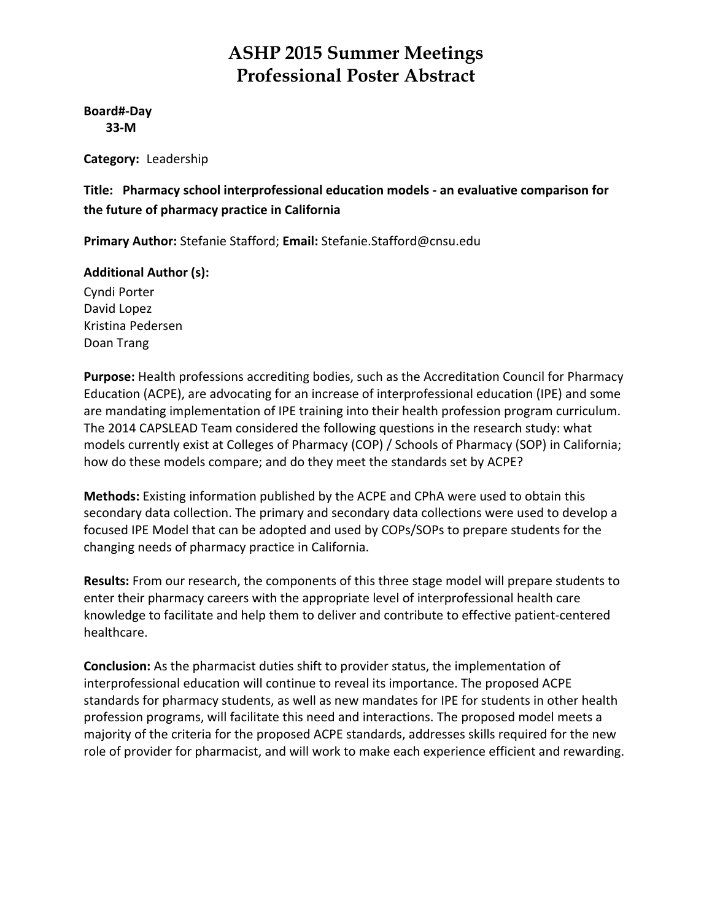#### **Board#‐Day 33‐M**

**Category:** Leadership

**Title: Pharmacy school interprofessional education models ‐ an evaluative comparison for the future of pharmacy practice in California**

**Primary Author:** Stefanie Stafford; **Email:** Stefanie.Stafford@cnsu.edu

#### **Additional Author (s):**

Cyndi Porter David Lopez Kristina Pedersen Doan Trang

**Purpose:** Health professions accrediting bodies, such as the Accreditation Council for Pharmacy Education (ACPE), are advocating for an increase of interprofessional education (IPE) and some are mandating implementation of IPE training into their health profession program curriculum. The 2014 CAPSLEAD Team considered the following questions in the research study: what models currently exist at Colleges of Pharmacy (COP) / Schools of Pharmacy (SOP) in California; how do these models compare; and do they meet the standards set by ACPE?

**Methods:** Existing information published by the ACPE and CPhA were used to obtain this secondary data collection. The primary and secondary data collections were used to develop a focused IPE Model that can be adopted and used by COPs/SOPs to prepare students for the changing needs of pharmacy practice in California.

**Results:** From our research, the components of this three stage model will prepare students to enter their pharmacy careers with the appropriate level of interprofessional health care knowledge to facilitate and help them to deliver and contribute to effective patient‐centered healthcare.

**Conclusion:** As the pharmacist duties shift to provider status, the implementation of interprofessional education will continue to reveal its importance. The proposed ACPE standards for pharmacy students, as well as new mandates for IPE for students in other health profession programs, will facilitate this need and interactions. The proposed model meets a majority of the criteria for the proposed ACPE standards, addresses skills required for the new role of provider for pharmacist, and will work to make each experience efficient and rewarding.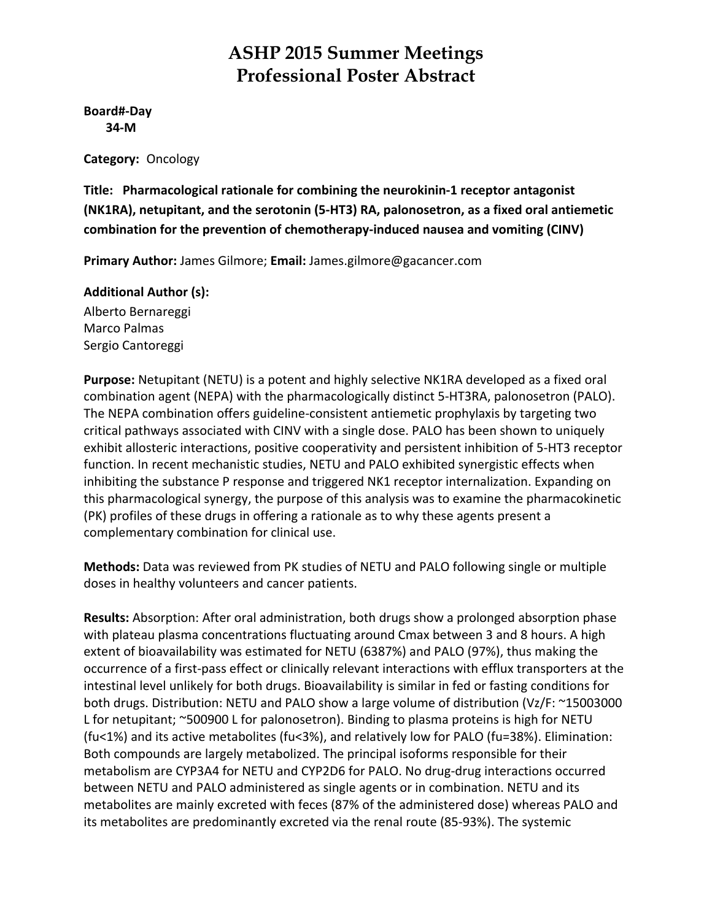**Board#‐Day 34‐M**

**Category:** Oncology

**Title: Pharmacological rationale for combining the neurokinin‐1 receptor antagonist (NK1RA), netupitant, and the serotonin (5‐HT3) RA, palonosetron, as a fixed oral antiemetic combination for the prevention of chemotherapy‐induced nausea and vomiting (CINV)**

**Primary Author:** James Gilmore; **Email:** James.gilmore@gacancer.com

**Additional Author (s):**

Alberto Bernareggi Marco Palmas Sergio Cantoreggi

**Purpose:** Netupitant (NETU) is a potent and highly selective NK1RA developed as a fixed oral combination agent (NEPA) with the pharmacologically distinct 5‐HT3RA, palonosetron (PALO). The NEPA combination offers guideline‐consistent antiemetic prophylaxis by targeting two critical pathways associated with CINV with a single dose. PALO has been shown to uniquely exhibit allosteric interactions, positive cooperativity and persistent inhibition of 5‐HT3 receptor function. In recent mechanistic studies, NETU and PALO exhibited synergistic effects when inhibiting the substance P response and triggered NK1 receptor internalization. Expanding on this pharmacological synergy, the purpose of this analysis was to examine the pharmacokinetic (PK) profiles of these drugs in offering a rationale as to why these agents present a complementary combination for clinical use.

**Methods:** Data was reviewed from PK studies of NETU and PALO following single or multiple doses in healthy volunteers and cancer patients.

**Results:** Absorption: After oral administration, both drugs show a prolonged absorption phase with plateau plasma concentrations fluctuating around Cmax between 3 and 8 hours. A high extent of bioavailability was estimated for NETU (6387%) and PALO (97%), thus making the occurrence of a first‐pass effect or clinically relevant interactions with efflux transporters at the intestinal level unlikely for both drugs. Bioavailability is similar in fed or fasting conditions for both drugs. Distribution: NETU and PALO show a large volume of distribution (Vz/F: ~15003000 L for netupitant; ~500900 L for palonosetron). Binding to plasma proteins is high for NETU (fu<1%) and its active metabolites (fu<3%), and relatively low for PALO (fu=38%). Elimination: Both compounds are largely metabolized. The principal isoforms responsible for their metabolism are CYP3A4 for NETU and CYP2D6 for PALO. No drug‐drug interactions occurred between NETU and PALO administered as single agents or in combination. NETU and its metabolites are mainly excreted with feces (87% of the administered dose) whereas PALO and its metabolites are predominantly excreted via the renal route (85‐93%). The systemic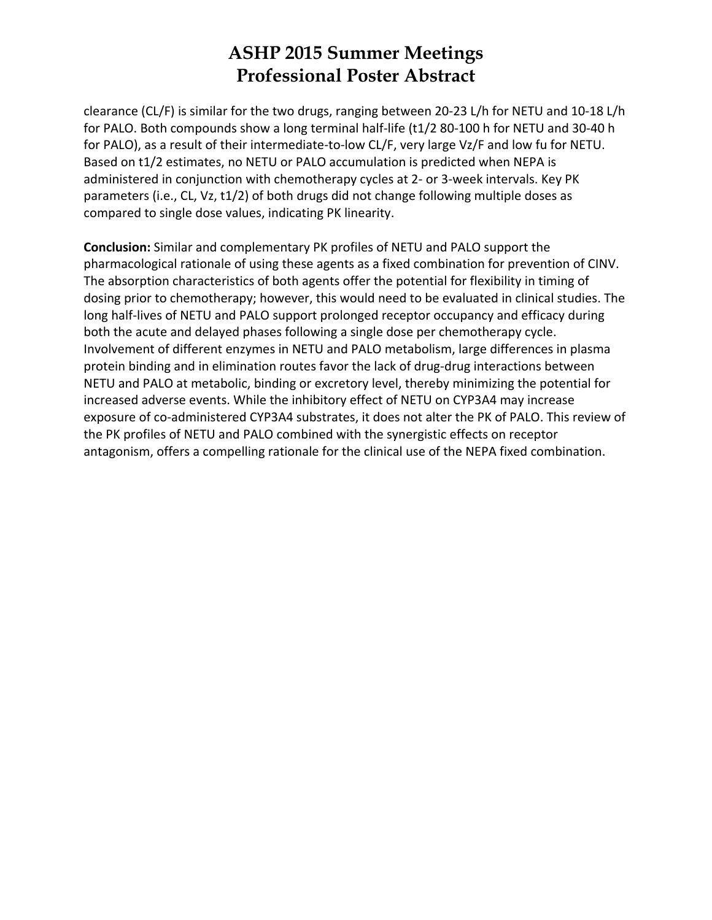clearance (CL/F) is similar for the two drugs, ranging between 20‐23 L/h for NETU and 10‐18 L/h for PALO. Both compounds show a long terminal half‐life (t1/2 80‐100 h for NETU and 30‐40 h for PALO), as a result of their intermediate-to-low CL/F, very large Vz/F and low fu for NETU. Based on t1/2 estimates, no NETU or PALO accumulation is predicted when NEPA is administered in conjunction with chemotherapy cycles at 2‐ or 3‐week intervals. Key PK parameters (i.e., CL, Vz, t1/2) of both drugs did not change following multiple doses as compared to single dose values, indicating PK linearity.

**Conclusion:** Similar and complementary PK profiles of NETU and PALO support the pharmacological rationale of using these agents as a fixed combination for prevention of CINV. The absorption characteristics of both agents offer the potential for flexibility in timing of dosing prior to chemotherapy; however, this would need to be evaluated in clinical studies. The long half‐lives of NETU and PALO support prolonged receptor occupancy and efficacy during both the acute and delayed phases following a single dose per chemotherapy cycle. Involvement of different enzymes in NETU and PALO metabolism, large differences in plasma protein binding and in elimination routes favor the lack of drug-drug interactions between NETU and PALO at metabolic, binding or excretory level, thereby minimizing the potential for increased adverse events. While the inhibitory effect of NETU on CYP3A4 may increase exposure of co-administered CYP3A4 substrates, it does not alter the PK of PALO. This review of the PK profiles of NETU and PALO combined with the synergistic effects on receptor antagonism, offers a compelling rationale for the clinical use of the NEPA fixed combination.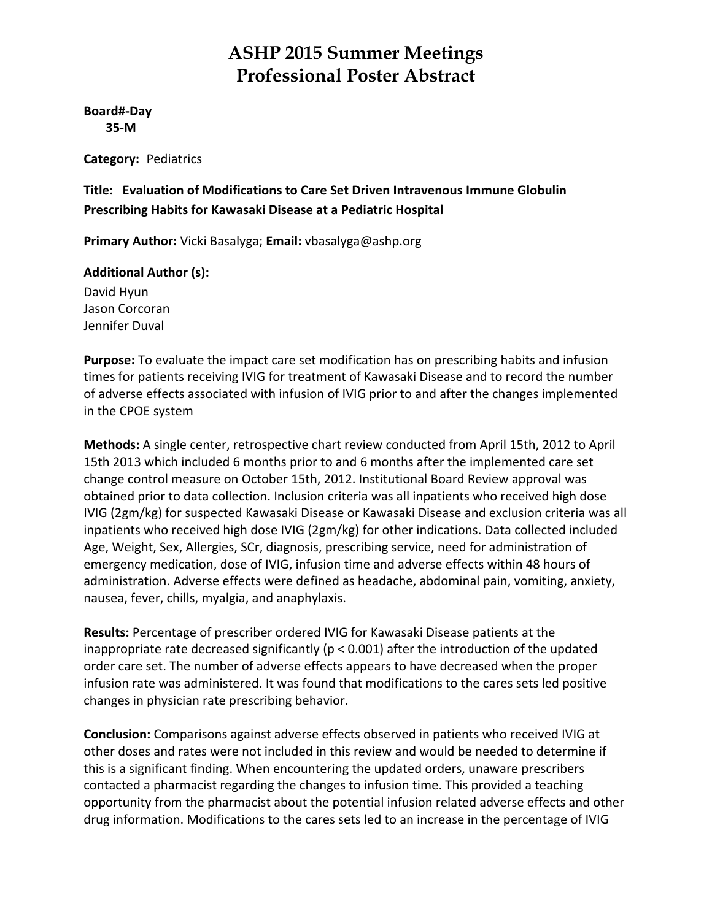**Board#‐Day 35‐M**

**Category:** Pediatrics

**Title: Evaluation of Modifications to Care Set Driven Intravenous Immune Globulin Prescribing Habits for Kawasaki Disease at a Pediatric Hospital**

**Primary Author:** Vicki Basalyga; **Email:** vbasalyga@ashp.org

#### **Additional Author (s):**

David Hyun Jason Corcoran Jennifer Duval

**Purpose:** To evaluate the impact care set modification has on prescribing habits and infusion times for patients receiving IVIG for treatment of Kawasaki Disease and to record the number of adverse effects associated with infusion of IVIG prior to and after the changes implemented in the CPOE system

**Methods:** A single center, retrospective chart review conducted from April 15th, 2012 to April 15th 2013 which included 6 months prior to and 6 months after the implemented care set change control measure on October 15th, 2012. Institutional Board Review approval was obtained prior to data collection. Inclusion criteria was all inpatients who received high dose IVIG (2gm/kg) for suspected Kawasaki Disease or Kawasaki Disease and exclusion criteria was all inpatients who received high dose IVIG (2gm/kg) for other indications. Data collected included Age, Weight, Sex, Allergies, SCr, diagnosis, prescribing service, need for administration of emergency medication, dose of IVIG, infusion time and adverse effects within 48 hours of administration. Adverse effects were defined as headache, abdominal pain, vomiting, anxiety, nausea, fever, chills, myalgia, and anaphylaxis.

**Results:** Percentage of prescriber ordered IVIG for Kawasaki Disease patients at the inappropriate rate decreased significantly ( $p < 0.001$ ) after the introduction of the updated order care set. The number of adverse effects appears to have decreased when the proper infusion rate was administered. It was found that modifications to the cares sets led positive changes in physician rate prescribing behavior.

**Conclusion:** Comparisons against adverse effects observed in patients who received IVIG at other doses and rates were not included in this review and would be needed to determine if this is a significant finding. When encountering the updated orders, unaware prescribers contacted a pharmacist regarding the changes to infusion time. This provided a teaching opportunity from the pharmacist about the potential infusion related adverse effects and other drug information. Modifications to the cares sets led to an increase in the percentage of IVIG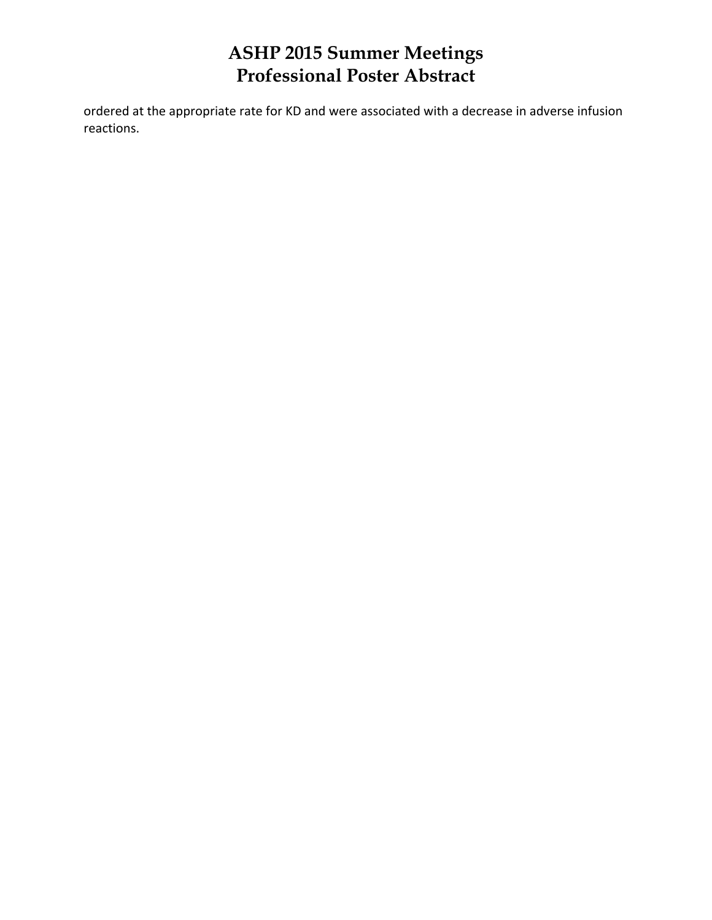ordered at the appropriate rate for KD and were associated with a decrease in adverse infusion reactions.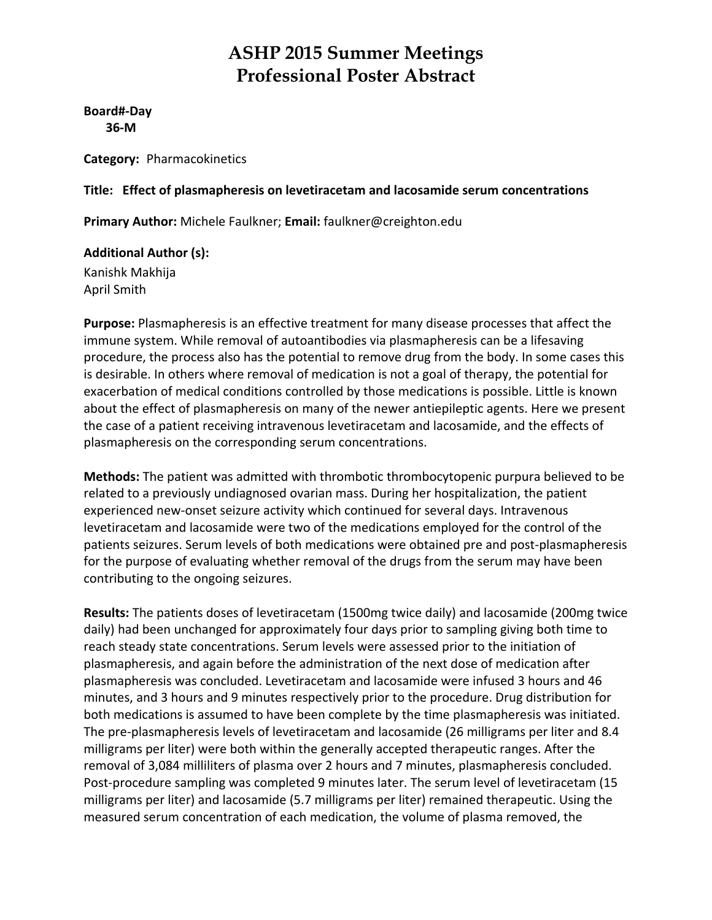**Board#‐Day 36‐M**

**Category:** Pharmacokinetics

#### **Title: Effect of plasmapheresis on levetiracetam and lacosamide serum concentrations**

**Primary Author:** Michele Faulkner; **Email:** faulkner@creighton.edu

**Additional Author (s):** Kanishk Makhija April Smith

**Purpose:** Plasmapheresis is an effective treatment for many disease processes that affect the immune system. While removal of autoantibodies via plasmapheresis can be a lifesaving procedure, the process also has the potential to remove drug from the body. In some cases this is desirable. In others where removal of medication is not a goal of therapy, the potential for exacerbation of medical conditions controlled by those medications is possible. Little is known about the effect of plasmapheresis on many of the newer antiepileptic agents. Here we present the case of a patient receiving intravenous levetiracetam and lacosamide, and the effects of plasmapheresis on the corresponding serum concentrations.

**Methods:** The patient was admitted with thrombotic thrombocytopenic purpura believed to be related to a previously undiagnosed ovarian mass. During her hospitalization, the patient experienced new-onset seizure activity which continued for several days. Intravenous levetiracetam and lacosamide were two of the medications employed for the control of the patients seizures. Serum levels of both medications were obtained pre and post-plasmapheresis for the purpose of evaluating whether removal of the drugs from the serum may have been contributing to the ongoing seizures.

**Results:** The patients doses of levetiracetam (1500mg twice daily) and lacosamide (200mg twice daily) had been unchanged for approximately four days prior to sampling giving both time to reach steady state concentrations. Serum levels were assessed prior to the initiation of plasmapheresis, and again before the administration of the next dose of medication after plasmapheresis was concluded. Levetiracetam and lacosamide were infused 3 hours and 46 minutes, and 3 hours and 9 minutes respectively prior to the procedure. Drug distribution for both medications is assumed to have been complete by the time plasmapheresis was initiated. The pre‐plasmapheresis levels of levetiracetam and lacosamide (26 milligrams per liter and 8.4 milligrams per liter) were both within the generally accepted therapeutic ranges. After the removal of 3,084 milliliters of plasma over 2 hours and 7 minutes, plasmapheresis concluded. Post‐procedure sampling was completed 9 minutes later. The serum level of levetiracetam (15 milligrams per liter) and lacosamide (5.7 milligrams per liter) remained therapeutic. Using the measured serum concentration of each medication, the volume of plasma removed, the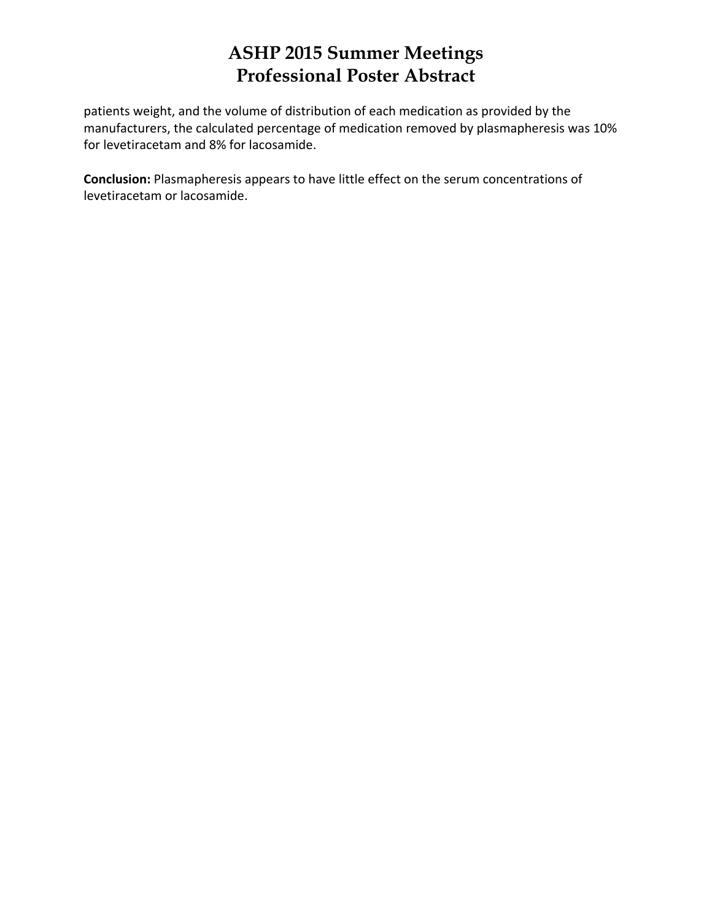patients weight, and the volume of distribution of each medication as provided by the manufacturers, the calculated percentage of medication removed by plasmapheresis was 10% for levetiracetam and 8% for lacosamide.

**Conclusion:** Plasmapheresis appears to have little effect on the serum concentrations of levetiracetam or lacosamide.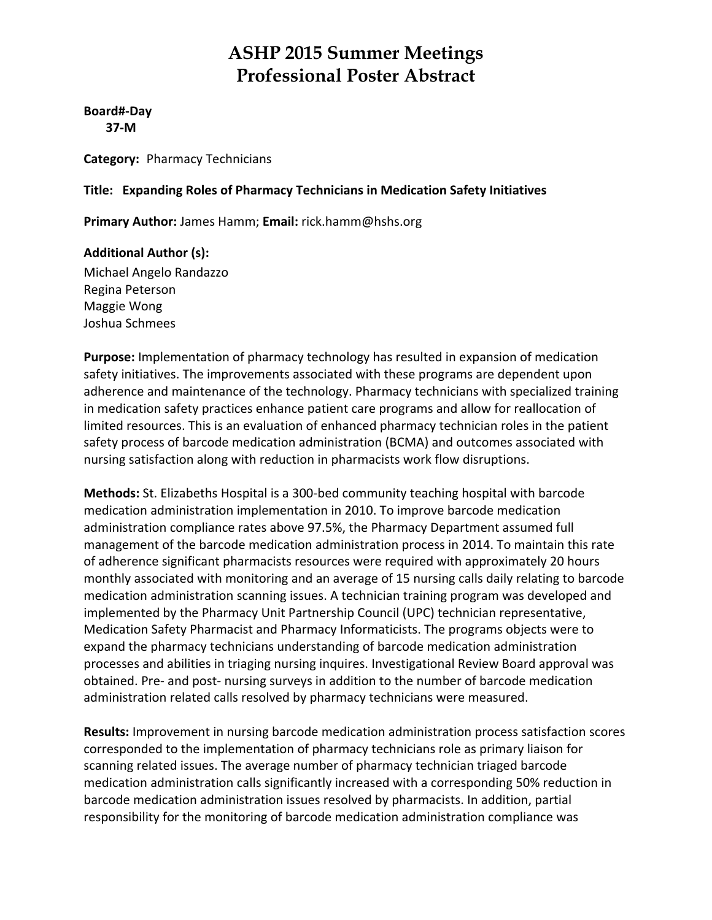**Board#‐Day 37‐M**

**Category:** Pharmacy Technicians

#### **Title: Expanding Roles of Pharmacy Technicians in Medication Safety Initiatives**

**Primary Author:** James Hamm; **Email:** rick.hamm@hshs.org

#### **Additional Author (s):**

Michael Angelo Randazzo Regina Peterson Maggie Wong Joshua Schmees

**Purpose:** Implementation of pharmacy technology has resulted in expansion of medication safety initiatives. The improvements associated with these programs are dependent upon adherence and maintenance of the technology. Pharmacy technicians with specialized training in medication safety practices enhance patient care programs and allow for reallocation of limited resources. This is an evaluation of enhanced pharmacy technician roles in the patient safety process of barcode medication administration (BCMA) and outcomes associated with nursing satisfaction along with reduction in pharmacists work flow disruptions.

**Methods:** St. Elizabeths Hospital is a 300‐bed community teaching hospital with barcode medication administration implementation in 2010. To improve barcode medication administration compliance rates above 97.5%, the Pharmacy Department assumed full management of the barcode medication administration process in 2014. To maintain this rate of adherence significant pharmacists resources were required with approximately 20 hours monthly associated with monitoring and an average of 15 nursing calls daily relating to barcode medication administration scanning issues. A technician training program was developed and implemented by the Pharmacy Unit Partnership Council (UPC) technician representative, Medication Safety Pharmacist and Pharmacy Informaticists. The programs objects were to expand the pharmacy technicians understanding of barcode medication administration processes and abilities in triaging nursing inquires. Investigational Review Board approval was obtained. Pre‐ and post‐ nursing surveys in addition to the number of barcode medication administration related calls resolved by pharmacy technicians were measured.

**Results:** Improvement in nursing barcode medication administration process satisfaction scores corresponded to the implementation of pharmacy technicians role as primary liaison for scanning related issues. The average number of pharmacy technician triaged barcode medication administration calls significantly increased with a corresponding 50% reduction in barcode medication administration issues resolved by pharmacists. In addition, partial responsibility for the monitoring of barcode medication administration compliance was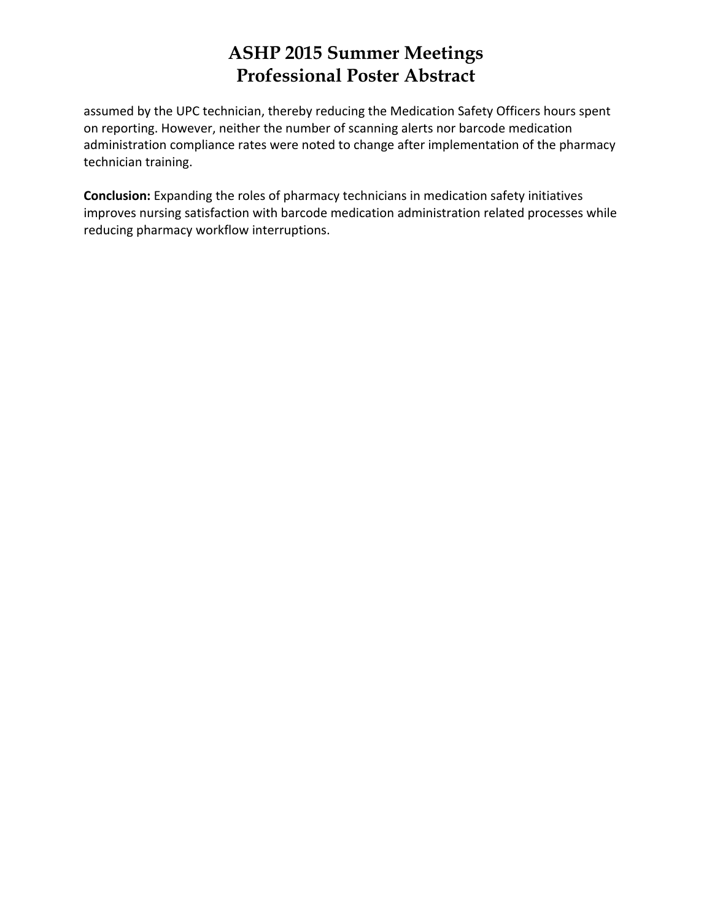assumed by the UPC technician, thereby reducing the Medication Safety Officers hours spent on reporting. However, neither the number of scanning alerts nor barcode medication administration compliance rates were noted to change after implementation of the pharmacy technician training.

**Conclusion:** Expanding the roles of pharmacy technicians in medication safety initiatives improves nursing satisfaction with barcode medication administration related processes while reducing pharmacy workflow interruptions.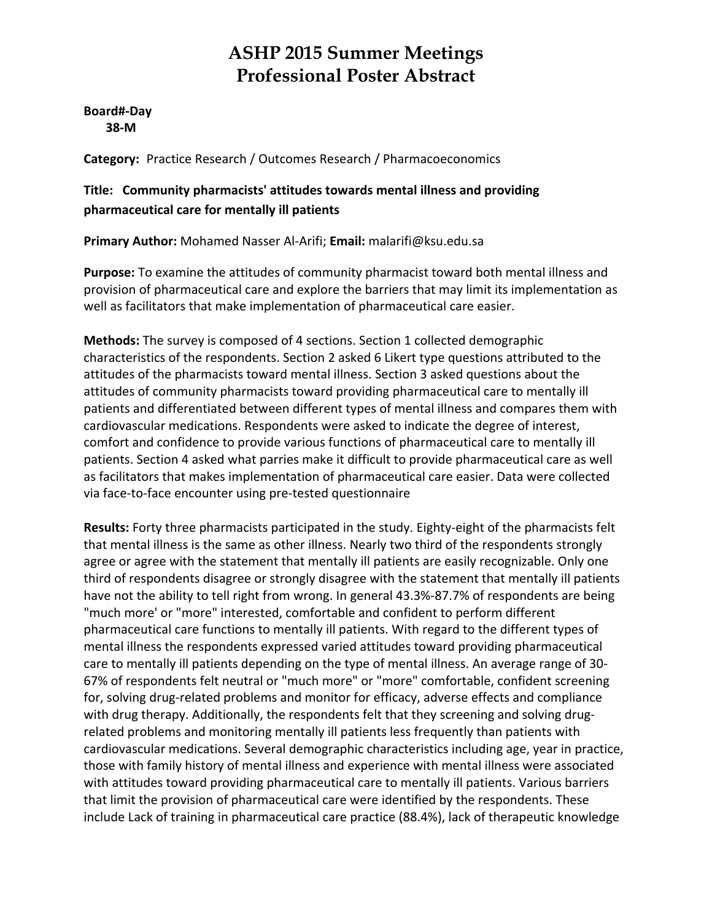**Board#‐Day 38‐M**

**Category:** Practice Research / Outcomes Research / Pharmacoeconomics

#### **Title: Community pharmacists' attitudes towards mental illness and providing pharmaceutical care for mentally ill patients**

**Primary Author:** Mohamed Nasser Al‐Arifi; **Email:** malarifi@ksu.edu.sa

**Purpose:** To examine the attitudes of community pharmacist toward both mental illness and provision of pharmaceutical care and explore the barriers that may limit its implementation as well as facilitators that make implementation of pharmaceutical care easier.

**Methods:** The survey is composed of 4 sections. Section 1 collected demographic characteristics of the respondents. Section 2 asked 6 Likert type questions attributed to the attitudes of the pharmacists toward mental illness. Section 3 asked questions about the attitudes of community pharmacists toward providing pharmaceutical care to mentally ill patients and differentiated between different types of mental illness and compares them with cardiovascular medications. Respondents were asked to indicate the degree of interest, comfort and confidence to provide various functions of pharmaceutical care to mentally ill patients. Section 4 asked what parries make it difficult to provide pharmaceutical care as well as facilitators that makes implementation of pharmaceutical care easier. Data were collected via face‐to‐face encounter using pre‐tested questionnaire

**Results:** Forty three pharmacists participated in the study. Eighty‐eight of the pharmacists felt that mental illness is the same as other illness. Nearly two third of the respondents strongly agree or agree with the statement that mentally ill patients are easily recognizable. Only one third of respondents disagree or strongly disagree with the statement that mentally ill patients have not the ability to tell right from wrong. In general 43.3%-87.7% of respondents are being "much more' or "more" interested, comfortable and confident to perform different pharmaceutical care functions to mentally ill patients. With regard to the different types of mental illness the respondents expressed varied attitudes toward providing pharmaceutical care to mentally ill patients depending on the type of mental illness. An average range of 30‐ 67% of respondents felt neutral or "much more" or "more" comfortable, confident screening for, solving drug‐related problems and monitor for efficacy, adverse effects and compliance with drug therapy. Additionally, the respondents felt that they screening and solving drugrelated problems and monitoring mentally ill patients less frequently than patients with cardiovascular medications. Several demographic characteristics including age, year in practice, those with family history of mental illness and experience with mental illness were associated with attitudes toward providing pharmaceutical care to mentally ill patients. Various barriers that limit the provision of pharmaceutical care were identified by the respondents. These include Lack of training in pharmaceutical care practice (88.4%), lack of therapeutic knowledge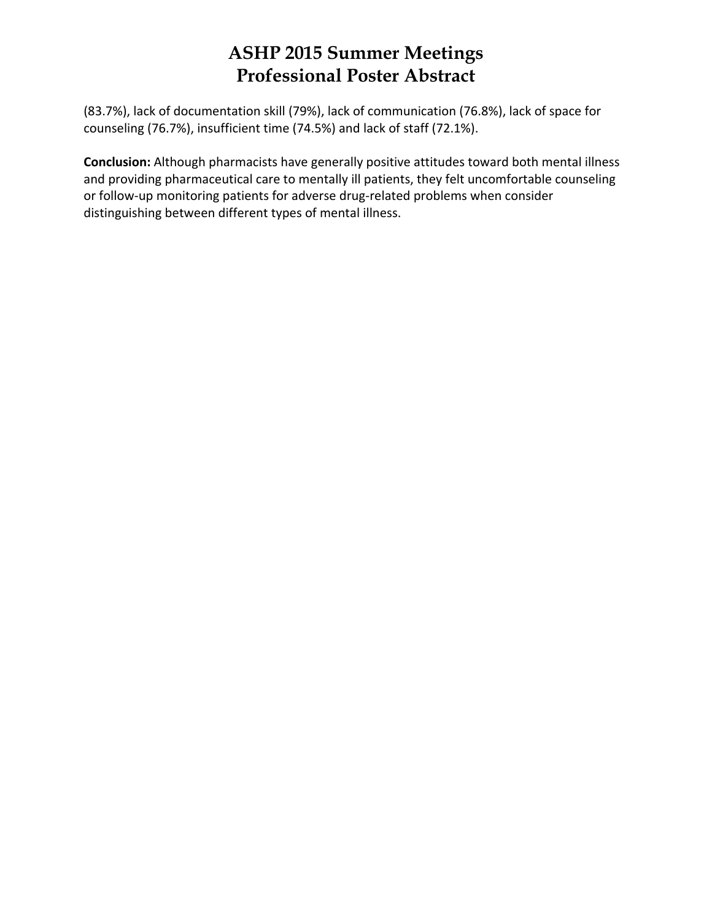(83.7%), lack of documentation skill (79%), lack of communication (76.8%), lack of space for counseling (76.7%), insufficient time (74.5%) and lack of staff (72.1%).

**Conclusion:** Although pharmacists have generally positive attitudes toward both mental illness and providing pharmaceutical care to mentally ill patients, they felt uncomfortable counseling or follow‐up monitoring patients for adverse drug‐related problems when consider distinguishing between different types of mental illness.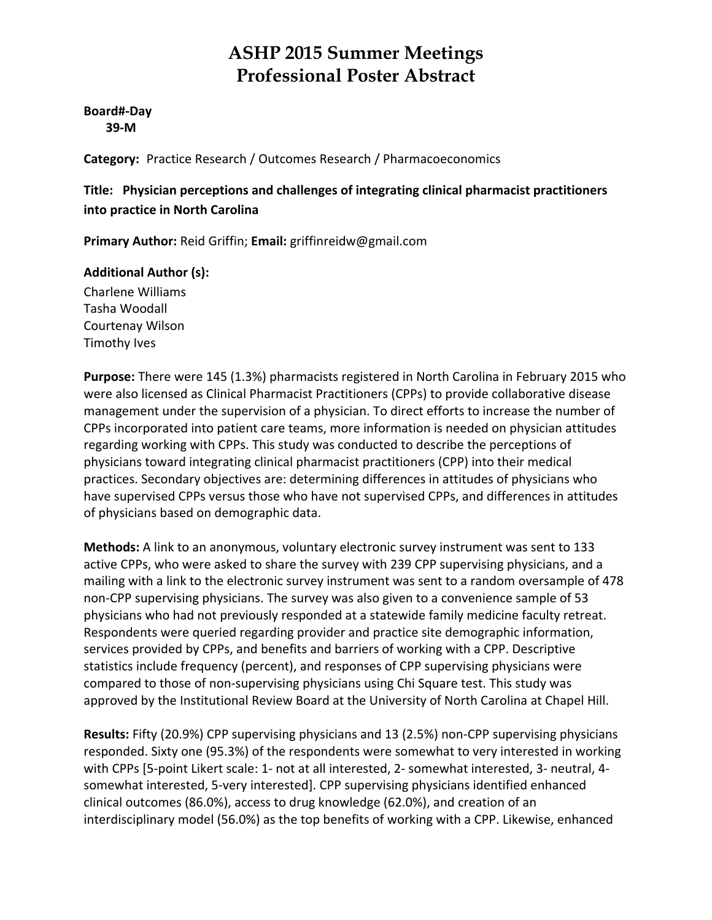#### **Board#‐Day 39‐M**

**Category:** Practice Research / Outcomes Research / Pharmacoeconomics

**Title: Physician perceptions and challenges of integrating clinical pharmacist practitioners into practice in North Carolina**

**Primary Author:** Reid Griffin; **Email:** griffinreidw@gmail.com

#### **Additional Author (s):**

Charlene Williams Tasha Woodall Courtenay Wilson Timothy Ives

**Purpose:** There were 145 (1.3%) pharmacists registered in North Carolina in February 2015 who were also licensed as Clinical Pharmacist Practitioners (CPPs) to provide collaborative disease management under the supervision of a physician. To direct efforts to increase the number of CPPs incorporated into patient care teams, more information is needed on physician attitudes regarding working with CPPs. This study was conducted to describe the perceptions of physicians toward integrating clinical pharmacist practitioners (CPP) into their medical practices. Secondary objectives are: determining differences in attitudes of physicians who have supervised CPPs versus those who have not supervised CPPs, and differences in attitudes of physicians based on demographic data.

**Methods:** A link to an anonymous, voluntary electronic survey instrument was sent to 133 active CPPs, who were asked to share the survey with 239 CPP supervising physicians, and a mailing with a link to the electronic survey instrument was sent to a random oversample of 478 non‐CPP supervising physicians. The survey was also given to a convenience sample of 53 physicians who had not previously responded at a statewide family medicine faculty retreat. Respondents were queried regarding provider and practice site demographic information, services provided by CPPs, and benefits and barriers of working with a CPP. Descriptive statistics include frequency (percent), and responses of CPP supervising physicians were compared to those of non‐supervising physicians using Chi Square test. This study was approved by the Institutional Review Board at the University of North Carolina at Chapel Hill.

**Results:** Fifty (20.9%) CPP supervising physicians and 13 (2.5%) non‐CPP supervising physicians responded. Sixty one (95.3%) of the respondents were somewhat to very interested in working with CPPs [5‐point Likert scale: 1‐ not at all interested, 2‐ somewhat interested, 3‐ neutral, 4‐ somewhat interested, 5‐very interested]. CPP supervising physicians identified enhanced clinical outcomes (86.0%), access to drug knowledge (62.0%), and creation of an interdisciplinary model (56.0%) as the top benefits of working with a CPP. Likewise, enhanced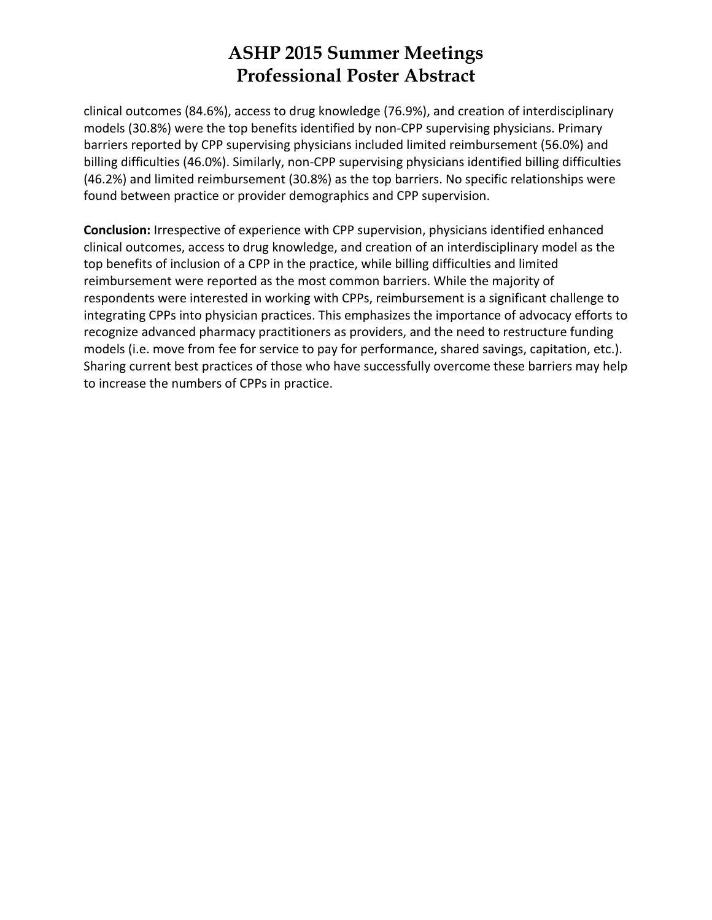clinical outcomes (84.6%), access to drug knowledge (76.9%), and creation of interdisciplinary models (30.8%) were the top benefits identified by non‐CPP supervising physicians. Primary barriers reported by CPP supervising physicians included limited reimbursement (56.0%) and billing difficulties (46.0%). Similarly, non‐CPP supervising physicians identified billing difficulties (46.2%) and limited reimbursement (30.8%) as the top barriers. No specific relationships were found between practice or provider demographics and CPP supervision.

**Conclusion:** Irrespective of experience with CPP supervision, physicians identified enhanced clinical outcomes, access to drug knowledge, and creation of an interdisciplinary model as the top benefits of inclusion of a CPP in the practice, while billing difficulties and limited reimbursement were reported as the most common barriers. While the majority of respondents were interested in working with CPPs, reimbursement is a significant challenge to integrating CPPs into physician practices. This emphasizes the importance of advocacy efforts to recognize advanced pharmacy practitioners as providers, and the need to restructure funding models (i.e. move from fee for service to pay for performance, shared savings, capitation, etc.). Sharing current best practices of those who have successfully overcome these barriers may help to increase the numbers of CPPs in practice.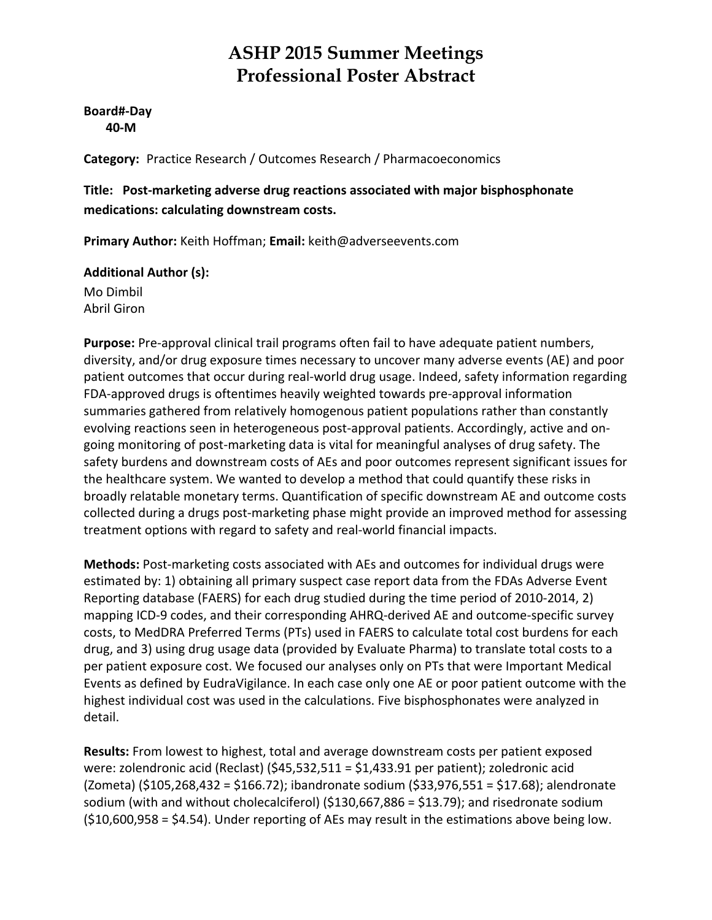**Board#‐Day 40‐M**

**Category:** Practice Research / Outcomes Research / Pharmacoeconomics

**Title: Post‐marketing adverse drug reactions associated with major bisphosphonate medications: calculating downstream costs.**

**Primary Author:** Keith Hoffman; **Email:** keith@adverseevents.com

#### **Additional Author (s):**

Mo Dimbil Abril Giron

**Purpose:** Pre‐approval clinical trail programs often fail to have adequate patient numbers, diversity, and/or drug exposure times necessary to uncover many adverse events (AE) and poor patient outcomes that occur during real‐world drug usage. Indeed, safety information regarding FDA‐approved drugs is oftentimes heavily weighted towards pre‐approval information summaries gathered from relatively homogenous patient populations rather than constantly evolving reactions seen in heterogeneous post-approval patients. Accordingly, active and ongoing monitoring of post‐marketing data is vital for meaningful analyses of drug safety. The safety burdens and downstream costs of AEs and poor outcomes represent significant issues for the healthcare system. We wanted to develop a method that could quantify these risks in broadly relatable monetary terms. Quantification of specific downstream AE and outcome costs collected during a drugs post‐marketing phase might provide an improved method for assessing treatment options with regard to safety and real‐world financial impacts.

**Methods:** Post‐marketing costs associated with AEs and outcomes for individual drugs were estimated by: 1) obtaining all primary suspect case report data from the FDAs Adverse Event Reporting database (FAERS) for each drug studied during the time period of 2010‐2014, 2) mapping ICD‐9 codes, and their corresponding AHRQ‐derived AE and outcome‐specific survey costs, to MedDRA Preferred Terms (PTs) used in FAERS to calculate total cost burdens for each drug, and 3) using drug usage data (provided by Evaluate Pharma) to translate total costs to a per patient exposure cost. We focused our analyses only on PTs that were Important Medical Events as defined by EudraVigilance. In each case only one AE or poor patient outcome with the highest individual cost was used in the calculations. Five bisphosphonates were analyzed in detail.

**Results:** From lowest to highest, total and average downstream costs per patient exposed were: zolendronic acid (Reclast) (\$45,532,511 = \$1,433.91 per patient); zoledronic acid (Zometa) (\$105,268,432 = \$166.72); ibandronate sodium (\$33,976,551 = \$17.68); alendronate sodium (with and without cholecalciferol) (\$130,667,886 = \$13.79); and risedronate sodium (\$10,600,958 = \$4.54). Under reporting of AEs may result in the estimations above being low.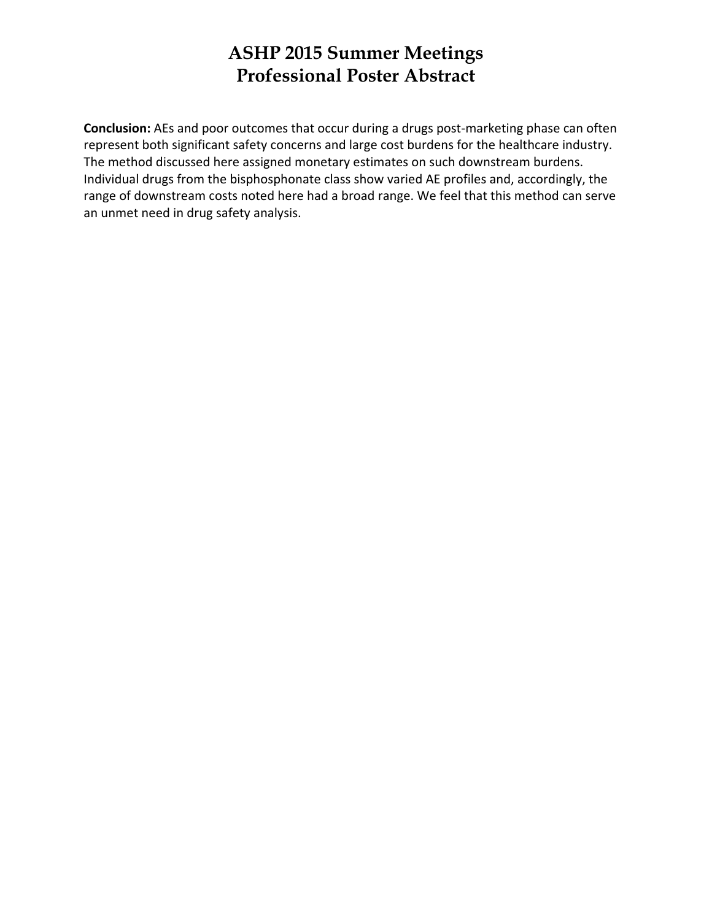**Conclusion:** AEs and poor outcomes that occur during a drugs post-marketing phase can often represent both significant safety concerns and large cost burdens for the healthcare industry. The method discussed here assigned monetary estimates on such downstream burdens. Individual drugs from the bisphosphonate class show varied AE profiles and, accordingly, the range of downstream costs noted here had a broad range. We feel that this method can serve an unmet need in drug safety analysis.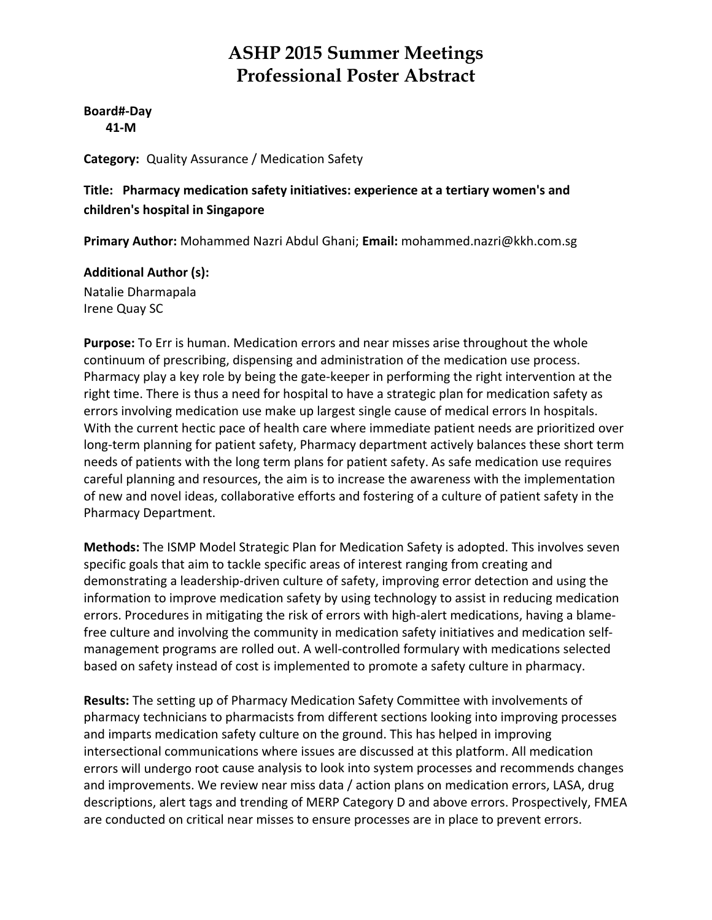**Board#‐Day 41‐M**

**Category:** Quality Assurance / Medication Safety

#### **Title: Pharmacy medication safety initiatives: experience at a tertiary women's and children's hospital in Singapore**

**Primary Author:** Mohammed Nazri Abdul Ghani; **Email:** mohammed.nazri@kkh.com.sg

#### **Additional Author (s):**

Natalie Dharmapala Irene Quay SC

**Purpose:** To Err is human. Medication errors and near misses arise throughout the whole continuum of prescribing, dispensing and administration of the medication use process. Pharmacy play a key role by being the gate‐keeper in performing the right intervention at the right time. There is thus a need for hospital to have a strategic plan for medication safety as errors involving medication use make up largest single cause of medical errors In hospitals. With the current hectic pace of health care where immediate patient needs are prioritized over long-term planning for patient safety, Pharmacy department actively balances these short term needs of patients with the long term plans for patient safety. As safe medication use requires careful planning and resources, the aim is to increase the awareness with the implementation of new and novel ideas, collaborative efforts and fostering of a culture of patient safety in the Pharmacy Department.

**Methods:** The ISMP Model Strategic Plan for Medication Safety is adopted. This involves seven specific goals that aim to tackle specific areas of interest ranging from creating and demonstrating a leadership‐driven culture of safety, improving error detection and using the information to improve medication safety by using technology to assist in reducing medication errors. Procedures in mitigating the risk of errors with high‐alert medications, having a blame‐ free culture and involving the community in medication safety initiatives and medication self‐ management programs are rolled out. A well‐controlled formulary with medications selected based on safety instead of cost is implemented to promote a safety culture in pharmacy.

**Results:** The setting up of Pharmacy Medication Safety Committee with involvements of pharmacy technicians to pharmacists from different sections looking into improving processes and imparts medication safety culture on the ground. This has helped in improving intersectional communications where issues are discussed at this platform. All medication errors will undergo root cause analysis to look into system processes and recommends changes and improvements. We review near miss data / action plans on medication errors, LASA, drug descriptions, alert tags and trending of MERP Category D and above errors. Prospectively, FMEA are conducted on critical near misses to ensure processes are in place to prevent errors.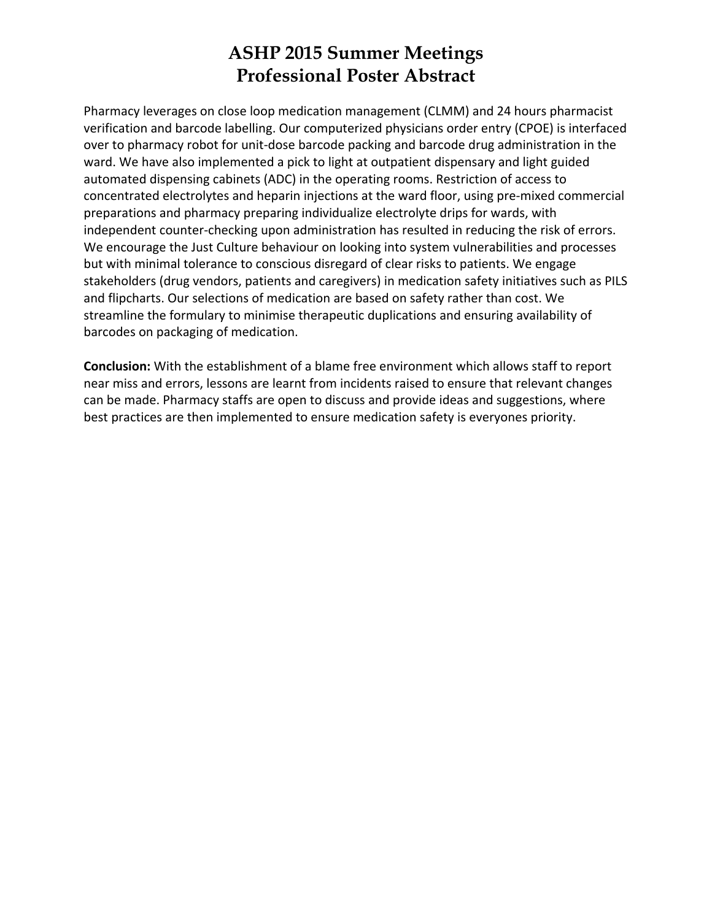Pharmacy leverages on close loop medication management (CLMM) and 24 hours pharmacist verification and barcode labelling. Our computerized physicians order entry (CPOE) is interfaced over to pharmacy robot for unit‐dose barcode packing and barcode drug administration in the ward. We have also implemented a pick to light at outpatient dispensary and light guided automated dispensing cabinets (ADC) in the operating rooms. Restriction of access to concentrated electrolytes and heparin injections at the ward floor, using pre‐mixed commercial preparations and pharmacy preparing individualize electrolyte drips for wards, with independent counter-checking upon administration has resulted in reducing the risk of errors. We encourage the Just Culture behaviour on looking into system vulnerabilities and processes but with minimal tolerance to conscious disregard of clear risks to patients. We engage stakeholders (drug vendors, patients and caregivers) in medication safety initiatives such as PILS and flipcharts. Our selections of medication are based on safety rather than cost. We streamline the formulary to minimise therapeutic duplications and ensuring availability of barcodes on packaging of medication.

**Conclusion:** With the establishment of a blame free environment which allows staff to report near miss and errors, lessons are learnt from incidents raised to ensure that relevant changes can be made. Pharmacy staffs are open to discuss and provide ideas and suggestions, where best practices are then implemented to ensure medication safety is everyones priority.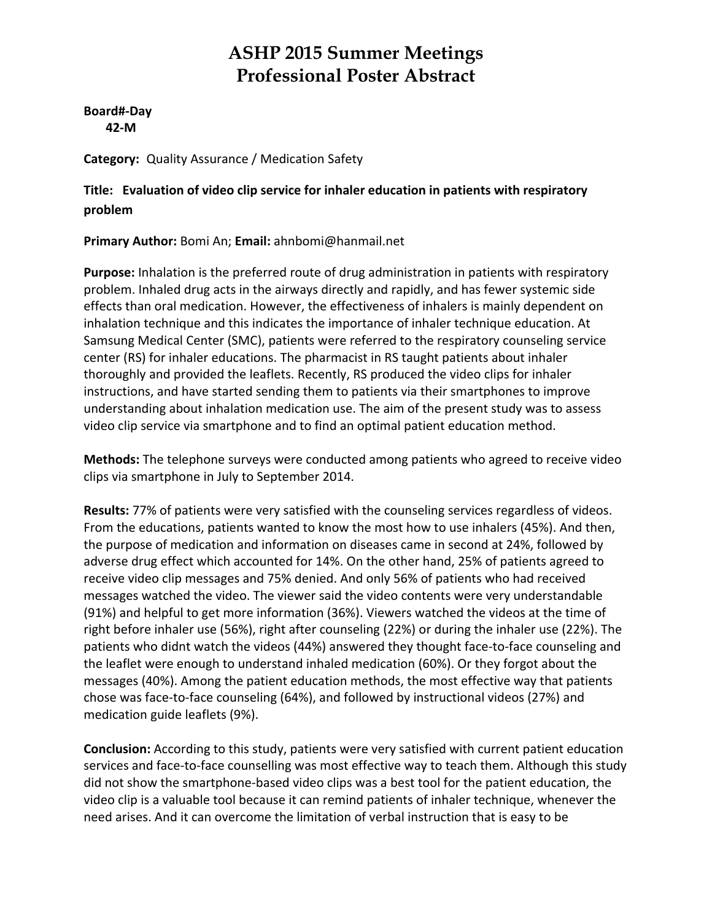**Board#‐Day 42‐M**

**Category:** Quality Assurance / Medication Safety

**Title: Evaluation of video clip service for inhaler education in patients with respiratory problem**

**Primary Author:** Bomi An; **Email:** ahnbomi@hanmail.net

**Purpose:** Inhalation is the preferred route of drug administration in patients with respiratory problem. Inhaled drug acts in the airways directly and rapidly, and has fewer systemic side effects than oral medication. However, the effectiveness of inhalers is mainly dependent on inhalation technique and this indicates the importance of inhaler technique education. At Samsung Medical Center (SMC), patients were referred to the respiratory counseling service center (RS) for inhaler educations. The pharmacist in RS taught patients about inhaler thoroughly and provided the leaflets. Recently, RS produced the video clips for inhaler instructions, and have started sending them to patients via their smartphones to improve understanding about inhalation medication use. The aim of the present study was to assess video clip service via smartphone and to find an optimal patient education method.

**Methods:** The telephone surveys were conducted among patients who agreed to receive video clips via smartphone in July to September 2014.

**Results:** 77% of patients were very satisfied with the counseling services regardless of videos. From the educations, patients wanted to know the most how to use inhalers (45%). And then, the purpose of medication and information on diseases came in second at 24%, followed by adverse drug effect which accounted for 14%. On the other hand, 25% of patients agreed to receive video clip messages and 75% denied. And only 56% of patients who had received messages watched the video. The viewer said the video contents were very understandable (91%) and helpful to get more information (36%). Viewers watched the videos at the time of right before inhaler use (56%), right after counseling (22%) or during the inhaler use (22%). The patients who didnt watch the videos (44%) answered they thought face-to-face counseling and the leaflet were enough to understand inhaled medication (60%). Or they forgot about the messages (40%). Among the patient education methods, the most effective way that patients chose was face‐to‐face counseling (64%), and followed by instructional videos (27%) and medication guide leaflets (9%).

**Conclusion:** According to this study, patients were very satisfied with current patient education services and face-to-face counselling was most effective way to teach them. Although this study did not show the smartphone‐based video clips was a best tool for the patient education, the video clip is a valuable tool because it can remind patients of inhaler technique, whenever the need arises. And it can overcome the limitation of verbal instruction that is easy to be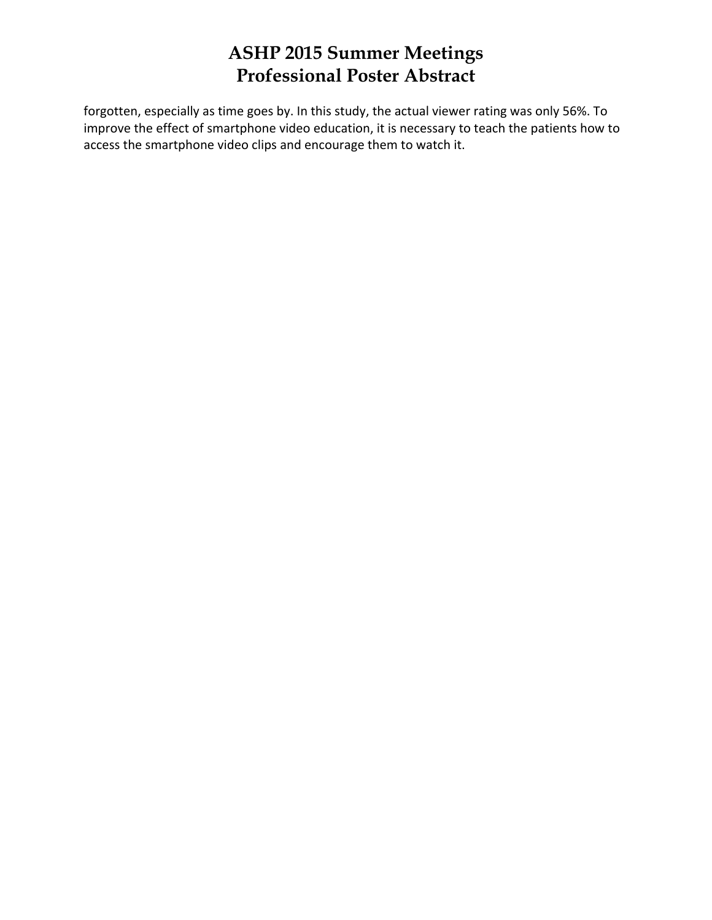forgotten, especially as time goes by. In this study, the actual viewer rating was only 56%. To improve the effect of smartphone video education, it is necessary to teach the patients how to access the smartphone video clips and encourage them to watch it.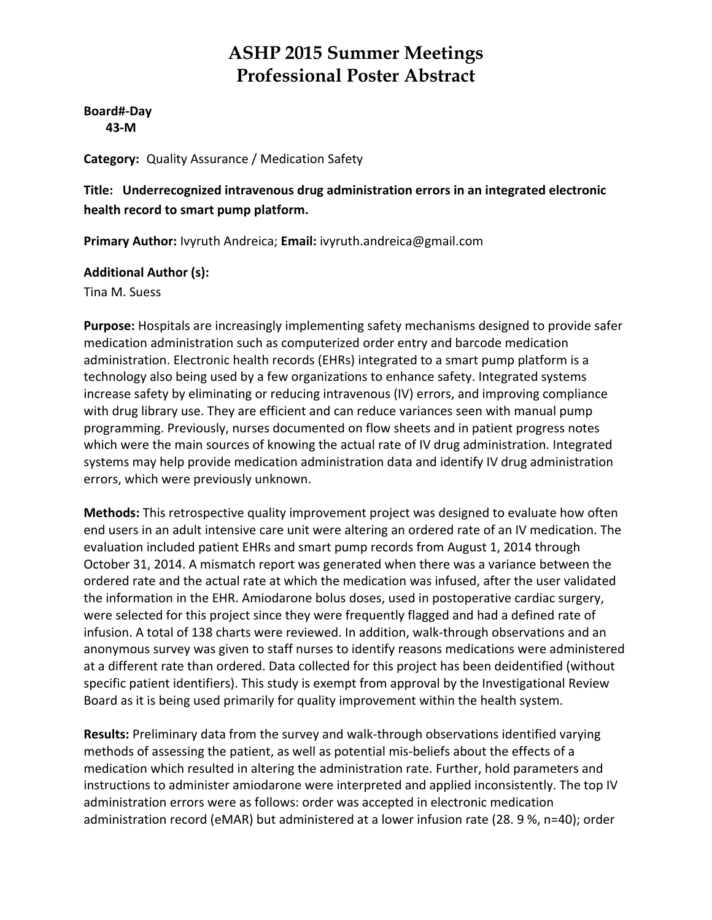**Board#‐Day 43‐M**

**Category:** Quality Assurance / Medication Safety

**Title: Underrecognized intravenous drug administration errors in an integrated electronic health record to smart pump platform.**

**Primary Author:** Ivyruth Andreica; **Email:** ivyruth.andreica@gmail.com

#### **Additional Author (s):**

Tina M. Suess

**Purpose:** Hospitals are increasingly implementing safety mechanisms designed to provide safer medication administration such as computerized order entry and barcode medication administration. Electronic health records (EHRs) integrated to a smart pump platform is a technology also being used by a few organizations to enhance safety. Integrated systems increase safety by eliminating or reducing intravenous (IV) errors, and improving compliance with drug library use. They are efficient and can reduce variances seen with manual pump programming. Previously, nurses documented on flow sheets and in patient progress notes which were the main sources of knowing the actual rate of IV drug administration. Integrated systems may help provide medication administration data and identify IV drug administration errors, which were previously unknown.

**Methods:** This retrospective quality improvement project was designed to evaluate how often end users in an adult intensive care unit were altering an ordered rate of an IV medication. The evaluation included patient EHRs and smart pump records from August 1, 2014 through October 31, 2014. A mismatch report was generated when there was a variance between the ordered rate and the actual rate at which the medication was infused, after the user validated the information in the EHR. Amiodarone bolus doses, used in postoperative cardiac surgery, were selected for this project since they were frequently flagged and had a defined rate of infusion. A total of 138 charts were reviewed. In addition, walk‐through observations and an anonymous survey was given to staff nurses to identify reasons medications were administered at a different rate than ordered. Data collected for this project has been deidentified (without specific patient identifiers). This study is exempt from approval by the Investigational Review Board as it is being used primarily for quality improvement within the health system.

**Results:** Preliminary data from the survey and walk‐through observations identified varying methods of assessing the patient, as well as potential mis‐beliefs about the effects of a medication which resulted in altering the administration rate. Further, hold parameters and instructions to administer amiodarone were interpreted and applied inconsistently. The top IV administration errors were as follows: order was accepted in electronic medication administration record (eMAR) but administered at a lower infusion rate (28. 9 %, n=40); order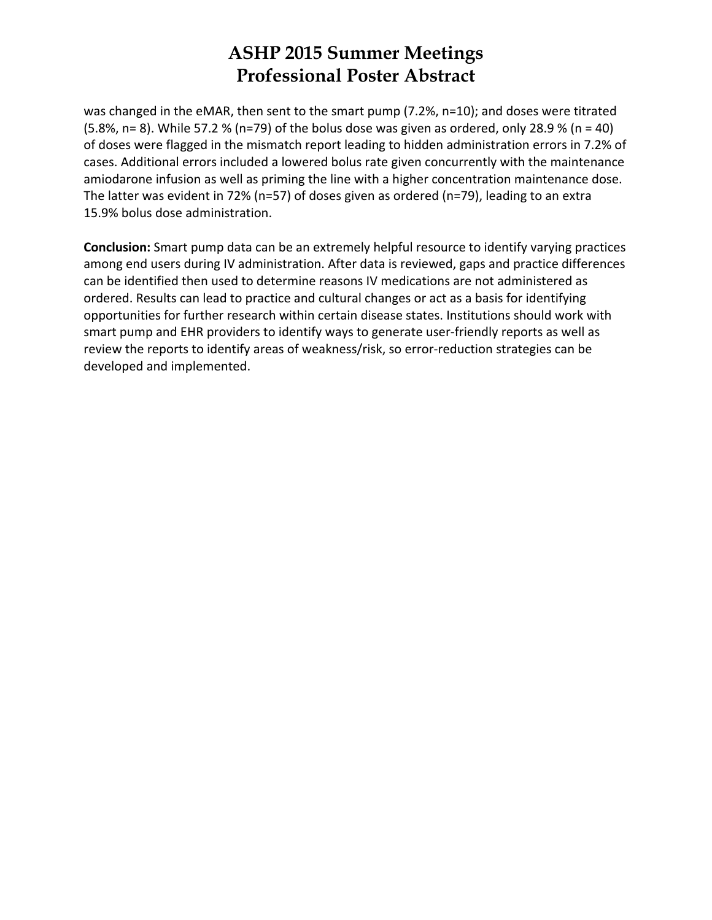was changed in the eMAR, then sent to the smart pump (7.2%, n=10); and doses were titrated (5.8%, n= 8). While 57.2 % (n=79) of the bolus dose was given as ordered, only 28.9 % (n = 40) of doses were flagged in the mismatch report leading to hidden administration errors in 7.2% of cases. Additional errors included a lowered bolus rate given concurrently with the maintenance amiodarone infusion as well as priming the line with a higher concentration maintenance dose. The latter was evident in 72% (n=57) of doses given as ordered (n=79), leading to an extra 15.9% bolus dose administration.

**Conclusion:** Smart pump data can be an extremely helpful resource to identify varying practices among end users during IV administration. After data is reviewed, gaps and practice differences can be identified then used to determine reasons IV medications are not administered as ordered. Results can lead to practice and cultural changes or act as a basis for identifying opportunities for further research within certain disease states. Institutions should work with smart pump and EHR providers to identify ways to generate user-friendly reports as well as review the reports to identify areas of weakness/risk, so error‐reduction strategies can be developed and implemented.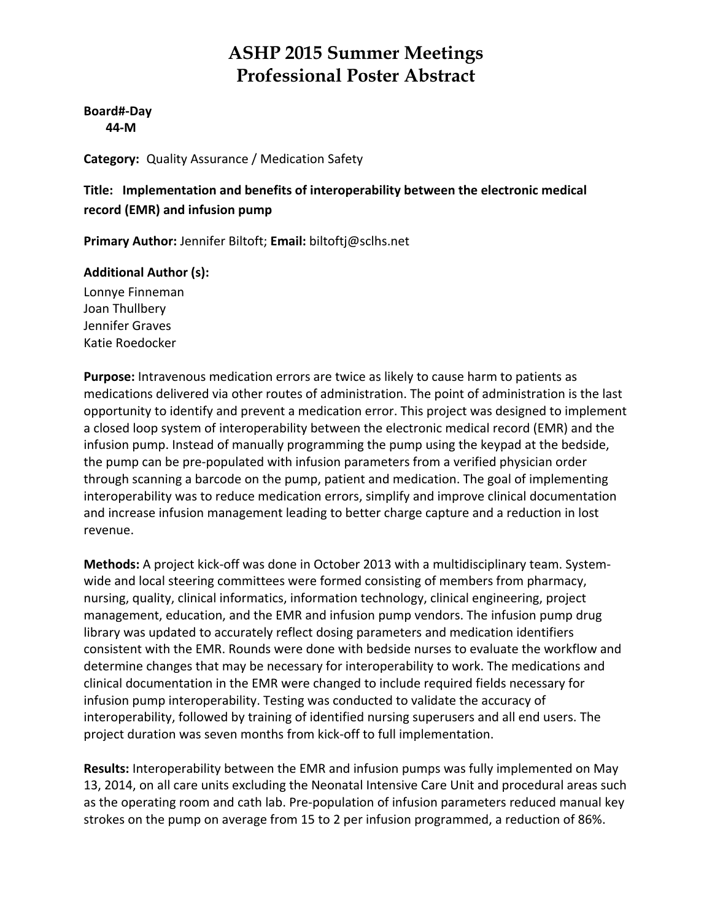**Board#‐Day 44‐M**

**Category:** Quality Assurance / Medication Safety

**Title: Implementation and benefits of interoperability between the electronic medical record (EMR) and infusion pump**

**Primary Author:** Jennifer Biltoft; **Email:** biltoftj@sclhs.net

#### **Additional Author (s):**

Lonnye Finneman Joan Thullbery Jennifer Graves Katie Roedocker

**Purpose:** Intravenous medication errors are twice as likely to cause harm to patients as medications delivered via other routes of administration. The point of administration is the last opportunity to identify and prevent a medication error. This project was designed to implement a closed loop system of interoperability between the electronic medical record (EMR) and the infusion pump. Instead of manually programming the pump using the keypad at the bedside, the pump can be pre‐populated with infusion parameters from a verified physician order through scanning a barcode on the pump, patient and medication. The goal of implementing interoperability was to reduce medication errors, simplify and improve clinical documentation and increase infusion management leading to better charge capture and a reduction in lost revenue.

**Methods:** A project kick‐off was done in October 2013 with a multidisciplinary team. System‐ wide and local steering committees were formed consisting of members from pharmacy, nursing, quality, clinical informatics, information technology, clinical engineering, project management, education, and the EMR and infusion pump vendors. The infusion pump drug library was updated to accurately reflect dosing parameters and medication identifiers consistent with the EMR. Rounds were done with bedside nurses to evaluate the workflow and determine changes that may be necessary for interoperability to work. The medications and clinical documentation in the EMR were changed to include required fields necessary for infusion pump interoperability. Testing was conducted to validate the accuracy of interoperability, followed by training of identified nursing superusers and all end users. The project duration was seven months from kick‐off to full implementation.

**Results:** Interoperability between the EMR and infusion pumps was fully implemented on May 13, 2014, on all care units excluding the Neonatal Intensive Care Unit and procedural areas such as the operating room and cath lab. Pre‐population of infusion parameters reduced manual key strokes on the pump on average from 15 to 2 per infusion programmed, a reduction of 86%.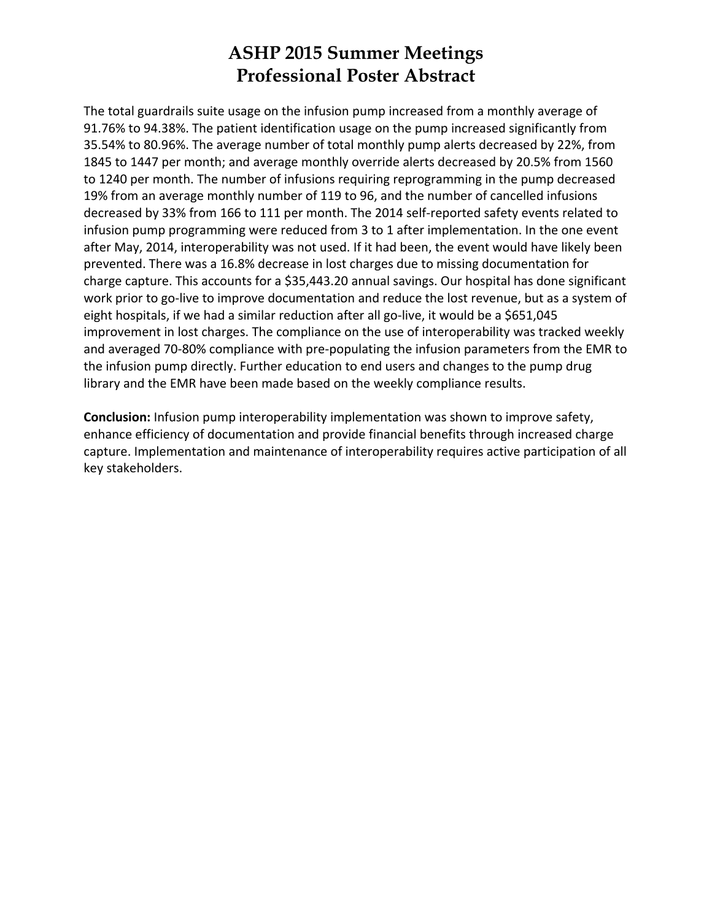The total guardrails suite usage on the infusion pump increased from a monthly average of 91.76% to 94.38%. The patient identification usage on the pump increased significantly from 35.54% to 80.96%. The average number of total monthly pump alerts decreased by 22%, from 1845 to 1447 per month; and average monthly override alerts decreased by 20.5% from 1560 to 1240 per month. The number of infusions requiring reprogramming in the pump decreased 19% from an average monthly number of 119 to 96, and the number of cancelled infusions decreased by 33% from 166 to 111 per month. The 2014 self‐reported safety events related to infusion pump programming were reduced from 3 to 1 after implementation. In the one event after May, 2014, interoperability was not used. If it had been, the event would have likely been prevented. There was a 16.8% decrease in lost charges due to missing documentation for charge capture. This accounts for a \$35,443.20 annual savings. Our hospital has done significant work prior to go-live to improve documentation and reduce the lost revenue, but as a system of eight hospitals, if we had a similar reduction after all go-live, it would be a \$651,045 improvement in lost charges. The compliance on the use of interoperability was tracked weekly and averaged 70‐80% compliance with pre‐populating the infusion parameters from the EMR to the infusion pump directly. Further education to end users and changes to the pump drug library and the EMR have been made based on the weekly compliance results.

**Conclusion:** Infusion pump interoperability implementation was shown to improve safety, enhance efficiency of documentation and provide financial benefits through increased charge capture. Implementation and maintenance of interoperability requires active participation of all key stakeholders.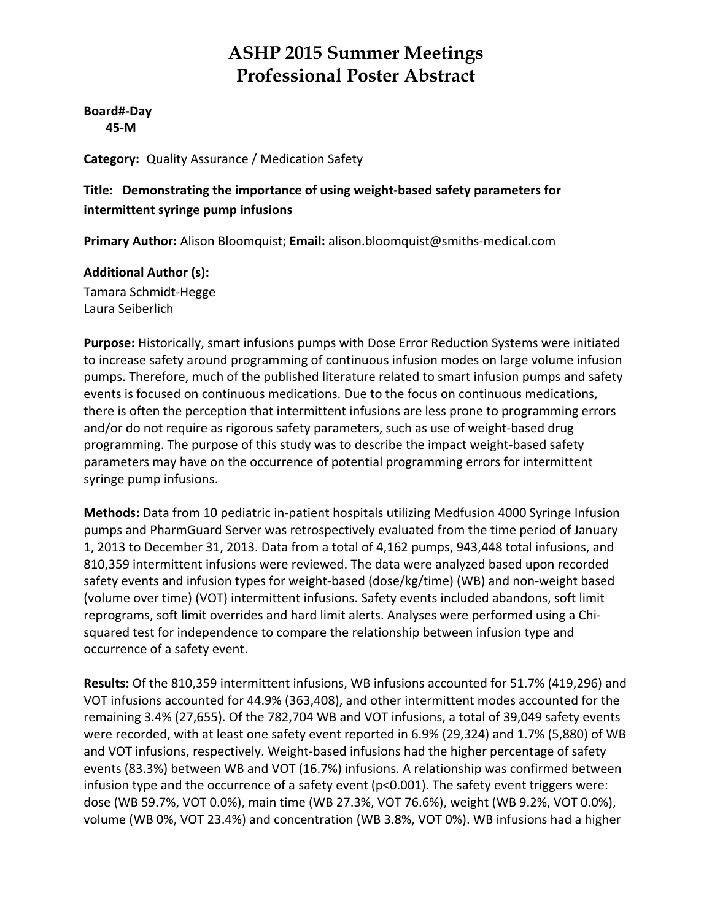**Board#‐Day 45‐M**

**Category:** Quality Assurance / Medication Safety

#### **Title: Demonstrating the importance of using weight‐based safety parameters for intermittent syringe pump infusions**

**Primary Author:** Alison Bloomquist; **Email:** alison.bloomquist@smiths‐medical.com

#### **Additional Author (s):**

Tamara Schmidt‐Hegge Laura Seiberlich

**Purpose:** Historically, smart infusions pumps with Dose Error Reduction Systems were initiated to increase safety around programming of continuous infusion modes on large volume infusion pumps. Therefore, much of the published literature related to smart infusion pumps and safety events is focused on continuous medications. Due to the focus on continuous medications, there is often the perception that intermittent infusions are less prone to programming errors and/or do not require as rigorous safety parameters, such as use of weight-based drug programming. The purpose of this study was to describe the impact weight‐based safety parameters may have on the occurrence of potential programming errors for intermittent syringe pump infusions.

**Methods:** Data from 10 pediatric in‐patient hospitals utilizing Medfusion 4000 Syringe Infusion pumps and PharmGuard Server was retrospectively evaluated from the time period of January 1, 2013 to December 31, 2013. Data from a total of 4,162 pumps, 943,448 total infusions, and 810,359 intermittent infusions were reviewed. The data were analyzed based upon recorded safety events and infusion types for weight-based (dose/kg/time) (WB) and non-weight based (volume over time) (VOT) intermittent infusions. Safety events included abandons, soft limit reprograms, soft limit overrides and hard limit alerts. Analyses were performed using a Chi‐ squared test for independence to compare the relationship between infusion type and occurrence of a safety event.

**Results:** Of the 810,359 intermittent infusions, WB infusions accounted for 51.7% (419,296) and VOT infusions accounted for 44.9% (363,408), and other intermittent modes accounted for the remaining 3.4% (27,655). Of the 782,704 WB and VOT infusions, a total of 39,049 safety events were recorded, with at least one safety event reported in 6.9% (29,324) and 1.7% (5,880) of WB and VOT infusions, respectively. Weight‐based infusions had the higher percentage of safety events (83.3%) between WB and VOT (16.7%) infusions. A relationship was confirmed between infusion type and the occurrence of a safety event (p<0.001). The safety event triggers were: dose (WB 59.7%, VOT 0.0%), main time (WB 27.3%, VOT 76.6%), weight (WB 9.2%, VOT 0.0%), volume (WB 0%, VOT 23.4%) and concentration (WB 3.8%, VOT 0%). WB infusions had a higher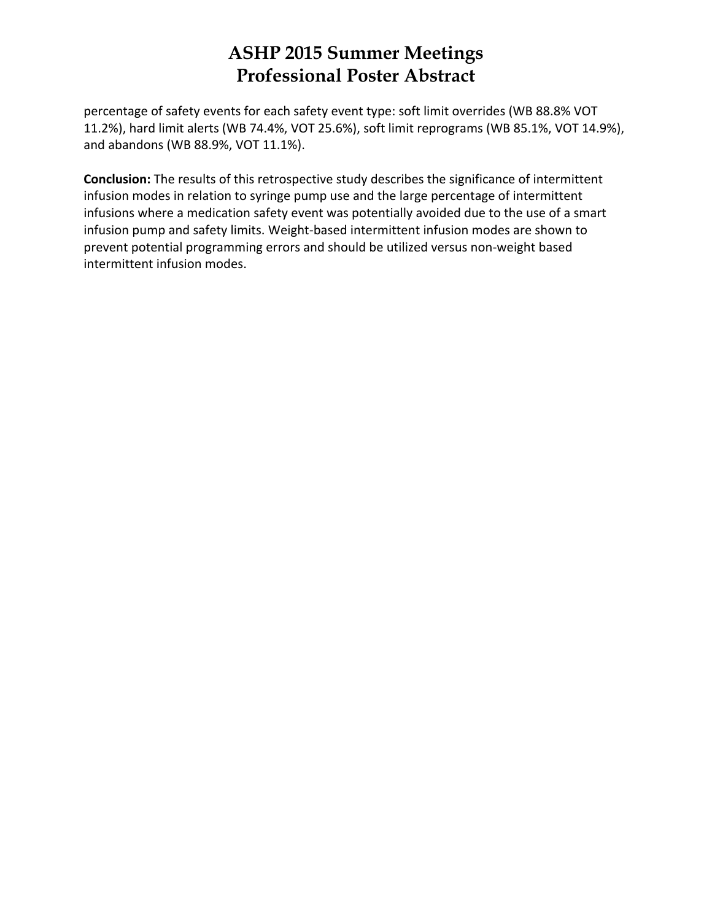percentage of safety events for each safety event type: soft limit overrides (WB 88.8% VOT 11.2%), hard limit alerts (WB 74.4%, VOT 25.6%), soft limit reprograms (WB 85.1%, VOT 14.9%), and abandons (WB 88.9%, VOT 11.1%).

**Conclusion:** The results of this retrospective study describes the significance of intermittent infusion modes in relation to syringe pump use and the large percentage of intermittent infusions where a medication safety event was potentially avoided due to the use of a smart infusion pump and safety limits. Weight‐based intermittent infusion modes are shown to prevent potential programming errors and should be utilized versus non-weight based intermittent infusion modes.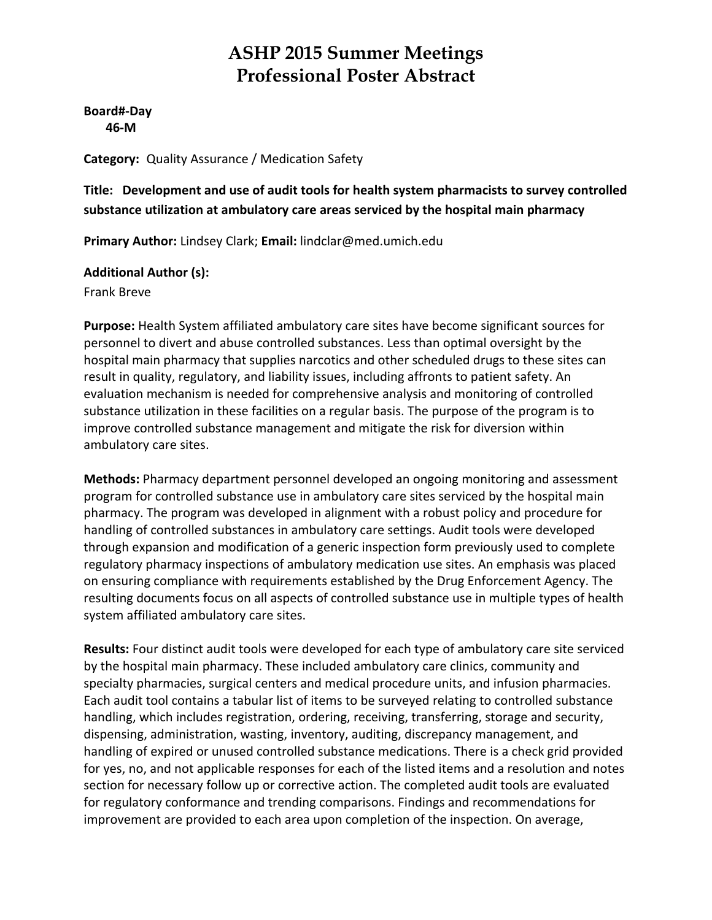**Board#‐Day 46‐M**

**Category:** Quality Assurance / Medication Safety

**Title: Development and use of audit tools for health system pharmacists to survey controlled substance utilization at ambulatory care areas serviced by the hospital main pharmacy**

**Primary Author:** Lindsey Clark; **Email:** lindclar@med.umich.edu

#### **Additional Author (s):**

Frank Breve

**Purpose:** Health System affiliated ambulatory care sites have become significant sources for personnel to divert and abuse controlled substances. Less than optimal oversight by the hospital main pharmacy that supplies narcotics and other scheduled drugs to these sites can result in quality, regulatory, and liability issues, including affronts to patient safety. An evaluation mechanism is needed for comprehensive analysis and monitoring of controlled substance utilization in these facilities on a regular basis. The purpose of the program is to improve controlled substance management and mitigate the risk for diversion within ambulatory care sites.

**Methods:** Pharmacy department personnel developed an ongoing monitoring and assessment program for controlled substance use in ambulatory care sites serviced by the hospital main pharmacy. The program was developed in alignment with a robust policy and procedure for handling of controlled substances in ambulatory care settings. Audit tools were developed through expansion and modification of a generic inspection form previously used to complete regulatory pharmacy inspections of ambulatory medication use sites. An emphasis was placed on ensuring compliance with requirements established by the Drug Enforcement Agency. The resulting documents focus on all aspects of controlled substance use in multiple types of health system affiliated ambulatory care sites.

**Results:** Four distinct audit tools were developed for each type of ambulatory care site serviced by the hospital main pharmacy. These included ambulatory care clinics, community and specialty pharmacies, surgical centers and medical procedure units, and infusion pharmacies. Each audit tool contains a tabular list of items to be surveyed relating to controlled substance handling, which includes registration, ordering, receiving, transferring, storage and security, dispensing, administration, wasting, inventory, auditing, discrepancy management, and handling of expired or unused controlled substance medications. There is a check grid provided for yes, no, and not applicable responses for each of the listed items and a resolution and notes section for necessary follow up or corrective action. The completed audit tools are evaluated for regulatory conformance and trending comparisons. Findings and recommendations for improvement are provided to each area upon completion of the inspection. On average,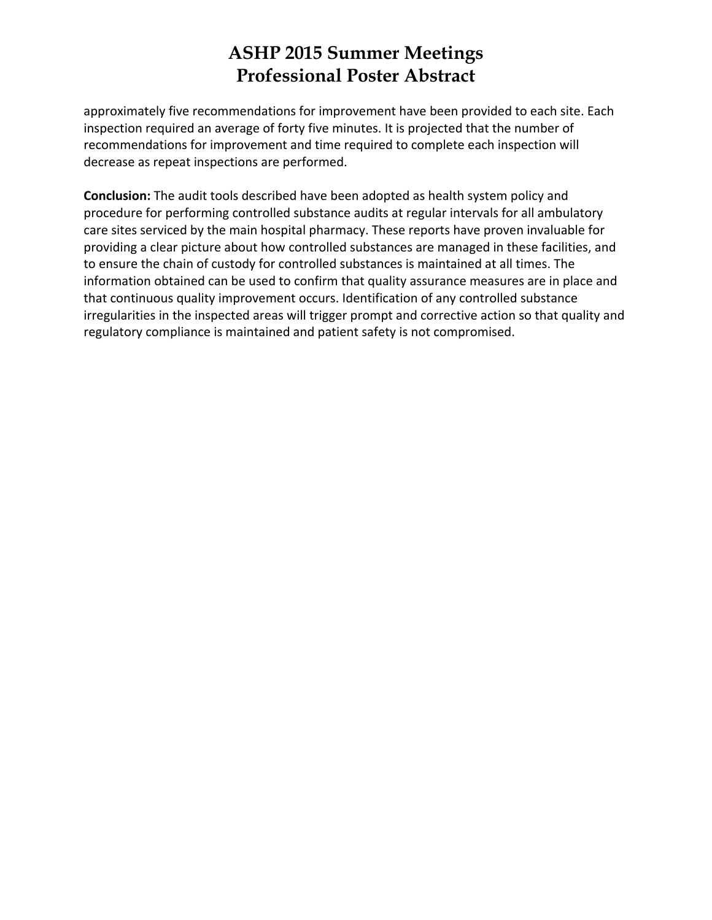approximately five recommendations for improvement have been provided to each site. Each inspection required an average of forty five minutes. It is projected that the number of recommendations for improvement and time required to complete each inspection will decrease as repeat inspections are performed.

**Conclusion:** The audit tools described have been adopted as health system policy and procedure for performing controlled substance audits at regular intervals for all ambulatory care sites serviced by the main hospital pharmacy. These reports have proven invaluable for providing a clear picture about how controlled substances are managed in these facilities, and to ensure the chain of custody for controlled substances is maintained at all times. The information obtained can be used to confirm that quality assurance measures are in place and that continuous quality improvement occurs. Identification of any controlled substance irregularities in the inspected areas will trigger prompt and corrective action so that quality and regulatory compliance is maintained and patient safety is not compromised.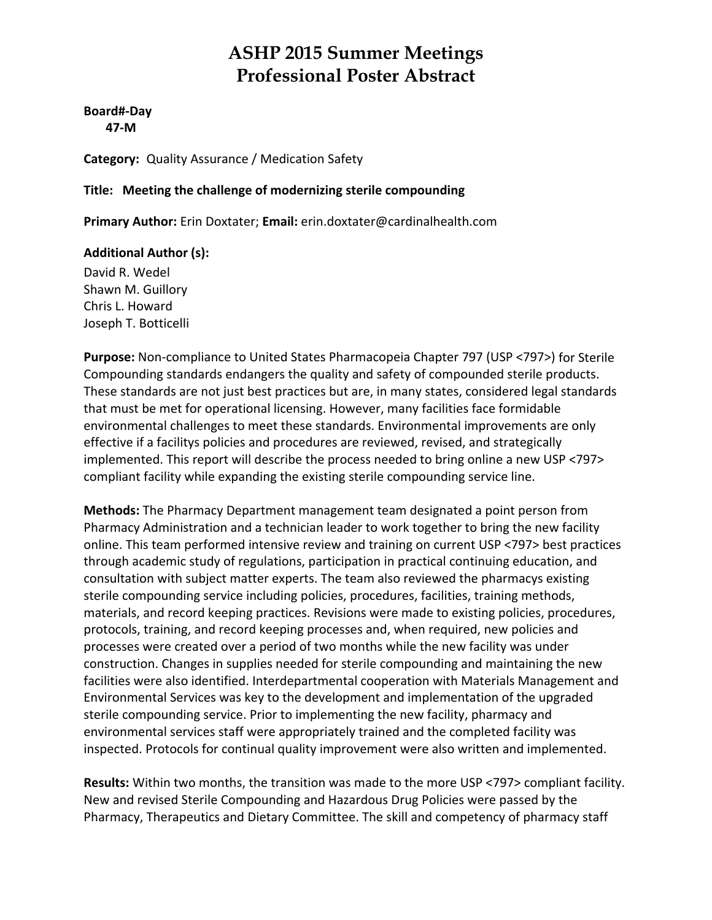#### **Board#‐Day 47‐M**

**Category:** Quality Assurance / Medication Safety

#### **Title: Meeting the challenge of modernizing sterile compounding**

**Primary Author:** Erin Doxtater; **Email:** erin.doxtater@cardinalhealth.com

#### **Additional Author (s):**

David R. Wedel Shawn M. Guillory Chris L. Howard Joseph T. Botticelli

**Purpose:** Non‐compliance to United States Pharmacopeia Chapter 797 (USP <797>) for Sterile Compounding standards endangers the quality and safety of compounded sterile products. These standards are not just best practices but are, in many states, considered legal standards that must be met for operational licensing. However, many facilities face formidable environmental challenges to meet these standards. Environmental improvements are only effective if a facilitys policies and procedures are reviewed, revised, and strategically implemented. This report will describe the process needed to bring online a new USP <797> compliant facility while expanding the existing sterile compounding service line.

**Methods:** The Pharmacy Department management team designated a point person from Pharmacy Administration and a technician leader to work together to bring the new facility online. This team performed intensive review and training on current USP <797> best practices through academic study of regulations, participation in practical continuing education, and consultation with subject matter experts. The team also reviewed the pharmacys existing sterile compounding service including policies, procedures, facilities, training methods, materials, and record keeping practices. Revisions were made to existing policies, procedures, protocols, training, and record keeping processes and, when required, new policies and processes were created over a period of two months while the new facility was under construction. Changes in supplies needed for sterile compounding and maintaining the new facilities were also identified. Interdepartmental cooperation with Materials Management and Environmental Services was key to the development and implementation of the upgraded sterile compounding service. Prior to implementing the new facility, pharmacy and environmental services staff were appropriately trained and the completed facility was inspected. Protocols for continual quality improvement were also written and implemented.

**Results:** Within two months, the transition was made to the more USP <797> compliant facility. New and revised Sterile Compounding and Hazardous Drug Policies were passed by the Pharmacy, Therapeutics and Dietary Committee. The skill and competency of pharmacy staff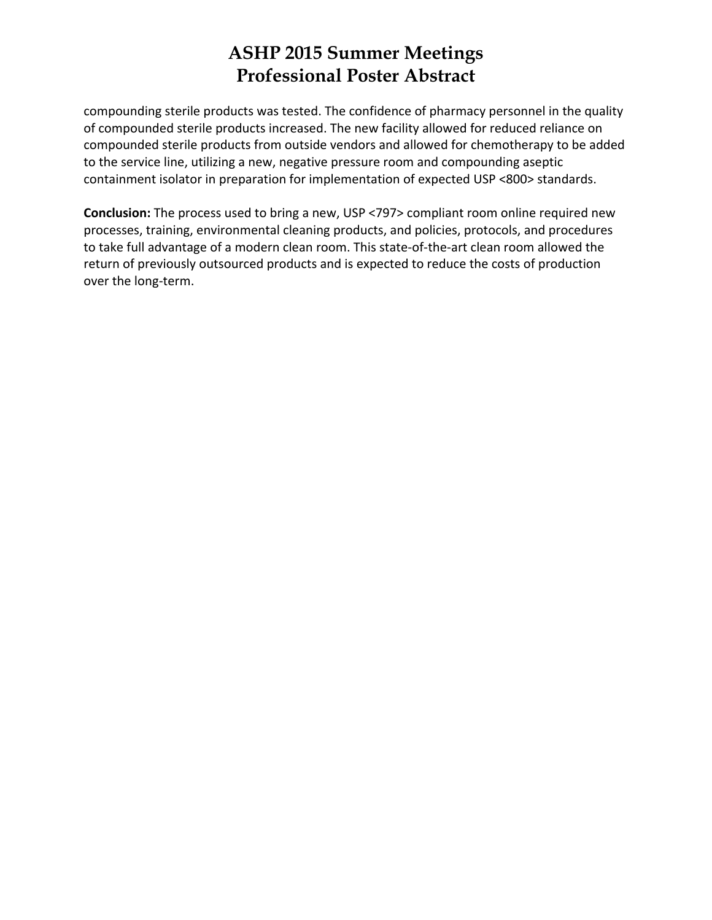compounding sterile products was tested. The confidence of pharmacy personnel in the quality of compounded sterile products increased. The new facility allowed for reduced reliance on compounded sterile products from outside vendors and allowed for chemotherapy to be added to the service line, utilizing a new, negative pressure room and compounding aseptic containment isolator in preparation for implementation of expected USP <800> standards.

**Conclusion:** The process used to bring a new, USP <797> compliant room online required new processes, training, environmental cleaning products, and policies, protocols, and procedures to take full advantage of a modern clean room. This state‐of‐the‐art clean room allowed the return of previously outsourced products and is expected to reduce the costs of production over the long‐term.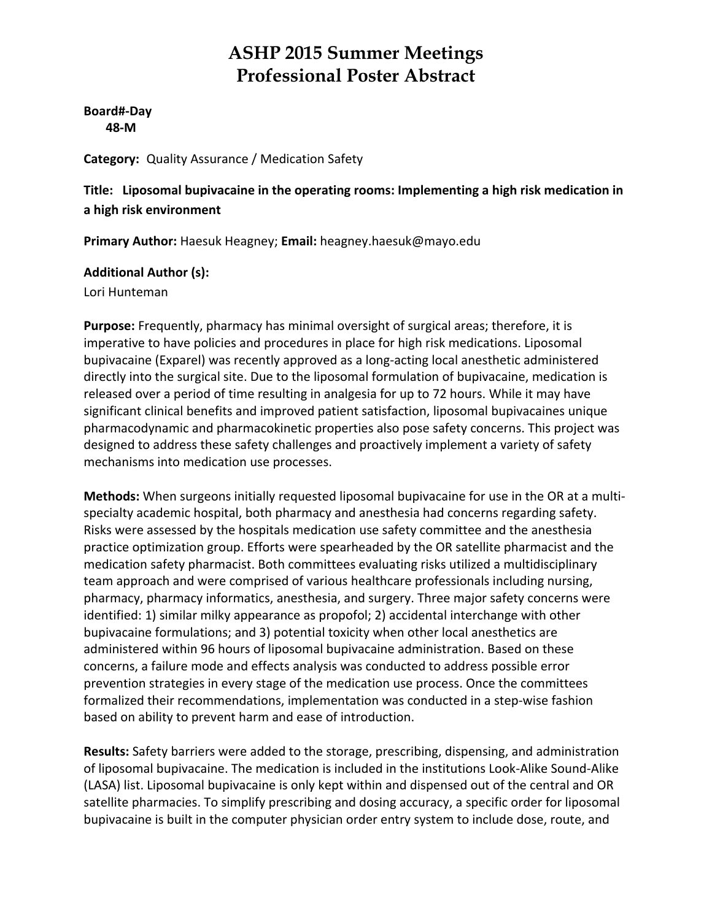**Board#‐Day 48‐M**

**Category:** Quality Assurance / Medication Safety

**Title: Liposomal bupivacaine in the operating rooms: Implementing a high risk medication in a high risk environment**

**Primary Author:** Haesuk Heagney; **Email:** heagney.haesuk@mayo.edu

#### **Additional Author (s):**

Lori Hunteman

**Purpose:** Frequently, pharmacy has minimal oversight of surgical areas; therefore, it is imperative to have policies and procedures in place for high risk medications. Liposomal bupivacaine (Exparel) was recently approved as a long‐acting local anesthetic administered directly into the surgical site. Due to the liposomal formulation of bupivacaine, medication is released over a period of time resulting in analgesia for up to 72 hours. While it may have significant clinical benefits and improved patient satisfaction, liposomal bupivacaines unique pharmacodynamic and pharmacokinetic properties also pose safety concerns. This project was designed to address these safety challenges and proactively implement a variety of safety mechanisms into medication use processes.

**Methods:** When surgeons initially requested liposomal bupivacaine for use in the OR at a multi‐ specialty academic hospital, both pharmacy and anesthesia had concerns regarding safety. Risks were assessed by the hospitals medication use safety committee and the anesthesia practice optimization group. Efforts were spearheaded by the OR satellite pharmacist and the medication safety pharmacist. Both committees evaluating risks utilized a multidisciplinary team approach and were comprised of various healthcare professionals including nursing, pharmacy, pharmacy informatics, anesthesia, and surgery. Three major safety concerns were identified: 1) similar milky appearance as propofol; 2) accidental interchange with other bupivacaine formulations; and 3) potential toxicity when other local anesthetics are administered within 96 hours of liposomal bupivacaine administration. Based on these concerns, a failure mode and effects analysis was conducted to address possible error prevention strategies in every stage of the medication use process. Once the committees formalized their recommendations, implementation was conducted in a step-wise fashion based on ability to prevent harm and ease of introduction.

**Results:** Safety barriers were added to the storage, prescribing, dispensing, and administration of liposomal bupivacaine. The medication is included in the institutions Look‐Alike Sound‐Alike (LASA) list. Liposomal bupivacaine is only kept within and dispensed out of the central and OR satellite pharmacies. To simplify prescribing and dosing accuracy, a specific order for liposomal bupivacaine is built in the computer physician order entry system to include dose, route, and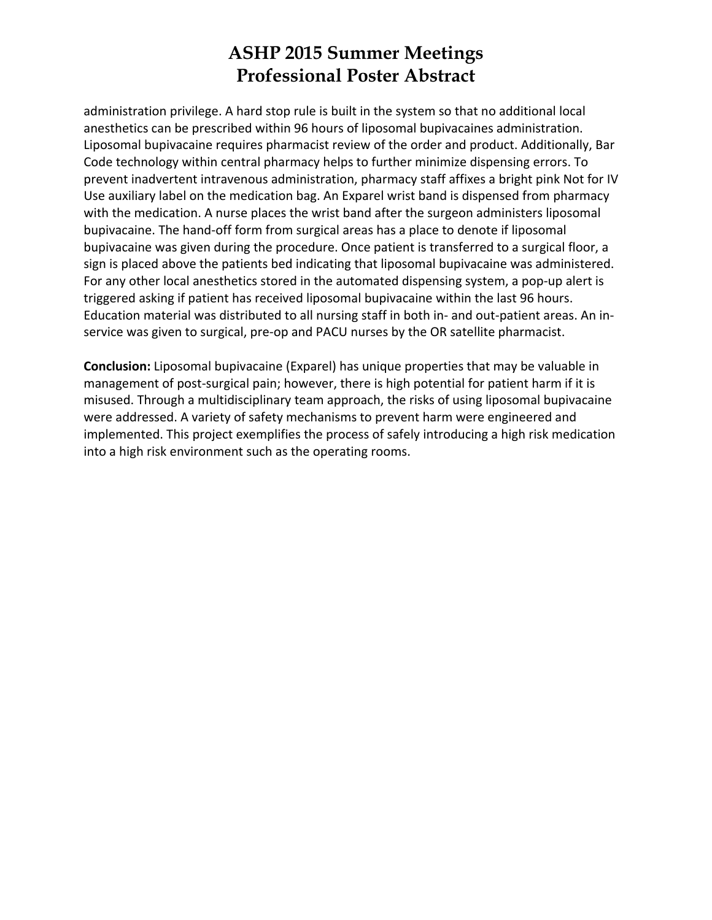administration privilege. A hard stop rule is built in the system so that no additional local anesthetics can be prescribed within 96 hours of liposomal bupivacaines administration. Liposomal bupivacaine requires pharmacist review of the order and product. Additionally, Bar Code technology within central pharmacy helps to further minimize dispensing errors. To prevent inadvertent intravenous administration, pharmacy staff affixes a bright pink Not for IV Use auxiliary label on the medication bag. An Exparel wrist band is dispensed from pharmacy with the medication. A nurse places the wrist band after the surgeon administers liposomal bupivacaine. The hand‐off form from surgical areas has a place to denote if liposomal bupivacaine was given during the procedure. Once patient is transferred to a surgical floor, a sign is placed above the patients bed indicating that liposomal bupivacaine was administered. For any other local anesthetics stored in the automated dispensing system, a pop‐up alert is triggered asking if patient has received liposomal bupivacaine within the last 96 hours. Education material was distributed to all nursing staff in both in‐ and out‐patient areas. An in‐ service was given to surgical, pre‐op and PACU nurses by the OR satellite pharmacist.

**Conclusion:** Liposomal bupivacaine (Exparel) has unique properties that may be valuable in management of post-surgical pain; however, there is high potential for patient harm if it is misused. Through a multidisciplinary team approach, the risks of using liposomal bupivacaine were addressed. A variety of safety mechanisms to prevent harm were engineered and implemented. This project exemplifies the process of safely introducing a high risk medication into a high risk environment such as the operating rooms.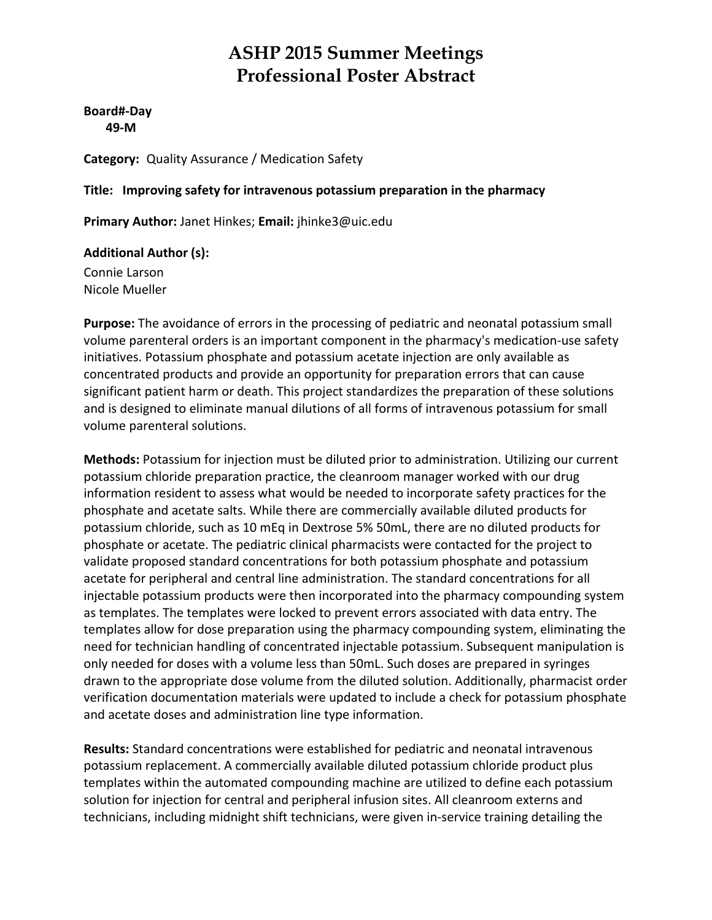**Board#‐Day 49‐M**

**Category:** Quality Assurance / Medication Safety

**Title: Improving safety for intravenous potassium preparation in the pharmacy**

**Primary Author:** Janet Hinkes; **Email:** jhinke3@uic.edu

**Additional Author (s):**

Connie Larson Nicole Mueller

**Purpose:** The avoidance of errors in the processing of pediatric and neonatal potassium small volume parenteral orders is an important component in the pharmacy's medication‐use safety initiatives. Potassium phosphate and potassium acetate injection are only available as concentrated products and provide an opportunity for preparation errors that can cause significant patient harm or death. This project standardizes the preparation of these solutions and is designed to eliminate manual dilutions of all forms of intravenous potassium for small volume parenteral solutions.

**Methods:** Potassium for injection must be diluted prior to administration. Utilizing our current potassium chloride preparation practice, the cleanroom manager worked with our drug information resident to assess what would be needed to incorporate safety practices for the phosphate and acetate salts. While there are commercially available diluted products for potassium chloride, such as 10 mEq in Dextrose 5% 50mL, there are no diluted products for phosphate or acetate. The pediatric clinical pharmacists were contacted for the project to validate proposed standard concentrations for both potassium phosphate and potassium acetate for peripheral and central line administration. The standard concentrations for all injectable potassium products were then incorporated into the pharmacy compounding system as templates. The templates were locked to prevent errors associated with data entry. The templates allow for dose preparation using the pharmacy compounding system, eliminating the need for technician handling of concentrated injectable potassium. Subsequent manipulation is only needed for doses with a volume less than 50mL. Such doses are prepared in syringes drawn to the appropriate dose volume from the diluted solution. Additionally, pharmacist order verification documentation materials were updated to include a check for potassium phosphate and acetate doses and administration line type information.

**Results:** Standard concentrations were established for pediatric and neonatal intravenous potassium replacement. A commercially available diluted potassium chloride product plus templates within the automated compounding machine are utilized to define each potassium solution for injection for central and peripheral infusion sites. All cleanroom externs and technicians, including midnight shift technicians, were given in‐service training detailing the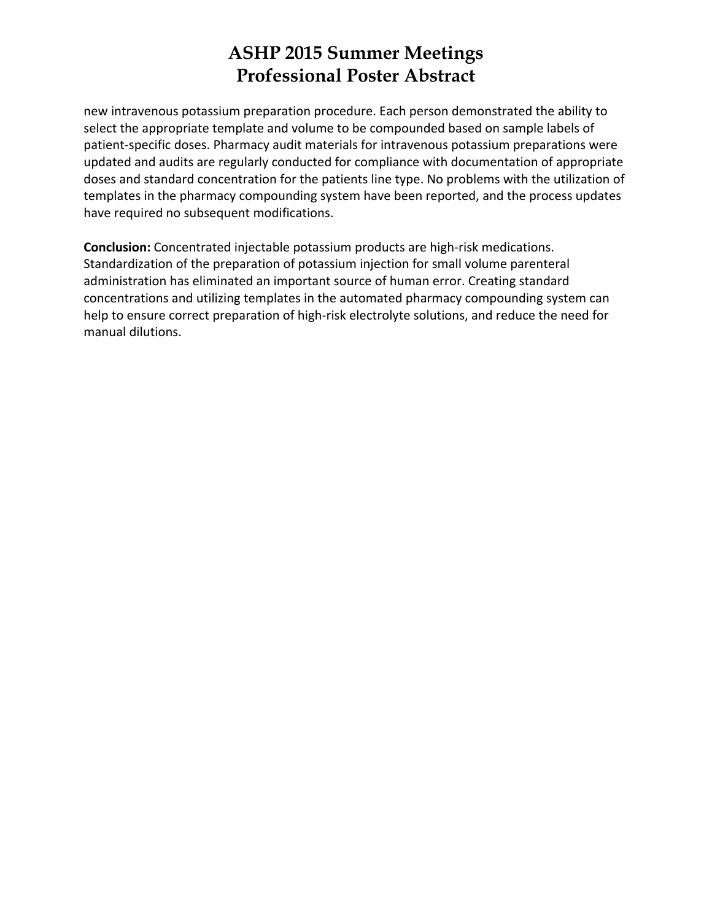new intravenous potassium preparation procedure. Each person demonstrated the ability to select the appropriate template and volume to be compounded based on sample labels of patient‐specific doses. Pharmacy audit materials for intravenous potassium preparations were updated and audits are regularly conducted for compliance with documentation of appropriate doses and standard concentration for the patients line type. No problems with the utilization of templates in the pharmacy compounding system have been reported, and the process updates have required no subsequent modifications.

**Conclusion:** Concentrated injectable potassium products are high‐risk medications. Standardization of the preparation of potassium injection for small volume parenteral administration has eliminated an important source of human error. Creating standard concentrations and utilizing templates in the automated pharmacy compounding system can help to ensure correct preparation of high-risk electrolyte solutions, and reduce the need for manual dilutions.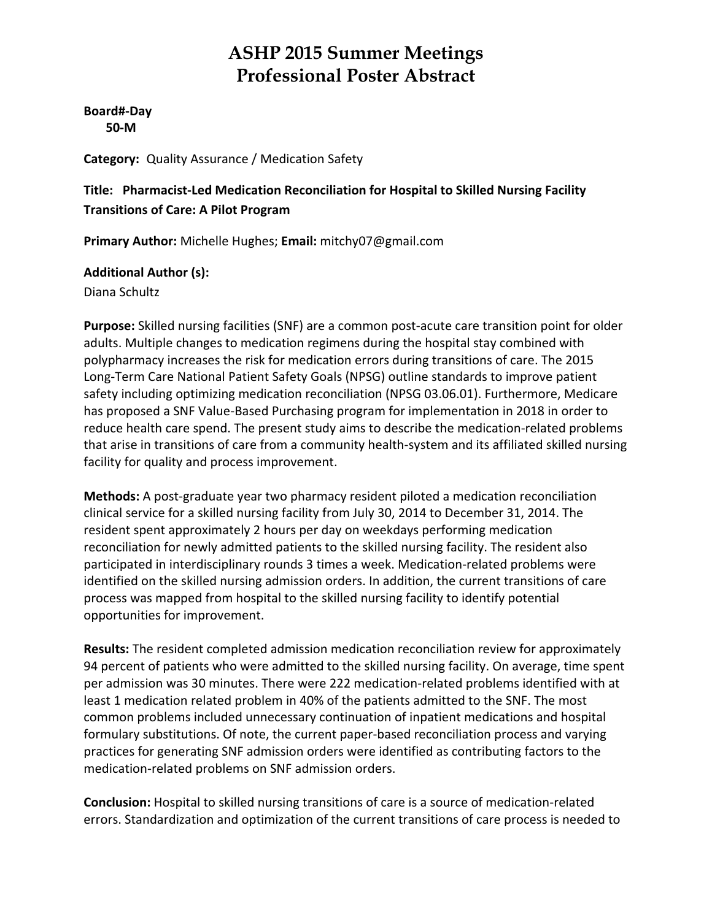**Board#‐Day 50‐M**

**Category:** Quality Assurance / Medication Safety

#### **Title: Pharmacist‐Led Medication Reconciliation for Hospital to Skilled Nursing Facility Transitions of Care: A Pilot Program**

**Primary Author:** Michelle Hughes; **Email:** mitchy07@gmail.com

#### **Additional Author (s):**

Diana Schultz

Purpose: Skilled nursing facilities (SNF) are a common post-acute care transition point for older adults. Multiple changes to medication regimens during the hospital stay combined with polypharmacy increases the risk for medication errors during transitions of care. The 2015 Long‐Term Care National Patient Safety Goals (NPSG) outline standards to improve patient safety including optimizing medication reconciliation (NPSG 03.06.01). Furthermore, Medicare has proposed a SNF Value‐Based Purchasing program for implementation in 2018 in order to reduce health care spend. The present study aims to describe the medication‐related problems that arise in transitions of care from a community health‐system and its affiliated skilled nursing facility for quality and process improvement.

**Methods:** A post‐graduate year two pharmacy resident piloted a medication reconciliation clinical service for a skilled nursing facility from July 30, 2014 to December 31, 2014. The resident spent approximately 2 hours per day on weekdays performing medication reconciliation for newly admitted patients to the skilled nursing facility. The resident also participated in interdisciplinary rounds 3 times a week. Medication‐related problems were identified on the skilled nursing admission orders. In addition, the current transitions of care process was mapped from hospital to the skilled nursing facility to identify potential opportunities for improvement.

**Results:** The resident completed admission medication reconciliation review for approximately 94 percent of patients who were admitted to the skilled nursing facility. On average, time spent per admission was 30 minutes. There were 222 medication‐related problems identified with at least 1 medication related problem in 40% of the patients admitted to the SNF. The most common problems included unnecessary continuation of inpatient medications and hospital formulary substitutions. Of note, the current paper‐based reconciliation process and varying practices for generating SNF admission orders were identified as contributing factors to the medication‐related problems on SNF admission orders.

**Conclusion:** Hospital to skilled nursing transitions of care is a source of medication‐related errors. Standardization and optimization of the current transitions of care process is needed to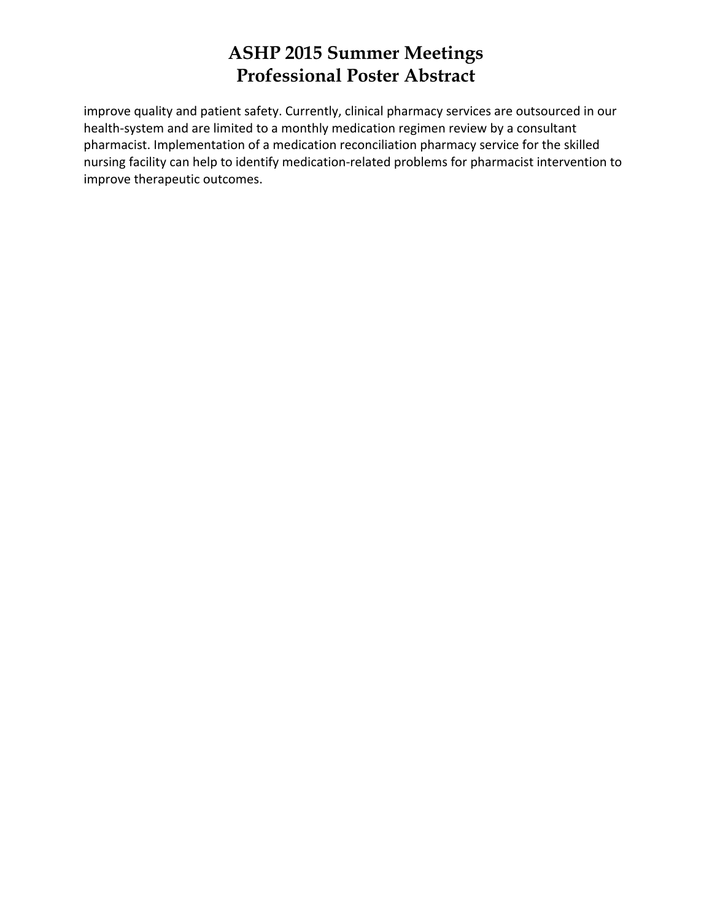improve quality and patient safety. Currently, clinical pharmacy services are outsourced in our health‐system and are limited to a monthly medication regimen review by a consultant pharmacist. Implementation of a medication reconciliation pharmacy service for the skilled nursing facility can help to identify medication‐related problems for pharmacist intervention to improve therapeutic outcomes.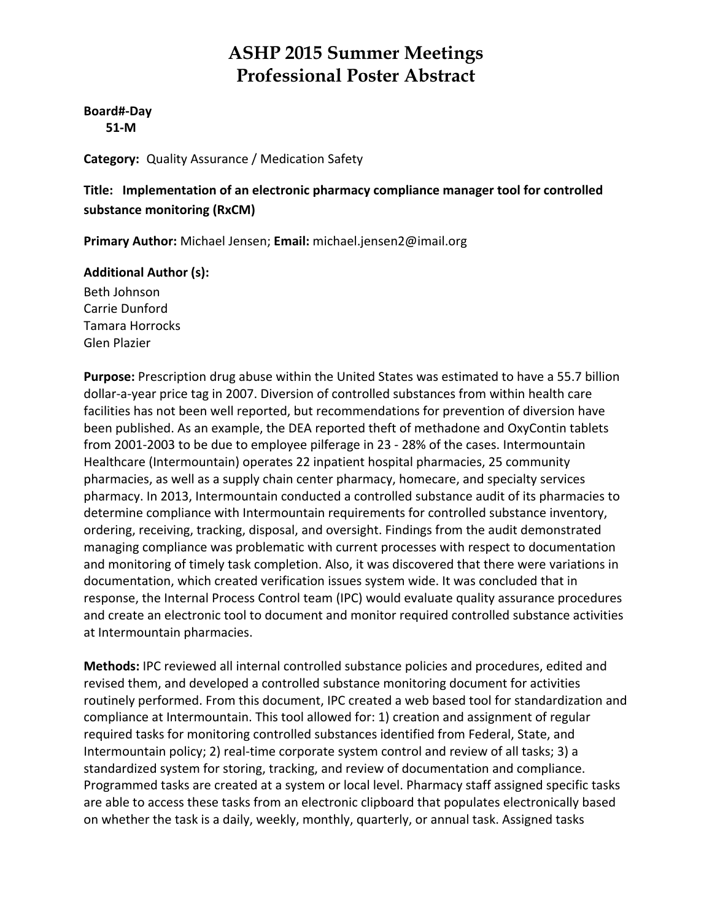#### **Board#‐Day 51‐M**

**Category:** Quality Assurance / Medication Safety

**Title: Implementation of an electronic pharmacy compliance manager tool for controlled substance monitoring (RxCM)**

**Primary Author:** Michael Jensen; **Email:** michael.jensen2@imail.org

#### **Additional Author (s):**

Beth Johnson Carrie Dunford Tamara Horrocks Glen Plazier

**Purpose:** Prescription drug abuse within the United States was estimated to have a 55.7 billion dollar‐a‐year price tag in 2007. Diversion of controlled substances from within health care facilities has not been well reported, but recommendations for prevention of diversion have been published. As an example, the DEA reported theft of methadone and OxyContin tablets from 2001-2003 to be due to employee pilferage in 23 - 28% of the cases. Intermountain Healthcare (Intermountain) operates 22 inpatient hospital pharmacies, 25 community pharmacies, as well as a supply chain center pharmacy, homecare, and specialty services pharmacy. In 2013, Intermountain conducted a controlled substance audit of its pharmacies to determine compliance with Intermountain requirements for controlled substance inventory, ordering, receiving, tracking, disposal, and oversight. Findings from the audit demonstrated managing compliance was problematic with current processes with respect to documentation and monitoring of timely task completion. Also, it was discovered that there were variations in documentation, which created verification issues system wide. It was concluded that in response, the Internal Process Control team (IPC) would evaluate quality assurance procedures and create an electronic tool to document and monitor required controlled substance activities at Intermountain pharmacies.

**Methods:** IPC reviewed all internal controlled substance policies and procedures, edited and revised them, and developed a controlled substance monitoring document for activities routinely performed. From this document, IPC created a web based tool for standardization and compliance at Intermountain. This tool allowed for: 1) creation and assignment of regular required tasks for monitoring controlled substances identified from Federal, State, and Intermountain policy; 2) real‐time corporate system control and review of all tasks; 3) a standardized system for storing, tracking, and review of documentation and compliance. Programmed tasks are created at a system or local level. Pharmacy staff assigned specific tasks are able to access these tasks from an electronic clipboard that populates electronically based on whether the task is a daily, weekly, monthly, quarterly, or annual task. Assigned tasks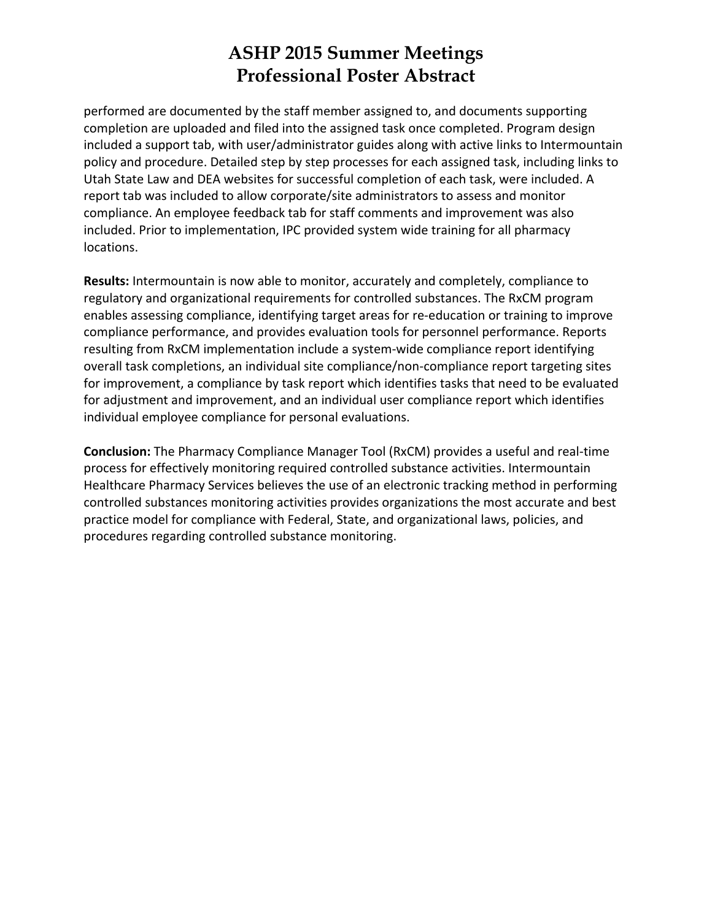performed are documented by the staff member assigned to, and documents supporting completion are uploaded and filed into the assigned task once completed. Program design included a support tab, with user/administrator guides along with active links to Intermountain policy and procedure. Detailed step by step processes for each assigned task, including links to Utah State Law and DEA websites for successful completion of each task, were included. A report tab was included to allow corporate/site administrators to assess and monitor compliance. An employee feedback tab for staff comments and improvement was also included. Prior to implementation, IPC provided system wide training for all pharmacy locations.

**Results:** Intermountain is now able to monitor, accurately and completely, compliance to regulatory and organizational requirements for controlled substances. The RxCM program enables assessing compliance, identifying target areas for re‐education or training to improve compliance performance, and provides evaluation tools for personnel performance. Reports resulting from RxCM implementation include a system‐wide compliance report identifying overall task completions, an individual site compliance/non‐compliance report targeting sites for improvement, a compliance by task report which identifies tasks that need to be evaluated for adjustment and improvement, and an individual user compliance report which identifies individual employee compliance for personal evaluations.

**Conclusion:** The Pharmacy Compliance Manager Tool (RxCM) provides a useful and real‐time process for effectively monitoring required controlled substance activities. Intermountain Healthcare Pharmacy Services believes the use of an electronic tracking method in performing controlled substances monitoring activities provides organizations the most accurate and best practice model for compliance with Federal, State, and organizational laws, policies, and procedures regarding controlled substance monitoring.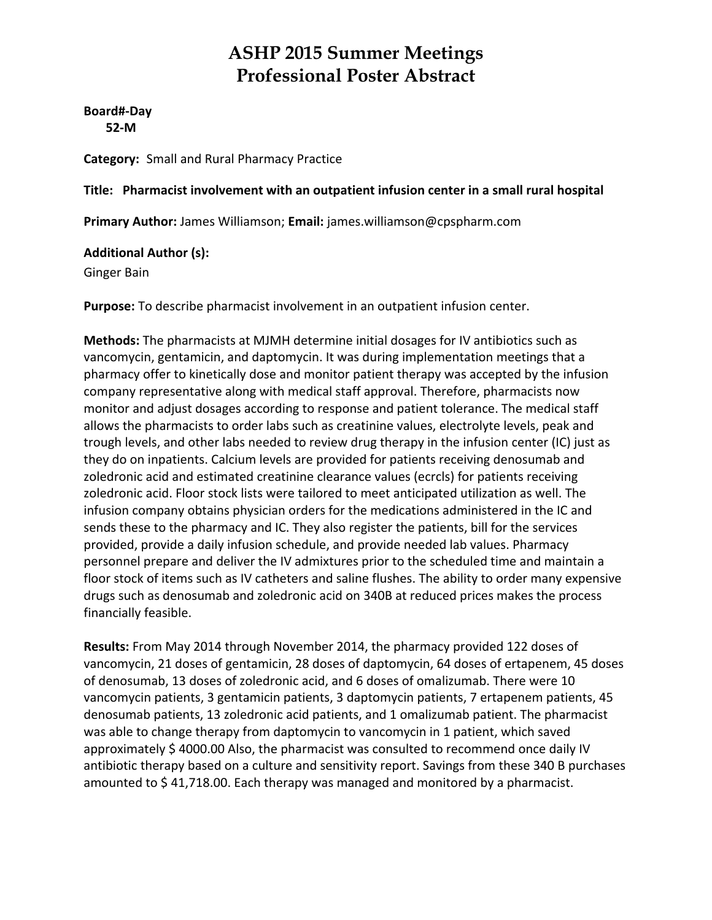**Board#‐Day 52‐M**

**Category:** Small and Rural Pharmacy Practice

**Title: Pharmacist involvement with an outpatient infusion center in a small rural hospital**

**Primary Author:** James Williamson; **Email:** james.williamson@cpspharm.com

#### **Additional Author (s):**

Ginger Bain

**Purpose:** To describe pharmacist involvement in an outpatient infusion center.

**Methods:** The pharmacists at MJMH determine initial dosages for IV antibiotics such as vancomycin, gentamicin, and daptomycin. It was during implementation meetings that a pharmacy offer to kinetically dose and monitor patient therapy was accepted by the infusion company representative along with medical staff approval. Therefore, pharmacists now monitor and adjust dosages according to response and patient tolerance. The medical staff allows the pharmacists to order labs such as creatinine values, electrolyte levels, peak and trough levels, and other labs needed to review drug therapy in the infusion center (IC) just as they do on inpatients. Calcium levels are provided for patients receiving denosumab and zoledronic acid and estimated creatinine clearance values (ecrcls) for patients receiving zoledronic acid. Floor stock lists were tailored to meet anticipated utilization as well. The infusion company obtains physician orders for the medications administered in the IC and sends these to the pharmacy and IC. They also register the patients, bill for the services provided, provide a daily infusion schedule, and provide needed lab values. Pharmacy personnel prepare and deliver the IV admixtures prior to the scheduled time and maintain a floor stock of items such as IV catheters and saline flushes. The ability to order many expensive drugs such as denosumab and zoledronic acid on 340B at reduced prices makes the process financially feasible.

**Results:** From May 2014 through November 2014, the pharmacy provided 122 doses of vancomycin, 21 doses of gentamicin, 28 doses of daptomycin, 64 doses of ertapenem, 45 doses of denosumab, 13 doses of zoledronic acid, and 6 doses of omalizumab. There were 10 vancomycin patients, 3 gentamicin patients, 3 daptomycin patients, 7 ertapenem patients, 45 denosumab patients, 13 zoledronic acid patients, and 1 omalizumab patient. The pharmacist was able to change therapy from daptomycin to vancomycin in 1 patient, which saved approximately \$ 4000.00 Also, the pharmacist was consulted to recommend once daily IV antibiotic therapy based on a culture and sensitivity report. Savings from these 340 B purchases amounted to \$ 41,718.00. Each therapy was managed and monitored by a pharmacist.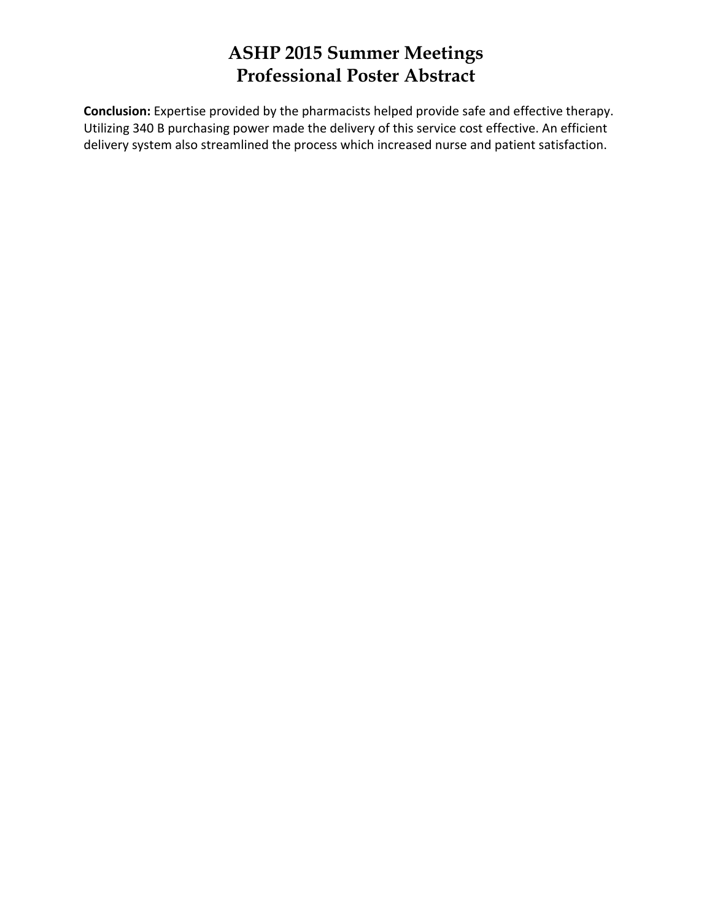**Conclusion:** Expertise provided by the pharmacists helped provide safe and effective therapy. Utilizing 340 B purchasing power made the delivery of this service cost effective. An efficient delivery system also streamlined the process which increased nurse and patient satisfaction.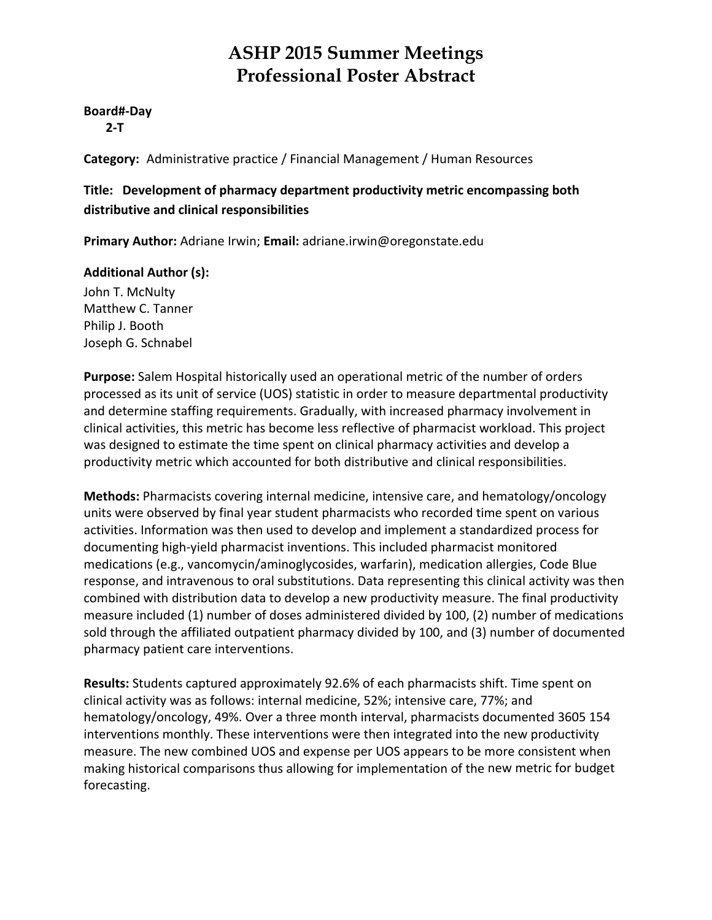#### **Board#‐Day**

 **2‐T**

**Category:** Administrative practice / Financial Management / Human Resources

#### **Title: Development of pharmacy department productivity metric encompassing both distributive and clinical responsibilities**

**Primary Author:** Adriane Irwin; **Email:** adriane.irwin@oregonstate.edu

#### **Additional Author (s):**

John T. McNulty Matthew C. Tanner Philip J. Booth Joseph G. Schnabel

**Purpose:** Salem Hospital historically used an operational metric of the number of orders processed as its unit of service (UOS) statistic in order to measure departmental productivity and determine staffing requirements. Gradually, with increased pharmacy involvement in clinical activities, this metric has become less reflective of pharmacist workload. This project was designed to estimate the time spent on clinical pharmacy activities and develop a productivity metric which accounted for both distributive and clinical responsibilities.

**Methods:** Pharmacists covering internal medicine, intensive care, and hematology/oncology units were observed by final year student pharmacists who recorded time spent on various activities. Information was then used to develop and implement a standardized process for documenting high‐yield pharmacist inventions. This included pharmacist monitored medications (e.g., vancomycin/aminoglycosides, warfarin), medication allergies, Code Blue response, and intravenous to oral substitutions. Data representing this clinical activity was then combined with distribution data to develop a new productivity measure. The final productivity measure included (1) number of doses administered divided by 100, (2) number of medications sold through the affiliated outpatient pharmacy divided by 100, and (3) number of documented pharmacy patient care interventions.

**Results:** Students captured approximately 92.6% of each pharmacists shift. Time spent on clinical activity was as follows: internal medicine, 52%; intensive care, 77%; and hematology/oncology, 49%. Over a three month interval, pharmacists documented 3605 154 interventions monthly. These interventions were then integrated into the new productivity measure. The new combined UOS and expense per UOS appears to be more consistent when making historical comparisons thus allowing for implementation of the new metric for budget forecasting.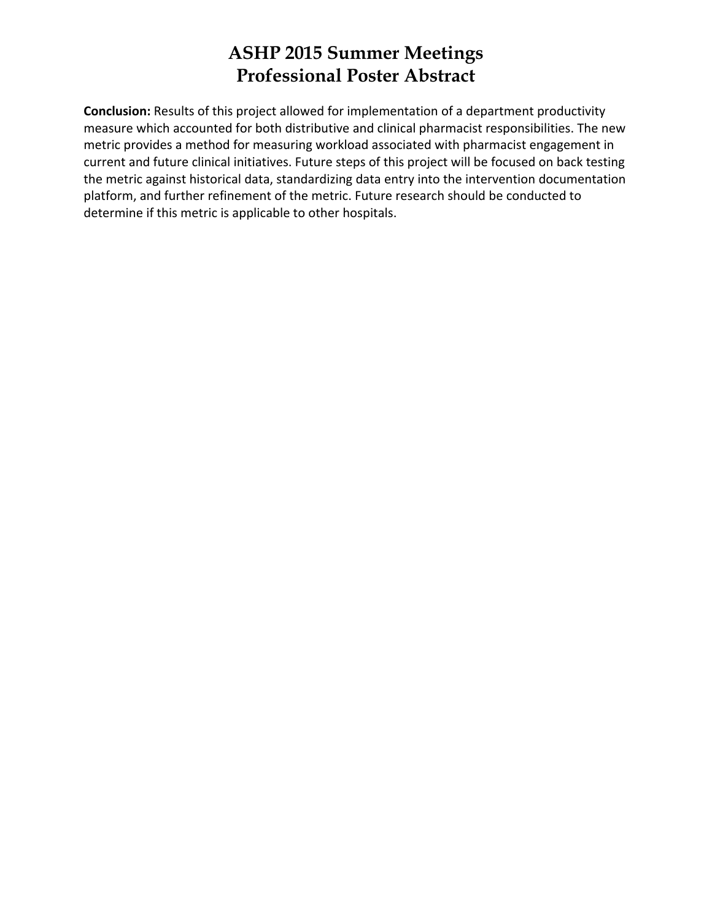**Conclusion:** Results of this project allowed for implementation of a department productivity measure which accounted for both distributive and clinical pharmacist responsibilities. The new metric provides a method for measuring workload associated with pharmacist engagement in current and future clinical initiatives. Future steps of this project will be focused on back testing the metric against historical data, standardizing data entry into the intervention documentation platform, and further refinement of the metric. Future research should be conducted to determine if this metric is applicable to other hospitals.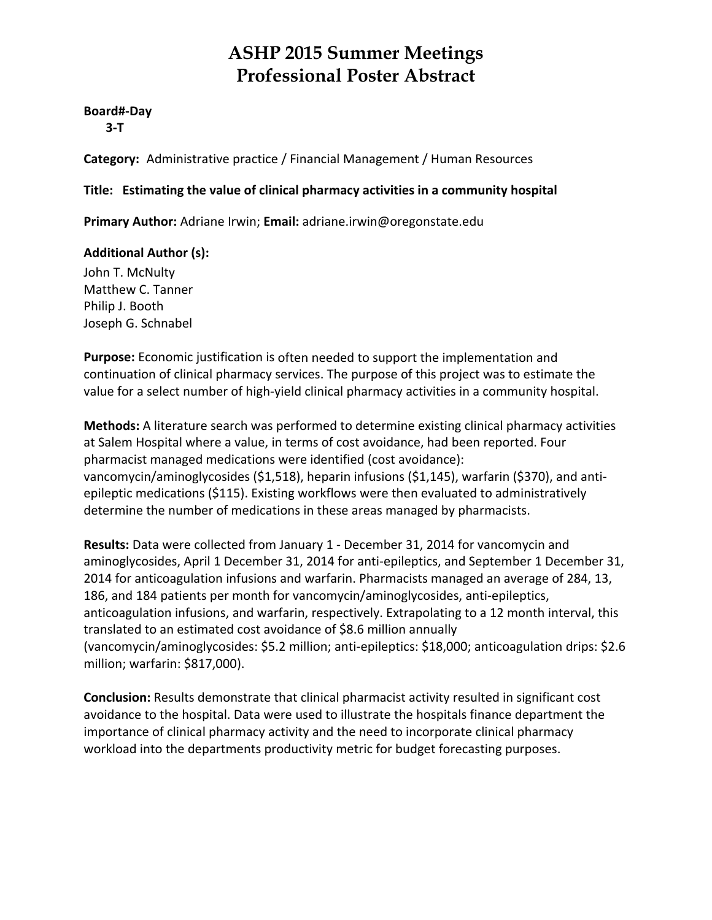#### **Board#‐Day**

 **3‐T**

**Category:** Administrative practice / Financial Management / Human Resources

#### **Title: Estimating the value of clinical pharmacy activities in a community hospital**

**Primary Author:** Adriane Irwin; **Email:** adriane.irwin@oregonstate.edu

#### **Additional Author (s):**

John T. McNulty Matthew C. Tanner Philip J. Booth Joseph G. Schnabel

**Purpose:** Economic justification is often needed to support the implementation and continuation of clinical pharmacy services. The purpose of this project was to estimate the value for a select number of high-yield clinical pharmacy activities in a community hospital.

**Methods:** A literature search was performed to determine existing clinical pharmacy activities at Salem Hospital where a value, in terms of cost avoidance, had been reported. Four pharmacist managed medications were identified (cost avoidance): vancomycin/aminoglycosides (\$1,518), heparin infusions (\$1,145), warfarin (\$370), and anti‐ epileptic medications (\$115). Existing workflows were then evaluated to administratively determine the number of medications in these areas managed by pharmacists.

**Results:** Data were collected from January 1 ‐ December 31, 2014 for vancomycin and aminoglycosides, April 1 December 31, 2014 for anti-epileptics, and September 1 December 31, 2014 for anticoagulation infusions and warfarin. Pharmacists managed an average of 284, 13, 186, and 184 patients per month for vancomycin/aminoglycosides, anti‐epileptics, anticoagulation infusions, and warfarin, respectively. Extrapolating to a 12 month interval, this translated to an estimated cost avoidance of \$8.6 million annually (vancomycin/aminoglycosides: \$5.2 million; anti‐epileptics: \$18,000; anticoagulation drips: \$2.6 million; warfarin: \$817,000).

**Conclusion:** Results demonstrate that clinical pharmacist activity resulted in significant cost avoidance to the hospital. Data were used to illustrate the hospitals finance department the importance of clinical pharmacy activity and the need to incorporate clinical pharmacy workload into the departments productivity metric for budget forecasting purposes.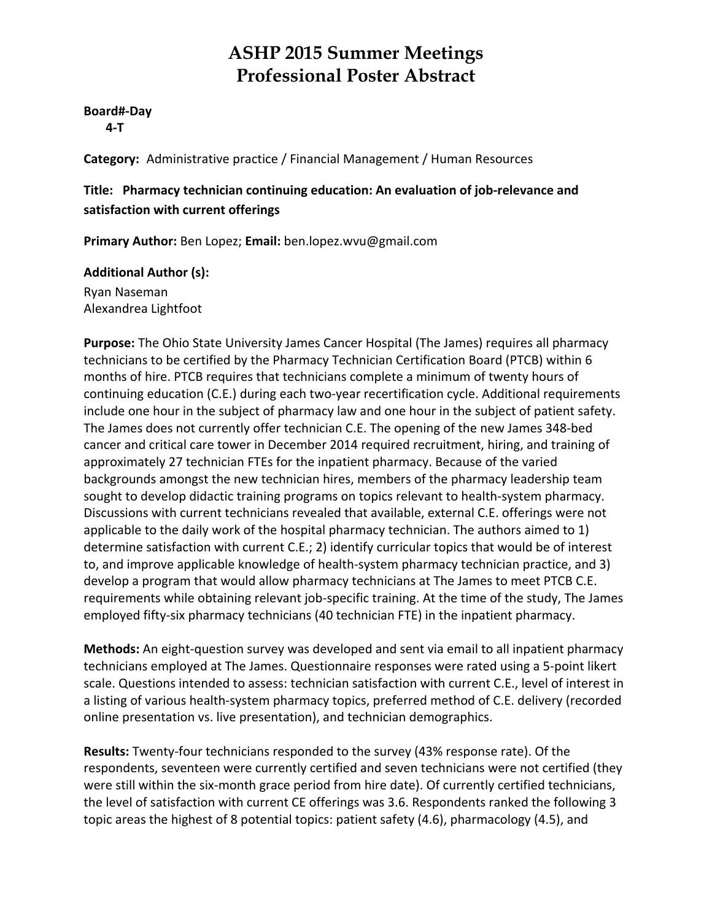#### **Board#‐Day**

 **4‐T**

**Category:** Administrative practice / Financial Management / Human Resources

#### **Title: Pharmacy technician continuing education: An evaluation of job‐relevance and satisfaction with current offerings**

**Primary Author:** Ben Lopez; **Email:** ben.lopez.wvu@gmail.com

#### **Additional Author (s):**

Ryan Naseman Alexandrea Lightfoot

**Purpose:** The Ohio State University James Cancer Hospital (The James) requires all pharmacy technicians to be certified by the Pharmacy Technician Certification Board (PTCB) within 6 months of hire. PTCB requires that technicians complete a minimum of twenty hours of continuing education (C.E.) during each two‐year recertification cycle. Additional requirements include one hour in the subject of pharmacy law and one hour in the subject of patient safety. The James does not currently offer technician C.E. The opening of the new James 348‐bed cancer and critical care tower in December 2014 required recruitment, hiring, and training of approximately 27 technician FTEs for the inpatient pharmacy. Because of the varied backgrounds amongst the new technician hires, members of the pharmacy leadership team sought to develop didactic training programs on topics relevant to health-system pharmacy. Discussions with current technicians revealed that available, external C.E. offerings were not applicable to the daily work of the hospital pharmacy technician. The authors aimed to 1) determine satisfaction with current C.E.; 2) identify curricular topics that would be of interest to, and improve applicable knowledge of health‐system pharmacy technician practice, and 3) develop a program that would allow pharmacy technicians at The James to meet PTCB C.E. requirements while obtaining relevant job-specific training. At the time of the study, The James employed fifty-six pharmacy technicians (40 technician FTE) in the inpatient pharmacy.

**Methods:** An eight-question survey was developed and sent via email to all inpatient pharmacy technicians employed at The James. Questionnaire responses were rated using a 5‐point likert scale. Questions intended to assess: technician satisfaction with current C.E., level of interest in a listing of various health‐system pharmacy topics, preferred method of C.E. delivery (recorded online presentation vs. live presentation), and technician demographics.

**Results:** Twenty‐four technicians responded to the survey (43% response rate). Of the respondents, seventeen were currently certified and seven technicians were not certified (they were still within the six-month grace period from hire date). Of currently certified technicians, the level of satisfaction with current CE offerings was 3.6. Respondents ranked the following 3 topic areas the highest of 8 potential topics: patient safety (4.6), pharmacology (4.5), and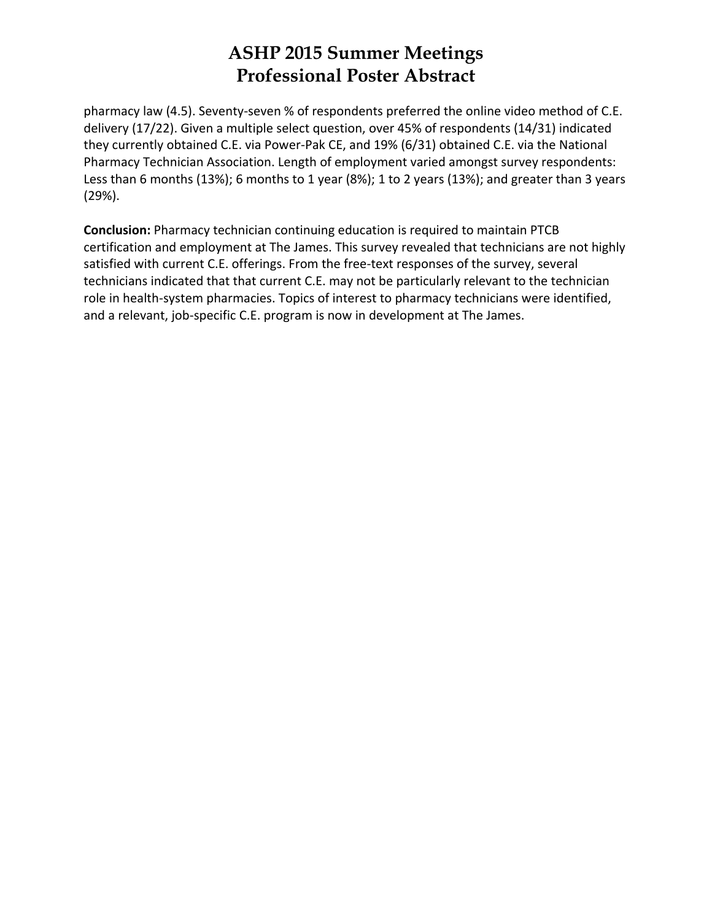pharmacy law (4.5). Seventy‐seven % of respondents preferred the online video method of C.E. delivery (17/22). Given a multiple select question, over 45% of respondents (14/31) indicated they currently obtained C.E. via Power‐Pak CE, and 19% (6/31) obtained C.E. via the National Pharmacy Technician Association. Length of employment varied amongst survey respondents: Less than 6 months (13%); 6 months to 1 year (8%); 1 to 2 years (13%); and greater than 3 years (29%).

**Conclusion:** Pharmacy technician continuing education is required to maintain PTCB certification and employment at The James. This survey revealed that technicians are not highly satisfied with current C.E. offerings. From the free-text responses of the survey, several technicians indicated that that current C.E. may not be particularly relevant to the technician role in health‐system pharmacies. Topics of interest to pharmacy technicians were identified, and a relevant, job-specific C.E. program is now in development at The James.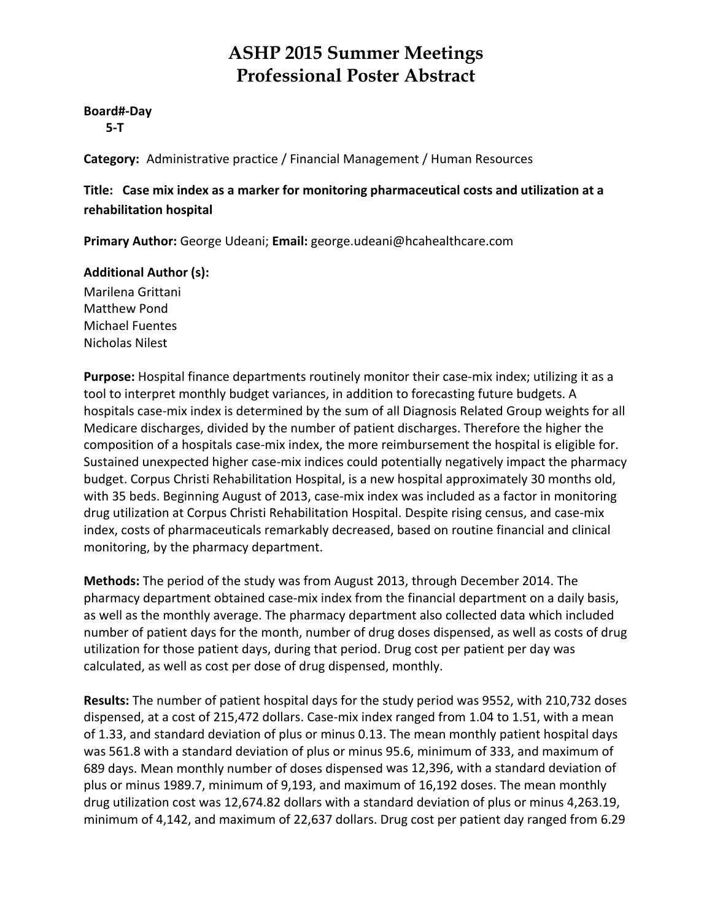#### **Board#‐Day**

 **5‐T**

**Category:** Administrative practice / Financial Management / Human Resources

**Title: Case mix index as a marker for monitoring pharmaceutical costs and utilization at a rehabilitation hospital**

**Primary Author:** George Udeani; **Email:** george.udeani@hcahealthcare.com

#### **Additional Author (s):**

Marilena Grittani Matthew Pond Michael Fuentes Nicholas Nilest

Purpose: Hospital finance departments routinely monitor their case-mix index; utilizing it as a tool to interpret monthly budget variances, in addition to forecasting future budgets. A hospitals case‐mix index is determined by the sum of all Diagnosis Related Group weights for all Medicare discharges, divided by the number of patient discharges. Therefore the higher the composition of a hospitals case‐mix index, the more reimbursement the hospital is eligible for. Sustained unexpected higher case‐mix indices could potentially negatively impact the pharmacy budget. Corpus Christi Rehabilitation Hospital, is a new hospital approximately 30 months old, with 35 beds. Beginning August of 2013, case-mix index was included as a factor in monitoring drug utilization at Corpus Christi Rehabilitation Hospital. Despite rising census, and case‐mix index, costs of pharmaceuticals remarkably decreased, based on routine financial and clinical monitoring, by the pharmacy department.

**Methods:** The period of the study was from August 2013, through December 2014. The pharmacy department obtained case‐mix index from the financial department on a daily basis, as well as the monthly average. The pharmacy department also collected data which included number of patient days for the month, number of drug doses dispensed, as well as costs of drug utilization for those patient days, during that period. Drug cost per patient per day was calculated, as well as cost per dose of drug dispensed, monthly.

**Results:** The number of patient hospital days for the study period was 9552, with 210,732 doses dispensed, at a cost of 215,472 dollars. Case‐mix index ranged from 1.04 to 1.51, with a mean of 1.33, and standard deviation of plus or minus 0.13. The mean monthly patient hospital days was 561.8 with a standard deviation of plus or minus 95.6, minimum of 333, and maximum of 689 days. Mean monthly number of doses dispensed was 12,396, with a standard deviation of plus or minus 1989.7, minimum of 9,193, and maximum of 16,192 doses. The mean monthly drug utilization cost was 12,674.82 dollars with a standard deviation of plus or minus 4,263.19, minimum of 4,142, and maximum of 22,637 dollars. Drug cost per patient day ranged from 6.29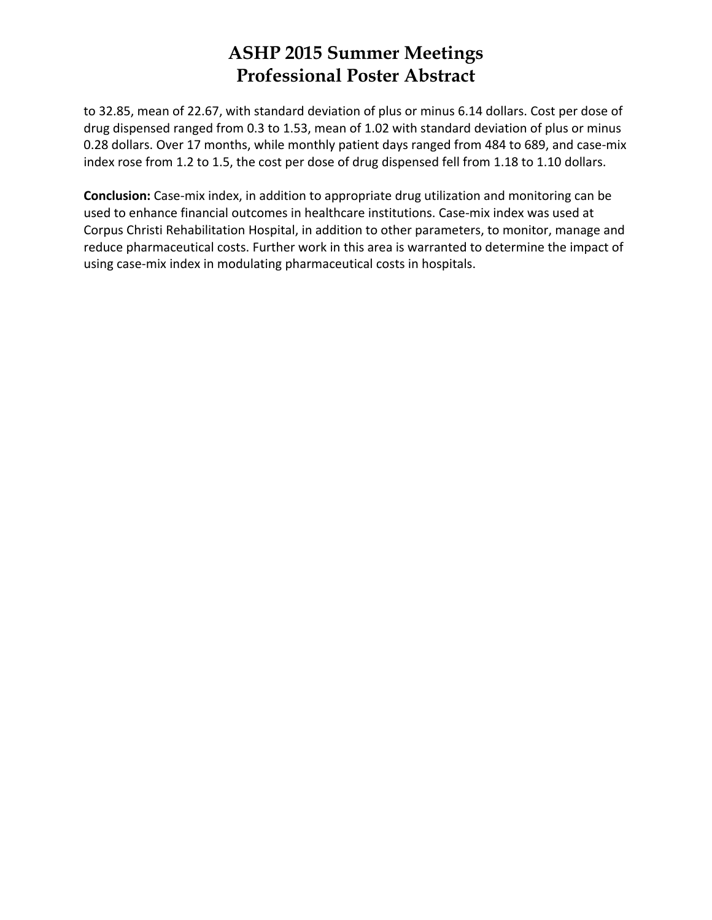to 32.85, mean of 22.67, with standard deviation of plus or minus 6.14 dollars. Cost per dose of drug dispensed ranged from 0.3 to 1.53, mean of 1.02 with standard deviation of plus or minus 0.28 dollars. Over 17 months, while monthly patient days ranged from 484 to 689, and case‐mix index rose from 1.2 to 1.5, the cost per dose of drug dispensed fell from 1.18 to 1.10 dollars.

**Conclusion:** Case‐mix index, in addition to appropriate drug utilization and monitoring can be used to enhance financial outcomes in healthcare institutions. Case‐mix index was used at Corpus Christi Rehabilitation Hospital, in addition to other parameters, to monitor, manage and reduce pharmaceutical costs. Further work in this area is warranted to determine the impact of using case‐mix index in modulating pharmaceutical costs in hospitals.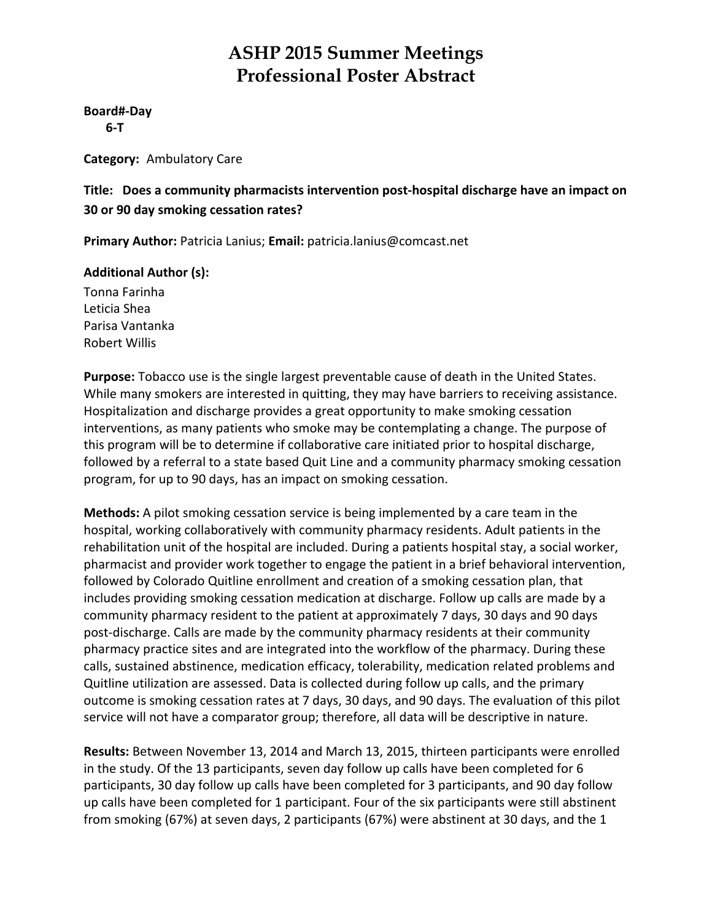**Board#‐Day**

 **6‐T**

**Category:** Ambulatory Care

#### **Title: Does a community pharmacists intervention post‐hospital discharge have an impact on 30 or 90 day smoking cessation rates?**

**Primary Author:** Patricia Lanius; **Email:** patricia.lanius@comcast.net

#### **Additional Author (s):**

Tonna Farinha Leticia Shea Parisa Vantanka Robert Willis

**Purpose:** Tobacco use is the single largest preventable cause of death in the United States. While many smokers are interested in quitting, they may have barriers to receiving assistance. Hospitalization and discharge provides a great opportunity to make smoking cessation interventions, as many patients who smoke may be contemplating a change. The purpose of this program will be to determine if collaborative care initiated prior to hospital discharge, followed by a referral to a state based Quit Line and a community pharmacy smoking cessation program, for up to 90 days, has an impact on smoking cessation.

**Methods:** A pilot smoking cessation service is being implemented by a care team in the hospital, working collaboratively with community pharmacy residents. Adult patients in the rehabilitation unit of the hospital are included. During a patients hospital stay, a social worker, pharmacist and provider work together to engage the patient in a brief behavioral intervention, followed by Colorado Quitline enrollment and creation of a smoking cessation plan, that includes providing smoking cessation medication at discharge. Follow up calls are made by a community pharmacy resident to the patient at approximately 7 days, 30 days and 90 days post-discharge. Calls are made by the community pharmacy residents at their community pharmacy practice sites and are integrated into the workflow of the pharmacy. During these calls, sustained abstinence, medication efficacy, tolerability, medication related problems and Quitline utilization are assessed. Data is collected during follow up calls, and the primary outcome is smoking cessation rates at 7 days, 30 days, and 90 days. The evaluation of this pilot service will not have a comparator group; therefore, all data will be descriptive in nature.

**Results:** Between November 13, 2014 and March 13, 2015, thirteen participants were enrolled in the study. Of the 13 participants, seven day follow up calls have been completed for 6 participants, 30 day follow up calls have been completed for 3 participants, and 90 day follow up calls have been completed for 1 participant. Four of the six participants were still abstinent from smoking (67%) at seven days, 2 participants (67%) were abstinent at 30 days, and the 1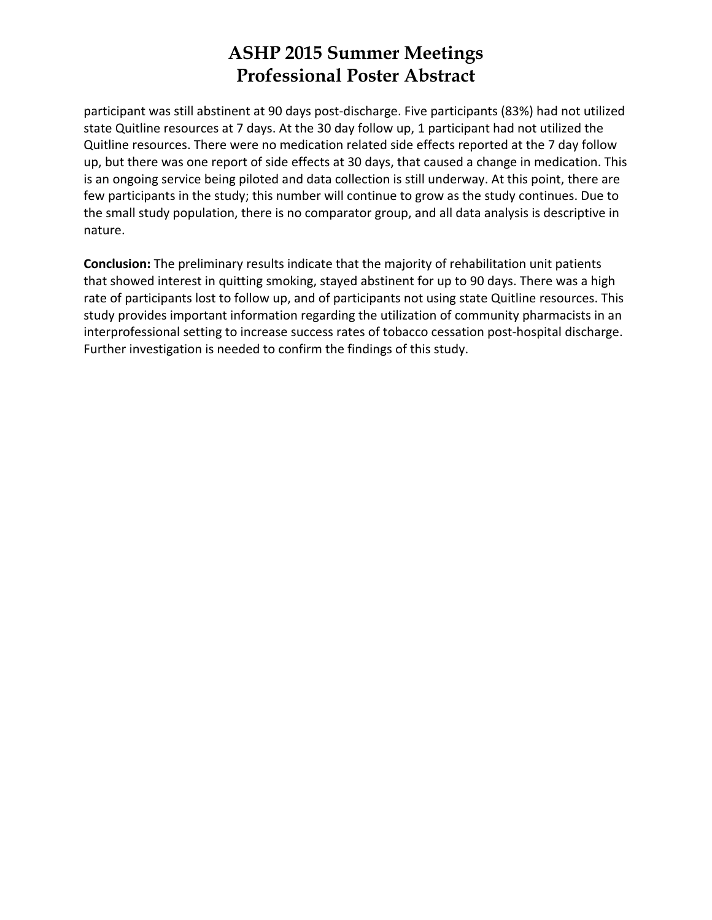participant was still abstinent at 90 days post-discharge. Five participants (83%) had not utilized state Quitline resources at 7 days. At the 30 day follow up, 1 participant had not utilized the Quitline resources. There were no medication related side effects reported at the 7 day follow up, but there was one report of side effects at 30 days, that caused a change in medication. This is an ongoing service being piloted and data collection is still underway. At this point, there are few participants in the study; this number will continue to grow as the study continues. Due to the small study population, there is no comparator group, and all data analysis is descriptive in nature.

**Conclusion:** The preliminary results indicate that the majority of rehabilitation unit patients that showed interest in quitting smoking, stayed abstinent for up to 90 days. There was a high rate of participants lost to follow up, and of participants not using state Quitline resources. This study provides important information regarding the utilization of community pharmacists in an interprofessional setting to increase success rates of tobacco cessation post-hospital discharge. Further investigation is needed to confirm the findings of this study.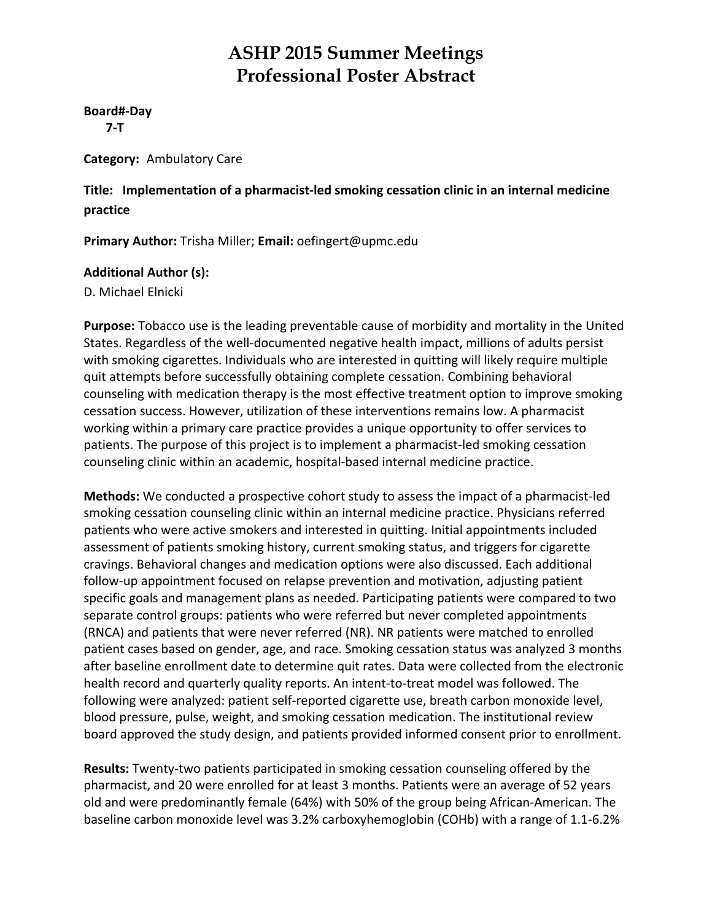#### **Board#‐Day**

 **7‐T**

**Category:** Ambulatory Care

#### **Title: Implementation of a pharmacist‐led smoking cessation clinic in an internal medicine practice**

**Primary Author:** Trisha Miller; **Email:** oefingert@upmc.edu

#### **Additional Author (s):**

D. Michael Elnicki

**Purpose:** Tobacco use is the leading preventable cause of morbidity and mortality in the United States. Regardless of the well‐documented negative health impact, millions of adults persist with smoking cigarettes. Individuals who are interested in quitting will likely require multiple quit attempts before successfully obtaining complete cessation. Combining behavioral counseling with medication therapy is the most effective treatment option to improve smoking cessation success. However, utilization of these interventions remains low. A pharmacist working within a primary care practice provides a unique opportunity to offer services to patients. The purpose of this project is to implement a pharmacist‐led smoking cessation counseling clinic within an academic, hospital‐based internal medicine practice.

**Methods:** We conducted a prospective cohort study to assess the impact of a pharmacist‐led smoking cessation counseling clinic within an internal medicine practice. Physicians referred patients who were active smokers and interested in quitting. Initial appointments included assessment of patients smoking history, current smoking status, and triggers for cigarette cravings. Behavioral changes and medication options were also discussed. Each additional follow-up appointment focused on relapse prevention and motivation, adjusting patient specific goals and management plans as needed. Participating patients were compared to two separate control groups: patients who were referred but never completed appointments (RNCA) and patients that were never referred (NR). NR patients were matched to enrolled patient cases based on gender, age, and race. Smoking cessation status was analyzed 3 months after baseline enrollment date to determine quit rates. Data were collected from the electronic health record and quarterly quality reports. An intent‐to‐treat model was followed. The following were analyzed: patient self-reported cigarette use, breath carbon monoxide level, blood pressure, pulse, weight, and smoking cessation medication. The institutional review board approved the study design, and patients provided informed consent prior to enrollment.

**Results:** Twenty‐two patients participated in smoking cessation counseling offered by the pharmacist, and 20 were enrolled for at least 3 months. Patients were an average of 52 years old and were predominantly female (64%) with 50% of the group being African‐American. The baseline carbon monoxide level was 3.2% carboxyhemoglobin (COHb) with a range of 1.1‐6.2%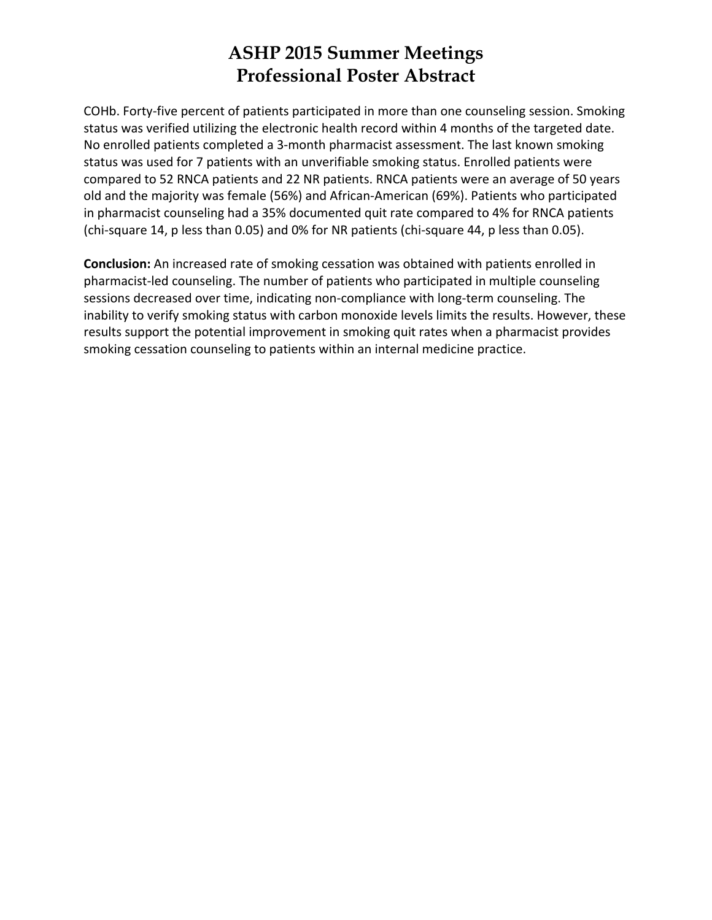COHb. Forty‐five percent of patients participated in more than one counseling session. Smoking status was verified utilizing the electronic health record within 4 months of the targeted date. No enrolled patients completed a 3‐month pharmacist assessment. The last known smoking status was used for 7 patients with an unverifiable smoking status. Enrolled patients were compared to 52 RNCA patients and 22 NR patients. RNCA patients were an average of 50 years old and the majority was female (56%) and African‐American (69%). Patients who participated in pharmacist counseling had a 35% documented quit rate compared to 4% for RNCA patients (chi‐square 14, p less than 0.05) and 0% for NR patients (chi‐square 44, p less than 0.05).

**Conclusion:** An increased rate of smoking cessation was obtained with patients enrolled in pharmacist‐led counseling. The number of patients who participated in multiple counseling sessions decreased over time, indicating non-compliance with long-term counseling. The inability to verify smoking status with carbon monoxide levels limits the results. However, these results support the potential improvement in smoking quit rates when a pharmacist provides smoking cessation counseling to patients within an internal medicine practice.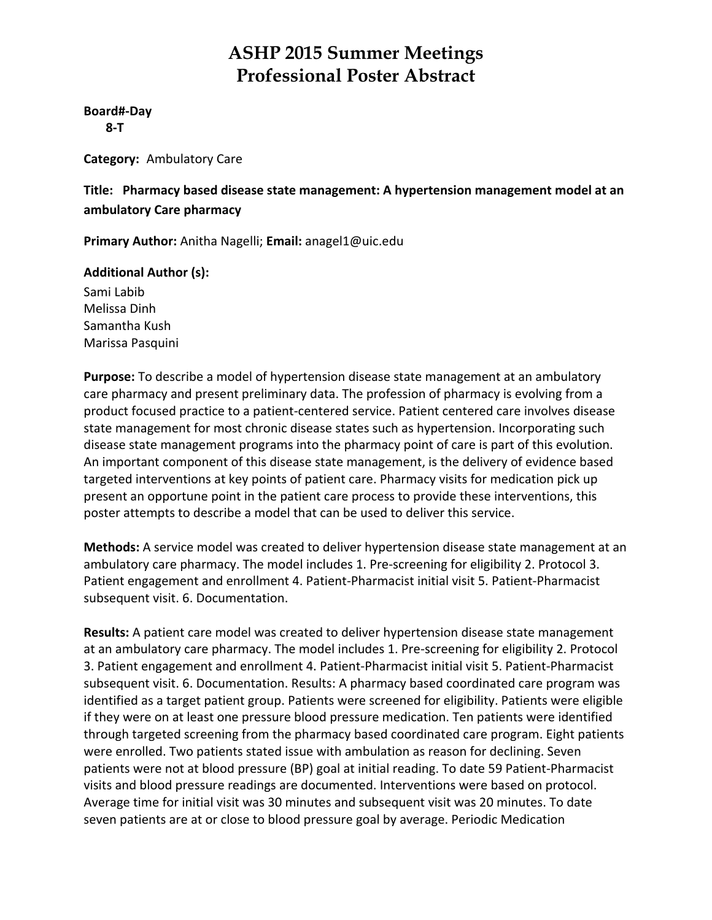**Board#‐Day 8‐T**

**Category:** Ambulatory Care

**Title: Pharmacy based disease state management: A hypertension management model at an ambulatory Care pharmacy**

**Primary Author:** Anitha Nagelli; **Email:** anagel1@uic.edu

#### **Additional Author (s):**

Sami Labib Melissa Dinh Samantha Kush Marissa Pasquini

**Purpose:** To describe a model of hypertension disease state management at an ambulatory care pharmacy and present preliminary data. The profession of pharmacy is evolving from a product focused practice to a patient‐centered service. Patient centered care involves disease state management for most chronic disease states such as hypertension. Incorporating such disease state management programs into the pharmacy point of care is part of this evolution. An important component of this disease state management, is the delivery of evidence based targeted interventions at key points of patient care. Pharmacy visits for medication pick up present an opportune point in the patient care process to provide these interventions, this poster attempts to describe a model that can be used to deliver this service.

**Methods:** A service model was created to deliver hypertension disease state management at an ambulatory care pharmacy. The model includes 1. Pre‐screening for eligibility 2. Protocol 3. Patient engagement and enrollment 4. Patient‐Pharmacist initial visit 5. Patient‐Pharmacist subsequent visit. 6. Documentation.

**Results:** A patient care model was created to deliver hypertension disease state management at an ambulatory care pharmacy. The model includes 1. Pre‐screening for eligibility 2. Protocol 3. Patient engagement and enrollment 4. Patient‐Pharmacist initial visit 5. Patient‐Pharmacist subsequent visit. 6. Documentation. Results: A pharmacy based coordinated care program was identified as a target patient group. Patients were screened for eligibility. Patients were eligible if they were on at least one pressure blood pressure medication. Ten patients were identified through targeted screening from the pharmacy based coordinated care program. Eight patients were enrolled. Two patients stated issue with ambulation as reason for declining. Seven patients were not at blood pressure (BP) goal at initial reading. To date 59 Patient‐Pharmacist visits and blood pressure readings are documented. Interventions were based on protocol. Average time for initial visit was 30 minutes and subsequent visit was 20 minutes. To date seven patients are at or close to blood pressure goal by average. Periodic Medication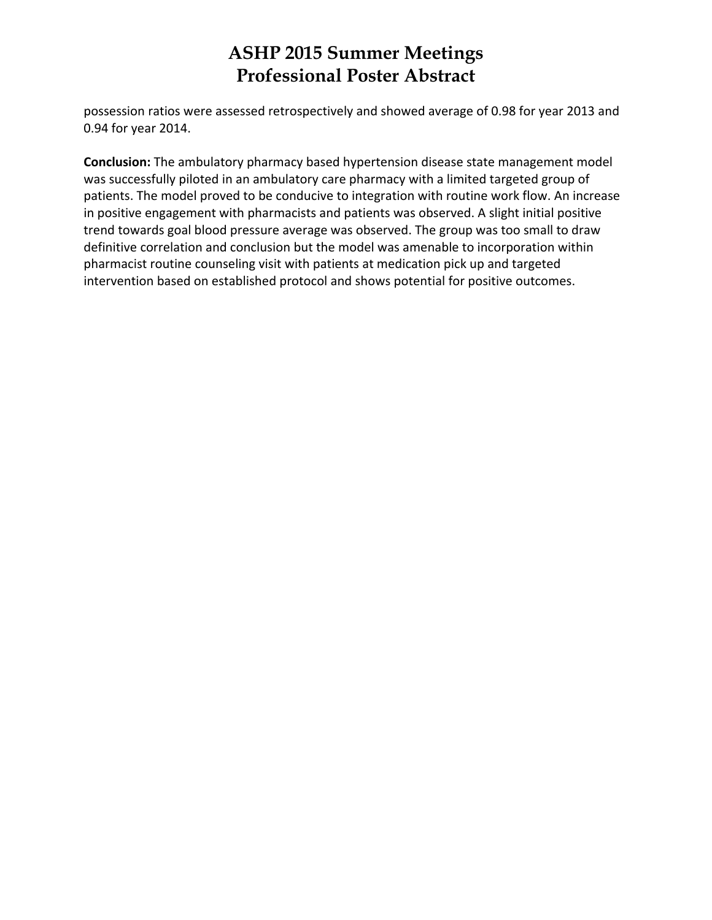possession ratios were assessed retrospectively and showed average of 0.98 for year 2013 and 0.94 for year 2014.

**Conclusion:** The ambulatory pharmacy based hypertension disease state management model was successfully piloted in an ambulatory care pharmacy with a limited targeted group of patients. The model proved to be conducive to integration with routine work flow. An increase in positive engagement with pharmacists and patients was observed. A slight initial positive trend towards goal blood pressure average was observed. The group was too small to draw definitive correlation and conclusion but the model was amenable to incorporation within pharmacist routine counseling visit with patients at medication pick up and targeted intervention based on established protocol and shows potential for positive outcomes.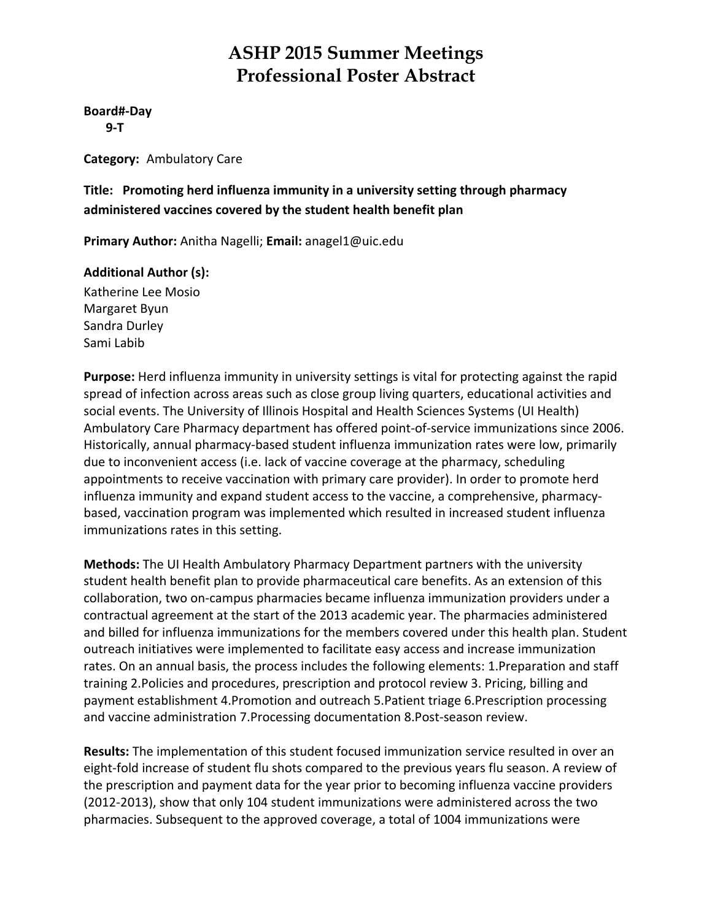#### **Board#‐Day**

 **9‐T**

**Category:** Ambulatory Care

**Title: Promoting herd influenza immunity in a university setting through pharmacy administered vaccines covered by the student health benefit plan**

**Primary Author:** Anitha Nagelli; **Email:** anagel1@uic.edu

#### **Additional Author (s):**

Katherine Lee Mosio Margaret Byun Sandra Durley Sami Labib

**Purpose:** Herd influenza immunity in university settings is vital for protecting against the rapid spread of infection across areas such as close group living quarters, educational activities and social events. The University of Illinois Hospital and Health Sciences Systems (UI Health) Ambulatory Care Pharmacy department has offered point‐of‐service immunizations since 2006. Historically, annual pharmacy‐based student influenza immunization rates were low, primarily due to inconvenient access (i.e. lack of vaccine coverage at the pharmacy, scheduling appointments to receive vaccination with primary care provider). In order to promote herd influenza immunity and expand student access to the vaccine, a comprehensive, pharmacy‐ based, vaccination program was implemented which resulted in increased student influenza immunizations rates in this setting.

**Methods:** The UI Health Ambulatory Pharmacy Department partners with the university student health benefit plan to provide pharmaceutical care benefits. As an extension of this collaboration, two on‐campus pharmacies became influenza immunization providers under a contractual agreement at the start of the 2013 academic year. The pharmacies administered and billed for influenza immunizations for the members covered under this health plan. Student outreach initiatives were implemented to facilitate easy access and increase immunization rates. On an annual basis, the process includes the following elements: 1.Preparation and staff training 2.Policies and procedures, prescription and protocol review 3. Pricing, billing and payment establishment 4.Promotion and outreach 5.Patient triage 6.Prescription processing and vaccine administration 7.Processing documentation 8.Post‐season review.

**Results:** The implementation of this student focused immunization service resulted in over an eight‐fold increase of student flu shots compared to the previous years flu season. A review of the prescription and payment data for the year prior to becoming influenza vaccine providers (2012‐2013), show that only 104 student immunizations were administered across the two pharmacies. Subsequent to the approved coverage, a total of 1004 immunizations were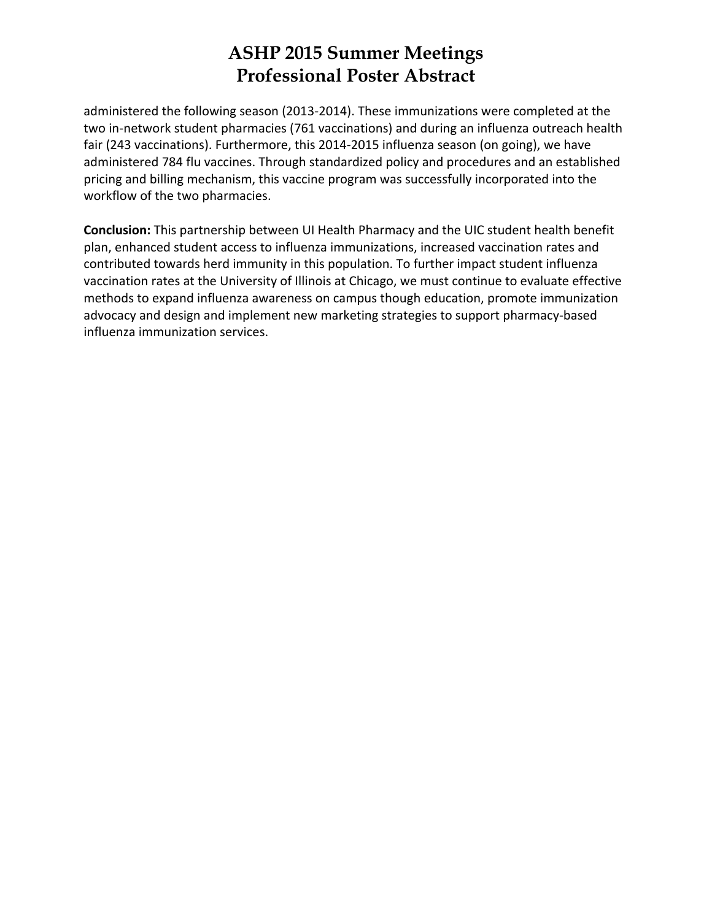administered the following season (2013‐2014). These immunizations were completed at the two in‐network student pharmacies (761 vaccinations) and during an influenza outreach health fair (243 vaccinations). Furthermore, this 2014‐2015 influenza season (on going), we have administered 784 flu vaccines. Through standardized policy and procedures and an established pricing and billing mechanism, this vaccine program was successfully incorporated into the workflow of the two pharmacies.

**Conclusion:** This partnership between UI Health Pharmacy and the UIC student health benefit plan, enhanced student access to influenza immunizations, increased vaccination rates and contributed towards herd immunity in this population. To further impact student influenza vaccination rates at the University of Illinois at Chicago, we must continue to evaluate effective methods to expand influenza awareness on campus though education, promote immunization advocacy and design and implement new marketing strategies to support pharmacy‐based influenza immunization services.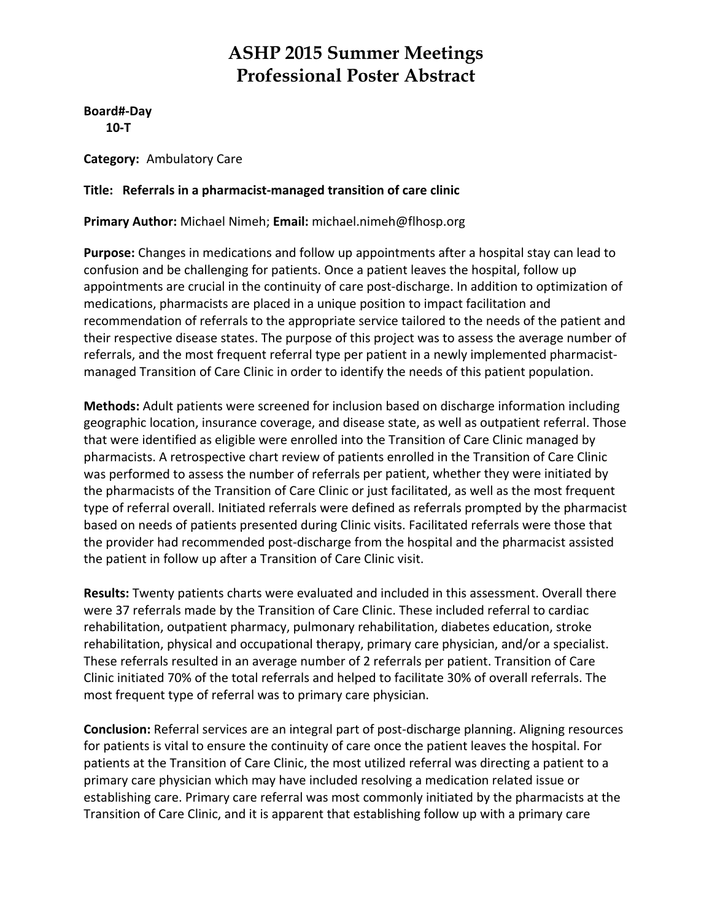**Board#‐Day 10‐T**

**Category:** Ambulatory Care

#### **Title: Referrals in a pharmacist‐managed transition of care clinic**

**Primary Author:** Michael Nimeh; **Email:** michael.nimeh@flhosp.org

**Purpose:** Changes in medications and follow up appointments after a hospital stay can lead to confusion and be challenging for patients. Once a patient leaves the hospital, follow up appointments are crucial in the continuity of care post-discharge. In addition to optimization of medications, pharmacists are placed in a unique position to impact facilitation and recommendation of referrals to the appropriate service tailored to the needs of the patient and their respective disease states. The purpose of this project was to assess the average number of referrals, and the most frequent referral type per patient in a newly implemented pharmacistmanaged Transition of Care Clinic in order to identify the needs of this patient population.

**Methods:** Adult patients were screened for inclusion based on discharge information including geographic location, insurance coverage, and disease state, as well as outpatient referral. Those that were identified as eligible were enrolled into the Transition of Care Clinic managed by pharmacists. A retrospective chart review of patients enrolled in the Transition of Care Clinic was performed to assess the number of referrals per patient, whether they were initiated by the pharmacists of the Transition of Care Clinic or just facilitated, as well as the most frequent type of referral overall. Initiated referrals were defined as referrals prompted by the pharmacist based on needs of patients presented during Clinic visits. Facilitated referrals were those that the provider had recommended post‐discharge from the hospital and the pharmacist assisted the patient in follow up after a Transition of Care Clinic visit.

**Results:** Twenty patients charts were evaluated and included in this assessment. Overall there were 37 referrals made by the Transition of Care Clinic. These included referral to cardiac rehabilitation, outpatient pharmacy, pulmonary rehabilitation, diabetes education, stroke rehabilitation, physical and occupational therapy, primary care physician, and/or a specialist. These referrals resulted in an average number of 2 referrals per patient. Transition of Care Clinic initiated 70% of the total referrals and helped to facilitate 30% of overall referrals. The most frequent type of referral was to primary care physician.

**Conclusion:** Referral services are an integral part of post‐discharge planning. Aligning resources for patients is vital to ensure the continuity of care once the patient leaves the hospital. For patients at the Transition of Care Clinic, the most utilized referral was directing a patient to a primary care physician which may have included resolving a medication related issue or establishing care. Primary care referral was most commonly initiated by the pharmacists at the Transition of Care Clinic, and it is apparent that establishing follow up with a primary care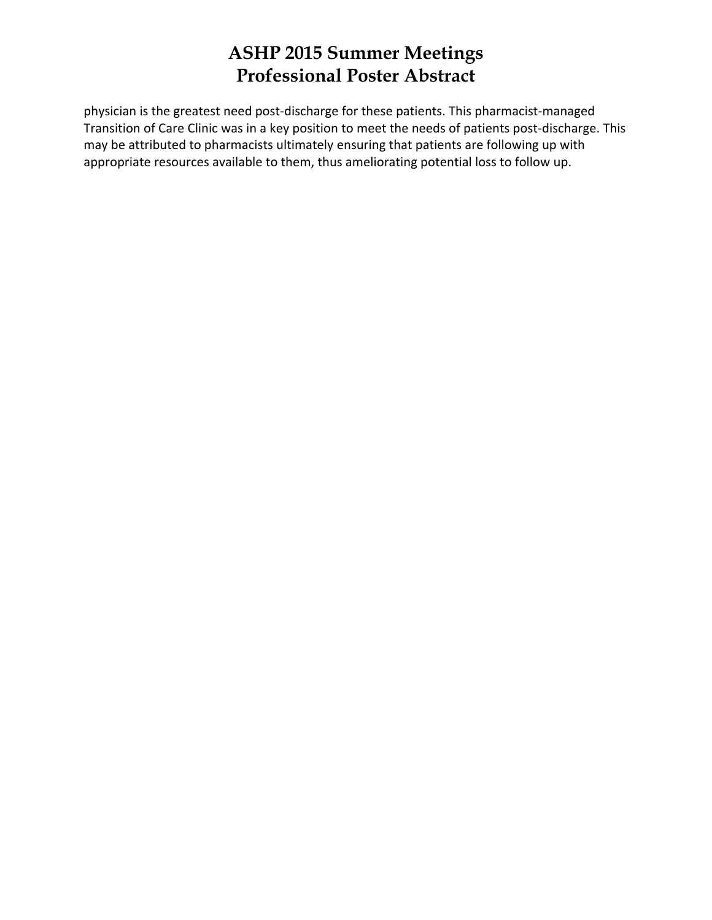physician is the greatest need post-discharge for these patients. This pharmacist-managed Transition of Care Clinic was in a key position to meet the needs of patients post‐discharge. This may be attributed to pharmacists ultimately ensuring that patients are following up with appropriate resources available to them, thus ameliorating potential loss to follow up.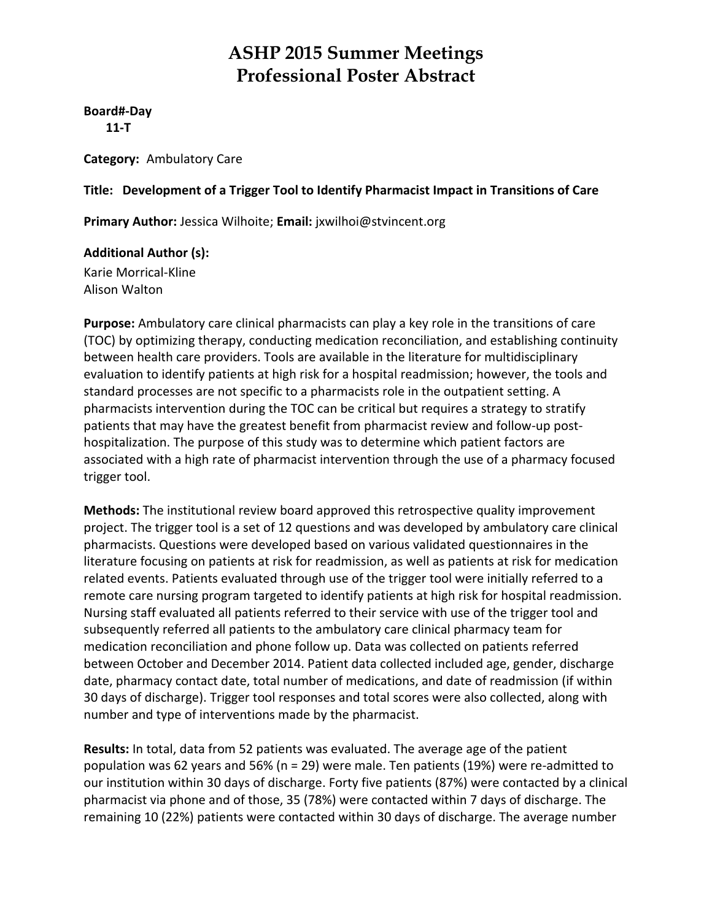**Board#‐Day**

 **11‐T**

**Category:** Ambulatory Care

#### **Title: Development of a Trigger Tool to Identify Pharmacist Impact in Transitions of Care**

**Primary Author:** Jessica Wilhoite; **Email:** jxwilhoi@stvincent.org

**Additional Author (s):**

Karie Morrical‐Kline Alison Walton

**Purpose:** Ambulatory care clinical pharmacists can play a key role in the transitions of care (TOC) by optimizing therapy, conducting medication reconciliation, and establishing continuity between health care providers. Tools are available in the literature for multidisciplinary evaluation to identify patients at high risk for a hospital readmission; however, the tools and standard processes are not specific to a pharmacists role in the outpatient setting. A pharmacists intervention during the TOC can be critical but requires a strategy to stratify patients that may have the greatest benefit from pharmacist review and follow‐up post‐ hospitalization. The purpose of this study was to determine which patient factors are associated with a high rate of pharmacist intervention through the use of a pharmacy focused trigger tool.

**Methods:** The institutional review board approved this retrospective quality improvement project. The trigger tool is a set of 12 questions and was developed by ambulatory care clinical pharmacists. Questions were developed based on various validated questionnaires in the literature focusing on patients at risk for readmission, as well as patients at risk for medication related events. Patients evaluated through use of the trigger tool were initially referred to a remote care nursing program targeted to identify patients at high risk for hospital readmission. Nursing staff evaluated all patients referred to their service with use of the trigger tool and subsequently referred all patients to the ambulatory care clinical pharmacy team for medication reconciliation and phone follow up. Data was collected on patients referred between October and December 2014. Patient data collected included age, gender, discharge date, pharmacy contact date, total number of medications, and date of readmission (if within 30 days of discharge). Trigger tool responses and total scores were also collected, along with number and type of interventions made by the pharmacist.

**Results:** In total, data from 52 patients was evaluated. The average age of the patient population was 62 years and 56% (n = 29) were male. Ten patients (19%) were re‐admitted to our institution within 30 days of discharge. Forty five patients (87%) were contacted by a clinical pharmacist via phone and of those, 35 (78%) were contacted within 7 days of discharge. The remaining 10 (22%) patients were contacted within 30 days of discharge. The average number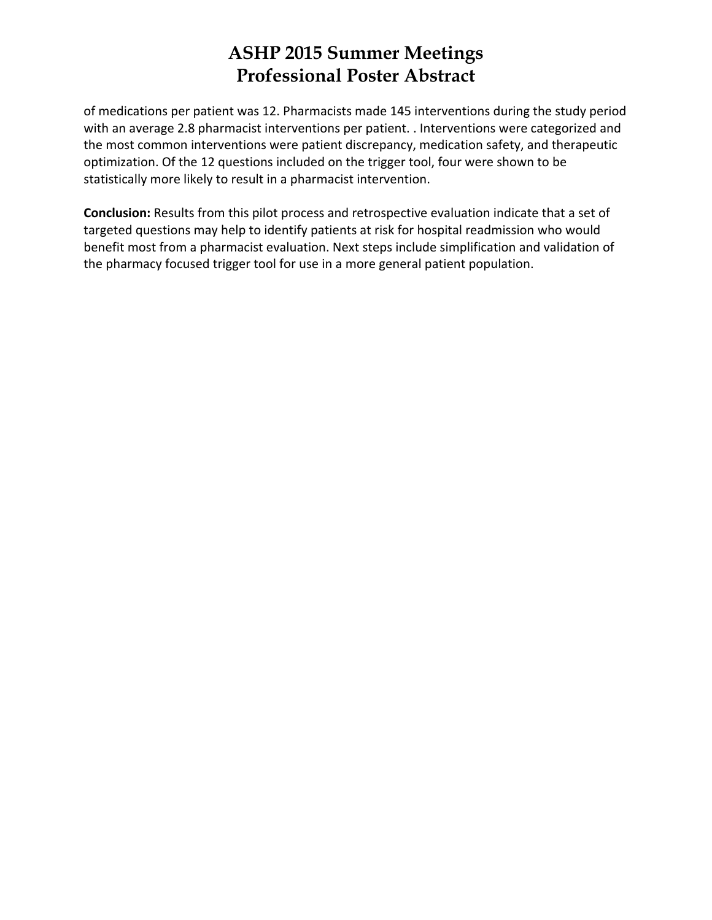of medications per patient was 12. Pharmacists made 145 interventions during the study period with an average 2.8 pharmacist interventions per patient. . Interventions were categorized and the most common interventions were patient discrepancy, medication safety, and therapeutic optimization. Of the 12 questions included on the trigger tool, four were shown to be statistically more likely to result in a pharmacist intervention.

**Conclusion:** Results from this pilot process and retrospective evaluation indicate that a set of targeted questions may help to identify patients at risk for hospital readmission who would benefit most from a pharmacist evaluation. Next steps include simplification and validation of the pharmacy focused trigger tool for use in a more general patient population.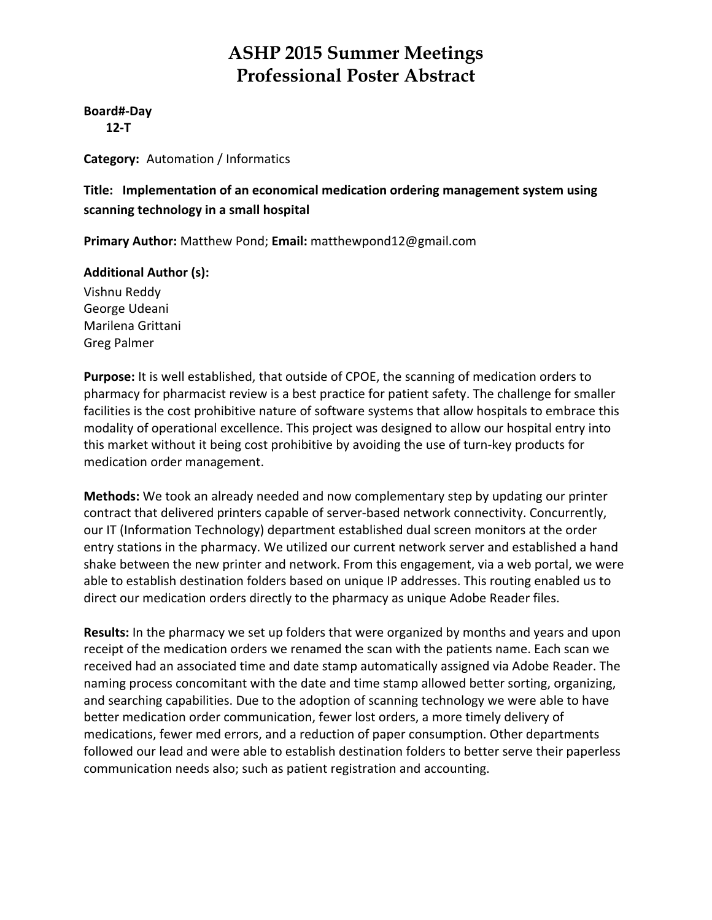**Board#‐Day 12‐T**

**Category:** Automation / Informatics

**Title: Implementation of an economical medication ordering management system using scanning technology in a small hospital**

**Primary Author:** Matthew Pond; **Email:** matthewpond12@gmail.com

#### **Additional Author (s):**

Vishnu Reddy George Udeani Marilena Grittani Greg Palmer

**Purpose:** It is well established, that outside of CPOE, the scanning of medication orders to pharmacy for pharmacist review is a best practice for patient safety. The challenge for smaller facilities is the cost prohibitive nature of software systems that allow hospitals to embrace this modality of operational excellence. This project was designed to allow our hospital entry into this market without it being cost prohibitive by avoiding the use of turn‐key products for medication order management.

**Methods:** We took an already needed and now complementary step by updating our printer contract that delivered printers capable of server‐based network connectivity. Concurrently, our IT (Information Technology) department established dual screen monitors at the order entry stations in the pharmacy. We utilized our current network server and established a hand shake between the new printer and network. From this engagement, via a web portal, we were able to establish destination folders based on unique IP addresses. This routing enabled us to direct our medication orders directly to the pharmacy as unique Adobe Reader files.

**Results:** In the pharmacy we set up folders that were organized by months and years and upon receipt of the medication orders we renamed the scan with the patients name. Each scan we received had an associated time and date stamp automatically assigned via Adobe Reader. The naming process concomitant with the date and time stamp allowed better sorting, organizing, and searching capabilities. Due to the adoption of scanning technology we were able to have better medication order communication, fewer lost orders, a more timely delivery of medications, fewer med errors, and a reduction of paper consumption. Other departments followed our lead and were able to establish destination folders to better serve their paperless communication needs also; such as patient registration and accounting.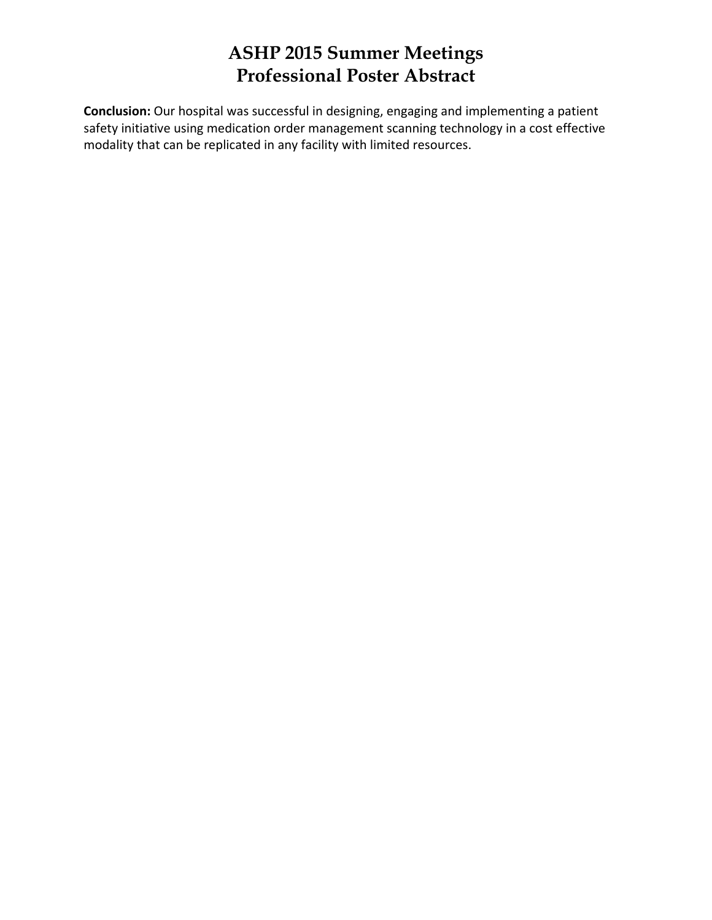**Conclusion:** Our hospital was successful in designing, engaging and implementing a patient safety initiative using medication order management scanning technology in a cost effective modality that can be replicated in any facility with limited resources.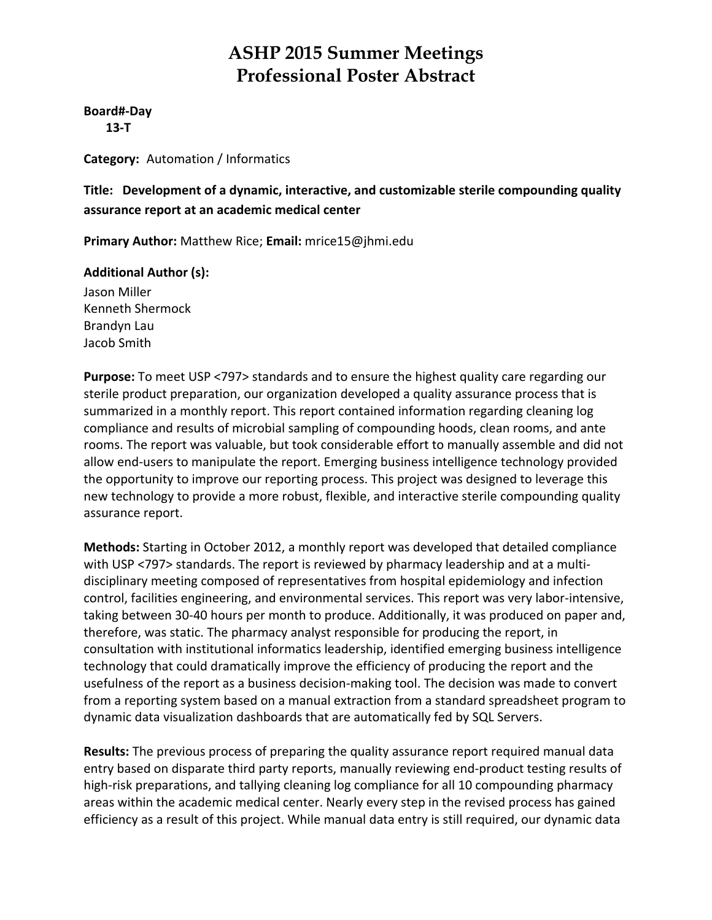**Board#‐Day 13‐T**

**Category:** Automation / Informatics

**Title: Development of a dynamic, interactive, and customizable sterile compounding quality assurance report at an academic medical center**

**Primary Author:** Matthew Rice; **Email:** mrice15@jhmi.edu

#### **Additional Author (s):**

Jason Miller Kenneth Shermock Brandyn Lau Jacob Smith

**Purpose:** To meet USP <797> standards and to ensure the highest quality care regarding our sterile product preparation, our organization developed a quality assurance process that is summarized in a monthly report. This report contained information regarding cleaning log compliance and results of microbial sampling of compounding hoods, clean rooms, and ante rooms. The report was valuable, but took considerable effort to manually assemble and did not allow end‐users to manipulate the report. Emerging business intelligence technology provided the opportunity to improve our reporting process. This project was designed to leverage this new technology to provide a more robust, flexible, and interactive sterile compounding quality assurance report.

**Methods:** Starting in October 2012, a monthly report was developed that detailed compliance with USP <797> standards. The report is reviewed by pharmacy leadership and at a multidisciplinary meeting composed of representatives from hospital epidemiology and infection control, facilities engineering, and environmental services. This report was very labor‐intensive, taking between 30‐40 hours per month to produce. Additionally, it was produced on paper and, therefore, was static. The pharmacy analyst responsible for producing the report, in consultation with institutional informatics leadership, identified emerging business intelligence technology that could dramatically improve the efficiency of producing the report and the usefulness of the report as a business decision‐making tool. The decision was made to convert from a reporting system based on a manual extraction from a standard spreadsheet program to dynamic data visualization dashboards that are automatically fed by SQL Servers.

**Results:** The previous process of preparing the quality assurance report required manual data entry based on disparate third party reports, manually reviewing end‐product testing results of high-risk preparations, and tallying cleaning log compliance for all 10 compounding pharmacy areas within the academic medical center. Nearly every step in the revised process has gained efficiency as a result of this project. While manual data entry is still required, our dynamic data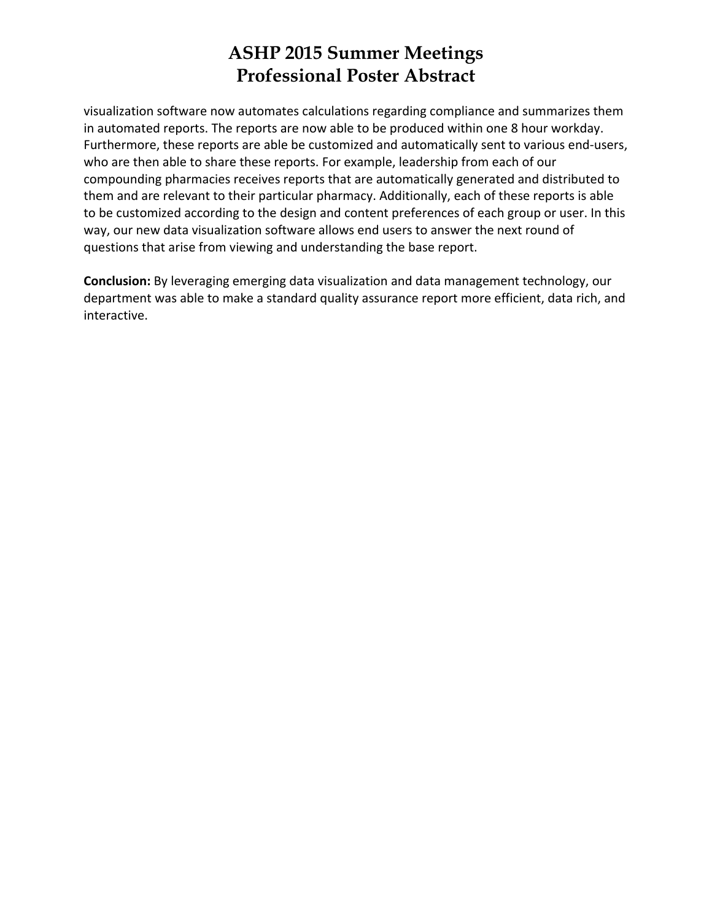visualization software now automates calculations regarding compliance and summarizes them in automated reports. The reports are now able to be produced within one 8 hour workday. Furthermore, these reports are able be customized and automatically sent to various end‐users, who are then able to share these reports. For example, leadership from each of our compounding pharmacies receives reports that are automatically generated and distributed to them and are relevant to their particular pharmacy. Additionally, each of these reports is able to be customized according to the design and content preferences of each group or user. In this way, our new data visualization software allows end users to answer the next round of questions that arise from viewing and understanding the base report.

**Conclusion:** By leveraging emerging data visualization and data management technology, our department was able to make a standard quality assurance report more efficient, data rich, and interactive.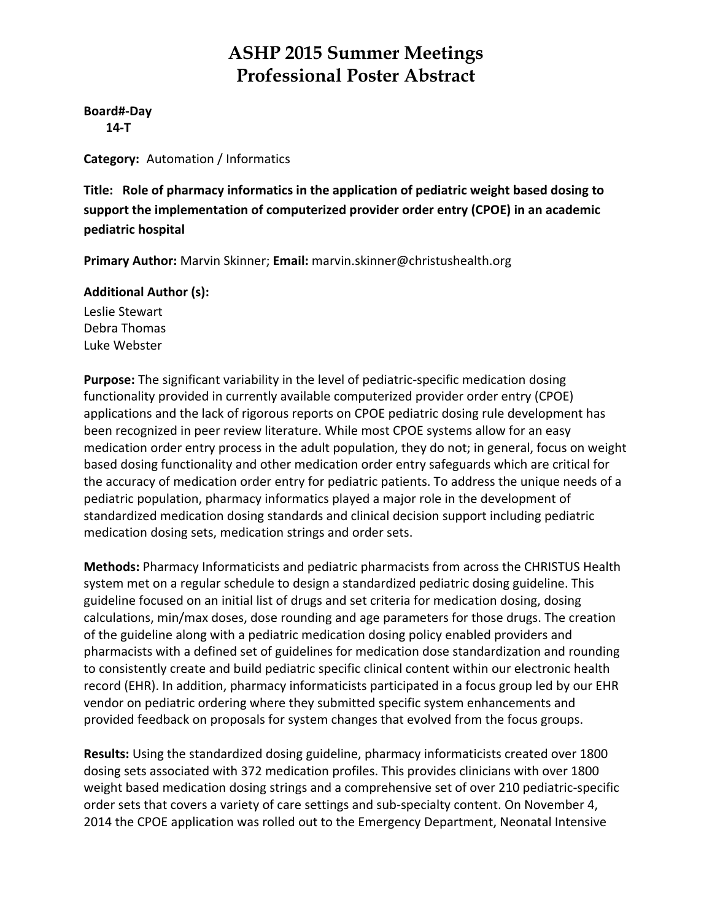**Board#‐Day 14‐T**

**Category:** Automation / Informatics

**Title: Role of pharmacy informatics in the application of pediatric weight based dosing to support the implementation of computerized provider order entry (CPOE) in an academic pediatric hospital**

**Primary Author:** Marvin Skinner; **Email:** marvin.skinner@christushealth.org

**Additional Author (s):**

Leslie Stewart Debra Thomas Luke Webster

**Purpose:** The significant variability in the level of pediatric‐specific medication dosing functionality provided in currently available computerized provider order entry (CPOE) applications and the lack of rigorous reports on CPOE pediatric dosing rule development has been recognized in peer review literature. While most CPOE systems allow for an easy medication order entry process in the adult population, they do not; in general, focus on weight based dosing functionality and other medication order entry safeguards which are critical for the accuracy of medication order entry for pediatric patients. To address the unique needs of a pediatric population, pharmacy informatics played a major role in the development of standardized medication dosing standards and clinical decision support including pediatric medication dosing sets, medication strings and order sets.

**Methods:** Pharmacy Informaticists and pediatric pharmacists from across the CHRISTUS Health system met on a regular schedule to design a standardized pediatric dosing guideline. This guideline focused on an initial list of drugs and set criteria for medication dosing, dosing calculations, min/max doses, dose rounding and age parameters for those drugs. The creation of the guideline along with a pediatric medication dosing policy enabled providers and pharmacists with a defined set of guidelines for medication dose standardization and rounding to consistently create and build pediatric specific clinical content within our electronic health record (EHR). In addition, pharmacy informaticists participated in a focus group led by our EHR vendor on pediatric ordering where they submitted specific system enhancements and provided feedback on proposals for system changes that evolved from the focus groups.

**Results:** Using the standardized dosing guideline, pharmacy informaticists created over 1800 dosing sets associated with 372 medication profiles. This provides clinicians with over 1800 weight based medication dosing strings and a comprehensive set of over 210 pediatric‐specific order sets that covers a variety of care settings and sub‐specialty content. On November 4, 2014 the CPOE application was rolled out to the Emergency Department, Neonatal Intensive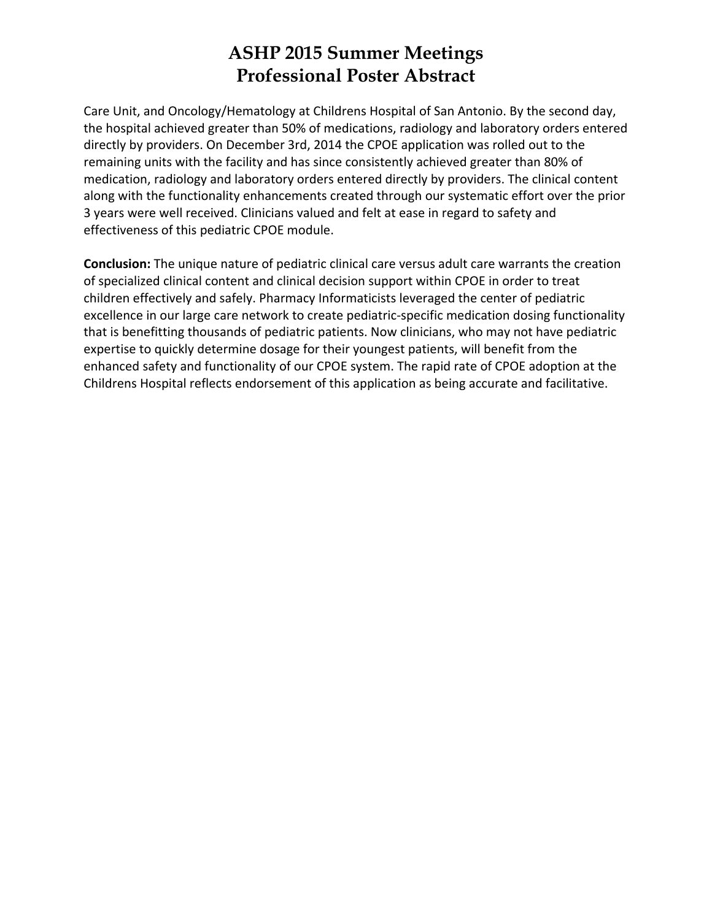Care Unit, and Oncology/Hematology at Childrens Hospital of San Antonio. By the second day, the hospital achieved greater than 50% of medications, radiology and laboratory orders entered directly by providers. On December 3rd, 2014 the CPOE application was rolled out to the remaining units with the facility and has since consistently achieved greater than 80% of medication, radiology and laboratory orders entered directly by providers. The clinical content along with the functionality enhancements created through our systematic effort over the prior 3 years were well received. Clinicians valued and felt at ease in regard to safety and effectiveness of this pediatric CPOE module.

**Conclusion:** The unique nature of pediatric clinical care versus adult care warrants the creation of specialized clinical content and clinical decision support within CPOE in order to treat children effectively and safely. Pharmacy Informaticists leveraged the center of pediatric excellence in our large care network to create pediatric‐specific medication dosing functionality that is benefitting thousands of pediatric patients. Now clinicians, who may not have pediatric expertise to quickly determine dosage for their youngest patients, will benefit from the enhanced safety and functionality of our CPOE system. The rapid rate of CPOE adoption at the Childrens Hospital reflects endorsement of this application as being accurate and facilitative.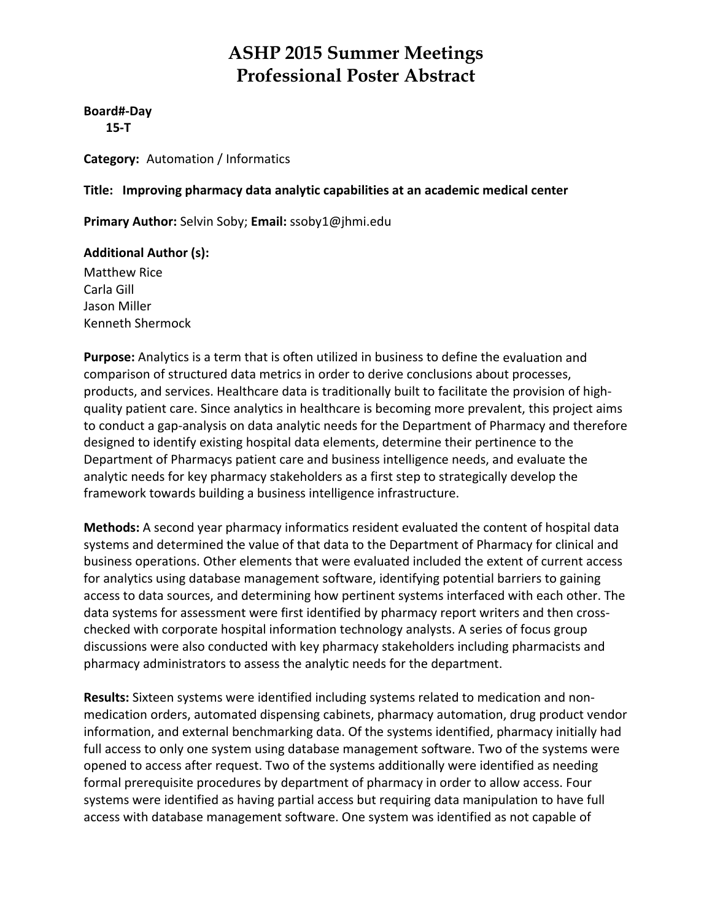**Board#‐Day 15‐T**

**Category:** Automation / Informatics

**Title: Improving pharmacy data analytic capabilities at an academic medical center**

**Primary Author:** Selvin Soby; **Email:** ssoby1@jhmi.edu

#### **Additional Author (s):**

Matthew Rice Carla Gill Jason Miller Kenneth Shermock

**Purpose:** Analytics is a term that is often utilized in business to define the evaluation and comparison of structured data metrics in order to derive conclusions about processes, products, and services. Healthcare data is traditionally built to facilitate the provision of high‐ quality patient care. Since analytics in healthcare is becoming more prevalent, this project aims to conduct a gap‐analysis on data analytic needs for the Department of Pharmacy and therefore designed to identify existing hospital data elements, determine their pertinence to the Department of Pharmacys patient care and business intelligence needs, and evaluate the analytic needs for key pharmacy stakeholders as a first step to strategically develop the framework towards building a business intelligence infrastructure.

**Methods:** A second year pharmacy informatics resident evaluated the content of hospital data systems and determined the value of that data to the Department of Pharmacy for clinical and business operations. Other elements that were evaluated included the extent of current access for analytics using database management software, identifying potential barriers to gaining access to data sources, and determining how pertinent systems interfaced with each other. The data systems for assessment were first identified by pharmacy report writers and then cross‐ checked with corporate hospital information technology analysts. A series of focus group discussions were also conducted with key pharmacy stakeholders including pharmacists and pharmacy administrators to assess the analytic needs for the department.

**Results:** Sixteen systems were identified including systems related to medication and non‐ medication orders, automated dispensing cabinets, pharmacy automation, drug product vendor information, and external benchmarking data. Of the systems identified, pharmacy initially had full access to only one system using database management software. Two of the systems were opened to access after request. Two of the systems additionally were identified as needing formal prerequisite procedures by department of pharmacy in order to allow access. Four systems were identified as having partial access but requiring data manipulation to have full access with database management software. One system was identified as not capable of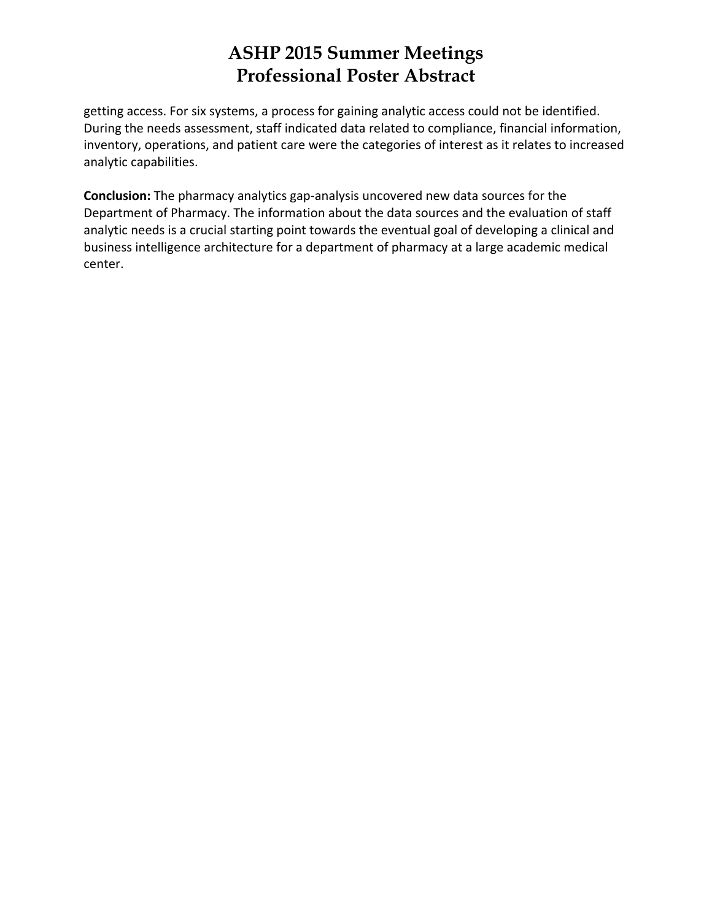getting access. For six systems, a process for gaining analytic access could not be identified. During the needs assessment, staff indicated data related to compliance, financial information, inventory, operations, and patient care were the categories of interest as it relates to increased analytic capabilities.

**Conclusion:** The pharmacy analytics gap‐analysis uncovered new data sources for the Department of Pharmacy. The information about the data sources and the evaluation of staff analytic needs is a crucial starting point towards the eventual goal of developing a clinical and business intelligence architecture for a department of pharmacy at a large academic medical center.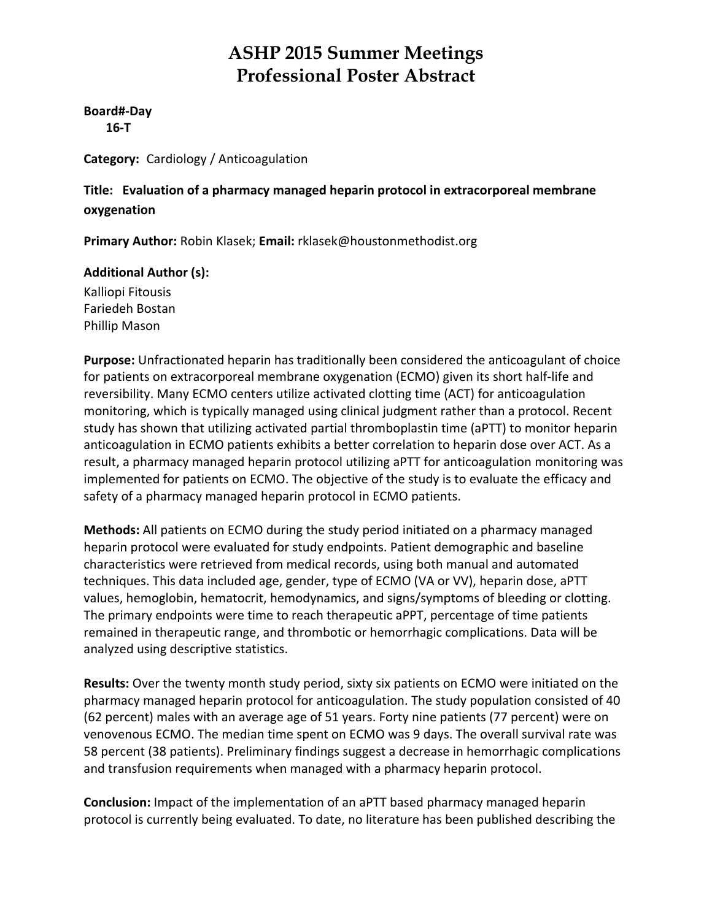**Board#‐Day**

 **16‐T**

**Category:** Cardiology / Anticoagulation

**Title: Evaluation of a pharmacy managed heparin protocol in extracorporeal membrane oxygenation**

**Primary Author:** Robin Klasek; **Email:** rklasek@houstonmethodist.org

#### **Additional Author (s):**

Kalliopi Fitousis Fariedeh Bostan Phillip Mason

**Purpose:** Unfractionated heparin has traditionally been considered the anticoagulant of choice for patients on extracorporeal membrane oxygenation (ECMO) given its short half‐life and reversibility. Many ECMO centers utilize activated clotting time (ACT) for anticoagulation monitoring, which is typically managed using clinical judgment rather than a protocol. Recent study has shown that utilizing activated partial thromboplastin time (aPTT) to monitor heparin anticoagulation in ECMO patients exhibits a better correlation to heparin dose over ACT. As a result, a pharmacy managed heparin protocol utilizing aPTT for anticoagulation monitoring was implemented for patients on ECMO. The objective of the study is to evaluate the efficacy and safety of a pharmacy managed heparin protocol in ECMO patients.

**Methods:** All patients on ECMO during the study period initiated on a pharmacy managed heparin protocol were evaluated for study endpoints. Patient demographic and baseline characteristics were retrieved from medical records, using both manual and automated techniques. This data included age, gender, type of ECMO (VA or VV), heparin dose, aPTT values, hemoglobin, hematocrit, hemodynamics, and signs/symptoms of bleeding or clotting. The primary endpoints were time to reach therapeutic aPPT, percentage of time patients remained in therapeutic range, and thrombotic or hemorrhagic complications. Data will be analyzed using descriptive statistics.

**Results:** Over the twenty month study period, sixty six patients on ECMO were initiated on the pharmacy managed heparin protocol for anticoagulation. The study population consisted of 40 (62 percent) males with an average age of 51 years. Forty nine patients (77 percent) were on venovenous ECMO. The median time spent on ECMO was 9 days. The overall survival rate was 58 percent (38 patients). Preliminary findings suggest a decrease in hemorrhagic complications and transfusion requirements when managed with a pharmacy heparin protocol.

**Conclusion:** Impact of the implementation of an aPTT based pharmacy managed heparin protocol is currently being evaluated. To date, no literature has been published describing the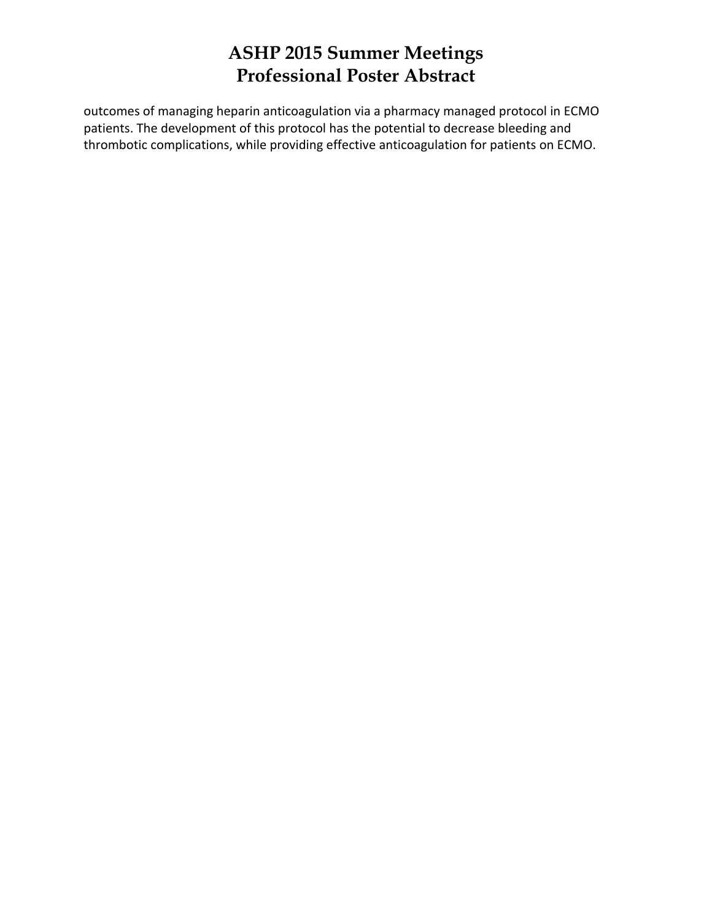outcomes of managing heparin anticoagulation via a pharmacy managed protocol in ECMO patients. The development of this protocol has the potential to decrease bleeding and thrombotic complications, while providing effective anticoagulation for patients on ECMO.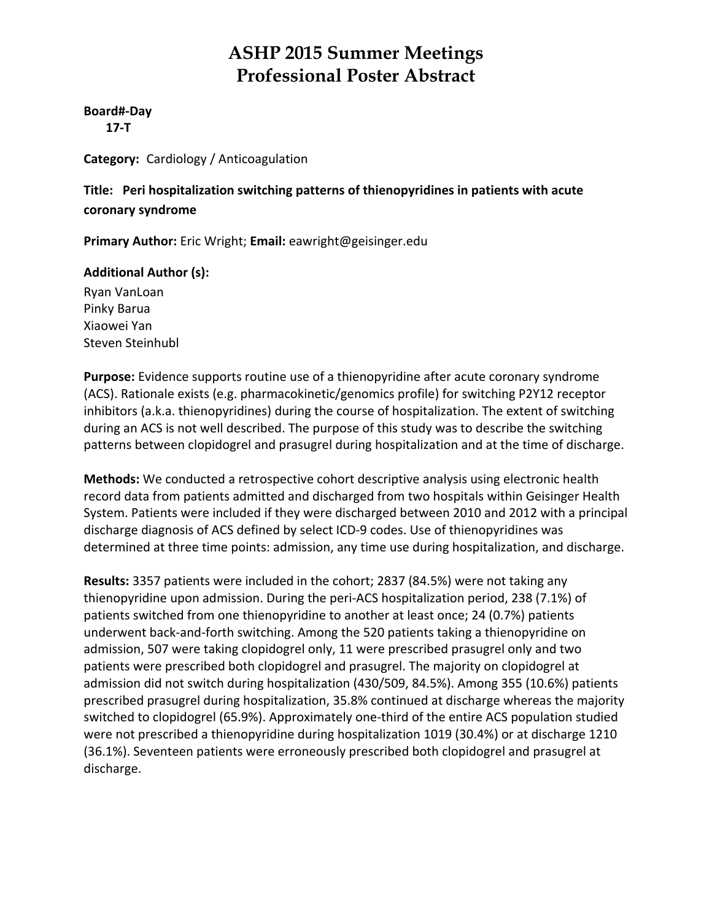#### **Board#‐Day**

 **17‐T**

**Category:** Cardiology / Anticoagulation

**Title: Peri hospitalization switching patterns of thienopyridines in patients with acute coronary syndrome**

**Primary Author:** Eric Wright; **Email:** eawright@geisinger.edu

#### **Additional Author (s):**

Ryan VanLoan Pinky Barua Xiaowei Yan Steven Steinhubl

**Purpose:** Evidence supports routine use of a thienopyridine after acute coronary syndrome (ACS). Rationale exists (e.g. pharmacokinetic/genomics profile) for switching P2Y12 receptor inhibitors (a.k.a. thienopyridines) during the course of hospitalization. The extent of switching during an ACS is not well described. The purpose of this study was to describe the switching patterns between clopidogrel and prasugrel during hospitalization and at the time of discharge.

**Methods:** We conducted a retrospective cohort descriptive analysis using electronic health record data from patients admitted and discharged from two hospitals within Geisinger Health System. Patients were included if they were discharged between 2010 and 2012 with a principal discharge diagnosis of ACS defined by select ICD‐9 codes. Use of thienopyridines was determined at three time points: admission, any time use during hospitalization, and discharge.

**Results:** 3357 patients were included in the cohort; 2837 (84.5%) were not taking any thienopyridine upon admission. During the peri‐ACS hospitalization period, 238 (7.1%) of patients switched from one thienopyridine to another at least once; 24 (0.7%) patients underwent back‐and‐forth switching. Among the 520 patients taking a thienopyridine on admission, 507 were taking clopidogrel only, 11 were prescribed prasugrel only and two patients were prescribed both clopidogrel and prasugrel. The majority on clopidogrel at admission did not switch during hospitalization (430/509, 84.5%). Among 355 (10.6%) patients prescribed prasugrel during hospitalization, 35.8% continued at discharge whereas the majority switched to clopidogrel (65.9%). Approximately one‐third of the entire ACS population studied were not prescribed a thienopyridine during hospitalization 1019 (30.4%) or at discharge 1210 (36.1%). Seventeen patients were erroneously prescribed both clopidogrel and prasugrel at discharge.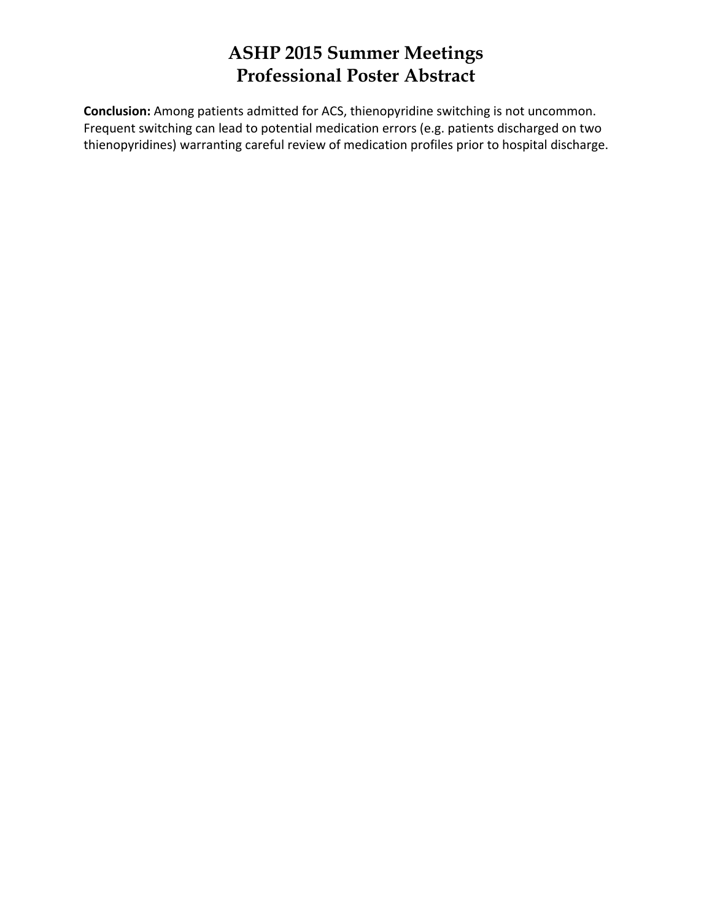**Conclusion:** Among patients admitted for ACS, thienopyridine switching is not uncommon. Frequent switching can lead to potential medication errors (e.g. patients discharged on two thienopyridines) warranting careful review of medication profiles prior to hospital discharge.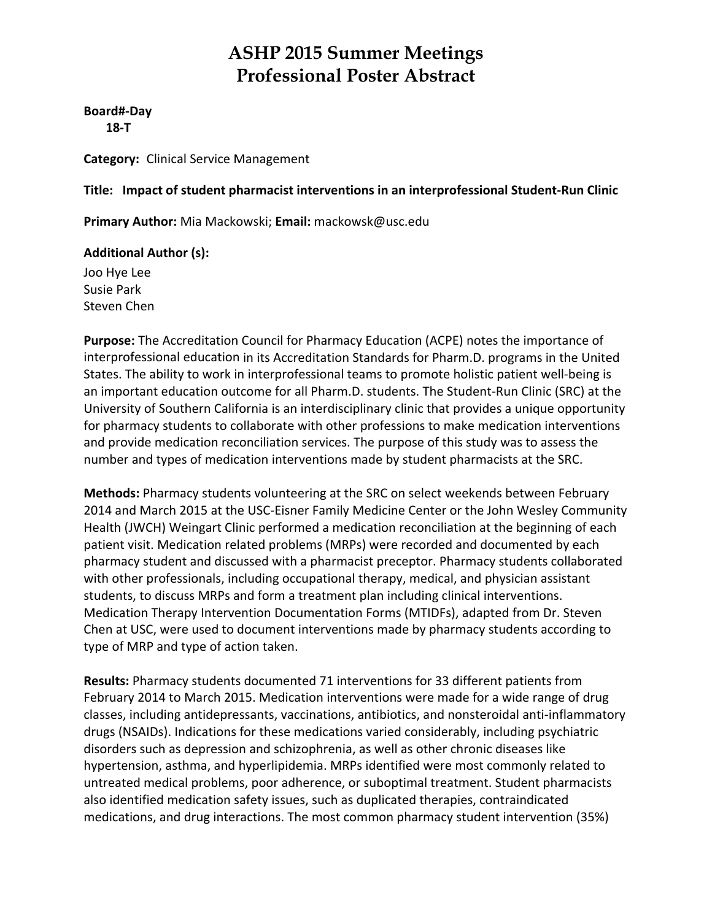**Board#‐Day 18‐T**

**Category:** Clinical Service Management

**Title: Impact of student pharmacist interventions in an interprofessional Student‐Run Clinic**

**Primary Author:** Mia Mackowski; **Email:** mackowsk@usc.edu

#### **Additional Author (s):**

Joo Hye Lee Susie Park Steven Chen

**Purpose:** The Accreditation Council for Pharmacy Education (ACPE) notes the importance of interprofessional education in its Accreditation Standards for Pharm.D. programs in the United States. The ability to work in interprofessional teams to promote holistic patient well‐being is an important education outcome for all Pharm.D. students. The Student-Run Clinic (SRC) at the University of Southern California is an interdisciplinary clinic that provides a unique opportunity for pharmacy students to collaborate with other professions to make medication interventions and provide medication reconciliation services. The purpose of this study was to assess the number and types of medication interventions made by student pharmacists at the SRC.

**Methods:** Pharmacy students volunteering at the SRC on select weekends between February 2014 and March 2015 at the USC‐Eisner Family Medicine Center or the John Wesley Community Health (JWCH) Weingart Clinic performed a medication reconciliation at the beginning of each patient visit. Medication related problems (MRPs) were recorded and documented by each pharmacy student and discussed with a pharmacist preceptor. Pharmacy students collaborated with other professionals, including occupational therapy, medical, and physician assistant students, to discuss MRPs and form a treatment plan including clinical interventions. Medication Therapy Intervention Documentation Forms (MTIDFs), adapted from Dr. Steven Chen at USC, were used to document interventions made by pharmacy students according to type of MRP and type of action taken.

**Results:** Pharmacy students documented 71 interventions for 33 different patients from February 2014 to March 2015. Medication interventions were made for a wide range of drug classes, including antidepressants, vaccinations, antibiotics, and nonsteroidal anti‐inflammatory drugs (NSAIDs). Indications for these medications varied considerably, including psychiatric disorders such as depression and schizophrenia, as well as other chronic diseases like hypertension, asthma, and hyperlipidemia. MRPs identified were most commonly related to untreated medical problems, poor adherence, or suboptimal treatment. Student pharmacists also identified medication safety issues, such as duplicated therapies, contraindicated medications, and drug interactions. The most common pharmacy student intervention (35%)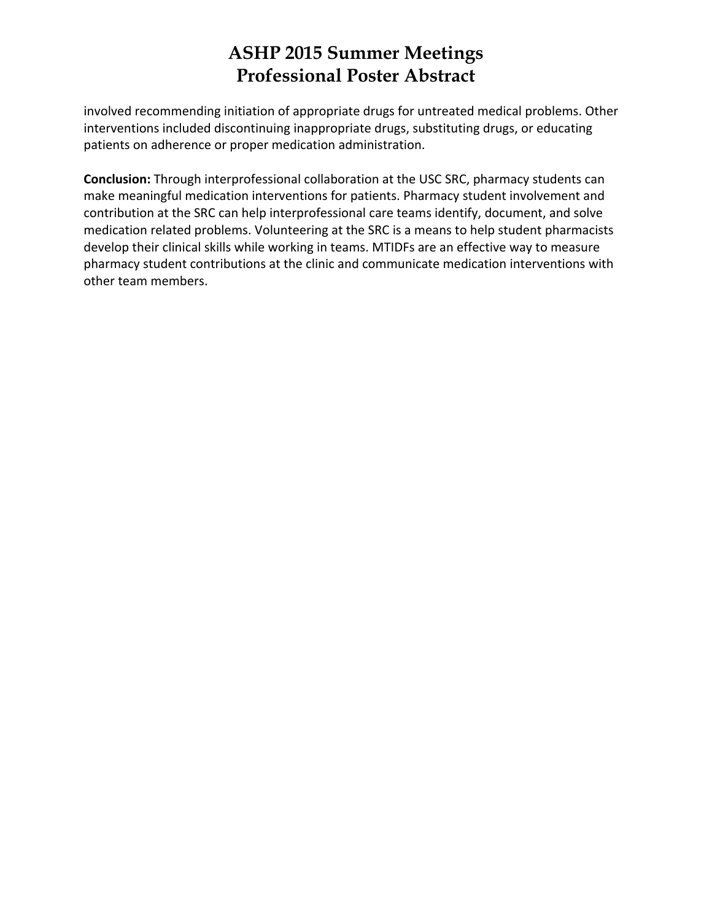involved recommending initiation of appropriate drugs for untreated medical problems. Other interventions included discontinuing inappropriate drugs, substituting drugs, or educating patients on adherence or proper medication administration.

**Conclusion:** Through interprofessional collaboration at the USC SRC, pharmacy students can make meaningful medication interventions for patients. Pharmacy student involvement and contribution at the SRC can help interprofessional care teams identify, document, and solve medication related problems. Volunteering at the SRC is a means to help student pharmacists develop their clinical skills while working in teams. MTIDFs are an effective way to measure pharmacy student contributions at the clinic and communicate medication interventions with other team members.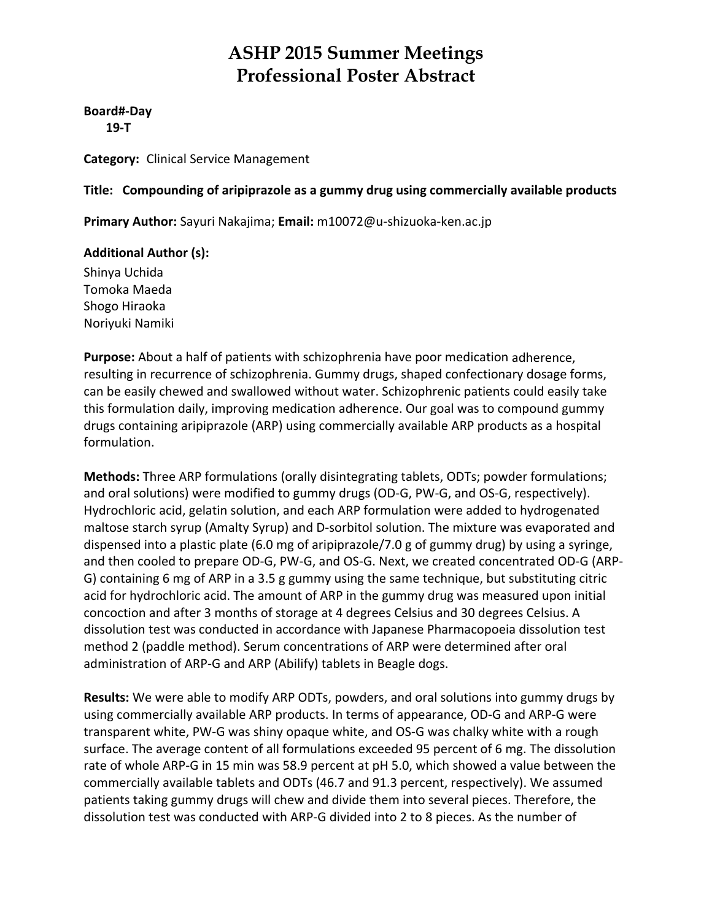**Board#‐Day 19‐T**

**Category:** Clinical Service Management

#### **Title: Compounding of aripiprazole as a gummy drug using commercially available products**

**Primary Author:** Sayuri Nakajima; **Email:** m10072@u‐shizuoka‐ken.ac.jp

#### **Additional Author (s):**

Shinya Uchida Tomoka Maeda Shogo Hiraoka Noriyuki Namiki

**Purpose:** About a half of patients with schizophrenia have poor medication adherence, resulting in recurrence of schizophrenia. Gummy drugs, shaped confectionary dosage forms, can be easily chewed and swallowed without water. Schizophrenic patients could easily take this formulation daily, improving medication adherence. Our goal was to compound gummy drugs containing aripiprazole (ARP) using commercially available ARP products as a hospital formulation.

**Methods:** Three ARP formulations (orally disintegrating tablets, ODTs; powder formulations; and oral solutions) were modified to gummy drugs (OD-G, PW-G, and OS-G, respectively). Hydrochloric acid, gelatin solution, and each ARP formulation were added to hydrogenated maltose starch syrup (Amalty Syrup) and D‐sorbitol solution. The mixture was evaporated and dispensed into a plastic plate (6.0 mg of aripiprazole/7.0 g of gummy drug) by using a syringe, and then cooled to prepare OD‐G, PW‐G, and OS‐G. Next, we created concentrated OD‐G (ARP‐ G) containing 6 mg of ARP in a 3.5 g gummy using the same technique, but substituting citric acid for hydrochloric acid. The amount of ARP in the gummy drug was measured upon initial concoction and after 3 months of storage at 4 degrees Celsius and 30 degrees Celsius. A dissolution test was conducted in accordance with Japanese Pharmacopoeia dissolution test method 2 (paddle method). Serum concentrations of ARP were determined after oral administration of ARP‐G and ARP (Abilify) tablets in Beagle dogs.

**Results:** We were able to modify ARP ODTs, powders, and oral solutions into gummy drugs by using commercially available ARP products. In terms of appearance, OD‐G and ARP‐G were transparent white, PW‐G was shiny opaque white, and OS‐G was chalky white with a rough surface. The average content of all formulations exceeded 95 percent of 6 mg. The dissolution rate of whole ARP‐G in 15 min was 58.9 percent at pH 5.0, which showed a value between the commercially available tablets and ODTs (46.7 and 91.3 percent, respectively). We assumed patients taking gummy drugs will chew and divide them into several pieces. Therefore, the dissolution test was conducted with ARP‐G divided into 2 to 8 pieces. As the number of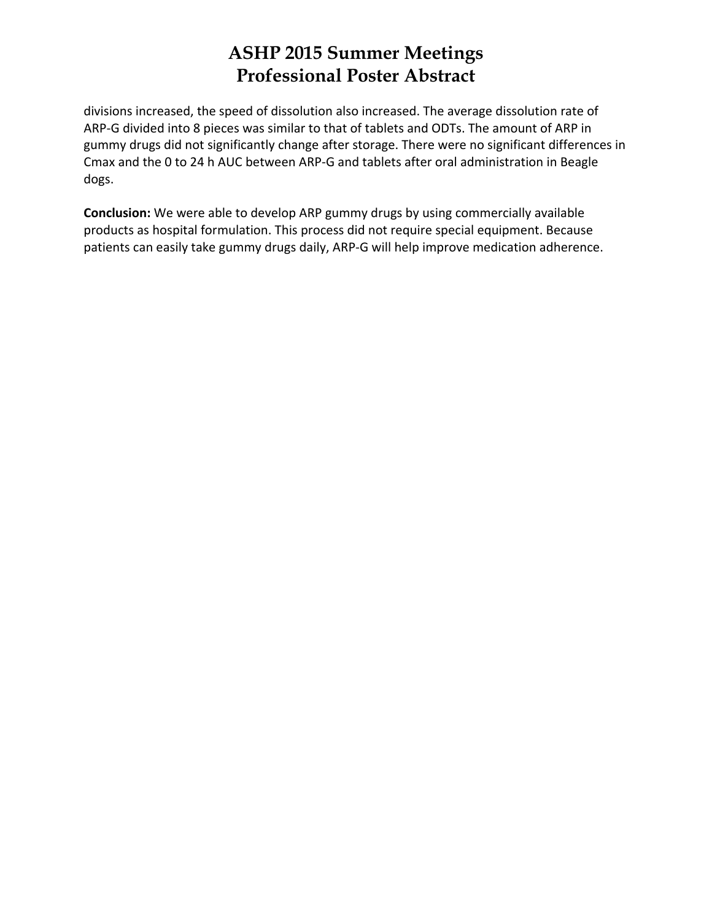divisions increased, the speed of dissolution also increased. The average dissolution rate of ARP‐G divided into 8 pieces was similar to that of tablets and ODTs. The amount of ARP in gummy drugs did not significantly change after storage. There were no significant differences in Cmax and the 0 to 24 h AUC between ARP‐G and tablets after oral administration in Beagle dogs.

**Conclusion:** We were able to develop ARP gummy drugs by using commercially available products as hospital formulation. This process did not require special equipment. Because patients can easily take gummy drugs daily, ARP‐G will help improve medication adherence.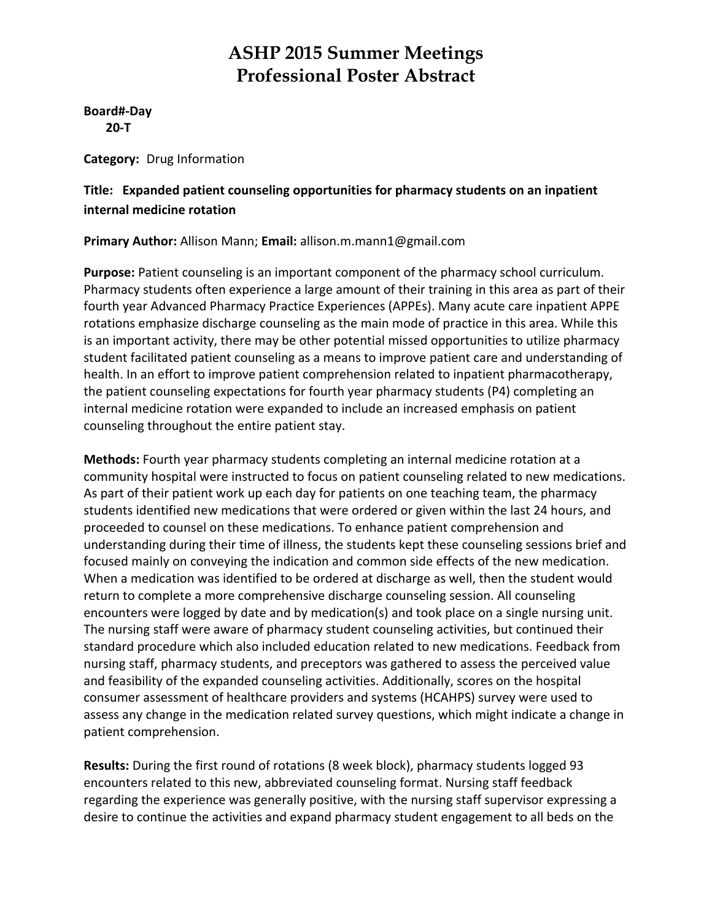**Board#‐Day 20‐T**

**Category:** Drug Information

#### **Title: Expanded patient counseling opportunities for pharmacy students on an inpatient internal medicine rotation**

#### **Primary Author:** Allison Mann; **Email:** allison.m.mann1@gmail.com

**Purpose:** Patient counseling is an important component of the pharmacy school curriculum. Pharmacy students often experience a large amount of their training in this area as part of their fourth year Advanced Pharmacy Practice Experiences (APPEs). Many acute care inpatient APPE rotations emphasize discharge counseling as the main mode of practice in this area. While this is an important activity, there may be other potential missed opportunities to utilize pharmacy student facilitated patient counseling as a means to improve patient care and understanding of health. In an effort to improve patient comprehension related to inpatient pharmacotherapy, the patient counseling expectations for fourth year pharmacy students (P4) completing an internal medicine rotation were expanded to include an increased emphasis on patient counseling throughout the entire patient stay.

**Methods:** Fourth year pharmacy students completing an internal medicine rotation at a community hospital were instructed to focus on patient counseling related to new medications. As part of their patient work up each day for patients on one teaching team, the pharmacy students identified new medications that were ordered or given within the last 24 hours, and proceeded to counsel on these medications. To enhance patient comprehension and understanding during their time of illness, the students kept these counseling sessions brief and focused mainly on conveying the indication and common side effects of the new medication. When a medication was identified to be ordered at discharge as well, then the student would return to complete a more comprehensive discharge counseling session. All counseling encounters were logged by date and by medication(s) and took place on a single nursing unit. The nursing staff were aware of pharmacy student counseling activities, but continued their standard procedure which also included education related to new medications. Feedback from nursing staff, pharmacy students, and preceptors was gathered to assess the perceived value and feasibility of the expanded counseling activities. Additionally, scores on the hospital consumer assessment of healthcare providers and systems (HCAHPS) survey were used to assess any change in the medication related survey questions, which might indicate a change in patient comprehension.

**Results:** During the first round of rotations (8 week block), pharmacy students logged 93 encounters related to this new, abbreviated counseling format. Nursing staff feedback regarding the experience was generally positive, with the nursing staff supervisor expressing a desire to continue the activities and expand pharmacy student engagement to all beds on the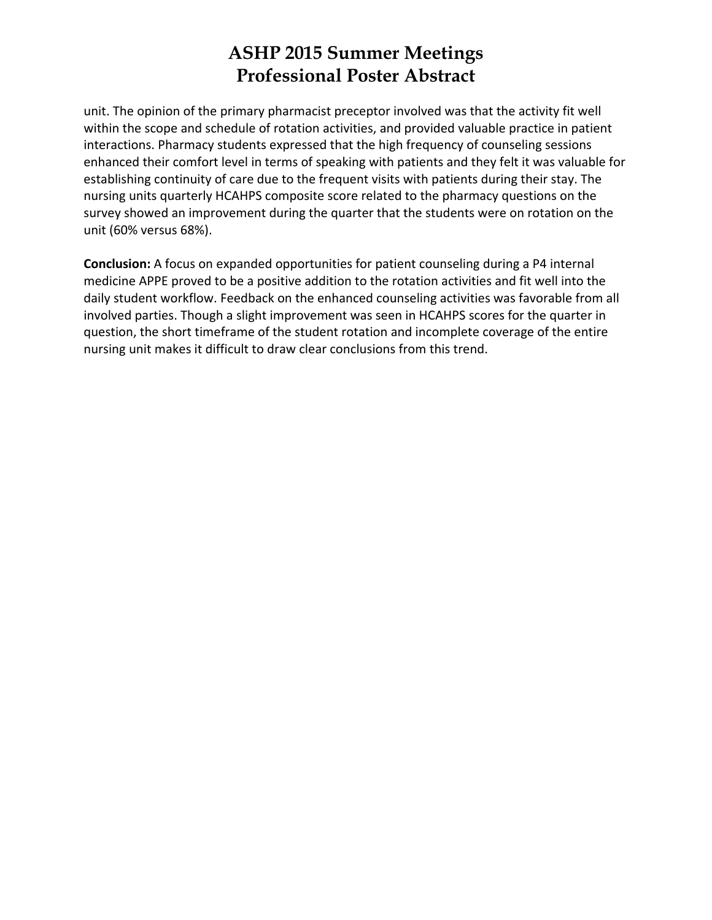unit. The opinion of the primary pharmacist preceptor involved was that the activity fit well within the scope and schedule of rotation activities, and provided valuable practice in patient interactions. Pharmacy students expressed that the high frequency of counseling sessions enhanced their comfort level in terms of speaking with patients and they felt it was valuable for establishing continuity of care due to the frequent visits with patients during their stay. The nursing units quarterly HCAHPS composite score related to the pharmacy questions on the survey showed an improvement during the quarter that the students were on rotation on the unit (60% versus 68%).

**Conclusion:** A focus on expanded opportunities for patient counseling during a P4 internal medicine APPE proved to be a positive addition to the rotation activities and fit well into the daily student workflow. Feedback on the enhanced counseling activities was favorable from all involved parties. Though a slight improvement was seen in HCAHPS scores for the quarter in question, the short timeframe of the student rotation and incomplete coverage of the entire nursing unit makes it difficult to draw clear conclusions from this trend.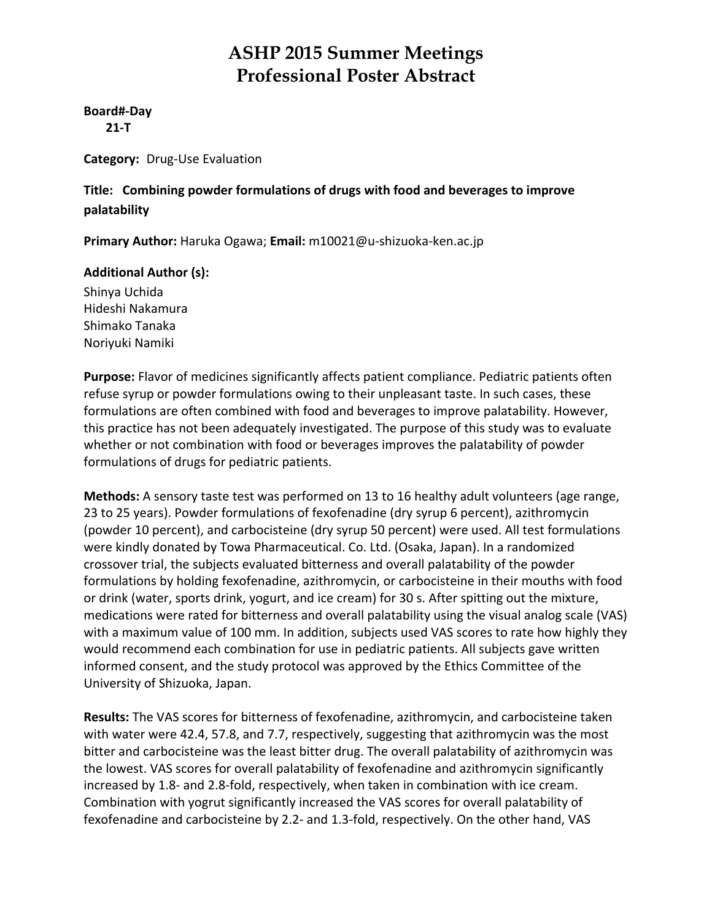#### **Board#‐Day**

 **21‐T**

**Category:** Drug‐Use Evaluation

#### **Title: Combining powder formulations of drugs with food and beverages to improve palatability**

**Primary Author:** Haruka Ogawa; **Email:** m10021@u‐shizuoka‐ken.ac.jp

#### **Additional Author (s):**

Shinya Uchida Hideshi Nakamura Shimako Tanaka Noriyuki Namiki

**Purpose:** Flavor of medicines significantly affects patient compliance. Pediatric patients often refuse syrup or powder formulations owing to their unpleasant taste. In such cases, these formulations are often combined with food and beverages to improve palatability. However, this practice has not been adequately investigated. The purpose of this study was to evaluate whether or not combination with food or beverages improves the palatability of powder formulations of drugs for pediatric patients.

**Methods:** A sensory taste test was performed on 13 to 16 healthy adult volunteers (age range, 23 to 25 years). Powder formulations of fexofenadine (dry syrup 6 percent), azithromycin (powder 10 percent), and carbocisteine (dry syrup 50 percent) were used. All test formulations were kindly donated by Towa Pharmaceutical. Co. Ltd. (Osaka, Japan). In a randomized crossover trial, the subjects evaluated bitterness and overall palatability of the powder formulations by holding fexofenadine, azithromycin, or carbocisteine in their mouths with food or drink (water, sports drink, yogurt, and ice cream) for 30 s. After spitting out the mixture, medications were rated for bitterness and overall palatability using the visual analog scale (VAS) with a maximum value of 100 mm. In addition, subjects used VAS scores to rate how highly they would recommend each combination for use in pediatric patients. All subjects gave written informed consent, and the study protocol was approved by the Ethics Committee of the University of Shizuoka, Japan.

**Results:** The VAS scores for bitterness of fexofenadine, azithromycin, and carbocisteine taken with water were 42.4, 57.8, and 7.7, respectively, suggesting that azithromycin was the most bitter and carbocisteine was the least bitter drug. The overall palatability of azithromycin was the lowest. VAS scores for overall palatability of fexofenadine and azithromycin significantly increased by 1.8‐ and 2.8‐fold, respectively, when taken in combination with ice cream. Combination with yogrut significantly increased the VAS scores for overall palatability of fexofenadine and carbocisteine by 2.2‐ and 1.3‐fold, respectively. On the other hand, VAS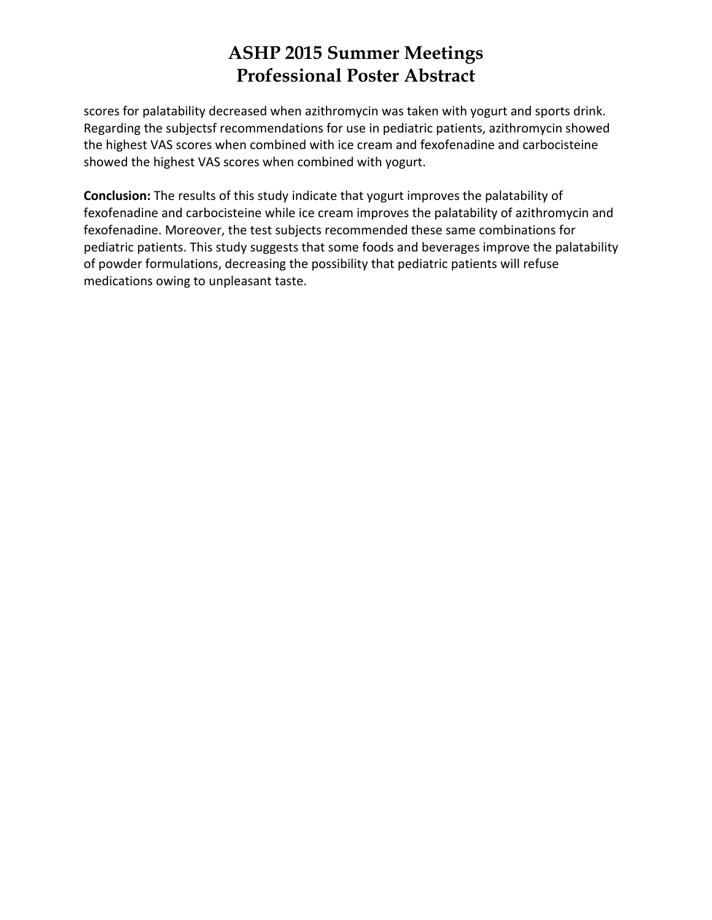scores for palatability decreased when azithromycin was taken with yogurt and sports drink. Regarding the subjectsf recommendations for use in pediatric patients, azithromycin showed the highest VAS scores when combined with ice cream and fexofenadine and carbocisteine showed the highest VAS scores when combined with yogurt.

**Conclusion:** The results of this study indicate that yogurt improves the palatability of fexofenadine and carbocisteine while ice cream improves the palatability of azithromycin and fexofenadine. Moreover, the test subjects recommended these same combinations for pediatric patients. This study suggests that some foods and beverages improve the palatability of powder formulations, decreasing the possibility that pediatric patients will refuse medications owing to unpleasant taste.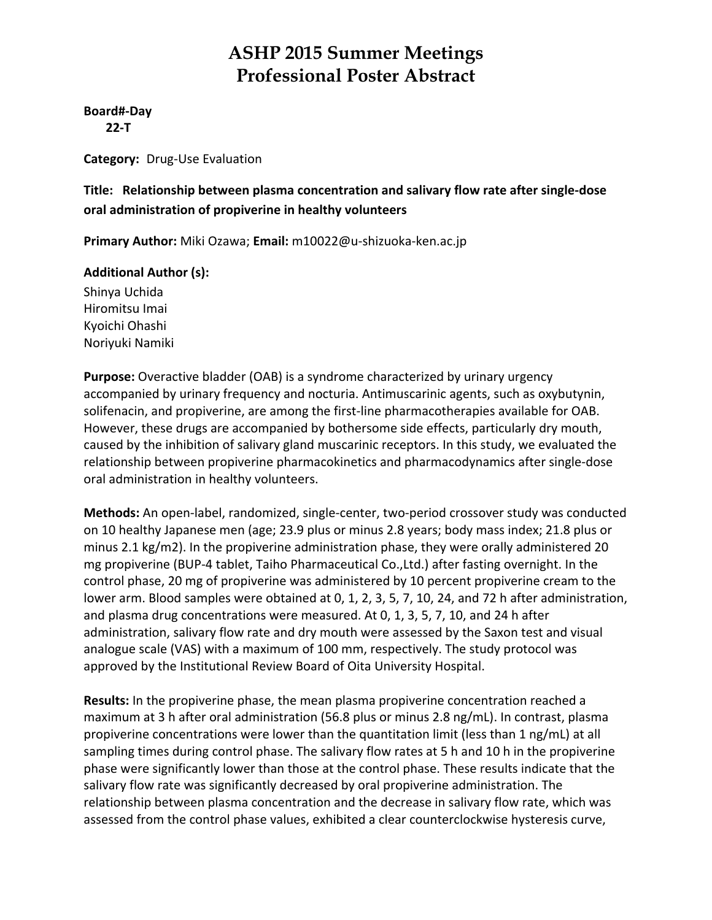#### **Board#‐Day 22‐T**

**Category:** Drug‐Use Evaluation

#### **Title: Relationship between plasma concentration and salivary flow rate after single‐dose oral administration of propiverine in healthy volunteers**

**Primary Author:** Miki Ozawa; **Email:** m10022@u‐shizuoka‐ken.ac.jp

#### **Additional Author (s):**

Shinya Uchida Hiromitsu Imai Kyoichi Ohashi Noriyuki Namiki

**Purpose:** Overactive bladder (OAB) is a syndrome characterized by urinary urgency accompanied by urinary frequency and nocturia. Antimuscarinic agents, such as oxybutynin, solifenacin, and propiverine, are among the first-line pharmacotherapies available for OAB. However, these drugs are accompanied by bothersome side effects, particularly dry mouth, caused by the inhibition of salivary gland muscarinic receptors. In this study, we evaluated the relationship between propiverine pharmacokinetics and pharmacodynamics after single‐dose oral administration in healthy volunteers.

**Methods:** An open‐label, randomized, single‐center, two‐period crossover study was conducted on 10 healthy Japanese men (age; 23.9 plus or minus 2.8 years; body mass index; 21.8 plus or minus 2.1 kg/m2). In the propiverine administration phase, they were orally administered 20 mg propiverine (BUP‐4 tablet, Taiho Pharmaceutical Co.,Ltd.) after fasting overnight. In the control phase, 20 mg of propiverine was administered by 10 percent propiverine cream to the lower arm. Blood samples were obtained at 0, 1, 2, 3, 5, 7, 10, 24, and 72 h after administration, and plasma drug concentrations were measured. At 0, 1, 3, 5, 7, 10, and 24 h after administration, salivary flow rate and dry mouth were assessed by the Saxon test and visual analogue scale (VAS) with a maximum of 100 mm, respectively. The study protocol was approved by the Institutional Review Board of Oita University Hospital.

**Results:** In the propiverine phase, the mean plasma propiverine concentration reached a maximum at 3 h after oral administration (56.8 plus or minus 2.8 ng/mL). In contrast, plasma propiverine concentrations were lower than the quantitation limit (less than 1 ng/mL) at all sampling times during control phase. The salivary flow rates at 5 h and 10 h in the propiverine phase were significantly lower than those at the control phase. These results indicate that the salivary flow rate was significantly decreased by oral propiverine administration. The relationship between plasma concentration and the decrease in salivary flow rate, which was assessed from the control phase values, exhibited a clear counterclockwise hysteresis curve,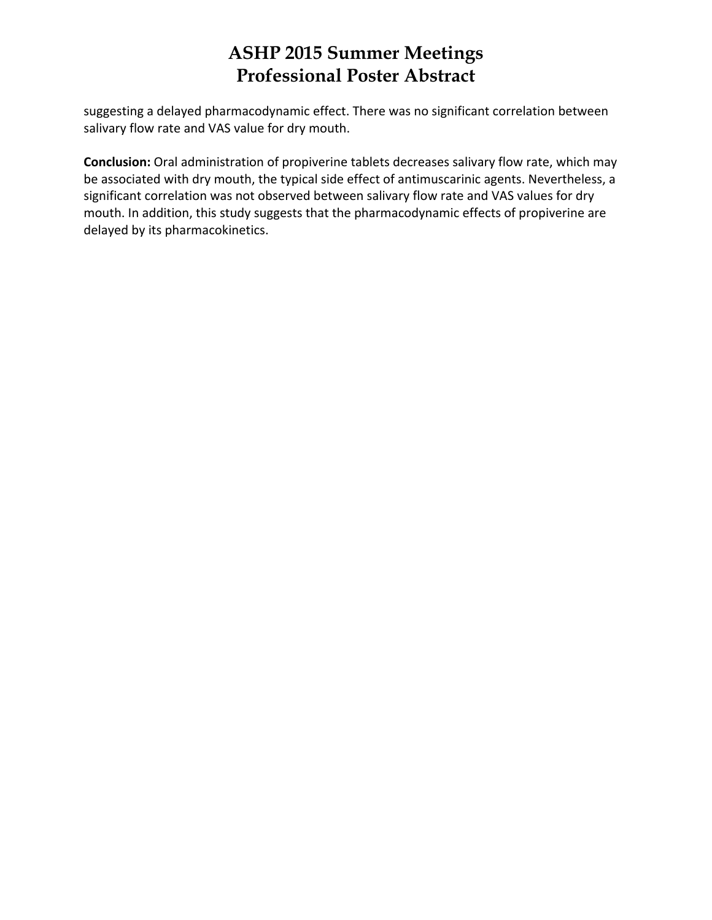suggesting a delayed pharmacodynamic effect. There was no significant correlation between salivary flow rate and VAS value for dry mouth.

**Conclusion:** Oral administration of propiverine tablets decreases salivary flow rate, which may be associated with dry mouth, the typical side effect of antimuscarinic agents. Nevertheless, a significant correlation was not observed between salivary flow rate and VAS values for dry mouth. In addition, this study suggests that the pharmacodynamic effects of propiverine are delayed by its pharmacokinetics.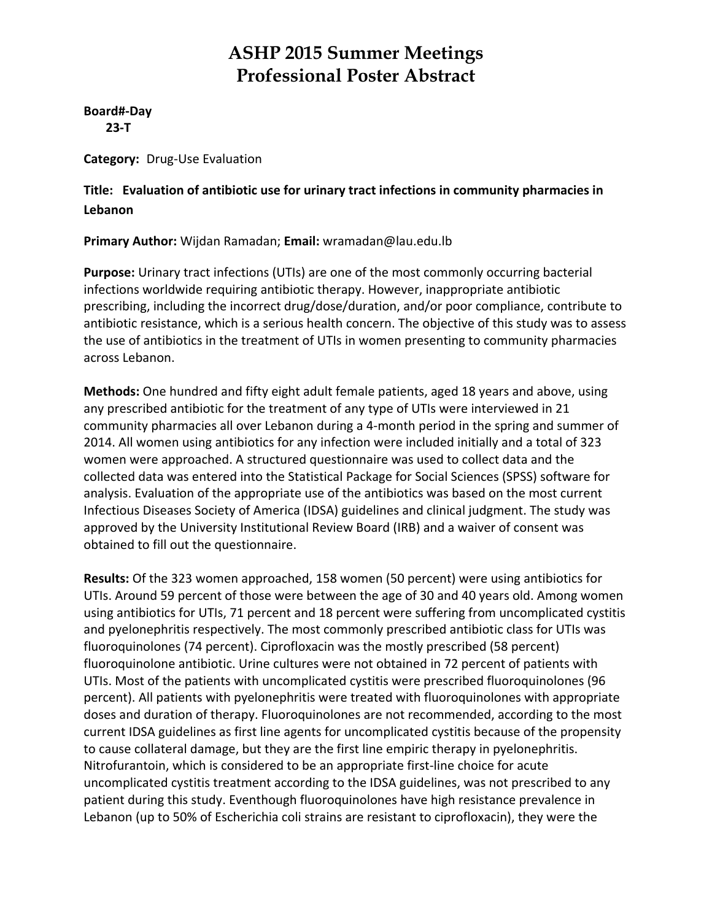**Board#‐Day 23‐T**

**Category:** Drug‐Use Evaluation

**Title: Evaluation of antibiotic use for urinary tract infections in community pharmacies in Lebanon**

**Primary Author:** Wijdan Ramadan; **Email:** wramadan@lau.edu.lb

**Purpose:** Urinary tract infections (UTIs) are one of the most commonly occurring bacterial infections worldwide requiring antibiotic therapy. However, inappropriate antibiotic prescribing, including the incorrect drug/dose/duration, and/or poor compliance, contribute to antibiotic resistance, which is a serious health concern. The objective of this study was to assess the use of antibiotics in the treatment of UTIs in women presenting to community pharmacies across Lebanon.

**Methods:** One hundred and fifty eight adult female patients, aged 18 years and above, using any prescribed antibiotic for the treatment of any type of UTIs were interviewed in 21 community pharmacies all over Lebanon during a 4‐month period in the spring and summer of 2014. All women using antibiotics for any infection were included initially and a total of 323 women were approached. A structured questionnaire was used to collect data and the collected data was entered into the Statistical Package for Social Sciences (SPSS) software for analysis. Evaluation of the appropriate use of the antibiotics was based on the most current Infectious Diseases Society of America (IDSA) guidelines and clinical judgment. The study was approved by the University Institutional Review Board (IRB) and a waiver of consent was obtained to fill out the questionnaire.

**Results:** Of the 323 women approached, 158 women (50 percent) were using antibiotics for UTIs. Around 59 percent of those were between the age of 30 and 40 years old. Among women using antibiotics for UTIs, 71 percent and 18 percent were suffering from uncomplicated cystitis and pyelonephritis respectively. The most commonly prescribed antibiotic class for UTIs was fluoroquinolones (74 percent). Ciprofloxacin was the mostly prescribed (58 percent) fluoroquinolone antibiotic. Urine cultures were not obtained in 72 percent of patients with UTIs. Most of the patients with uncomplicated cystitis were prescribed fluoroquinolones (96 percent). All patients with pyelonephritis were treated with fluoroquinolones with appropriate doses and duration of therapy. Fluoroquinolones are not recommended, according to the most current IDSA guidelines as first line agents for uncomplicated cystitis because of the propensity to cause collateral damage, but they are the first line empiric therapy in pyelonephritis. Nitrofurantoin, which is considered to be an appropriate first‐line choice for acute uncomplicated cystitis treatment according to the IDSA guidelines, was not prescribed to any patient during this study. Eventhough fluoroquinolones have high resistance prevalence in Lebanon (up to 50% of Escherichia coli strains are resistant to ciprofloxacin), they were the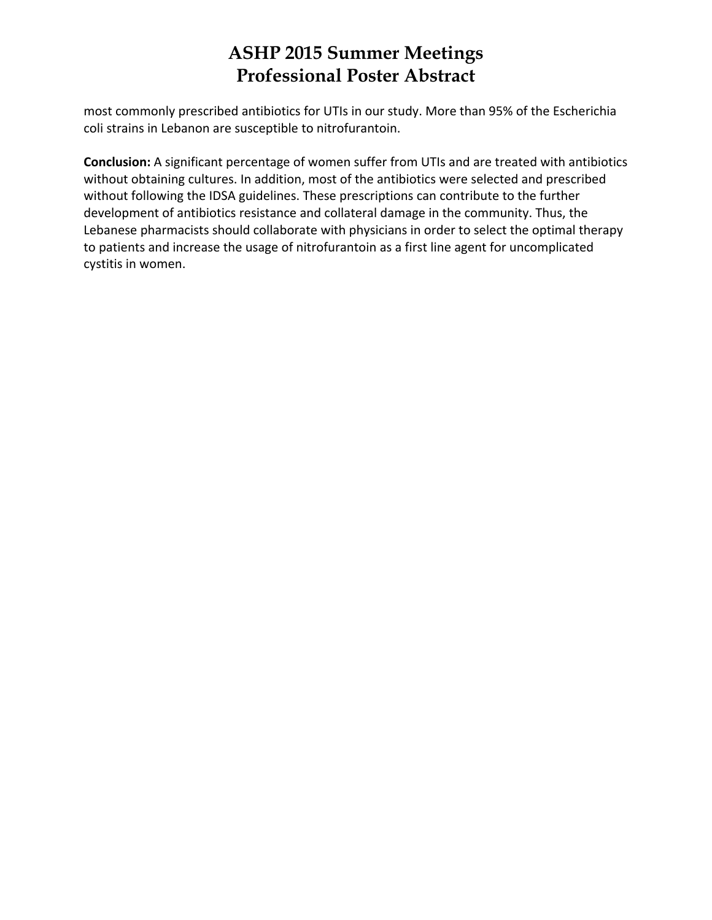most commonly prescribed antibiotics for UTIs in our study. More than 95% of the Escherichia coli strains in Lebanon are susceptible to nitrofurantoin.

**Conclusion:** A significant percentage of women suffer from UTIs and are treated with antibiotics without obtaining cultures. In addition, most of the antibiotics were selected and prescribed without following the IDSA guidelines. These prescriptions can contribute to the further development of antibiotics resistance and collateral damage in the community. Thus, the Lebanese pharmacists should collaborate with physicians in order to select the optimal therapy to patients and increase the usage of nitrofurantoin as a first line agent for uncomplicated cystitis in women.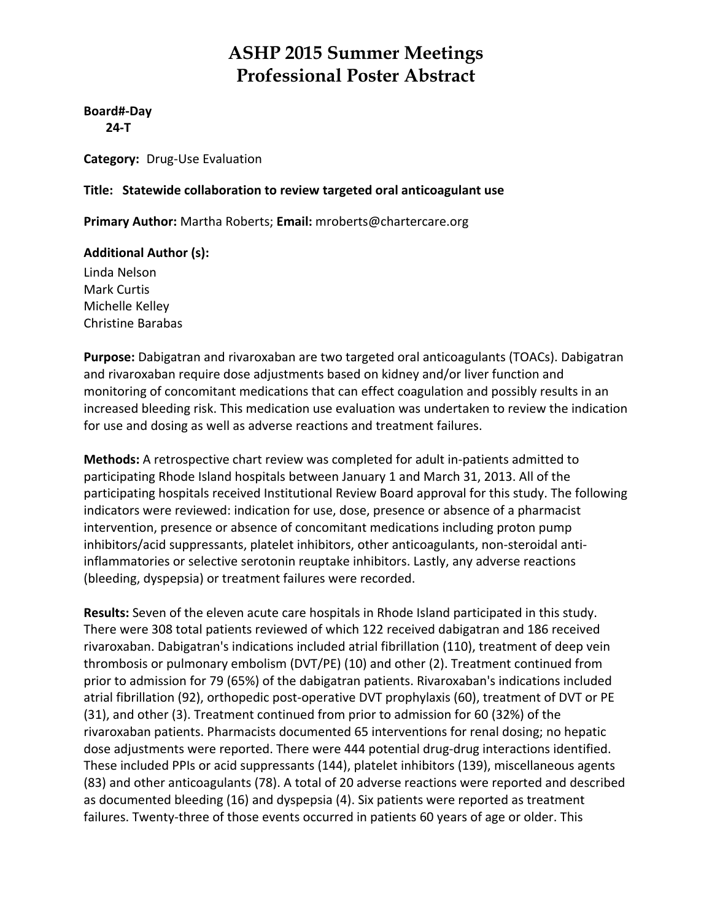**Board#‐Day 24‐T**

**Category:** Drug‐Use Evaluation

#### **Title: Statewide collaboration to review targeted oral anticoagulant use**

**Primary Author:** Martha Roberts; **Email:** mroberts@chartercare.org

#### **Additional Author (s):**

Linda Nelson Mark Curtis Michelle Kelley Christine Barabas

**Purpose:** Dabigatran and rivaroxaban are two targeted oral anticoagulants (TOACs). Dabigatran and rivaroxaban require dose adjustments based on kidney and/or liver function and monitoring of concomitant medications that can effect coagulation and possibly results in an increased bleeding risk. This medication use evaluation was undertaken to review the indication for use and dosing as well as adverse reactions and treatment failures.

**Methods:** A retrospective chart review was completed for adult in‐patients admitted to participating Rhode Island hospitals between January 1 and March 31, 2013. All of the participating hospitals received Institutional Review Board approval for this study. The following indicators were reviewed: indication for use, dose, presence or absence of a pharmacist intervention, presence or absence of concomitant medications including proton pump inhibitors/acid suppressants, platelet inhibitors, other anticoagulants, non-steroidal antiinflammatories or selective serotonin reuptake inhibitors. Lastly, any adverse reactions (bleeding, dyspepsia) or treatment failures were recorded.

**Results:** Seven of the eleven acute care hospitals in Rhode Island participated in this study. There were 308 total patients reviewed of which 122 received dabigatran and 186 received rivaroxaban. Dabigatran's indications included atrial fibrillation (110), treatment of deep vein thrombosis or pulmonary embolism (DVT/PE) (10) and other (2). Treatment continued from prior to admission for 79 (65%) of the dabigatran patients. Rivaroxaban's indications included atrial fibrillation (92), orthopedic post‐operative DVT prophylaxis (60), treatment of DVT or PE (31), and other (3). Treatment continued from prior to admission for 60 (32%) of the rivaroxaban patients. Pharmacists documented 65 interventions for renal dosing; no hepatic dose adjustments were reported. There were 444 potential drug-drug interactions identified. These included PPIs or acid suppressants (144), platelet inhibitors (139), miscellaneous agents (83) and other anticoagulants (78). A total of 20 adverse reactions were reported and described as documented bleeding (16) and dyspepsia (4). Six patients were reported as treatment failures. Twenty-three of those events occurred in patients 60 years of age or older. This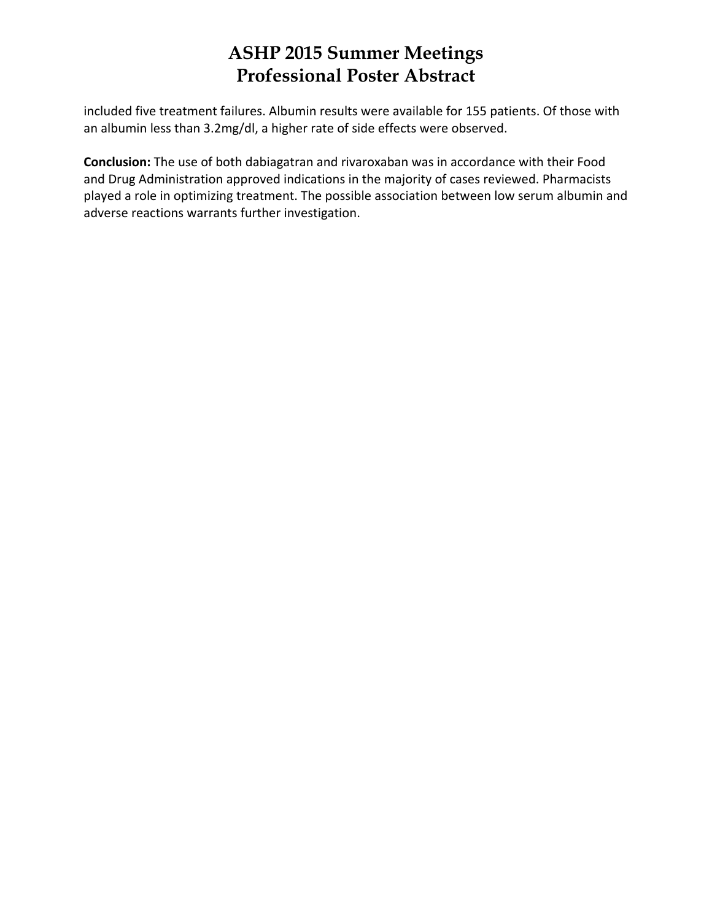included five treatment failures. Albumin results were available for 155 patients. Of those with an albumin less than 3.2mg/dl, a higher rate of side effects were observed.

**Conclusion:** The use of both dabiagatran and rivaroxaban was in accordance with their Food and Drug Administration approved indications in the majority of cases reviewed. Pharmacists played a role in optimizing treatment. The possible association between low serum albumin and adverse reactions warrants further investigation.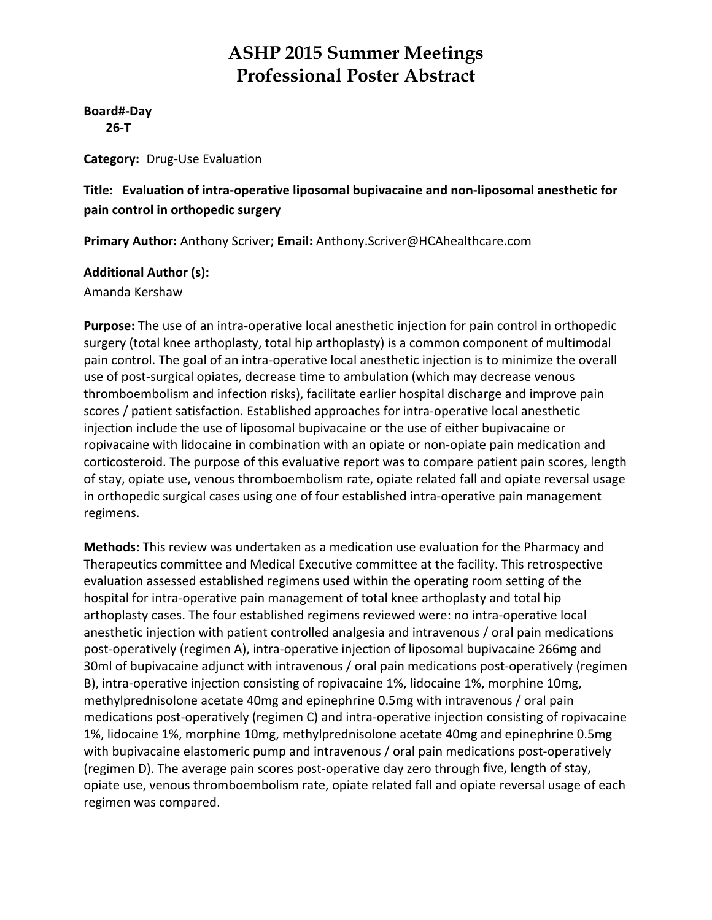**Board#‐Day 26‐T**

**Category:** Drug‐Use Evaluation

#### **Title: Evaluation of intra‐operative liposomal bupivacaine and non‐liposomal anesthetic for pain control in orthopedic surgery**

**Primary Author:** Anthony Scriver; **Email:** Anthony.Scriver@HCAhealthcare.com

#### **Additional Author (s):**

Amanda Kershaw

**Purpose:** The use of an intra‐operative local anesthetic injection for pain control in orthopedic surgery (total knee arthoplasty, total hip arthoplasty) is a common component of multimodal pain control. The goal of an intra‐operative local anesthetic injection is to minimize the overall use of post-surgical opiates, decrease time to ambulation (which may decrease venous thromboembolism and infection risks), facilitate earlier hospital discharge and improve pain scores / patient satisfaction. Established approaches for intra-operative local anesthetic injection include the use of liposomal bupivacaine or the use of either bupivacaine or ropivacaine with lidocaine in combination with an opiate or non‐opiate pain medication and corticosteroid. The purpose of this evaluative report was to compare patient pain scores, length of stay, opiate use, venous thromboembolism rate, opiate related fall and opiate reversal usage in orthopedic surgical cases using one of four established intra‐operative pain management regimens.

**Methods:** This review was undertaken as a medication use evaluation for the Pharmacy and Therapeutics committee and Medical Executive committee at the facility. This retrospective evaluation assessed established regimens used within the operating room setting of the hospital for intra-operative pain management of total knee arthoplasty and total hip arthoplasty cases. The four established regimens reviewed were: no intra‐operative local anesthetic injection with patient controlled analgesia and intravenous / oral pain medications post‐operatively (regimen A), intra‐operative injection of liposomal bupivacaine 266mg and 30ml of bupivacaine adjunct with intravenous / oral pain medications post‐operatively (regimen B), intra‐operative injection consisting of ropivacaine 1%, lidocaine 1%, morphine 10mg, methylprednisolone acetate 40mg and epinephrine 0.5mg with intravenous / oral pain medications post-operatively (regimen C) and intra-operative injection consisting of ropivacaine 1%, lidocaine 1%, morphine 10mg, methylprednisolone acetate 40mg and epinephrine 0.5mg with bupivacaine elastomeric pump and intravenous / oral pain medications post-operatively (regimen D). The average pain scores post‐operative day zero through five, length of stay, opiate use, venous thromboembolism rate, opiate related fall and opiate reversal usage of each regimen was compared.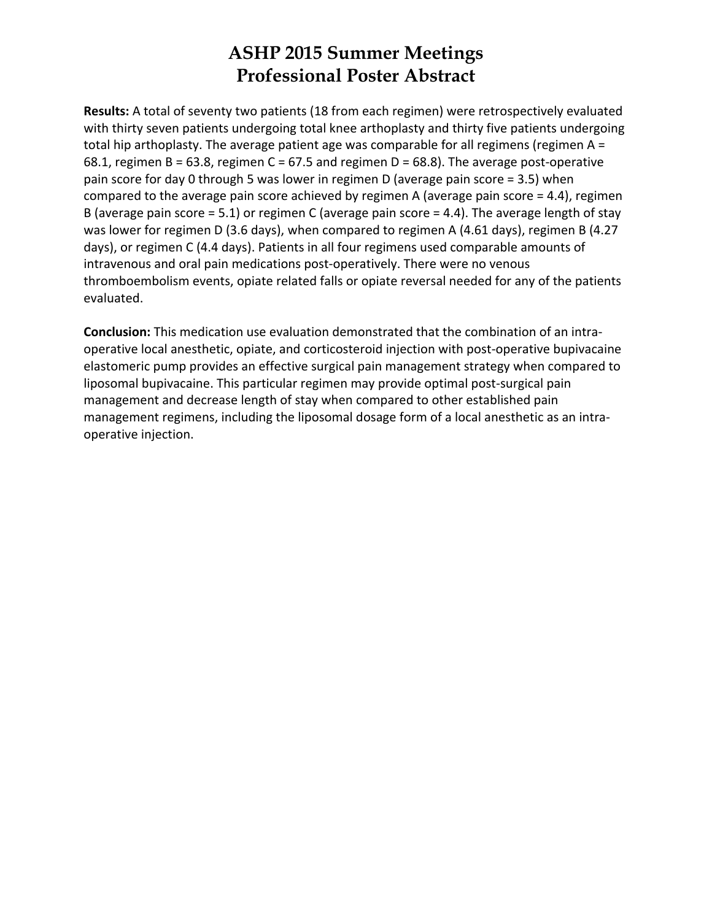**Results:** A total of seventy two patients (18 from each regimen) were retrospectively evaluated with thirty seven patients undergoing total knee arthoplasty and thirty five patients undergoing total hip arthoplasty. The average patient age was comparable for all regimens (regimen A = 68.1, regimen B = 63.8, regimen C = 67.5 and regimen D = 68.8). The average post-operative pain score for day 0 through 5 was lower in regimen D (average pain score = 3.5) when compared to the average pain score achieved by regimen A (average pain score = 4.4), regimen B (average pain score  $= 5.1$ ) or regimen C (average pain score  $= 4.4$ ). The average length of stay was lower for regimen D (3.6 days), when compared to regimen A (4.61 days), regimen B (4.27 days), or regimen C (4.4 days). Patients in all four regimens used comparable amounts of intravenous and oral pain medications post‐operatively. There were no venous thromboembolism events, opiate related falls or opiate reversal needed for any of the patients evaluated.

**Conclusion:** This medication use evaluation demonstrated that the combination of an intra‐ operative local anesthetic, opiate, and corticosteroid injection with post‐operative bupivacaine elastomeric pump provides an effective surgical pain management strategy when compared to liposomal bupivacaine. This particular regimen may provide optimal post‐surgical pain management and decrease length of stay when compared to other established pain management regimens, including the liposomal dosage form of a local anesthetic as an intra‐ operative injection.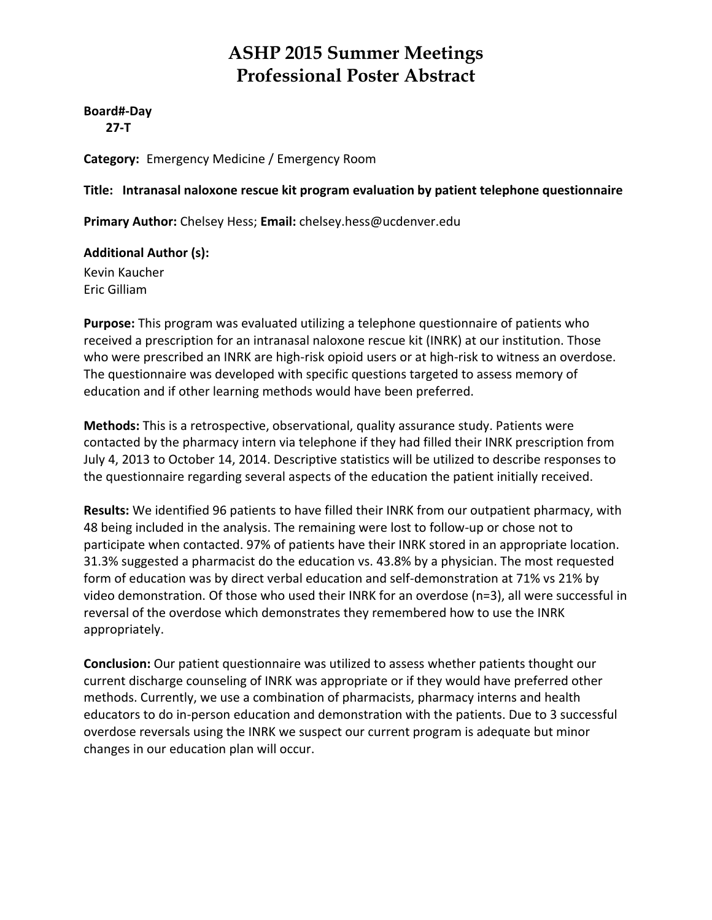#### **Board#‐Day 27‐T**

**Category:** Emergency Medicine / Emergency Room

#### **Title: Intranasal naloxone rescue kit program evaluation by patient telephone questionnaire**

**Primary Author:** Chelsey Hess; **Email:** chelsey.hess@ucdenver.edu

**Additional Author (s):** Kevin Kaucher

Eric Gilliam

**Purpose:** This program was evaluated utilizing a telephone questionnaire of patients who received a prescription for an intranasal naloxone rescue kit (INRK) at our institution. Those who were prescribed an INRK are high-risk opioid users or at high-risk to witness an overdose. The questionnaire was developed with specific questions targeted to assess memory of education and if other learning methods would have been preferred.

**Methods:** This is a retrospective, observational, quality assurance study. Patients were contacted by the pharmacy intern via telephone if they had filled their INRK prescription from July 4, 2013 to October 14, 2014. Descriptive statistics will be utilized to describe responses to the questionnaire regarding several aspects of the education the patient initially received.

**Results:** We identified 96 patients to have filled their INRK from our outpatient pharmacy, with 48 being included in the analysis. The remaining were lost to follow‐up or chose not to participate when contacted. 97% of patients have their INRK stored in an appropriate location. 31.3% suggested a pharmacist do the education vs. 43.8% by a physician. The most requested form of education was by direct verbal education and self-demonstration at 71% vs 21% by video demonstration. Of those who used their INRK for an overdose (n=3), all were successful in reversal of the overdose which demonstrates they remembered how to use the INRK appropriately.

**Conclusion:** Our patient questionnaire was utilized to assess whether patients thought our current discharge counseling of INRK was appropriate or if they would have preferred other methods. Currently, we use a combination of pharmacists, pharmacy interns and health educators to do in‐person education and demonstration with the patients. Due to 3 successful overdose reversals using the INRK we suspect our current program is adequate but minor changes in our education plan will occur.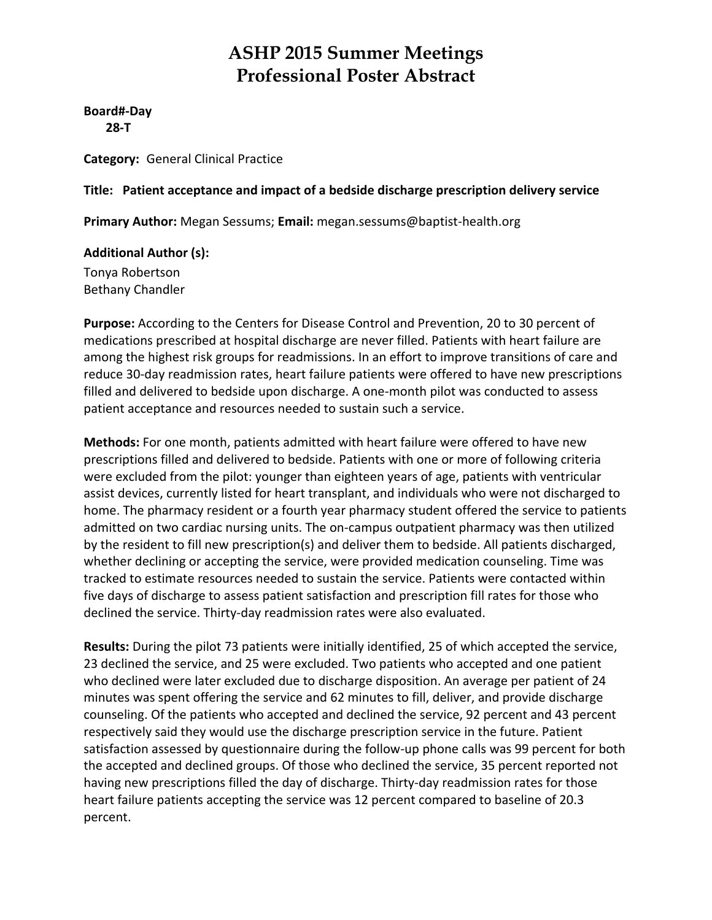**Board#‐Day 28‐T**

**Category:** General Clinical Practice

#### **Title: Patient acceptance and impact of a bedside discharge prescription delivery service**

**Primary Author:** Megan Sessums; **Email:** megan.sessums@baptist‐health.org

**Additional Author (s):**

Tonya Robertson Bethany Chandler

**Purpose:** According to the Centers for Disease Control and Prevention, 20 to 30 percent of medications prescribed at hospital discharge are never filled. Patients with heart failure are among the highest risk groups for readmissions. In an effort to improve transitions of care and reduce 30‐day readmission rates, heart failure patients were offered to have new prescriptions filled and delivered to bedside upon discharge. A one-month pilot was conducted to assess patient acceptance and resources needed to sustain such a service.

**Methods:** For one month, patients admitted with heart failure were offered to have new prescriptions filled and delivered to bedside. Patients with one or more of following criteria were excluded from the pilot: younger than eighteen years of age, patients with ventricular assist devices, currently listed for heart transplant, and individuals who were not discharged to home. The pharmacy resident or a fourth year pharmacy student offered the service to patients admitted on two cardiac nursing units. The on‐campus outpatient pharmacy was then utilized by the resident to fill new prescription(s) and deliver them to bedside. All patients discharged, whether declining or accepting the service, were provided medication counseling. Time was tracked to estimate resources needed to sustain the service. Patients were contacted within five days of discharge to assess patient satisfaction and prescription fill rates for those who declined the service. Thirty‐day readmission rates were also evaluated.

**Results:** During the pilot 73 patients were initially identified, 25 of which accepted the service, 23 declined the service, and 25 were excluded. Two patients who accepted and one patient who declined were later excluded due to discharge disposition. An average per patient of 24 minutes was spent offering the service and 62 minutes to fill, deliver, and provide discharge counseling. Of the patients who accepted and declined the service, 92 percent and 43 percent respectively said they would use the discharge prescription service in the future. Patient satisfaction assessed by questionnaire during the follow-up phone calls was 99 percent for both the accepted and declined groups. Of those who declined the service, 35 percent reported not having new prescriptions filled the day of discharge. Thirty-day readmission rates for those heart failure patients accepting the service was 12 percent compared to baseline of 20.3 percent.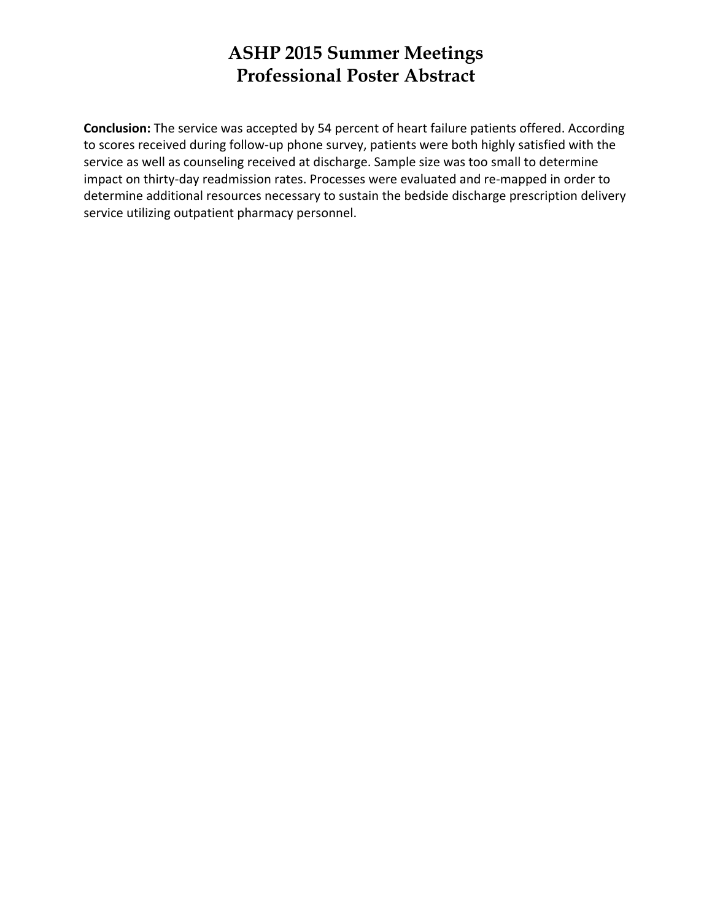**Conclusion:** The service was accepted by 54 percent of heart failure patients offered. According to scores received during follow‐up phone survey, patients were both highly satisfied with the service as well as counseling received at discharge. Sample size was too small to determine impact on thirty-day readmission rates. Processes were evaluated and re-mapped in order to determine additional resources necessary to sustain the bedside discharge prescription delivery service utilizing outpatient pharmacy personnel.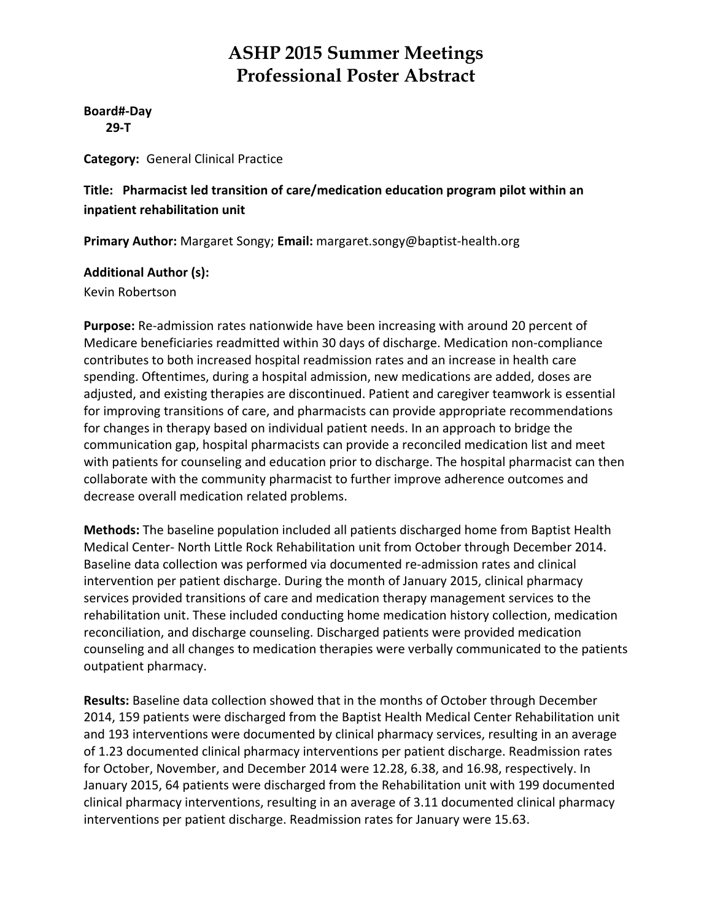**Board#‐Day 29‐T**

**Category:** General Clinical Practice

**Title: Pharmacist led transition of care/medication education program pilot within an inpatient rehabilitation unit**

**Primary Author:** Margaret Songy; **Email:** margaret.songy@baptist‐health.org

#### **Additional Author (s):**

Kevin Robertson

**Purpose:** Re‐admission rates nationwide have been increasing with around 20 percent of Medicare beneficiaries readmitted within 30 days of discharge. Medication non‐compliance contributes to both increased hospital readmission rates and an increase in health care spending. Oftentimes, during a hospital admission, new medications are added, doses are adjusted, and existing therapies are discontinued. Patient and caregiver teamwork is essential for improving transitions of care, and pharmacists can provide appropriate recommendations for changes in therapy based on individual patient needs. In an approach to bridge the communication gap, hospital pharmacists can provide a reconciled medication list and meet with patients for counseling and education prior to discharge. The hospital pharmacist can then collaborate with the community pharmacist to further improve adherence outcomes and decrease overall medication related problems.

**Methods:** The baseline population included all patients discharged home from Baptist Health Medical Center‐ North Little Rock Rehabilitation unit from October through December 2014. Baseline data collection was performed via documented re‐admission rates and clinical intervention per patient discharge. During the month of January 2015, clinical pharmacy services provided transitions of care and medication therapy management services to the rehabilitation unit. These included conducting home medication history collection, medication reconciliation, and discharge counseling. Discharged patients were provided medication counseling and all changes to medication therapies were verbally communicated to the patients outpatient pharmacy.

**Results:** Baseline data collection showed that in the months of October through December 2014, 159 patients were discharged from the Baptist Health Medical Center Rehabilitation unit and 193 interventions were documented by clinical pharmacy services, resulting in an average of 1.23 documented clinical pharmacy interventions per patient discharge. Readmission rates for October, November, and December 2014 were 12.28, 6.38, and 16.98, respectively. In January 2015, 64 patients were discharged from the Rehabilitation unit with 199 documented clinical pharmacy interventions, resulting in an average of 3.11 documented clinical pharmacy interventions per patient discharge. Readmission rates for January were 15.63.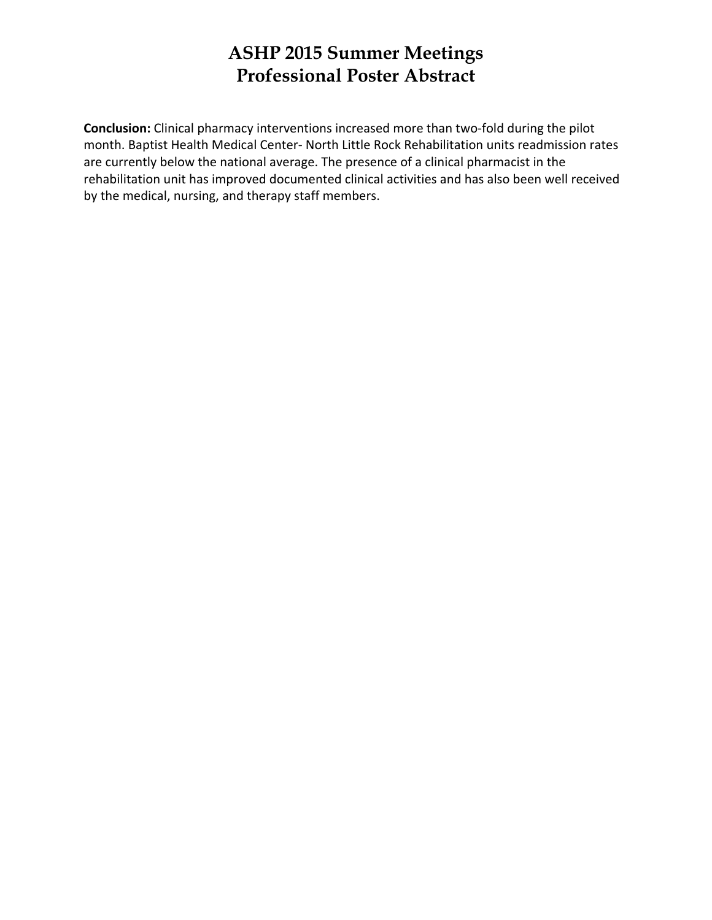**Conclusion:** Clinical pharmacy interventions increased more than two‐fold during the pilot month. Baptist Health Medical Center‐ North Little Rock Rehabilitation units readmission rates are currently below the national average. The presence of a clinical pharmacist in the rehabilitation unit has improved documented clinical activities and has also been well received by the medical, nursing, and therapy staff members.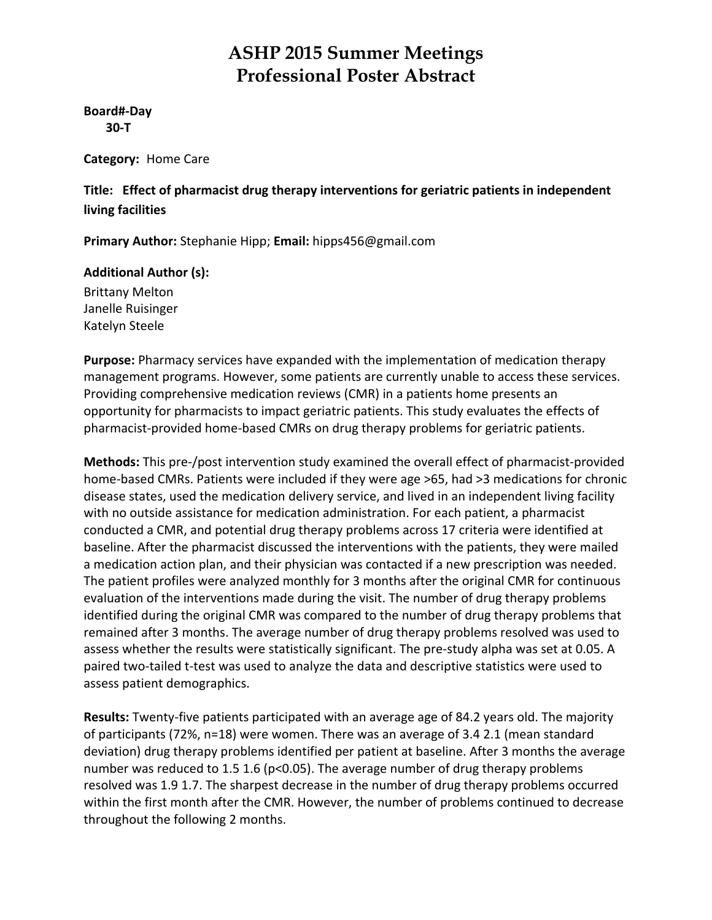#### **Board#‐Day 30‐T**

**Category:** Home Care

**Title: Effect of pharmacist drug therapy interventions for geriatric patients in independent living facilities**

**Primary Author:** Stephanie Hipp; **Email:** hipps456@gmail.com

#### **Additional Author (s):**

Brittany Melton Janelle Ruisinger Katelyn Steele

**Purpose:** Pharmacy services have expanded with the implementation of medication therapy management programs. However, some patients are currently unable to access these services. Providing comprehensive medication reviews (CMR) in a patients home presents an opportunity for pharmacists to impact geriatric patients. This study evaluates the effects of pharmacist‐provided home‐based CMRs on drug therapy problems for geriatric patients.

**Methods:** This pre‐/post intervention study examined the overall effect of pharmacist‐provided home-based CMRs. Patients were included if they were age >65, had >3 medications for chronic disease states, used the medication delivery service, and lived in an independent living facility with no outside assistance for medication administration. For each patient, a pharmacist conducted a CMR, and potential drug therapy problems across 17 criteria were identified at baseline. After the pharmacist discussed the interventions with the patients, they were mailed a medication action plan, and their physician was contacted if a new prescription was needed. The patient profiles were analyzed monthly for 3 months after the original CMR for continuous evaluation of the interventions made during the visit. The number of drug therapy problems identified during the original CMR was compared to the number of drug therapy problems that remained after 3 months. The average number of drug therapy problems resolved was used to assess whether the results were statistically significant. The pre‐study alpha was set at 0.05. A paired two-tailed t-test was used to analyze the data and descriptive statistics were used to assess patient demographics.

**Results:** Twenty‐five patients participated with an average age of 84.2 years old. The majority of participants (72%, n=18) were women. There was an average of 3.4 2.1 (mean standard deviation) drug therapy problems identified per patient at baseline. After 3 months the average number was reduced to 1.5 1.6 (p<0.05). The average number of drug therapy problems resolved was 1.9 1.7. The sharpest decrease in the number of drug therapy problems occurred within the first month after the CMR. However, the number of problems continued to decrease throughout the following 2 months.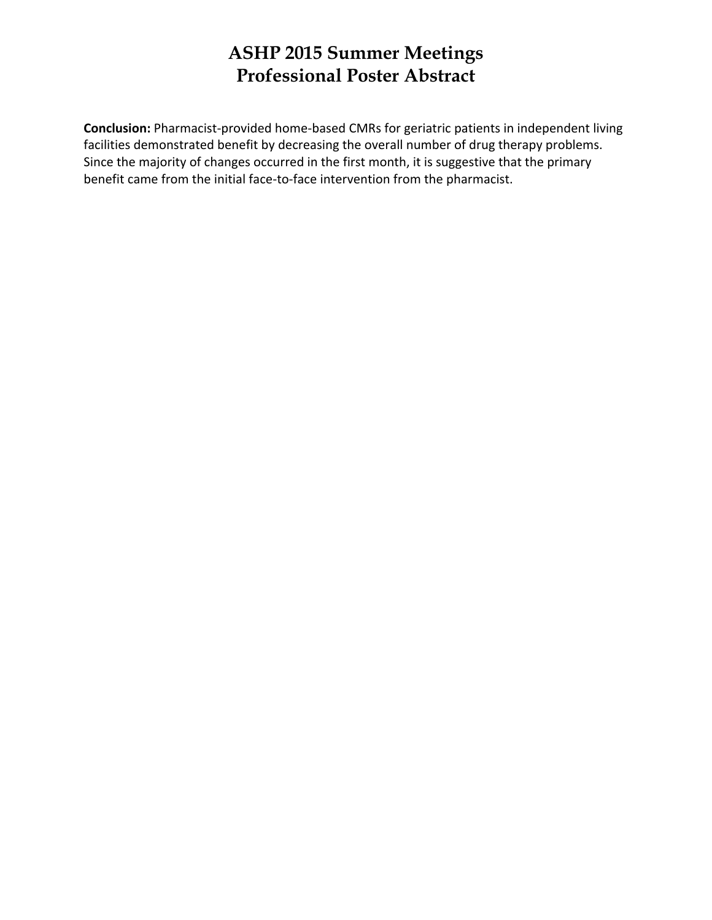**Conclusion:** Pharmacist‐provided home‐based CMRs for geriatric patients in independent living facilities demonstrated benefit by decreasing the overall number of drug therapy problems. Since the majority of changes occurred in the first month, it is suggestive that the primary benefit came from the initial face‐to‐face intervention from the pharmacist.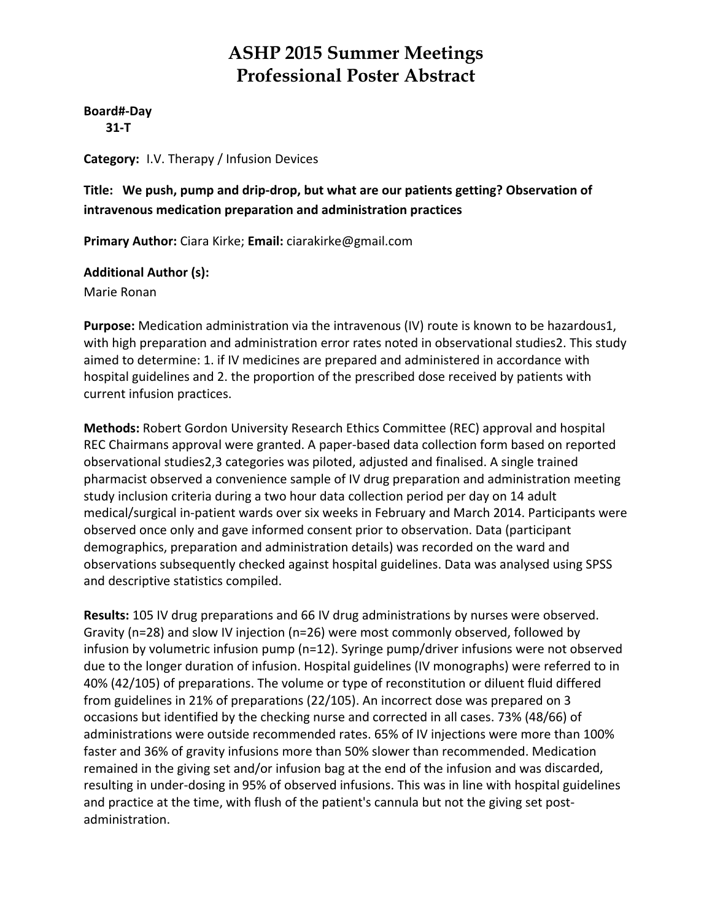#### **Board#‐Day**

 **31‐T**

**Category:** I.V. Therapy / Infusion Devices

#### **Title: We push, pump and drip‐drop, but what are our patients getting? Observation of intravenous medication preparation and administration practices**

**Primary Author:** Ciara Kirke; **Email:** ciarakirke@gmail.com

#### **Additional Author (s):**

Marie Ronan

**Purpose:** Medication administration via the intravenous (IV) route is known to be hazardous1, with high preparation and administration error rates noted in observational studies2. This study aimed to determine: 1. if IV medicines are prepared and administered in accordance with hospital guidelines and 2. the proportion of the prescribed dose received by patients with current infusion practices.

**Methods:** Robert Gordon University Research Ethics Committee (REC) approval and hospital REC Chairmans approval were granted. A paper‐based data collection form based on reported observational studies2,3 categories was piloted, adjusted and finalised. A single trained pharmacist observed a convenience sample of IV drug preparation and administration meeting study inclusion criteria during a two hour data collection period per day on 14 adult medical/surgical in‐patient wards over six weeks in February and March 2014. Participants were observed once only and gave informed consent prior to observation. Data (participant demographics, preparation and administration details) was recorded on the ward and observations subsequently checked against hospital guidelines. Data was analysed using SPSS and descriptive statistics compiled.

**Results:** 105 IV drug preparations and 66 IV drug administrations by nurses were observed. Gravity (n=28) and slow IV injection (n=26) were most commonly observed, followed by infusion by volumetric infusion pump (n=12). Syringe pump/driver infusions were not observed due to the longer duration of infusion. Hospital guidelines (IV monographs) were referred to in 40% (42/105) of preparations. The volume or type of reconstitution or diluent fluid differed from guidelines in 21% of preparations (22/105). An incorrect dose was prepared on 3 occasions but identified by the checking nurse and corrected in all cases. 73% (48/66) of administrations were outside recommended rates. 65% of IV injections were more than 100% faster and 36% of gravity infusions more than 50% slower than recommended. Medication remained in the giving set and/or infusion bag at the end of the infusion and was discarded, resulting in under‐dosing in 95% of observed infusions. This was in line with hospital guidelines and practice at the time, with flush of the patient's cannula but not the giving set postadministration.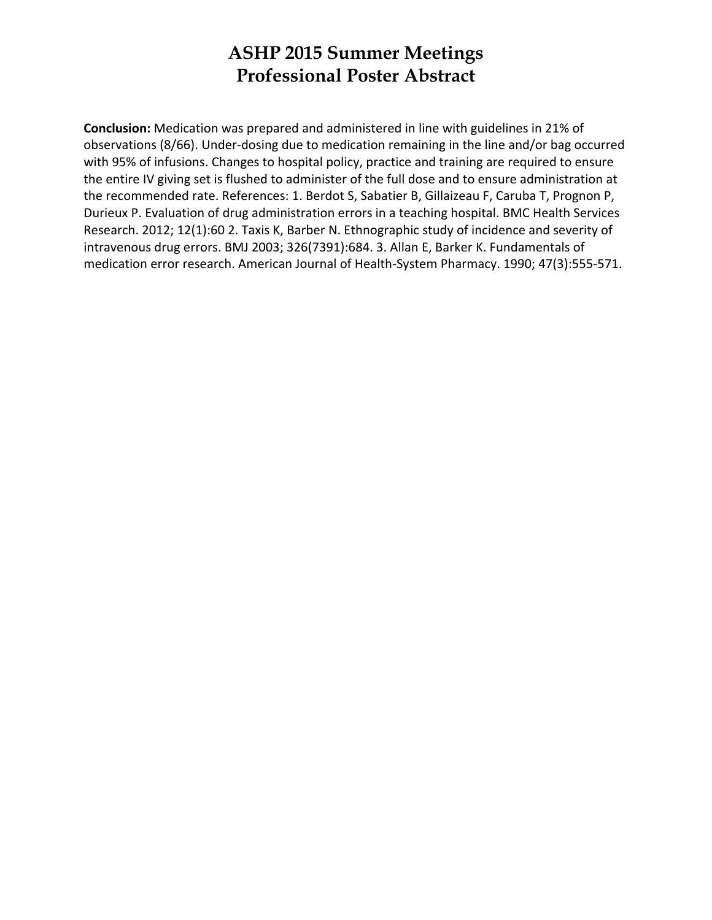**Conclusion:** Medication was prepared and administered in line with guidelines in 21% of observations (8/66). Under‐dosing due to medication remaining in the line and/or bag occurred with 95% of infusions. Changes to hospital policy, practice and training are required to ensure the entire IV giving set is flushed to administer of the full dose and to ensure administration at the recommended rate. References: 1. Berdot S, Sabatier B, Gillaizeau F, Caruba T, Prognon P, Durieux P. Evaluation of drug administration errors in a teaching hospital. BMC Health Services Research. 2012; 12(1):60 2. Taxis K, Barber N. Ethnographic study of incidence and severity of intravenous drug errors. BMJ 2003; 326(7391):684. 3. Allan E, Barker K. Fundamentals of medication error research. American Journal of Health‐System Pharmacy. 1990; 47(3):555‐571.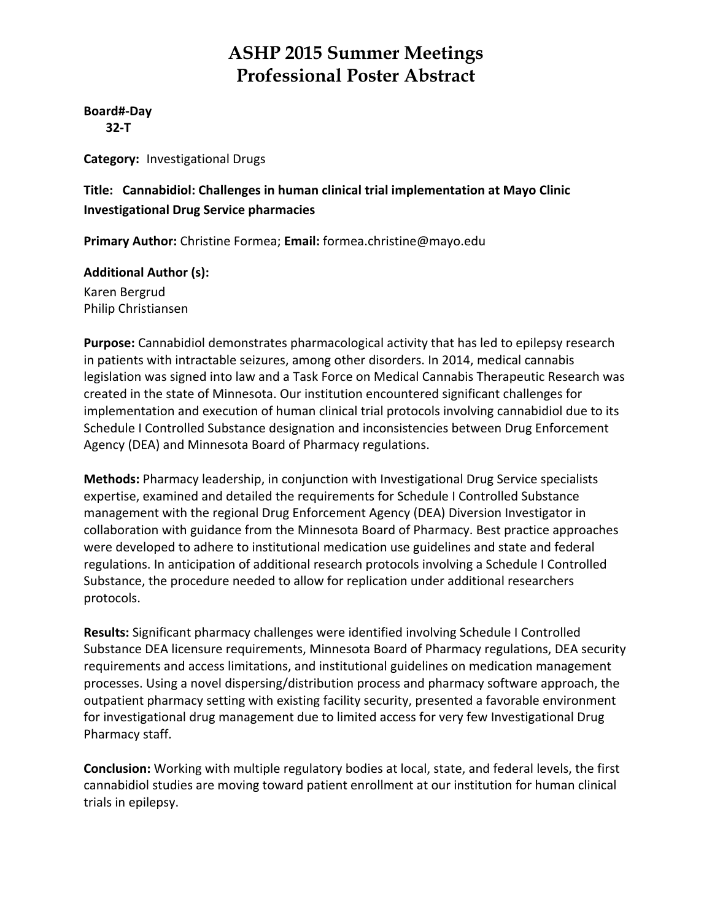**Board#‐Day 32‐T**

**Category:** Investigational Drugs

**Title: Cannabidiol: Challenges in human clinical trial implementation at Mayo Clinic Investigational Drug Service pharmacies**

**Primary Author:** Christine Formea; **Email:** formea.christine@mayo.edu

**Additional Author (s):**

Karen Bergrud Philip Christiansen

**Purpose:** Cannabidiol demonstrates pharmacological activity that has led to epilepsy research in patients with intractable seizures, among other disorders. In 2014, medical cannabis legislation was signed into law and a Task Force on Medical Cannabis Therapeutic Research was created in the state of Minnesota. Our institution encountered significant challenges for implementation and execution of human clinical trial protocols involving cannabidiol due to its Schedule I Controlled Substance designation and inconsistencies between Drug Enforcement Agency (DEA) and Minnesota Board of Pharmacy regulations.

**Methods:** Pharmacy leadership, in conjunction with Investigational Drug Service specialists expertise, examined and detailed the requirements for Schedule I Controlled Substance management with the regional Drug Enforcement Agency (DEA) Diversion Investigator in collaboration with guidance from the Minnesota Board of Pharmacy. Best practice approaches were developed to adhere to institutional medication use guidelines and state and federal regulations. In anticipation of additional research protocols involving a Schedule I Controlled Substance, the procedure needed to allow for replication under additional researchers protocols.

**Results:** Significant pharmacy challenges were identified involving Schedule I Controlled Substance DEA licensure requirements, Minnesota Board of Pharmacy regulations, DEA security requirements and access limitations, and institutional guidelines on medication management processes. Using a novel dispersing/distribution process and pharmacy software approach, the outpatient pharmacy setting with existing facility security, presented a favorable environment for investigational drug management due to limited access for very few Investigational Drug Pharmacy staff.

**Conclusion:** Working with multiple regulatory bodies at local, state, and federal levels, the first cannabidiol studies are moving toward patient enrollment at our institution for human clinical trials in epilepsy.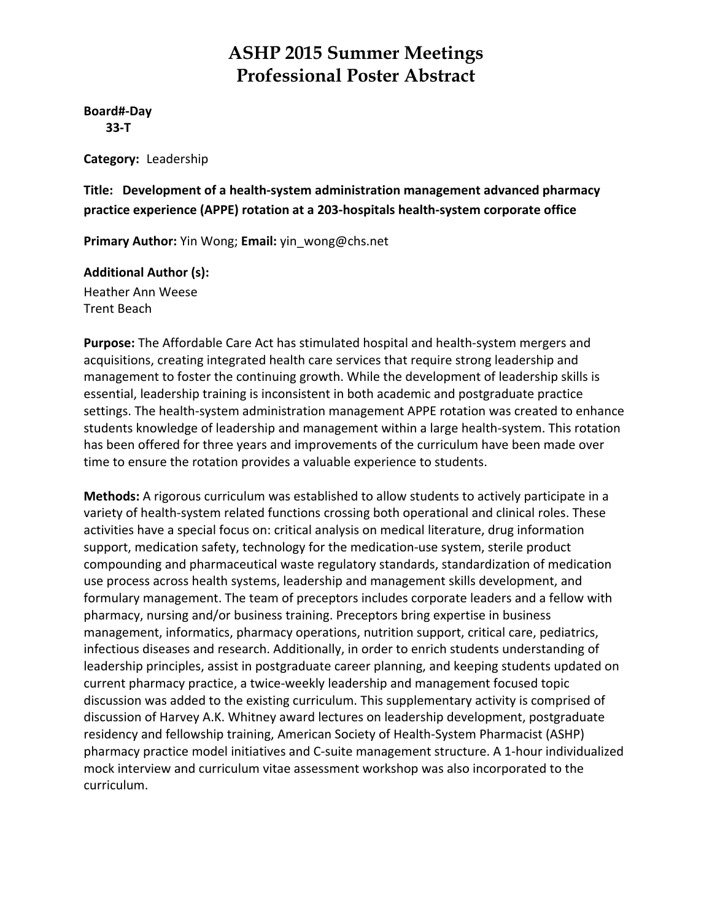#### **Board#‐Day 33‐T**

**Category:** Leadership

**Title: Development of a health‐system administration management advanced pharmacy practice experience (APPE) rotation at a 203‐hospitals health‐system corporate office**

**Primary Author:** Yin Wong; **Email:** yin\_wong@chs.net

#### **Additional Author (s):**

Heather Ann Weese Trent Beach

**Purpose:** The Affordable Care Act has stimulated hospital and health‐system mergers and acquisitions, creating integrated health care services that require strong leadership and management to foster the continuing growth. While the development of leadership skills is essential, leadership training is inconsistent in both academic and postgraduate practice settings. The health-system administration management APPE rotation was created to enhance students knowledge of leadership and management within a large health‐system. This rotation has been offered for three years and improvements of the curriculum have been made over time to ensure the rotation provides a valuable experience to students.

**Methods:** A rigorous curriculum was established to allow students to actively participate in a variety of health‐system related functions crossing both operational and clinical roles. These activities have a special focus on: critical analysis on medical literature, drug information support, medication safety, technology for the medication‐use system, sterile product compounding and pharmaceutical waste regulatory standards, standardization of medication use process across health systems, leadership and management skills development, and formulary management. The team of preceptors includes corporate leaders and a fellow with pharmacy, nursing and/or business training. Preceptors bring expertise in business management, informatics, pharmacy operations, nutrition support, critical care, pediatrics, infectious diseases and research. Additionally, in order to enrich students understanding of leadership principles, assist in postgraduate career planning, and keeping students updated on current pharmacy practice, a twice‐weekly leadership and management focused topic discussion was added to the existing curriculum. This supplementary activity is comprised of discussion of Harvey A.K. Whitney award lectures on leadership development, postgraduate residency and fellowship training, American Society of Health‐System Pharmacist (ASHP) pharmacy practice model initiatives and C‐suite management structure. A 1‐hour individualized mock interview and curriculum vitae assessment workshop was also incorporated to the curriculum.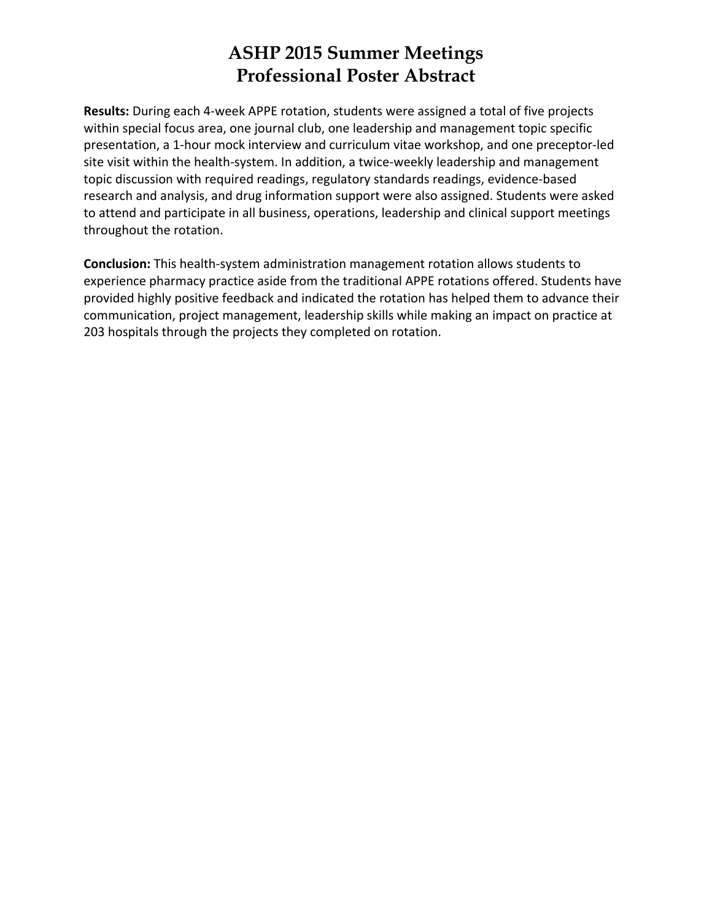**Results:** During each 4‐week APPE rotation, students were assigned a total of five projects within special focus area, one journal club, one leadership and management topic specific presentation, a 1‐hour mock interview and curriculum vitae workshop, and one preceptor‐led site visit within the health-system. In addition, a twice-weekly leadership and management topic discussion with required readings, regulatory standards readings, evidence‐based research and analysis, and drug information support were also assigned. Students were asked to attend and participate in all business, operations, leadership and clinical support meetings throughout the rotation.

**Conclusion:** This health‐system administration management rotation allows students to experience pharmacy practice aside from the traditional APPE rotations offered. Students have provided highly positive feedback and indicated the rotation has helped them to advance their communication, project management, leadership skills while making an impact on practice at 203 hospitals through the projects they completed on rotation.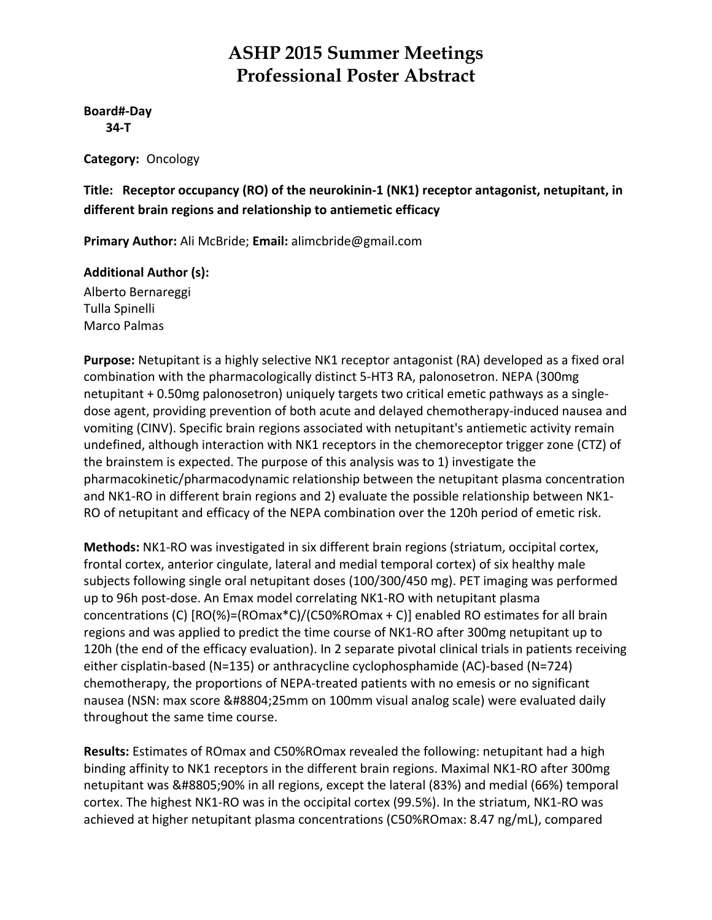**Board#‐Day 34‐T**

**Category:** Oncology

**Title: Receptor occupancy (RO) of the neurokinin‐1 (NK1) receptor antagonist, netupitant, in different brain regions and relationship to antiemetic efficacy**

**Primary Author:** Ali McBride; **Email:** alimcbride@gmail.com

#### **Additional Author (s):**

Alberto Bernareggi Tulla Spinelli Marco Palmas

**Purpose:** Netupitant is a highly selective NK1 receptor antagonist (RA) developed as a fixed oral combination with the pharmacologically distinct 5‐HT3 RA, palonosetron. NEPA (300mg netupitant + 0.50mg palonosetron) uniquely targets two critical emetic pathways as a single‐ dose agent, providing prevention of both acute and delayed chemotherapy‐induced nausea and vomiting (CINV). Specific brain regions associated with netupitant's antiemetic activity remain undefined, although interaction with NK1 receptors in the chemoreceptor trigger zone (CTZ) of the brainstem is expected. The purpose of this analysis was to 1) investigate the pharmacokinetic/pharmacodynamic relationship between the netupitant plasma concentration and NK1‐RO in different brain regions and 2) evaluate the possible relationship between NK1‐ RO of netupitant and efficacy of the NEPA combination over the 120h period of emetic risk.

**Methods:** NK1‐RO was investigated in six different brain regions (striatum, occipital cortex, frontal cortex, anterior cingulate, lateral and medial temporal cortex) of six healthy male subjects following single oral netupitant doses (100/300/450 mg). PET imaging was performed up to 96h post‐dose. An Emax model correlating NK1‐RO with netupitant plasma concentrations (C) [RO(%)=(ROmax\*C)/(C50%ROmax + C)] enabled RO estimates for all brain regions and was applied to predict the time course of NK1‐RO after 300mg netupitant up to 120h (the end of the efficacy evaluation). In 2 separate pivotal clinical trials in patients receiving either cisplatin‐based (N=135) or anthracycline cyclophosphamide (AC)‐based (N=724) chemotherapy, the proportions of NEPA‐treated patients with no emesis or no significant nausea (NSN: max score ≤25mm on 100mm visual analog scale) were evaluated daily throughout the same time course.

**Results:** Estimates of ROmax and C50%ROmax revealed the following: netupitant had a high binding affinity to NK1 receptors in the different brain regions. Maximal NK1‐RO after 300mg netupitant was ≥90% in all regions, except the lateral (83%) and medial (66%) temporal cortex. The highest NK1‐RO was in the occipital cortex (99.5%). In the striatum, NK1‐RO was achieved at higher netupitant plasma concentrations (C50%ROmax: 8.47 ng/mL), compared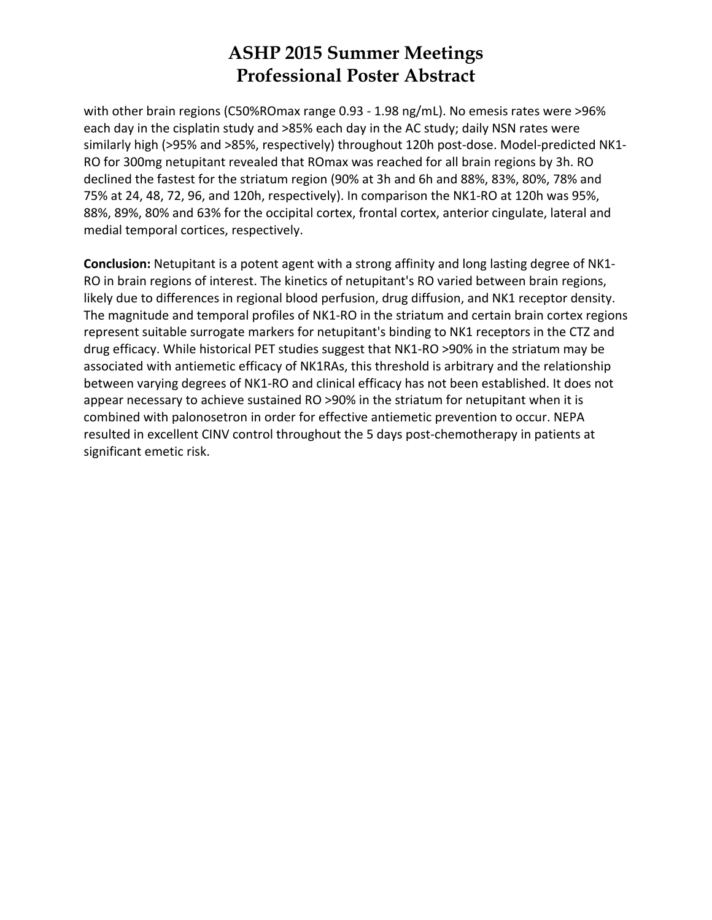with other brain regions (C50%ROmax range 0.93 - 1.98 ng/mL). No emesis rates were >96% each day in the cisplatin study and >85% each day in the AC study; daily NSN rates were similarly high (>95% and >85%, respectively) throughout 120h post-dose. Model-predicted NK1-RO for 300mg netupitant revealed that ROmax was reached for all brain regions by 3h. RO declined the fastest for the striatum region (90% at 3h and 6h and 88%, 83%, 80%, 78% and 75% at 24, 48, 72, 96, and 120h, respectively). In comparison the NK1‐RO at 120h was 95%, 88%, 89%, 80% and 63% for the occipital cortex, frontal cortex, anterior cingulate, lateral and medial temporal cortices, respectively.

**Conclusion:** Netupitant is a potent agent with a strong affinity and long lasting degree of NK1‐ RO in brain regions of interest. The kinetics of netupitant's RO varied between brain regions, likely due to differences in regional blood perfusion, drug diffusion, and NK1 receptor density. The magnitude and temporal profiles of NK1‐RO in the striatum and certain brain cortex regions represent suitable surrogate markers for netupitant's binding to NK1 receptors in the CTZ and drug efficacy. While historical PET studies suggest that NK1‐RO >90% in the striatum may be associated with antiemetic efficacy of NK1RAs, this threshold is arbitrary and the relationship between varying degrees of NK1‐RO and clinical efficacy has not been established. It does not appear necessary to achieve sustained RO >90% in the striatum for netupitant when it is combined with palonosetron in order for effective antiemetic prevention to occur. NEPA resulted in excellent CINV control throughout the 5 days post-chemotherapy in patients at significant emetic risk.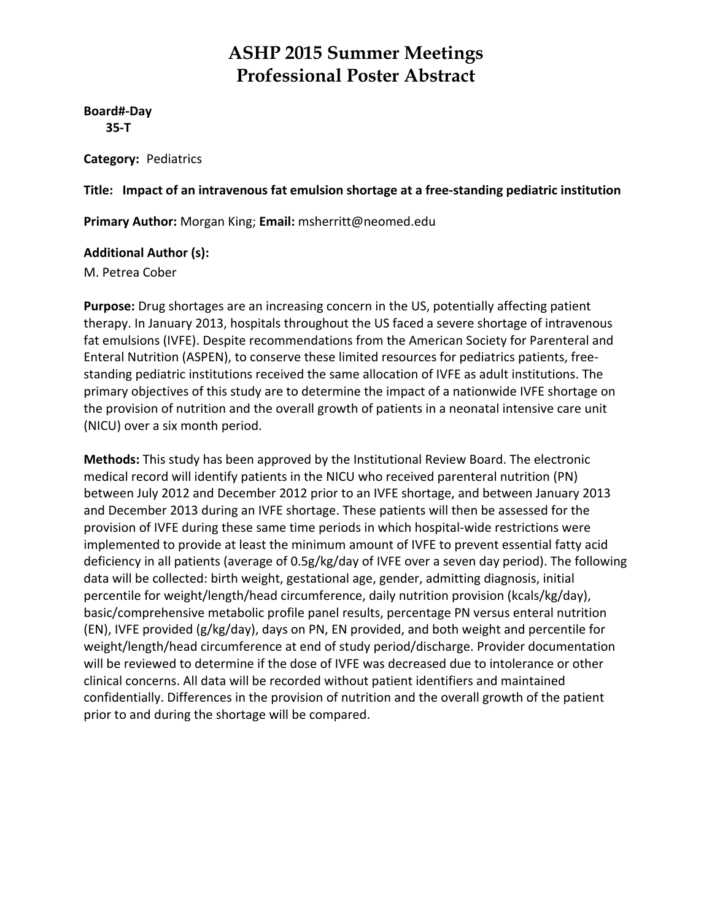**Board#‐Day 35‐T**

**Category:** Pediatrics

**Title: Impact of an intravenous fat emulsion shortage at a free‐standing pediatric institution**

**Primary Author:** Morgan King; **Email:** msherritt@neomed.edu

#### **Additional Author (s):**

M. Petrea Cober

**Purpose:** Drug shortages are an increasing concern in the US, potentially affecting patient therapy. In January 2013, hospitals throughout the US faced a severe shortage of intravenous fat emulsions (IVFE). Despite recommendations from the American Society for Parenteral and Enteral Nutrition (ASPEN), to conserve these limited resources for pediatrics patients, free‐ standing pediatric institutions received the same allocation of IVFE as adult institutions. The primary objectives of this study are to determine the impact of a nationwide IVFE shortage on the provision of nutrition and the overall growth of patients in a neonatal intensive care unit (NICU) over a six month period.

**Methods:** This study has been approved by the Institutional Review Board. The electronic medical record will identify patients in the NICU who received parenteral nutrition (PN) between July 2012 and December 2012 prior to an IVFE shortage, and between January 2013 and December 2013 during an IVFE shortage. These patients will then be assessed for the provision of IVFE during these same time periods in which hospital-wide restrictions were implemented to provide at least the minimum amount of IVFE to prevent essential fatty acid deficiency in all patients (average of 0.5g/kg/day of IVFE over a seven day period). The following data will be collected: birth weight, gestational age, gender, admitting diagnosis, initial percentile for weight/length/head circumference, daily nutrition provision (kcals/kg/day), basic/comprehensive metabolic profile panel results, percentage PN versus enteral nutrition (EN), IVFE provided (g/kg/day), days on PN, EN provided, and both weight and percentile for weight/length/head circumference at end of study period/discharge. Provider documentation will be reviewed to determine if the dose of IVFE was decreased due to intolerance or other clinical concerns. All data will be recorded without patient identifiers and maintained confidentially. Differences in the provision of nutrition and the overall growth of the patient prior to and during the shortage will be compared.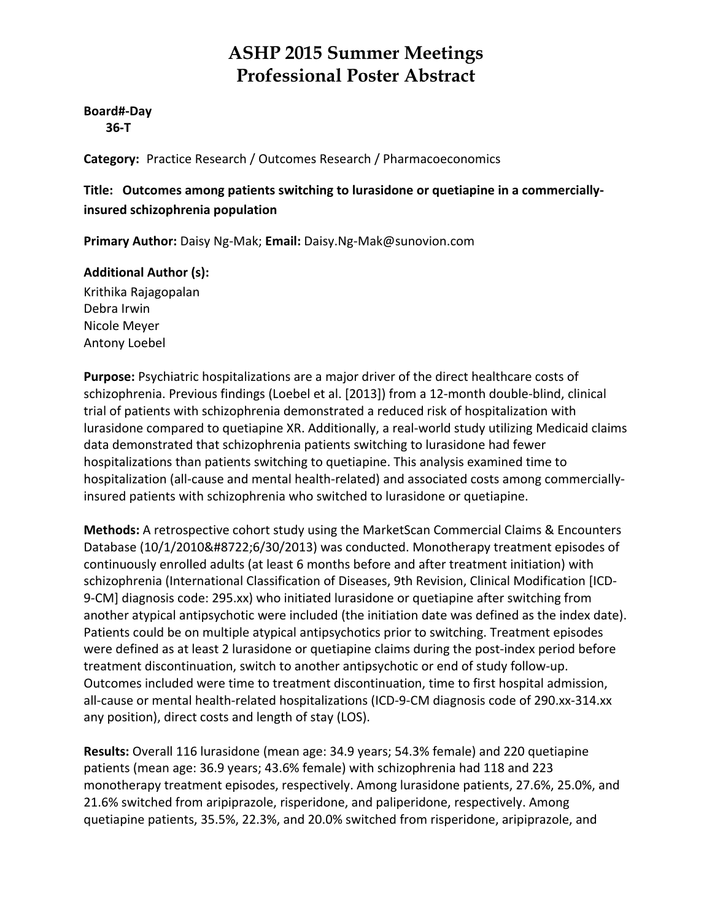#### **Board#‐Day 36‐T**

**Category:** Practice Research / Outcomes Research / Pharmacoeconomics

#### **Title: Outcomes among patients switching to lurasidone or quetiapine in a commercially‐ insured schizophrenia population**

**Primary Author:** Daisy Ng‐Mak; **Email:** Daisy.Ng‐Mak@sunovion.com

#### **Additional Author (s):**

Krithika Rajagopalan Debra Irwin Nicole Meyer Antony Loebel

**Purpose:** Psychiatric hospitalizations are a major driver of the direct healthcare costs of schizophrenia. Previous findings (Loebel et al. [2013]) from a 12‐month double‐blind, clinical trial of patients with schizophrenia demonstrated a reduced risk of hospitalization with lurasidone compared to quetiapine XR. Additionally, a real‐world study utilizing Medicaid claims data demonstrated that schizophrenia patients switching to lurasidone had fewer hospitalizations than patients switching to quetiapine. This analysis examined time to hospitalization (all-cause and mental health-related) and associated costs among commerciallyinsured patients with schizophrenia who switched to lurasidone or quetiapine.

**Methods:** A retrospective cohort study using the MarketScan Commercial Claims & Encounters Database (10/1/2010−6/30/2013) was conducted. Monotherapy treatment episodes of continuously enrolled adults (at least 6 months before and after treatment initiation) with schizophrenia (International Classification of Diseases, 9th Revision, Clinical Modification [ICD‐ 9‐CM] diagnosis code: 295.xx) who initiated lurasidone or quetiapine after switching from another atypical antipsychotic were included (the initiation date was defined as the index date). Patients could be on multiple atypical antipsychotics prior to switching. Treatment episodes were defined as at least 2 lurasidone or quetiapine claims during the post-index period before treatment discontinuation, switch to another antipsychotic or end of study follow‐up. Outcomes included were time to treatment discontinuation, time to first hospital admission, all-cause or mental health-related hospitalizations (ICD-9-CM diagnosis code of 290.xx-314.xx any position), direct costs and length of stay (LOS).

**Results:** Overall 116 lurasidone (mean age: 34.9 years; 54.3% female) and 220 quetiapine patients (mean age: 36.9 years; 43.6% female) with schizophrenia had 118 and 223 monotherapy treatment episodes, respectively. Among lurasidone patients, 27.6%, 25.0%, and 21.6% switched from aripiprazole, risperidone, and paliperidone, respectively. Among quetiapine patients, 35.5%, 22.3%, and 20.0% switched from risperidone, aripiprazole, and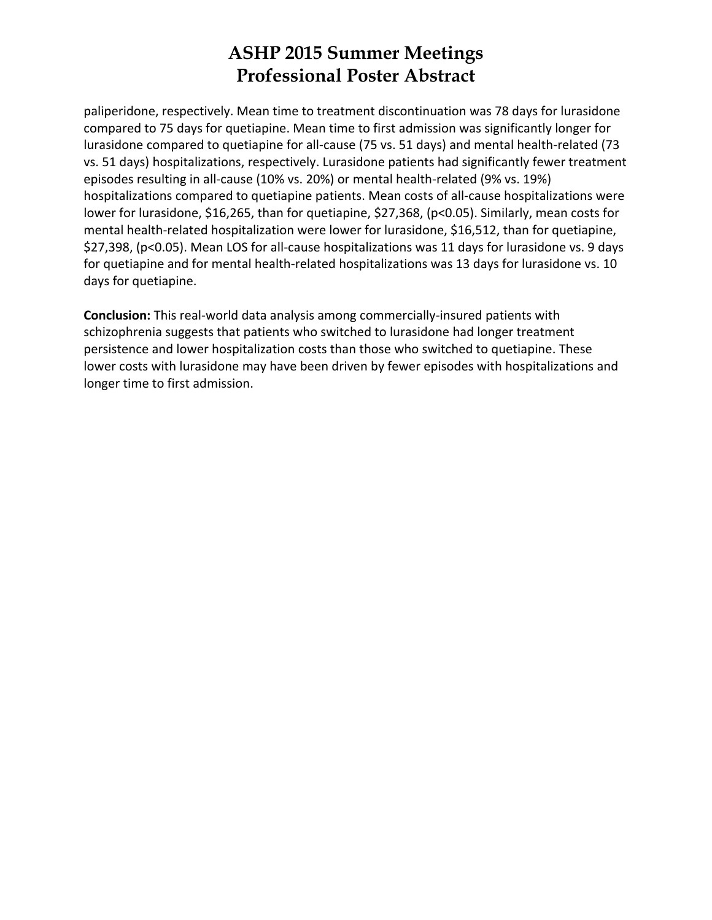paliperidone, respectively. Mean time to treatment discontinuation was 78 days for lurasidone compared to 75 days for quetiapine. Mean time to first admission was significantly longer for lurasidone compared to quetiapine for all‐cause (75 vs. 51 days) and mental health‐related (73 vs. 51 days) hospitalizations, respectively. Lurasidone patients had significantly fewer treatment episodes resulting in all-cause (10% vs. 20%) or mental health-related (9% vs. 19%) hospitalizations compared to quetiapine patients. Mean costs of all‐cause hospitalizations were lower for lurasidone, \$16,265, than for quetiapine, \$27,368, (p<0.05). Similarly, mean costs for mental health-related hospitalization were lower for lurasidone, \$16,512, than for quetiapine, \$27,398, (p<0.05). Mean LOS for all‐cause hospitalizations was 11 days for lurasidone vs. 9 days for quetiapine and for mental health-related hospitalizations was 13 days for lurasidone vs. 10 days for quetiapine.

**Conclusion:** This real‐world data analysis among commercially‐insured patients with schizophrenia suggests that patients who switched to lurasidone had longer treatment persistence and lower hospitalization costs than those who switched to quetiapine. These lower costs with lurasidone may have been driven by fewer episodes with hospitalizations and longer time to first admission.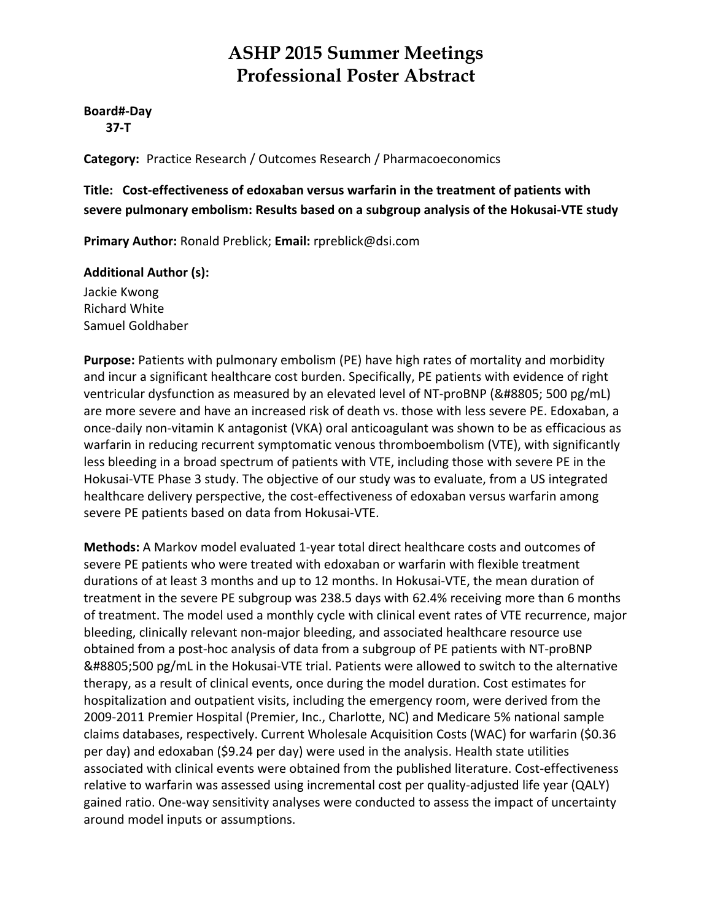**Board#‐Day 37‐T**

**Category:** Practice Research / Outcomes Research / Pharmacoeconomics

**Title: Cost‐effectiveness of edoxaban versus warfarin in the treatment of patients with severe pulmonary embolism: Results based on a subgroup analysis of the Hokusai‐VTE study**

**Primary Author:** Ronald Preblick; **Email:** rpreblick@dsi.com

#### **Additional Author (s):**

Jackie Kwong Richard White Samuel Goldhaber

**Purpose:** Patients with pulmonary embolism (PE) have high rates of mortality and morbidity and incur a significant healthcare cost burden. Specifically, PE patients with evidence of right ventricular dysfunction as measured by an elevated level of NT-proBNP (≥ 500 pg/mL) are more severe and have an increased risk of death vs. those with less severe PE. Edoxaban, a once‐daily non‐vitamin K antagonist (VKA) oral anticoagulant was shown to be as efficacious as warfarin in reducing recurrent symptomatic venous thromboembolism (VTE), with significantly less bleeding in a broad spectrum of patients with VTE, including those with severe PE in the Hokusai‐VTE Phase 3 study. The objective of our study was to evaluate, from a US integrated healthcare delivery perspective, the cost-effectiveness of edoxaban versus warfarin among severe PE patients based on data from Hokusai‐VTE.

**Methods:** A Markov model evaluated 1‐year total direct healthcare costs and outcomes of severe PE patients who were treated with edoxaban or warfarin with flexible treatment durations of at least 3 months and up to 12 months. In Hokusai‐VTE, the mean duration of treatment in the severe PE subgroup was 238.5 days with 62.4% receiving more than 6 months of treatment. The model used a monthly cycle with clinical event rates of VTE recurrence, major bleeding, clinically relevant non‐major bleeding, and associated healthcare resource use obtained from a post‐hoc analysis of data from a subgroup of PE patients with NT‐proBNP ≥500 pg/mL in the Hokusai‐VTE trial. Patients were allowed to switch to the alternative therapy, as a result of clinical events, once during the model duration. Cost estimates for hospitalization and outpatient visits, including the emergency room, were derived from the 2009‐2011 Premier Hospital (Premier, Inc., Charlotte, NC) and Medicare 5% national sample claims databases, respectively. Current Wholesale Acquisition Costs (WAC) for warfarin (\$0.36 per day) and edoxaban (\$9.24 per day) were used in the analysis. Health state utilities associated with clinical events were obtained from the published literature. Cost-effectiveness relative to warfarin was assessed using incremental cost per quality-adjusted life year (QALY) gained ratio. One‐way sensitivity analyses were conducted to assess the impact of uncertainty around model inputs or assumptions.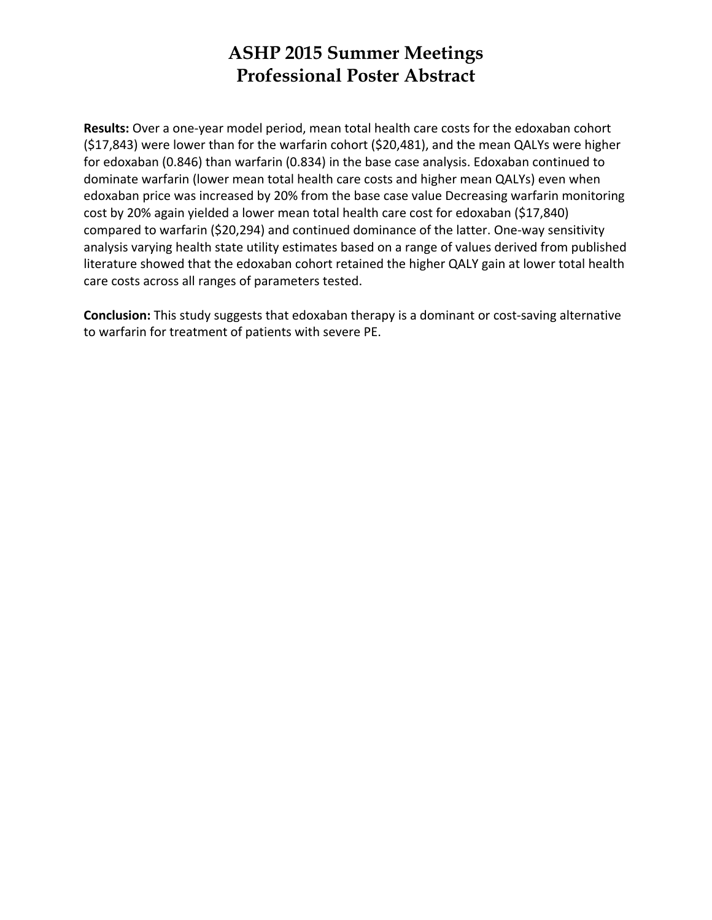**Results:** Over a one‐year model period, mean total health care costs for the edoxaban cohort (\$17,843) were lower than for the warfarin cohort (\$20,481), and the mean QALYs were higher for edoxaban (0.846) than warfarin (0.834) in the base case analysis. Edoxaban continued to dominate warfarin (lower mean total health care costs and higher mean QALYs) even when edoxaban price was increased by 20% from the base case value Decreasing warfarin monitoring cost by 20% again yielded a lower mean total health care cost for edoxaban (\$17,840) compared to warfarin (\$20,294) and continued dominance of the latter. One‐way sensitivity analysis varying health state utility estimates based on a range of values derived from published literature showed that the edoxaban cohort retained the higher QALY gain at lower total health care costs across all ranges of parameters tested.

**Conclusion:** This study suggests that edoxaban therapy is a dominant or cost-saving alternative to warfarin for treatment of patients with severe PE.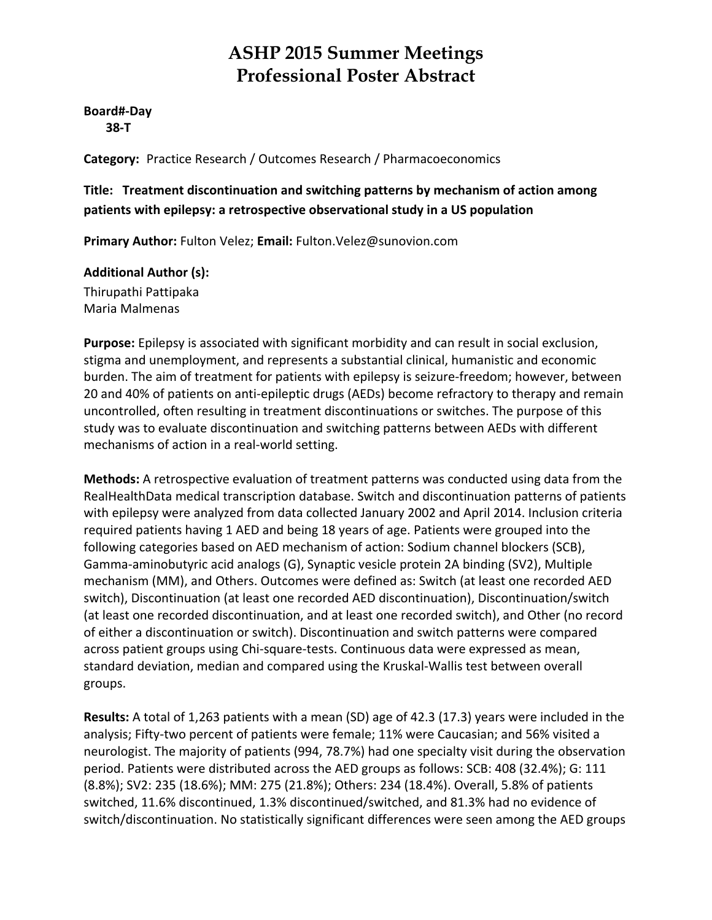**Board#‐Day 38‐T**

**Category:** Practice Research / Outcomes Research / Pharmacoeconomics

#### **Title: Treatment discontinuation and switching patterns by mechanism of action among patients with epilepsy: a retrospective observational study in a US population**

**Primary Author:** Fulton Velez; **Email:** Fulton.Velez@sunovion.com

#### **Additional Author (s):**

Thirupathi Pattipaka Maria Malmenas

**Purpose:** Epilepsy is associated with significant morbidity and can result in social exclusion, stigma and unemployment, and represents a substantial clinical, humanistic and economic burden. The aim of treatment for patients with epilepsy is seizure‐freedom; however, between 20 and 40% of patients on anti‐epileptic drugs (AEDs) become refractory to therapy and remain uncontrolled, often resulting in treatment discontinuations or switches. The purpose of this study was to evaluate discontinuation and switching patterns between AEDs with different mechanisms of action in a real‐world setting.

**Methods:** A retrospective evaluation of treatment patterns was conducted using data from the RealHealthData medical transcription database. Switch and discontinuation patterns of patients with epilepsy were analyzed from data collected January 2002 and April 2014. Inclusion criteria required patients having 1 AED and being 18 years of age. Patients were grouped into the following categories based on AED mechanism of action: Sodium channel blockers (SCB), Gamma‐aminobutyric acid analogs (G), Synaptic vesicle protein 2A binding (SV2), Multiple mechanism (MM), and Others. Outcomes were defined as: Switch (at least one recorded AED switch), Discontinuation (at least one recorded AED discontinuation), Discontinuation/switch (at least one recorded discontinuation, and at least one recorded switch), and Other (no record of either a discontinuation or switch). Discontinuation and switch patterns were compared across patient groups using Chi‐square‐tests. Continuous data were expressed as mean, standard deviation, median and compared using the Kruskal‐Wallis test between overall groups.

**Results:** A total of 1,263 patients with a mean (SD) age of 42.3 (17.3) years were included in the analysis; Fifty‐two percent of patients were female; 11% were Caucasian; and 56% visited a neurologist. The majority of patients (994, 78.7%) had one specialty visit during the observation period. Patients were distributed across the AED groups as follows: SCB: 408 (32.4%); G: 111 (8.8%); SV2: 235 (18.6%); MM: 275 (21.8%); Others: 234 (18.4%). Overall, 5.8% of patients switched, 11.6% discontinued, 1.3% discontinued/switched, and 81.3% had no evidence of switch/discontinuation. No statistically significant differences were seen among the AED groups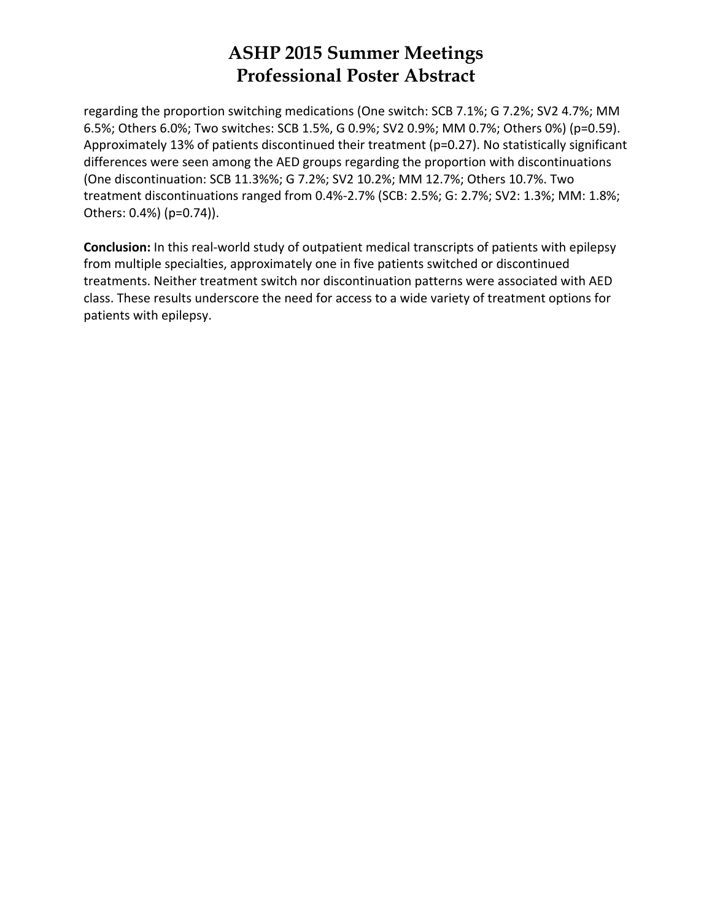regarding the proportion switching medications (One switch: SCB 7.1%; G 7.2%; SV2 4.7%; MM 6.5%; Others 6.0%; Two switches: SCB 1.5%, G 0.9%; SV2 0.9%; MM 0.7%; Others 0%) (p=0.59). Approximately 13% of patients discontinued their treatment (p=0.27). No statistically significant differences were seen among the AED groups regarding the proportion with discontinuations (One discontinuation: SCB 11.3%%; G 7.2%; SV2 10.2%; MM 12.7%; Others 10.7%. Two treatment discontinuations ranged from 0.4%‐2.7% (SCB: 2.5%; G: 2.7%; SV2: 1.3%; MM: 1.8%; Others: 0.4%) (p=0.74)).

**Conclusion:** In this real‐world study of outpatient medical transcripts of patients with epilepsy from multiple specialties, approximately one in five patients switched or discontinued treatments. Neither treatment switch nor discontinuation patterns were associated with AED class. These results underscore the need for access to a wide variety of treatment options for patients with epilepsy.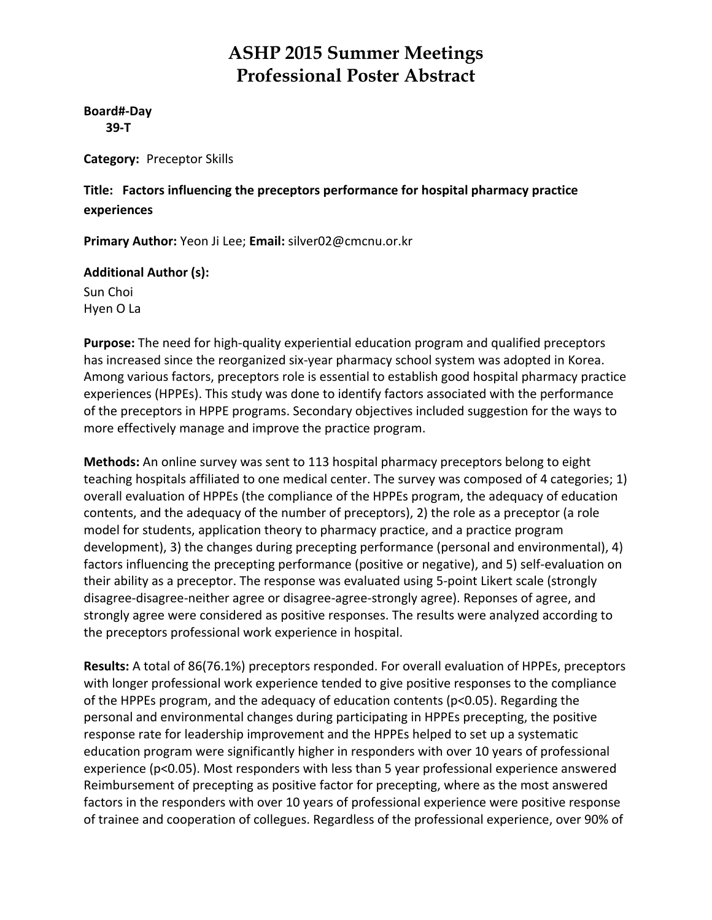**Board#‐Day 39‐T**

**Category:** Preceptor Skills

**Title: Factors influencing the preceptors performance for hospital pharmacy practice experiences**

**Primary Author:** Yeon Ji Lee; **Email:** silver02@cmcnu.or.kr

#### **Additional Author (s):**

Sun Choi Hyen O La

**Purpose:** The need for high‐quality experiential education program and qualified preceptors has increased since the reorganized six-year pharmacy school system was adopted in Korea. Among various factors, preceptors role is essential to establish good hospital pharmacy practice experiences (HPPEs). This study was done to identify factors associated with the performance of the preceptors in HPPE programs. Secondary objectives included suggestion for the ways to more effectively manage and improve the practice program.

**Methods:** An online survey was sent to 113 hospital pharmacy preceptors belong to eight teaching hospitals affiliated to one medical center. The survey was composed of 4 categories; 1) overall evaluation of HPPEs (the compliance of the HPPEs program, the adequacy of education contents, and the adequacy of the number of preceptors), 2) the role as a preceptor (a role model for students, application theory to pharmacy practice, and a practice program development), 3) the changes during precepting performance (personal and environmental), 4) factors influencing the precepting performance (positive or negative), and 5) self-evaluation on their ability as a preceptor. The response was evaluated using 5‐point Likert scale (strongly disagree‐disagree‐neither agree or disagree‐agree‐strongly agree). Reponses of agree, and strongly agree were considered as positive responses. The results were analyzed according to the preceptors professional work experience in hospital.

**Results:** A total of 86(76.1%) preceptors responded. For overall evaluation of HPPEs, preceptors with longer professional work experience tended to give positive responses to the compliance of the HPPEs program, and the adequacy of education contents (p<0.05). Regarding the personal and environmental changes during participating in HPPEs precepting, the positive response rate for leadership improvement and the HPPEs helped to set up a systematic education program were significantly higher in responders with over 10 years of professional experience (p<0.05). Most responders with less than 5 year professional experience answered Reimbursement of precepting as positive factor for precepting, where as the most answered factors in the responders with over 10 years of professional experience were positive response of trainee and cooperation of collegues. Regardless of the professional experience, over 90% of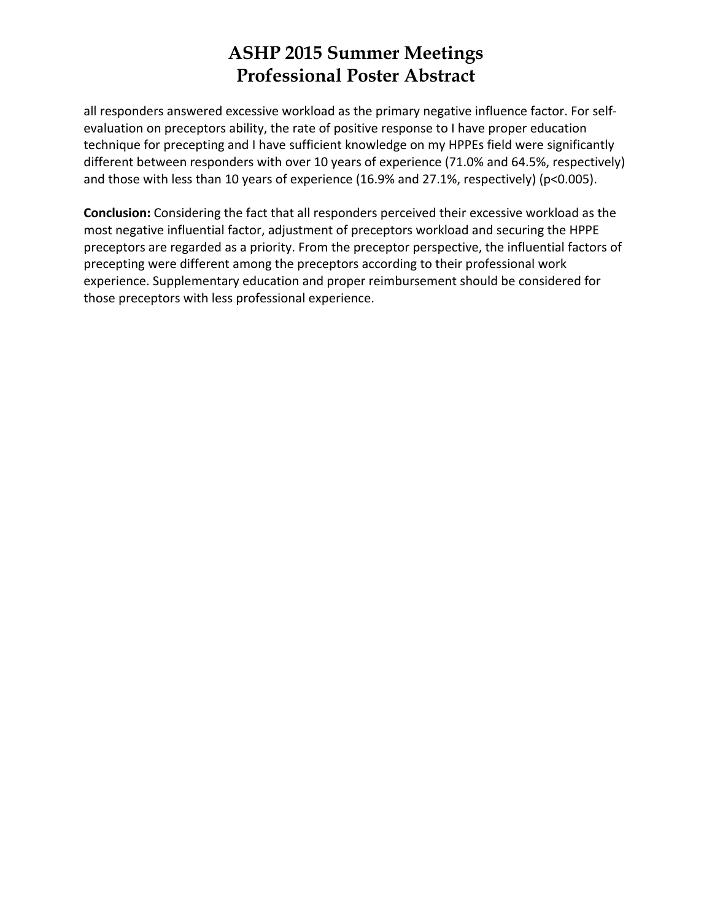all responders answered excessive workload as the primary negative influence factor. For self‐ evaluation on preceptors ability, the rate of positive response to I have proper education technique for precepting and I have sufficient knowledge on my HPPEs field were significantly different between responders with over 10 years of experience (71.0% and 64.5%, respectively) and those with less than 10 years of experience (16.9% and 27.1%, respectively) (p<0.005).

**Conclusion:** Considering the fact that all responders perceived their excessive workload as the most negative influential factor, adjustment of preceptors workload and securing the HPPE preceptors are regarded as a priority. From the preceptor perspective, the influential factors of precepting were different among the preceptors according to their professional work experience. Supplementary education and proper reimbursement should be considered for those preceptors with less professional experience.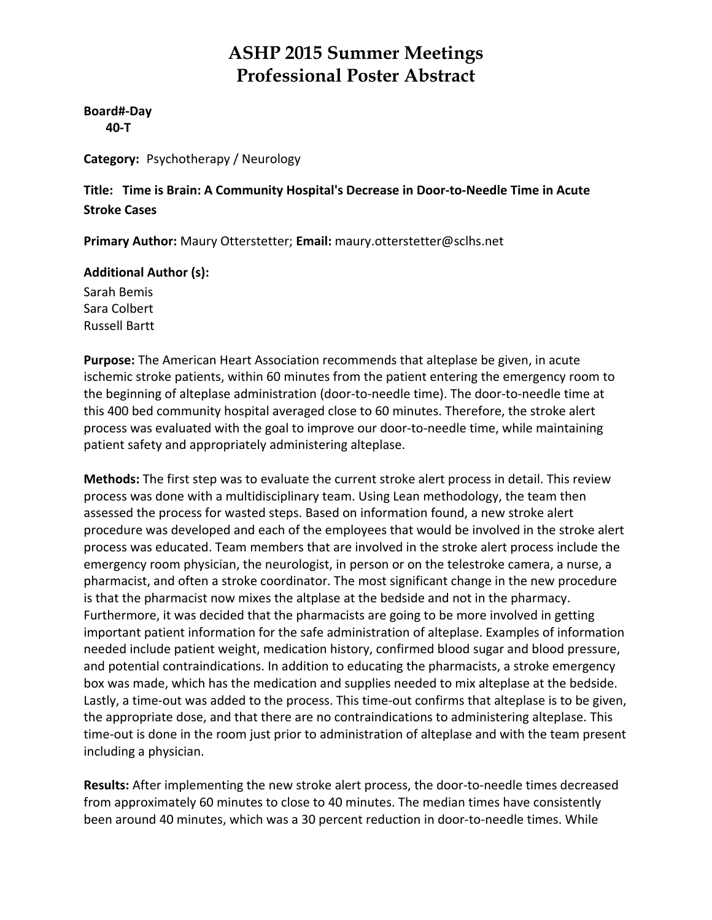**Board#‐Day 40‐T**

**Category:** Psychotherapy / Neurology

**Title: Time is Brain: A Community Hospital's Decrease in Door‐to‐Needle Time in Acute Stroke Cases**

**Primary Author:** Maury Otterstetter; **Email:** maury.otterstetter@sclhs.net

#### **Additional Author (s):**

Sarah Bemis Sara Colbert Russell Bartt

**Purpose:** The American Heart Association recommends that alteplase be given, in acute ischemic stroke patients, within 60 minutes from the patient entering the emergency room to the beginning of alteplase administration (door‐to‐needle time). The door‐to‐needle time at this 400 bed community hospital averaged close to 60 minutes. Therefore, the stroke alert process was evaluated with the goal to improve our door‐to‐needle time, while maintaining patient safety and appropriately administering alteplase.

**Methods:** The first step was to evaluate the current stroke alert process in detail. This review process was done with a multidisciplinary team. Using Lean methodology, the team then assessed the process for wasted steps. Based on information found, a new stroke alert procedure was developed and each of the employees that would be involved in the stroke alert process was educated. Team members that are involved in the stroke alert process include the emergency room physician, the neurologist, in person or on the telestroke camera, a nurse, a pharmacist, and often a stroke coordinator. The most significant change in the new procedure is that the pharmacist now mixes the altplase at the bedside and not in the pharmacy. Furthermore, it was decided that the pharmacists are going to be more involved in getting important patient information for the safe administration of alteplase. Examples of information needed include patient weight, medication history, confirmed blood sugar and blood pressure, and potential contraindications. In addition to educating the pharmacists, a stroke emergency box was made, which has the medication and supplies needed to mix alteplase at the bedside. Lastly, a time-out was added to the process. This time-out confirms that alteplase is to be given, the appropriate dose, and that there are no contraindications to administering alteplase. This time-out is done in the room just prior to administration of alteplase and with the team present including a physician.

Results: After implementing the new stroke alert process, the door-to-needle times decreased from approximately 60 minutes to close to 40 minutes. The median times have consistently been around 40 minutes, which was a 30 percent reduction in door-to-needle times. While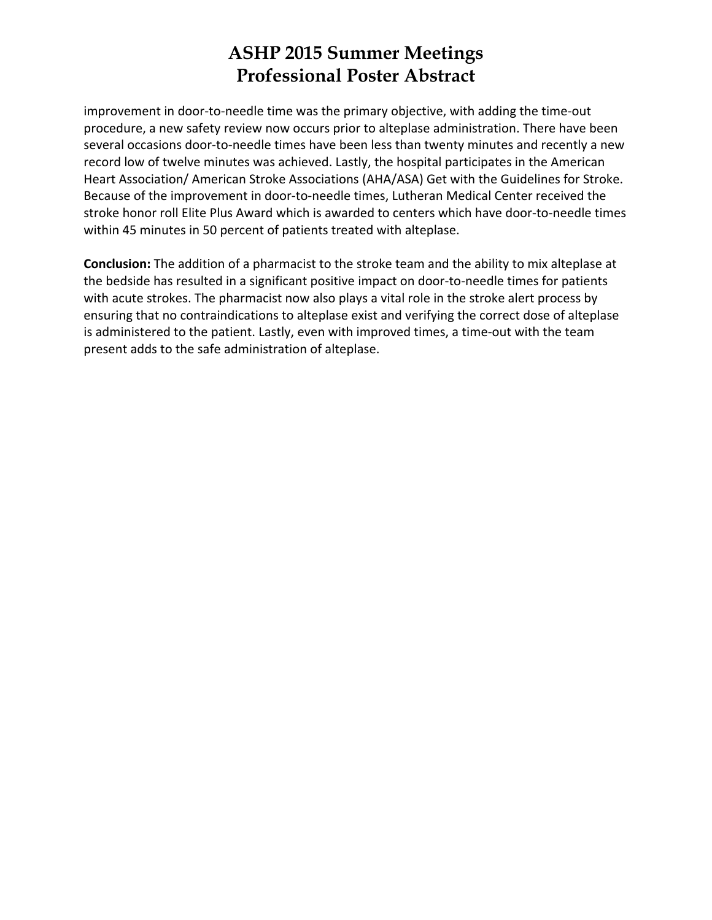improvement in door-to-needle time was the primary objective, with adding the time-out procedure, a new safety review now occurs prior to alteplase administration. There have been several occasions door-to-needle times have been less than twenty minutes and recently a new record low of twelve minutes was achieved. Lastly, the hospital participates in the American Heart Association/ American Stroke Associations (AHA/ASA) Get with the Guidelines for Stroke. Because of the improvement in door‐to‐needle times, Lutheran Medical Center received the stroke honor roll Elite Plus Award which is awarded to centers which have door‐to‐needle times within 45 minutes in 50 percent of patients treated with alteplase.

**Conclusion:** The addition of a pharmacist to the stroke team and the ability to mix alteplase at the bedside has resulted in a significant positive impact on door-to-needle times for patients with acute strokes. The pharmacist now also plays a vital role in the stroke alert process by ensuring that no contraindications to alteplase exist and verifying the correct dose of alteplase is administered to the patient. Lastly, even with improved times, a time-out with the team present adds to the safe administration of alteplase.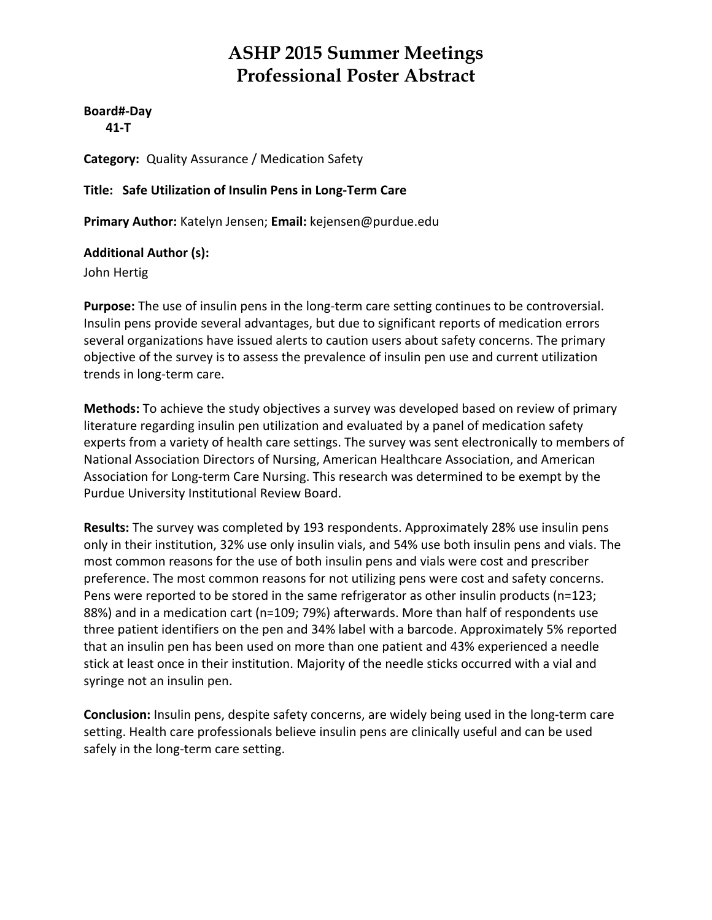**Board#‐Day 41‐T**

**Category:** Quality Assurance / Medication Safety

**Title: Safe Utilization of Insulin Pens in Long‐Term Care**

**Primary Author:** Katelyn Jensen; **Email:** kejensen@purdue.edu

**Additional Author (s):**

John Hertig

Purpose: The use of insulin pens in the long-term care setting continues to be controversial. Insulin pens provide several advantages, but due to significant reports of medication errors several organizations have issued alerts to caution users about safety concerns. The primary objective of the survey is to assess the prevalence of insulin pen use and current utilization trends in long‐term care.

**Methods:** To achieve the study objectives a survey was developed based on review of primary literature regarding insulin pen utilization and evaluated by a panel of medication safety experts from a variety of health care settings. The survey was sent electronically to members of National Association Directors of Nursing, American Healthcare Association, and American Association for Long‐term Care Nursing. This research was determined to be exempt by the Purdue University Institutional Review Board.

**Results:** The survey was completed by 193 respondents. Approximately 28% use insulin pens only in their institution, 32% use only insulin vials, and 54% use both insulin pens and vials. The most common reasons for the use of both insulin pens and vials were cost and prescriber preference. The most common reasons for not utilizing pens were cost and safety concerns. Pens were reported to be stored in the same refrigerator as other insulin products (n=123; 88%) and in a medication cart (n=109; 79%) afterwards. More than half of respondents use three patient identifiers on the pen and 34% label with a barcode. Approximately 5% reported that an insulin pen has been used on more than one patient and 43% experienced a needle stick at least once in their institution. Majority of the needle sticks occurred with a vial and syringe not an insulin pen.

**Conclusion:** Insulin pens, despite safety concerns, are widely being used in the long‐term care setting. Health care professionals believe insulin pens are clinically useful and can be used safely in the long‐term care setting.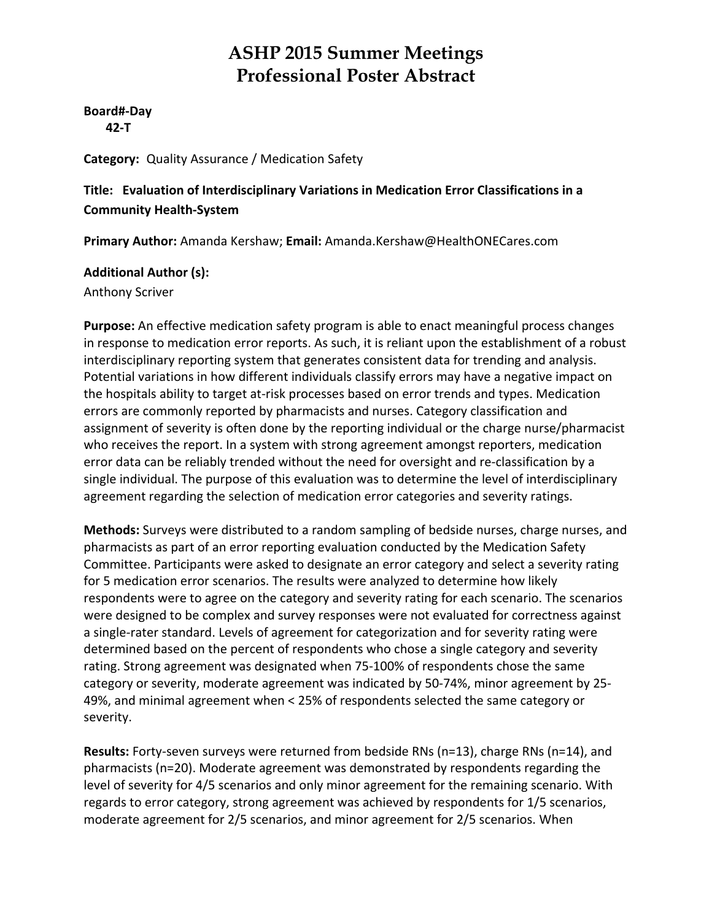**Board#‐Day 42‐T**

**Category:** Quality Assurance / Medication Safety

#### **Title: Evaluation of Interdisciplinary Variations in Medication Error Classifications in a Community Health‐System**

**Primary Author:** Amanda Kershaw; **Email:** Amanda.Kershaw@HealthONECares.com

#### **Additional Author (s):**

Anthony Scriver

**Purpose:** An effective medication safety program is able to enact meaningful process changes in response to medication error reports. As such, it is reliant upon the establishment of a robust interdisciplinary reporting system that generates consistent data for trending and analysis. Potential variations in how different individuals classify errors may have a negative impact on the hospitals ability to target at‐risk processes based on error trends and types. Medication errors are commonly reported by pharmacists and nurses. Category classification and assignment of severity is often done by the reporting individual or the charge nurse/pharmacist who receives the report. In a system with strong agreement amongst reporters, medication error data can be reliably trended without the need for oversight and re‐classification by a single individual. The purpose of this evaluation was to determine the level of interdisciplinary agreement regarding the selection of medication error categories and severity ratings.

**Methods:** Surveys were distributed to a random sampling of bedside nurses, charge nurses, and pharmacists as part of an error reporting evaluation conducted by the Medication Safety Committee. Participants were asked to designate an error category and select a severity rating for 5 medication error scenarios. The results were analyzed to determine how likely respondents were to agree on the category and severity rating for each scenario. The scenarios were designed to be complex and survey responses were not evaluated for correctness against a single‐rater standard. Levels of agreement for categorization and for severity rating were determined based on the percent of respondents who chose a single category and severity rating. Strong agreement was designated when 75‐100% of respondents chose the same category or severity, moderate agreement was indicated by 50‐74%, minor agreement by 25‐ 49%, and minimal agreement when < 25% of respondents selected the same category or severity.

**Results:** Forty‐seven surveys were returned from bedside RNs (n=13), charge RNs (n=14), and pharmacists (n=20). Moderate agreement was demonstrated by respondents regarding the level of severity for 4/5 scenarios and only minor agreement for the remaining scenario. With regards to error category, strong agreement was achieved by respondents for 1/5 scenarios, moderate agreement for 2/5 scenarios, and minor agreement for 2/5 scenarios. When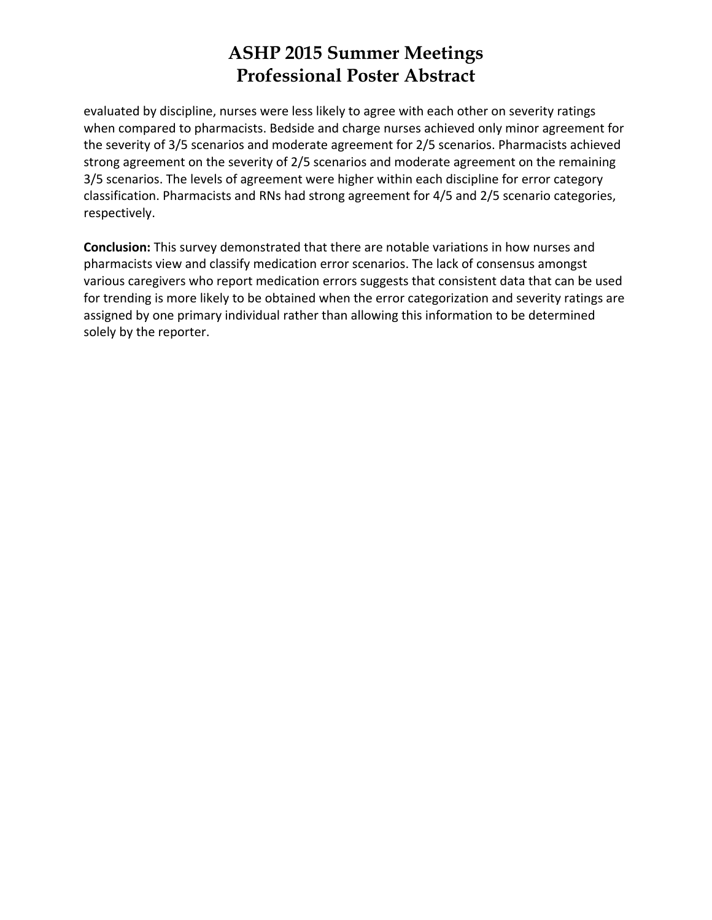evaluated by discipline, nurses were less likely to agree with each other on severity ratings when compared to pharmacists. Bedside and charge nurses achieved only minor agreement for the severity of 3/5 scenarios and moderate agreement for 2/5 scenarios. Pharmacists achieved strong agreement on the severity of 2/5 scenarios and moderate agreement on the remaining 3/5 scenarios. The levels of agreement were higher within each discipline for error category classification. Pharmacists and RNs had strong agreement for 4/5 and 2/5 scenario categories, respectively.

**Conclusion:** This survey demonstrated that there are notable variations in how nurses and pharmacists view and classify medication error scenarios. The lack of consensus amongst various caregivers who report medication errors suggests that consistent data that can be used for trending is more likely to be obtained when the error categorization and severity ratings are assigned by one primary individual rather than allowing this information to be determined solely by the reporter.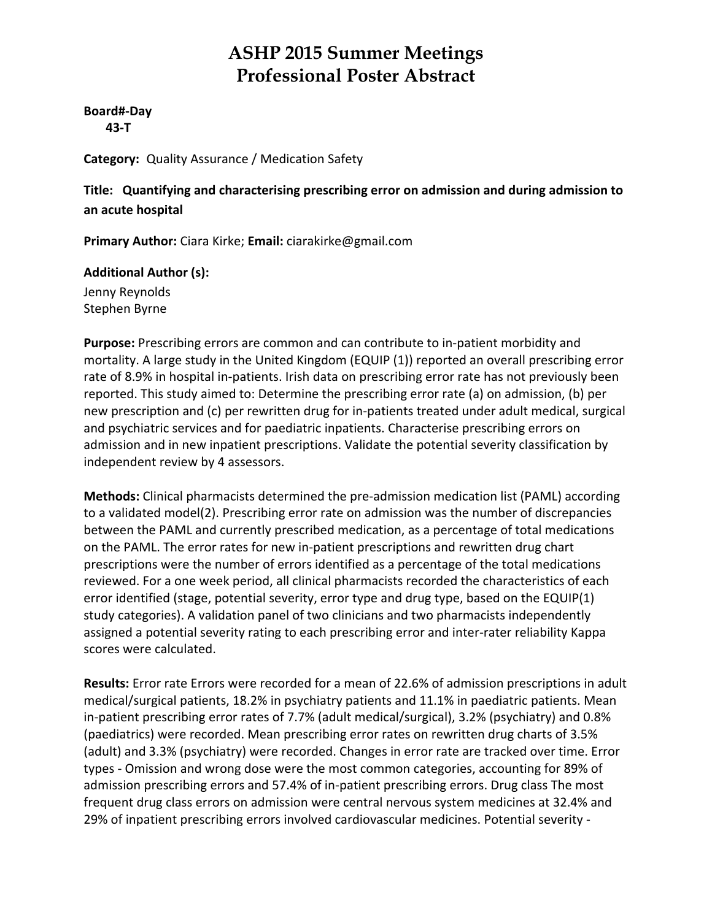**Board#‐Day 43‐T**

**Category:** Quality Assurance / Medication Safety

**Title: Quantifying and characterising prescribing error on admission and during admission to an acute hospital**

**Primary Author:** Ciara Kirke; **Email:** ciarakirke@gmail.com

#### **Additional Author (s):**

Jenny Reynolds Stephen Byrne

**Purpose:** Prescribing errors are common and can contribute to in‐patient morbidity and mortality. A large study in the United Kingdom (EQUIP (1)) reported an overall prescribing error rate of 8.9% in hospital in-patients. Irish data on prescribing error rate has not previously been reported. This study aimed to: Determine the prescribing error rate (a) on admission, (b) per new prescription and (c) per rewritten drug for in‐patients treated under adult medical, surgical and psychiatric services and for paediatric inpatients. Characterise prescribing errors on admission and in new inpatient prescriptions. Validate the potential severity classification by independent review by 4 assessors.

**Methods:** Clinical pharmacists determined the pre‐admission medication list (PAML) according to a validated model(2). Prescribing error rate on admission was the number of discrepancies between the PAML and currently prescribed medication, as a percentage of total medications on the PAML. The error rates for new in‐patient prescriptions and rewritten drug chart prescriptions were the number of errors identified as a percentage of the total medications reviewed. For a one week period, all clinical pharmacists recorded the characteristics of each error identified (stage, potential severity, error type and drug type, based on the EQUIP(1) study categories). A validation panel of two clinicians and two pharmacists independently assigned a potential severity rating to each prescribing error and inter-rater reliability Kappa scores were calculated.

**Results:** Error rate Errors were recorded for a mean of 22.6% of admission prescriptions in adult medical/surgical patients, 18.2% in psychiatry patients and 11.1% in paediatric patients. Mean in‐patient prescribing error rates of 7.7% (adult medical/surgical), 3.2% (psychiatry) and 0.8% (paediatrics) were recorded. Mean prescribing error rates on rewritten drug charts of 3.5% (adult) and 3.3% (psychiatry) were recorded. Changes in error rate are tracked over time. Error types ‐ Omission and wrong dose were the most common categories, accounting for 89% of admission prescribing errors and 57.4% of in‐patient prescribing errors. Drug class The most frequent drug class errors on admission were central nervous system medicines at 32.4% and 29% of inpatient prescribing errors involved cardiovascular medicines. Potential severity ‐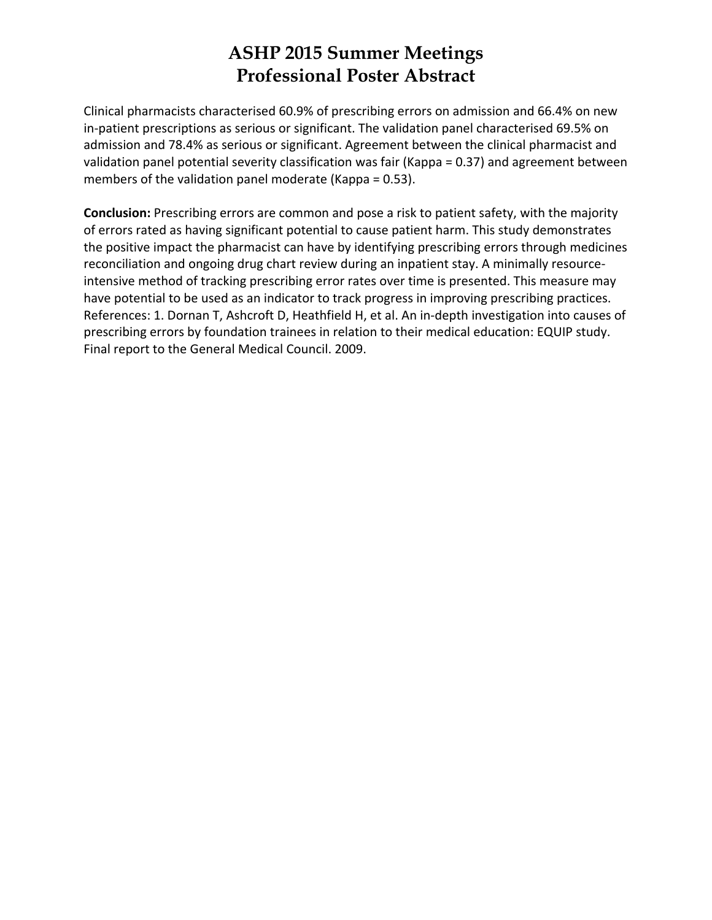Clinical pharmacists characterised 60.9% of prescribing errors on admission and 66.4% on new in-patient prescriptions as serious or significant. The validation panel characterised 69.5% on admission and 78.4% as serious or significant. Agreement between the clinical pharmacist and validation panel potential severity classification was fair (Kappa = 0.37) and agreement between members of the validation panel moderate (Kappa = 0.53).

**Conclusion:** Prescribing errors are common and pose a risk to patient safety, with the majority of errors rated as having significant potential to cause patient harm. This study demonstrates the positive impact the pharmacist can have by identifying prescribing errors through medicines reconciliation and ongoing drug chart review during an inpatient stay. A minimally resource‐ intensive method of tracking prescribing error rates over time is presented. This measure may have potential to be used as an indicator to track progress in improving prescribing practices. References: 1. Dornan T, Ashcroft D, Heathfield H, et al. An in‐depth investigation into causes of prescribing errors by foundation trainees in relation to their medical education: EQUIP study. Final report to the General Medical Council. 2009.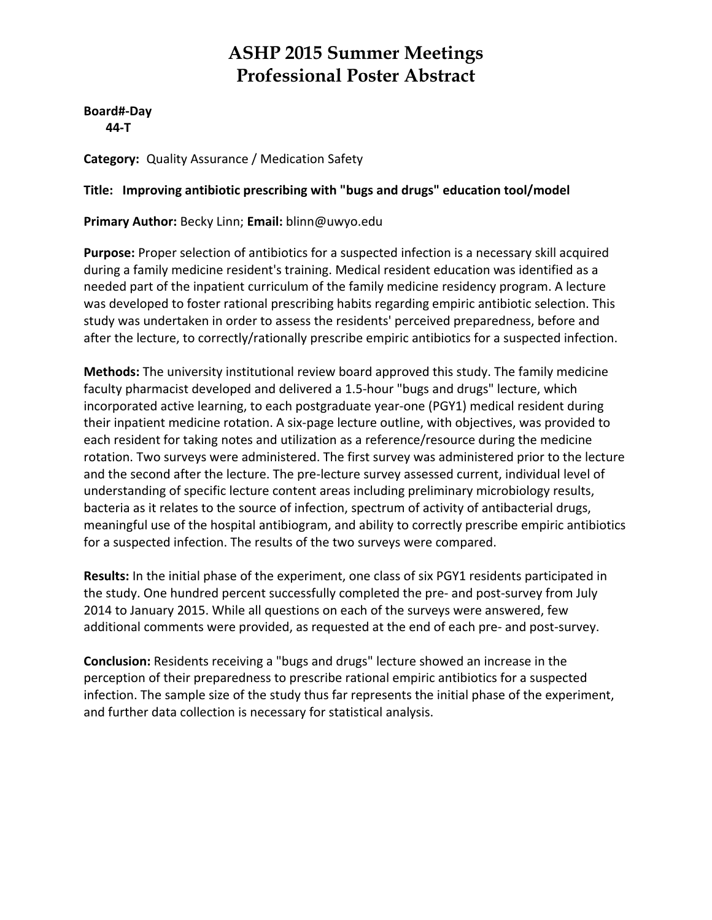**Board#‐Day 44‐T**

**Category:** Quality Assurance / Medication Safety

#### **Title: Improving antibiotic prescribing with "bugs and drugs" education tool/model**

**Primary Author:** Becky Linn; **Email:** blinn@uwyo.edu

**Purpose:** Proper selection of antibiotics for a suspected infection is a necessary skill acquired during a family medicine resident's training. Medical resident education was identified as a needed part of the inpatient curriculum of the family medicine residency program. A lecture was developed to foster rational prescribing habits regarding empiric antibiotic selection. This study was undertaken in order to assess the residents' perceived preparedness, before and after the lecture, to correctly/rationally prescribe empiric antibiotics for a suspected infection.

**Methods:** The university institutional review board approved this study. The family medicine faculty pharmacist developed and delivered a 1.5‐hour "bugs and drugs" lecture, which incorporated active learning, to each postgraduate year‐one (PGY1) medical resident during their inpatient medicine rotation. A six‐page lecture outline, with objectives, was provided to each resident for taking notes and utilization as a reference/resource during the medicine rotation. Two surveys were administered. The first survey was administered prior to the lecture and the second after the lecture. The pre‐lecture survey assessed current, individual level of understanding of specific lecture content areas including preliminary microbiology results, bacteria as it relates to the source of infection, spectrum of activity of antibacterial drugs, meaningful use of the hospital antibiogram, and ability to correctly prescribe empiric antibiotics for a suspected infection. The results of the two surveys were compared.

**Results:** In the initial phase of the experiment, one class of six PGY1 residents participated in the study. One hundred percent successfully completed the pre- and post-survey from July 2014 to January 2015. While all questions on each of the surveys were answered, few additional comments were provided, as requested at the end of each pre‐ and post‐survey.

**Conclusion:** Residents receiving a "bugs and drugs" lecture showed an increase in the perception of their preparedness to prescribe rational empiric antibiotics for a suspected infection. The sample size of the study thus far represents the initial phase of the experiment, and further data collection is necessary for statistical analysis.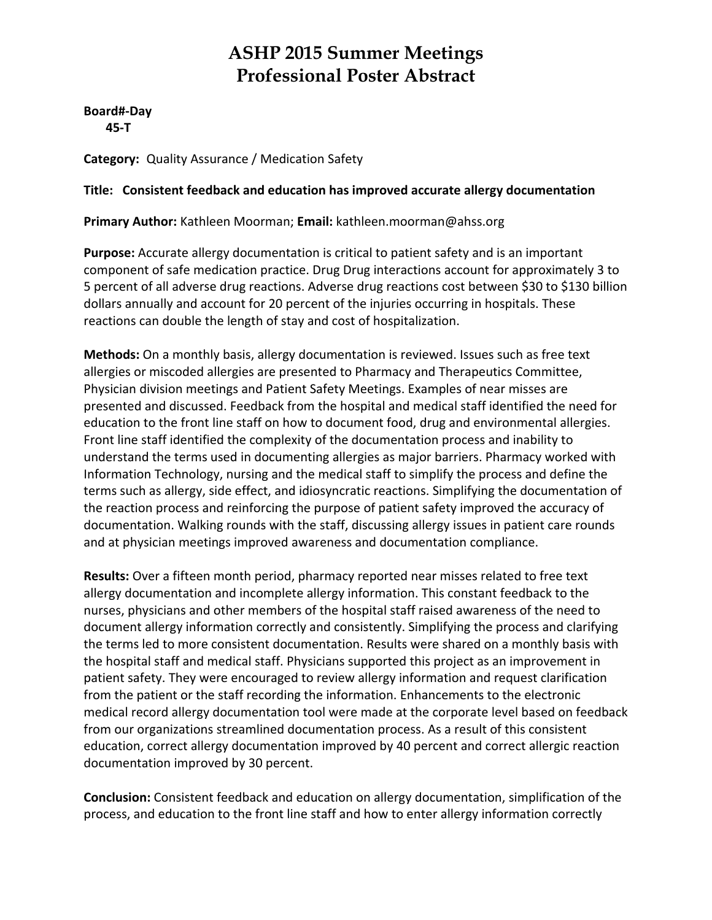**Board#‐Day 45‐T**

**Category:** Quality Assurance / Medication Safety

#### **Title: Consistent feedback and education has improved accurate allergy documentation**

**Primary Author:** Kathleen Moorman; **Email:** kathleen.moorman@ahss.org

**Purpose:** Accurate allergy documentation is critical to patient safety and is an important component of safe medication practice. Drug Drug interactions account for approximately 3 to 5 percent of all adverse drug reactions. Adverse drug reactions cost between \$30 to \$130 billion dollars annually and account for 20 percent of the injuries occurring in hospitals. These reactions can double the length of stay and cost of hospitalization.

**Methods:** On a monthly basis, allergy documentation is reviewed. Issues such as free text allergies or miscoded allergies are presented to Pharmacy and Therapeutics Committee, Physician division meetings and Patient Safety Meetings. Examples of near misses are presented and discussed. Feedback from the hospital and medical staff identified the need for education to the front line staff on how to document food, drug and environmental allergies. Front line staff identified the complexity of the documentation process and inability to understand the terms used in documenting allergies as major barriers. Pharmacy worked with Information Technology, nursing and the medical staff to simplify the process and define the terms such as allergy, side effect, and idiosyncratic reactions. Simplifying the documentation of the reaction process and reinforcing the purpose of patient safety improved the accuracy of documentation. Walking rounds with the staff, discussing allergy issues in patient care rounds and at physician meetings improved awareness and documentation compliance.

**Results:** Over a fifteen month period, pharmacy reported near misses related to free text allergy documentation and incomplete allergy information. This constant feedback to the nurses, physicians and other members of the hospital staff raised awareness of the need to document allergy information correctly and consistently. Simplifying the process and clarifying the terms led to more consistent documentation. Results were shared on a monthly basis with the hospital staff and medical staff. Physicians supported this project as an improvement in patient safety. They were encouraged to review allergy information and request clarification from the patient or the staff recording the information. Enhancements to the electronic medical record allergy documentation tool were made at the corporate level based on feedback from our organizations streamlined documentation process. As a result of this consistent education, correct allergy documentation improved by 40 percent and correct allergic reaction documentation improved by 30 percent.

**Conclusion:** Consistent feedback and education on allergy documentation, simplification of the process, and education to the front line staff and how to enter allergy information correctly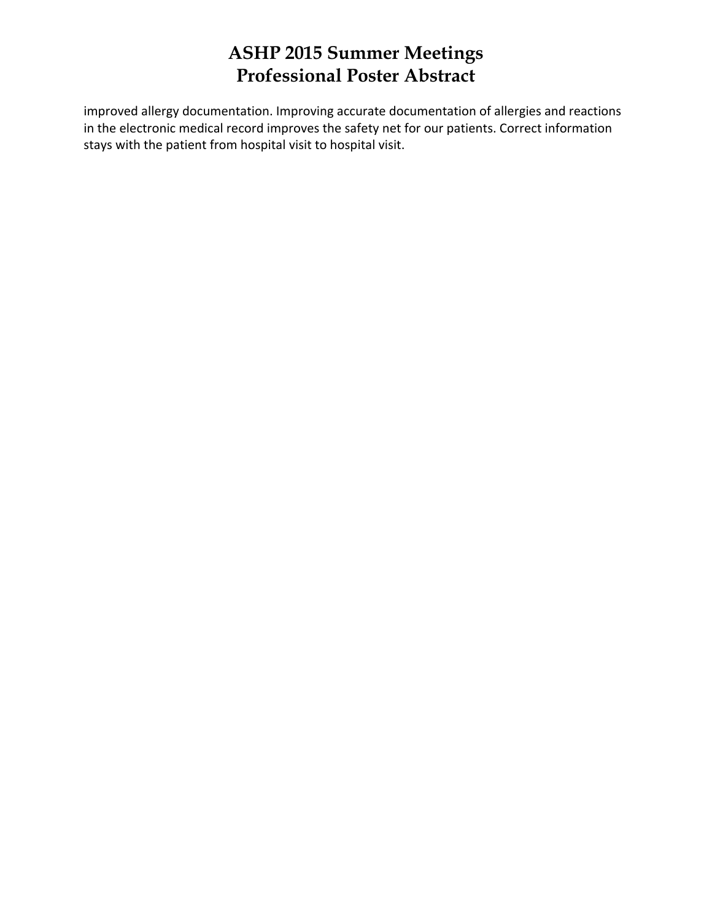improved allergy documentation. Improving accurate documentation of allergies and reactions in the electronic medical record improves the safety net for our patients. Correct information stays with the patient from hospital visit to hospital visit.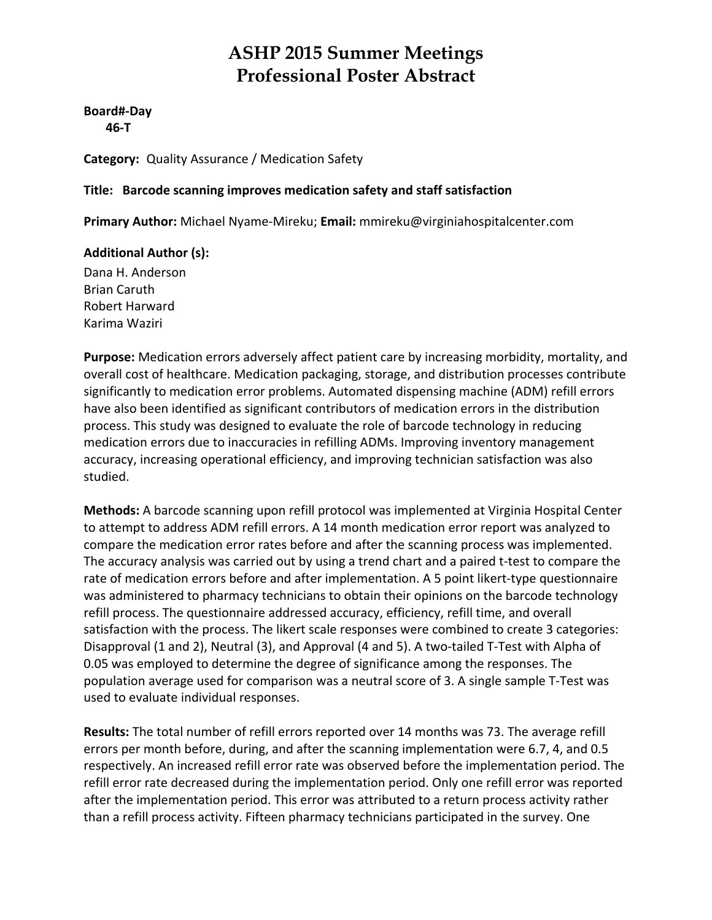**Board#‐Day 46‐T**

**Category:** Quality Assurance / Medication Safety

#### **Title: Barcode scanning improves medication safety and staff satisfaction**

**Primary Author:** Michael Nyame‐Mireku; **Email:** mmireku@virginiahospitalcenter.com

#### **Additional Author (s):**

Dana H. Anderson Brian Caruth Robert Harward Karima Waziri

**Purpose:** Medication errors adversely affect patient care by increasing morbidity, mortality, and overall cost of healthcare. Medication packaging, storage, and distribution processes contribute significantly to medication error problems. Automated dispensing machine (ADM) refill errors have also been identified as significant contributors of medication errors in the distribution process. This study was designed to evaluate the role of barcode technology in reducing medication errors due to inaccuracies in refilling ADMs. Improving inventory management accuracy, increasing operational efficiency, and improving technician satisfaction was also studied.

**Methods:** A barcode scanning upon refill protocol was implemented at Virginia Hospital Center to attempt to address ADM refill errors. A 14 month medication error report was analyzed to compare the medication error rates before and after the scanning process was implemented. The accuracy analysis was carried out by using a trend chart and a paired t‐test to compare the rate of medication errors before and after implementation. A 5 point likert-type questionnaire was administered to pharmacy technicians to obtain their opinions on the barcode technology refill process. The questionnaire addressed accuracy, efficiency, refill time, and overall satisfaction with the process. The likert scale responses were combined to create 3 categories: Disapproval (1 and 2), Neutral (3), and Approval (4 and 5). A two-tailed T-Test with Alpha of 0.05 was employed to determine the degree of significance among the responses. The population average used for comparison was a neutral score of 3. A single sample T‐Test was used to evaluate individual responses.

**Results:** The total number of refill errors reported over 14 months was 73. The average refill errors per month before, during, and after the scanning implementation were 6.7, 4, and 0.5 respectively. An increased refill error rate was observed before the implementation period. The refill error rate decreased during the implementation period. Only one refill error was reported after the implementation period. This error was attributed to a return process activity rather than a refill process activity. Fifteen pharmacy technicians participated in the survey. One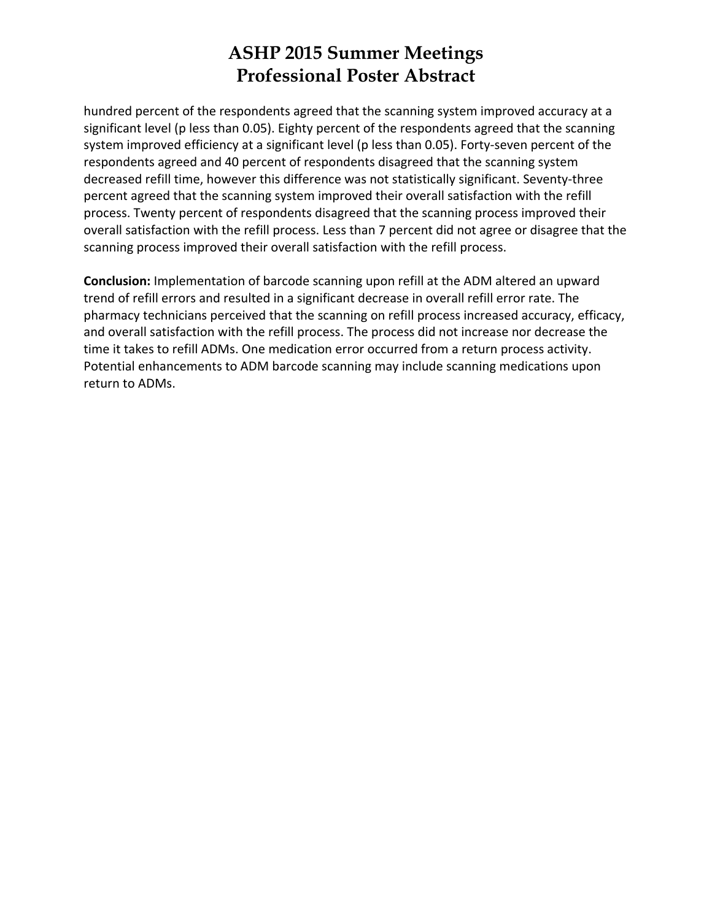hundred percent of the respondents agreed that the scanning system improved accuracy at a significant level (p less than 0.05). Eighty percent of the respondents agreed that the scanning system improved efficiency at a significant level (p less than 0.05). Forty-seven percent of the respondents agreed and 40 percent of respondents disagreed that the scanning system decreased refill time, however this difference was not statistically significant. Seventy‐three percent agreed that the scanning system improved their overall satisfaction with the refill process. Twenty percent of respondents disagreed that the scanning process improved their overall satisfaction with the refill process. Less than 7 percent did not agree or disagree that the scanning process improved their overall satisfaction with the refill process.

**Conclusion:** Implementation of barcode scanning upon refill at the ADM altered an upward trend of refill errors and resulted in a significant decrease in overall refill error rate. The pharmacy technicians perceived that the scanning on refill process increased accuracy, efficacy, and overall satisfaction with the refill process. The process did not increase nor decrease the time it takes to refill ADMs. One medication error occurred from a return process activity. Potential enhancements to ADM barcode scanning may include scanning medications upon return to ADMs.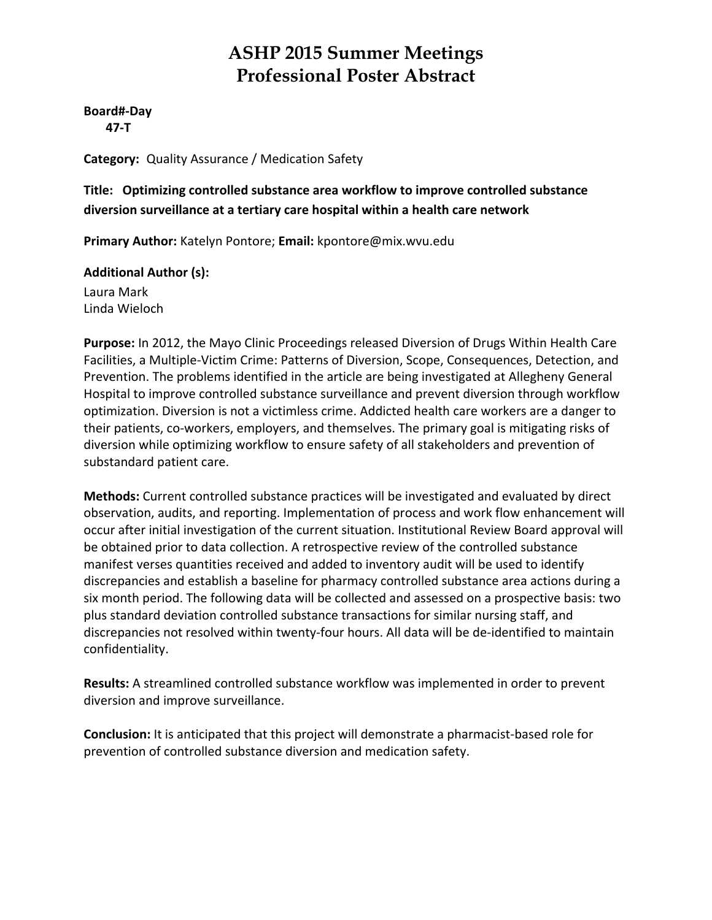**Board#‐Day 47‐T**

**Category:** Quality Assurance / Medication Safety

**Title: Optimizing controlled substance area workflow to improve controlled substance diversion surveillance at a tertiary care hospital within a health care network**

**Primary Author:** Katelyn Pontore; **Email:** kpontore@mix.wvu.edu

#### **Additional Author (s):**

Laura Mark Linda Wieloch

**Purpose:** In 2012, the Mayo Clinic Proceedings released Diversion of Drugs Within Health Care Facilities, a Multiple‐Victim Crime: Patterns of Diversion, Scope, Consequences, Detection, and Prevention. The problems identified in the article are being investigated at Allegheny General Hospital to improve controlled substance surveillance and prevent diversion through workflow optimization. Diversion is not a victimless crime. Addicted health care workers are a danger to their patients, co-workers, employers, and themselves. The primary goal is mitigating risks of diversion while optimizing workflow to ensure safety of all stakeholders and prevention of substandard patient care.

**Methods:** Current controlled substance practices will be investigated and evaluated by direct observation, audits, and reporting. Implementation of process and work flow enhancement will occur after initial investigation of the current situation. Institutional Review Board approval will be obtained prior to data collection. A retrospective review of the controlled substance manifest verses quantities received and added to inventory audit will be used to identify discrepancies and establish a baseline for pharmacy controlled substance area actions during a six month period. The following data will be collected and assessed on a prospective basis: two plus standard deviation controlled substance transactions for similar nursing staff, and discrepancies not resolved within twenty‐four hours. All data will be de‐identified to maintain confidentiality.

**Results:** A streamlined controlled substance workflow was implemented in order to prevent diversion and improve surveillance.

**Conclusion:** It is anticipated that this project will demonstrate a pharmacist‐based role for prevention of controlled substance diversion and medication safety.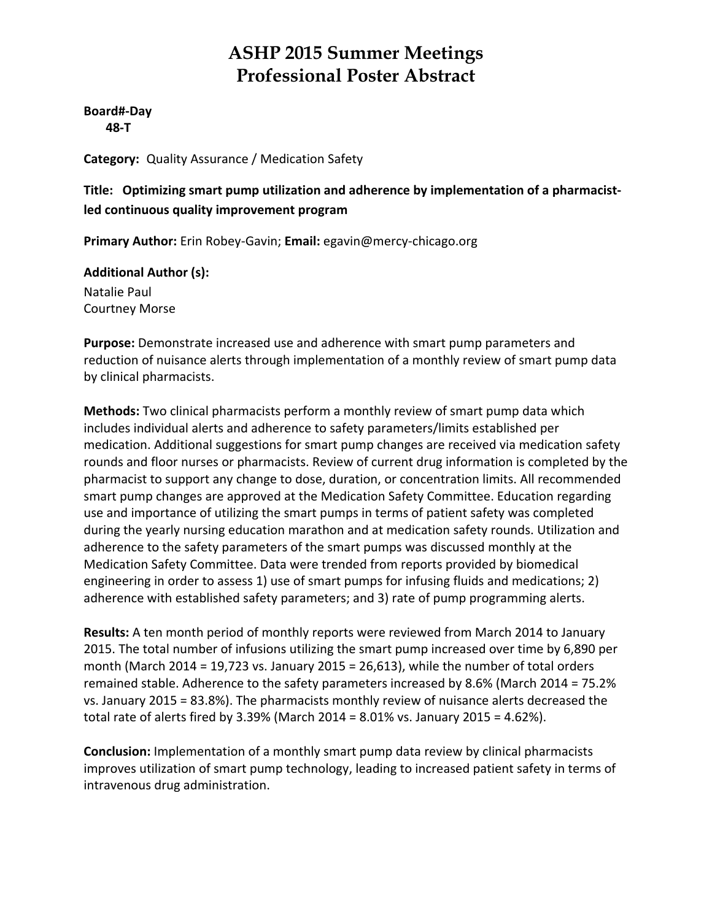**Board#‐Day 48‐T**

**Category:** Quality Assurance / Medication Safety

**Title: Optimizing smart pump utilization and adherence by implementation of a pharmacist‐ led continuous quality improvement program**

**Primary Author:** Erin Robey‐Gavin; **Email:** egavin@mercy‐chicago.org

**Additional Author (s):** Natalie Paul

Courtney Morse

**Purpose:** Demonstrate increased use and adherence with smart pump parameters and reduction of nuisance alerts through implementation of a monthly review of smart pump data by clinical pharmacists.

**Methods:** Two clinical pharmacists perform a monthly review of smart pump data which includes individual alerts and adherence to safety parameters/limits established per medication. Additional suggestions for smart pump changes are received via medication safety rounds and floor nurses or pharmacists. Review of current drug information is completed by the pharmacist to support any change to dose, duration, or concentration limits. All recommended smart pump changes are approved at the Medication Safety Committee. Education regarding use and importance of utilizing the smart pumps in terms of patient safety was completed during the yearly nursing education marathon and at medication safety rounds. Utilization and adherence to the safety parameters of the smart pumps was discussed monthly at the Medication Safety Committee. Data were trended from reports provided by biomedical engineering in order to assess 1) use of smart pumps for infusing fluids and medications; 2) adherence with established safety parameters; and 3) rate of pump programming alerts.

**Results:** A ten month period of monthly reports were reviewed from March 2014 to January 2015. The total number of infusions utilizing the smart pump increased over time by 6,890 per month (March 2014 = 19,723 vs. January 2015 = 26,613), while the number of total orders remained stable. Adherence to the safety parameters increased by 8.6% (March 2014 = 75.2% vs. January 2015 = 83.8%). The pharmacists monthly review of nuisance alerts decreased the total rate of alerts fired by 3.39% (March 2014 = 8.01% vs. January 2015 = 4.62%).

**Conclusion:** Implementation of a monthly smart pump data review by clinical pharmacists improves utilization of smart pump technology, leading to increased patient safety in terms of intravenous drug administration.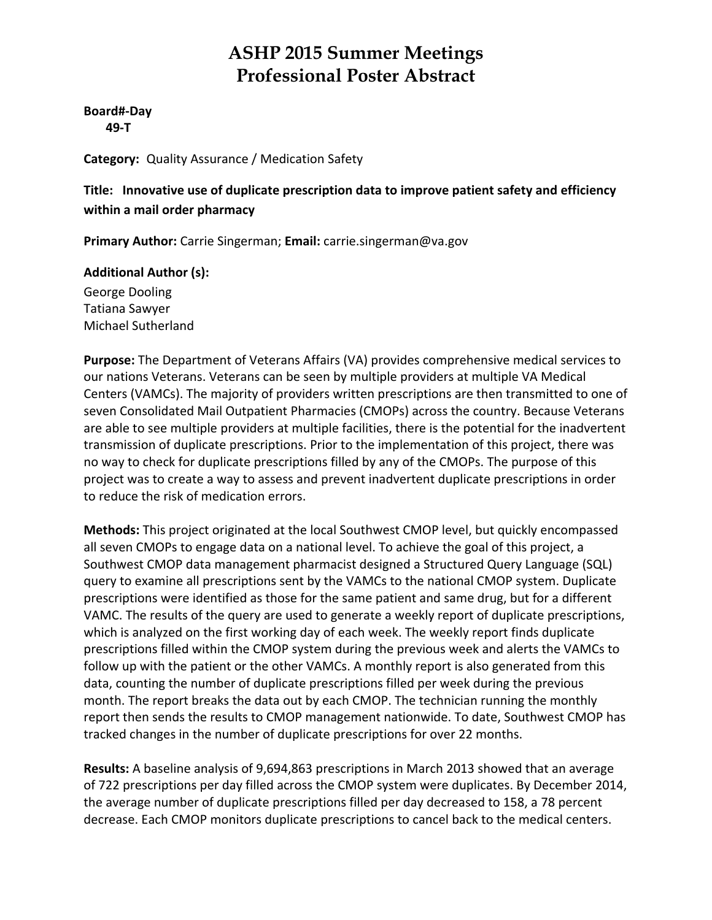### **Board#‐Day 49‐T**

**Category:** Quality Assurance / Medication Safety

**Title: Innovative use of duplicate prescription data to improve patient safety and efficiency within a mail order pharmacy**

**Primary Author:** Carrie Singerman; **Email:** carrie.singerman@va.gov

### **Additional Author (s):**

George Dooling Tatiana Sawyer Michael Sutherland

**Purpose:** The Department of Veterans Affairs (VA) provides comprehensive medical services to our nations Veterans. Veterans can be seen by multiple providers at multiple VA Medical Centers (VAMCs). The majority of providers written prescriptions are then transmitted to one of seven Consolidated Mail Outpatient Pharmacies (CMOPs) across the country. Because Veterans are able to see multiple providers at multiple facilities, there is the potential for the inadvertent transmission of duplicate prescriptions. Prior to the implementation of this project, there was no way to check for duplicate prescriptions filled by any of the CMOPs. The purpose of this project was to create a way to assess and prevent inadvertent duplicate prescriptions in order to reduce the risk of medication errors.

**Methods:** This project originated at the local Southwest CMOP level, but quickly encompassed all seven CMOPs to engage data on a national level. To achieve the goal of this project, a Southwest CMOP data management pharmacist designed a Structured Query Language (SQL) query to examine all prescriptions sent by the VAMCs to the national CMOP system. Duplicate prescriptions were identified as those for the same patient and same drug, but for a different VAMC. The results of the query are used to generate a weekly report of duplicate prescriptions, which is analyzed on the first working day of each week. The weekly report finds duplicate prescriptions filled within the CMOP system during the previous week and alerts the VAMCs to follow up with the patient or the other VAMCs. A monthly report is also generated from this data, counting the number of duplicate prescriptions filled per week during the previous month. The report breaks the data out by each CMOP. The technician running the monthly report then sends the results to CMOP management nationwide. To date, Southwest CMOP has tracked changes in the number of duplicate prescriptions for over 22 months.

**Results:** A baseline analysis of 9,694,863 prescriptions in March 2013 showed that an average of 722 prescriptions per day filled across the CMOP system were duplicates. By December 2014, the average number of duplicate prescriptions filled per day decreased to 158, a 78 percent decrease. Each CMOP monitors duplicate prescriptions to cancel back to the medical centers.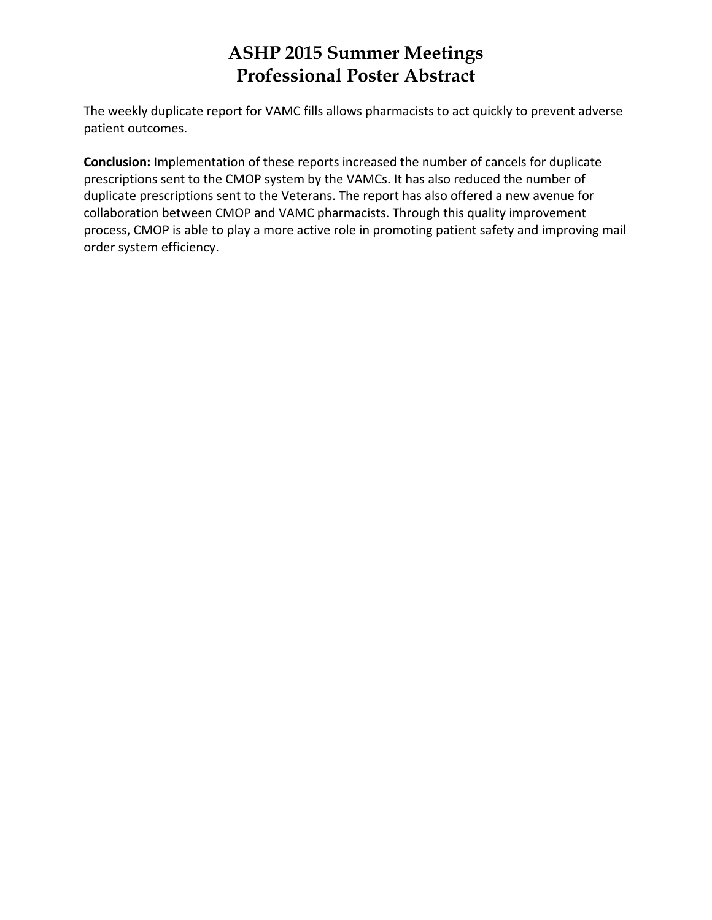The weekly duplicate report for VAMC fills allows pharmacists to act quickly to prevent adverse patient outcomes.

**Conclusion:** Implementation of these reports increased the number of cancels for duplicate prescriptions sent to the CMOP system by the VAMCs. It has also reduced the number of duplicate prescriptions sent to the Veterans. The report has also offered a new avenue for collaboration between CMOP and VAMC pharmacists. Through this quality improvement process, CMOP is able to play a more active role in promoting patient safety and improving mail order system efficiency.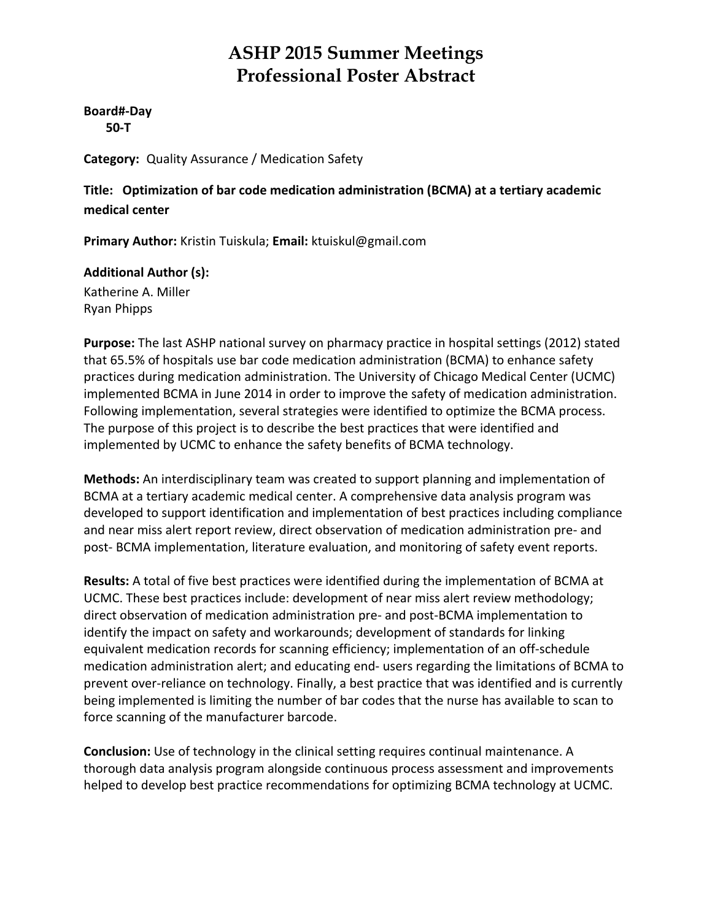#### **Board#‐Day 50‐T**

**Category:** Quality Assurance / Medication Safety

**Title: Optimization of bar code medication administration (BCMA) at a tertiary academic medical center**

**Primary Author:** Kristin Tuiskula; **Email:** ktuiskul@gmail.com

### **Additional Author (s):**

Katherine A. Miller Ryan Phipps

**Purpose:** The last ASHP national survey on pharmacy practice in hospital settings (2012) stated that 65.5% of hospitals use bar code medication administration (BCMA) to enhance safety practices during medication administration. The University of Chicago Medical Center (UCMC) implemented BCMA in June 2014 in order to improve the safety of medication administration. Following implementation, several strategies were identified to optimize the BCMA process. The purpose of this project is to describe the best practices that were identified and implemented by UCMC to enhance the safety benefits of BCMA technology.

**Methods:** An interdisciplinary team was created to support planning and implementation of BCMA at a tertiary academic medical center. A comprehensive data analysis program was developed to support identification and implementation of best practices including compliance and near miss alert report review, direct observation of medication administration pre‐ and post‐ BCMA implementation, literature evaluation, and monitoring of safety event reports.

**Results:** A total of five best practices were identified during the implementation of BCMA at UCMC. These best practices include: development of near miss alert review methodology; direct observation of medication administration pre‐ and post‐BCMA implementation to identify the impact on safety and workarounds; development of standards for linking equivalent medication records for scanning efficiency; implementation of an off‐schedule medication administration alert; and educating end‐ users regarding the limitations of BCMA to prevent over-reliance on technology. Finally, a best practice that was identified and is currently being implemented is limiting the number of bar codes that the nurse has available to scan to force scanning of the manufacturer barcode.

**Conclusion:** Use of technology in the clinical setting requires continual maintenance. A thorough data analysis program alongside continuous process assessment and improvements helped to develop best practice recommendations for optimizing BCMA technology at UCMC.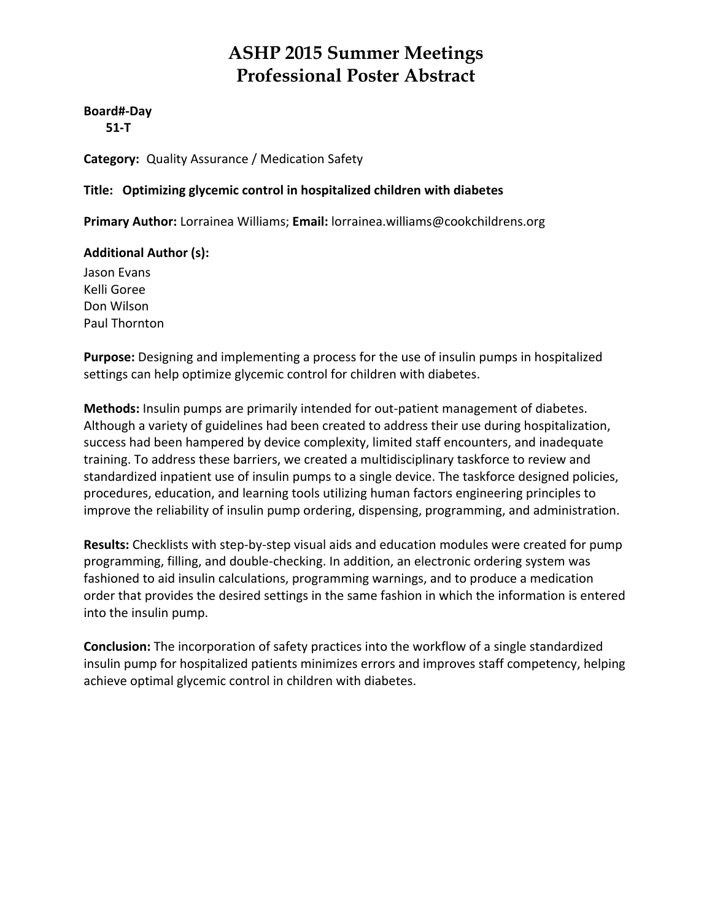### **Board#‐Day**

 **51‐T**

**Category:** Quality Assurance / Medication Safety

### **Title: Optimizing glycemic control in hospitalized children with diabetes**

**Primary Author:** Lorrainea Williams; **Email:** lorrainea.williams@cookchildrens.org

### **Additional Author (s):**

Jason Evans Kelli Goree Don Wilson Paul Thornton

**Purpose:** Designing and implementing a process for the use of insulin pumps in hospitalized settings can help optimize glycemic control for children with diabetes.

**Methods:** Insulin pumps are primarily intended for out‐patient management of diabetes. Although a variety of guidelines had been created to address their use during hospitalization, success had been hampered by device complexity, limited staff encounters, and inadequate training. To address these barriers, we created a multidisciplinary taskforce to review and standardized inpatient use of insulin pumps to a single device. The taskforce designed policies, procedures, education, and learning tools utilizing human factors engineering principles to improve the reliability of insulin pump ordering, dispensing, programming, and administration.

**Results:** Checklists with step‐by‐step visual aids and education modules were created for pump programming, filling, and double‐checking. In addition, an electronic ordering system was fashioned to aid insulin calculations, programming warnings, and to produce a medication order that provides the desired settings in the same fashion in which the information is entered into the insulin pump.

**Conclusion:** The incorporation of safety practices into the workflow of a single standardized insulin pump for hospitalized patients minimizes errors and improves staff competency, helping achieve optimal glycemic control in children with diabetes.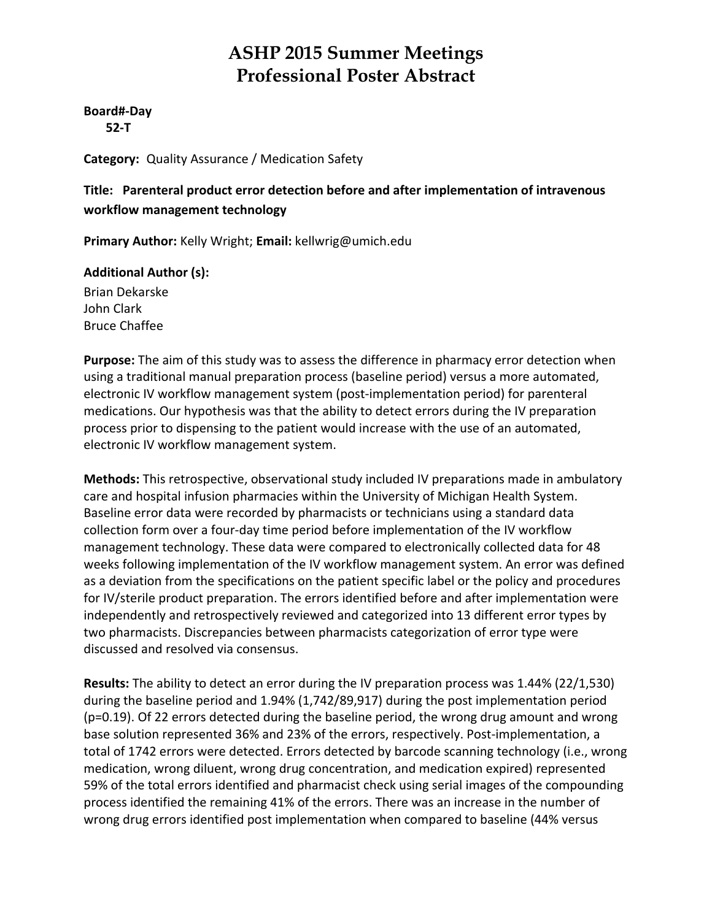#### **Board#‐Day 52‐T**

**Category:** Quality Assurance / Medication Safety

### **Title: Parenteral product error detection before and after implementation of intravenous workflow management technology**

**Primary Author:** Kelly Wright; **Email:** kellwrig@umich.edu

### **Additional Author (s):**

Brian Dekarske John Clark Bruce Chaffee

**Purpose:** The aim of this study was to assess the difference in pharmacy error detection when using a traditional manual preparation process (baseline period) versus a more automated, electronic IV workflow management system (post‐implementation period) for parenteral medications. Our hypothesis was that the ability to detect errors during the IV preparation process prior to dispensing to the patient would increase with the use of an automated, electronic IV workflow management system.

**Methods:** This retrospective, observational study included IV preparations made in ambulatory care and hospital infusion pharmacies within the University of Michigan Health System. Baseline error data were recorded by pharmacists or technicians using a standard data collection form over a four‐day time period before implementation of the IV workflow management technology. These data were compared to electronically collected data for 48 weeks following implementation of the IV workflow management system. An error was defined as a deviation from the specifications on the patient specific label or the policy and procedures for IV/sterile product preparation. The errors identified before and after implementation were independently and retrospectively reviewed and categorized into 13 different error types by two pharmacists. Discrepancies between pharmacists categorization of error type were discussed and resolved via consensus.

**Results:** The ability to detect an error during the IV preparation process was 1.44% (22/1,530) during the baseline period and 1.94% (1,742/89,917) during the post implementation period (p=0.19). Of 22 errors detected during the baseline period, the wrong drug amount and wrong base solution represented 36% and 23% of the errors, respectively. Post-implementation, a total of 1742 errors were detected. Errors detected by barcode scanning technology (i.e., wrong medication, wrong diluent, wrong drug concentration, and medication expired) represented 59% of the total errors identified and pharmacist check using serial images of the compounding process identified the remaining 41% of the errors. There was an increase in the number of wrong drug errors identified post implementation when compared to baseline (44% versus